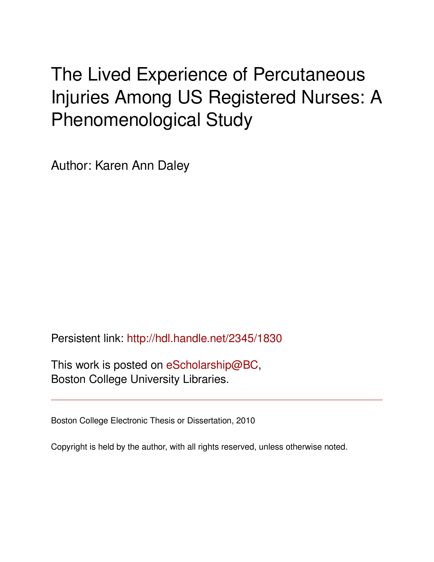# The Lived Experience of Percutaneous Injuries Among US Registered Nurses: A Phenomenological Study

Author: Karen Ann Daley

Persistent link: <http://hdl.handle.net/2345/1830>

This work is posted on [eScholarship@BC](http://escholarship.bc.edu), Boston College University Libraries.

Boston College Electronic Thesis or Dissertation, 2010

Copyright is held by the author, with all rights reserved, unless otherwise noted.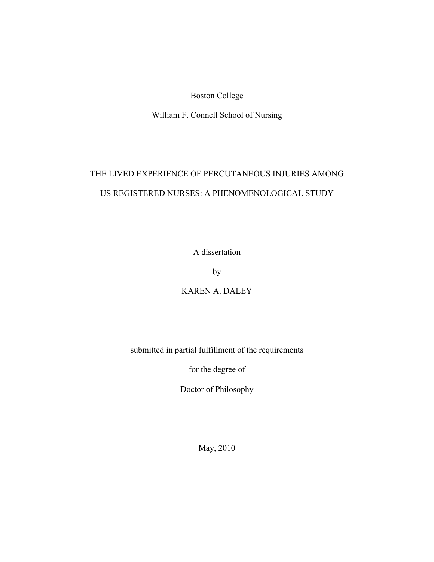#### Boston College

William F. Connell School of Nursing

# THE LIVED EXPERIENCE OF PERCUTANEOUS INJURIES AMONG US REGISTERED NURSES: A PHENOMENOLOGICAL STUDY

A dissertation

by

KAREN A. DALEY

submitted in partial fulfillment of the requirements

for the degree of

Doctor of Philosophy

May, 2010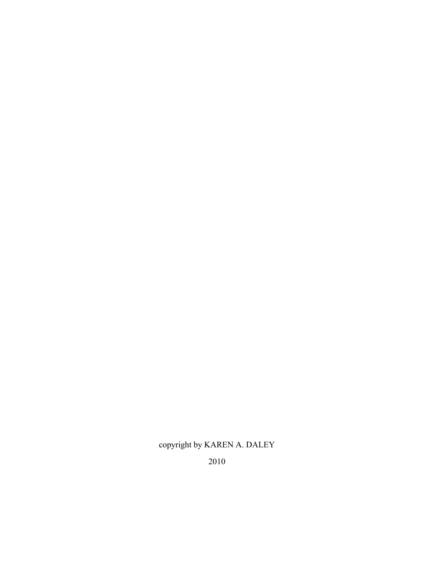## copyright by KAREN A. DALEY

2010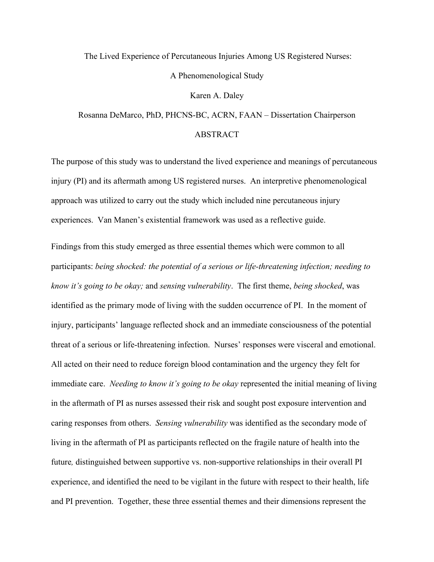# The Lived Experience of Percutaneous Injuries Among US Registered Nurses: A Phenomenological Study

Karen A. Daley

# Rosanna DeMarco, PhD, PHCNS-BC, ACRN, FAAN – Dissertation Chairperson ABSTRACT

The purpose of this study was to understand the lived experience and meanings of percutaneous injury (PI) and its aftermath among US registered nurses. An interpretive phenomenological approach was utilized to carry out the study which included nine percutaneous injury experiences. Van Manen's existential framework was used as a reflective guide.

Findings from this study emerged as three essential themes which were common to all participants: *being shocked: the potential of a serious or life-threatening infection; needing to know it's going to be okay;* and *sensing vulnerability*.The first theme, *being shocked*, was identified as the primary mode of living with the sudden occurrence of PI. In the moment of injury, participants' language reflected shock and an immediate consciousness of the potential threat of a serious or life-threatening infection. Nurses' responses were visceral and emotional. All acted on their need to reduce foreign blood contamination and the urgency they felt for immediate care. *Needing to know it's going to be okay* represented the initial meaning of living in the aftermath of PI as nurses assessed their risk and sought post exposure intervention and caring responses from others. *Sensing vulnerability* was identified as the secondary mode of living in the aftermath of PI as participants reflected on the fragile nature of health into the future*,* distinguished between supportive vs. non-supportive relationships in their overall PI experience, and identified the need to be vigilant in the future with respect to their health, life and PI prevention. Together, these three essential themes and their dimensions represent the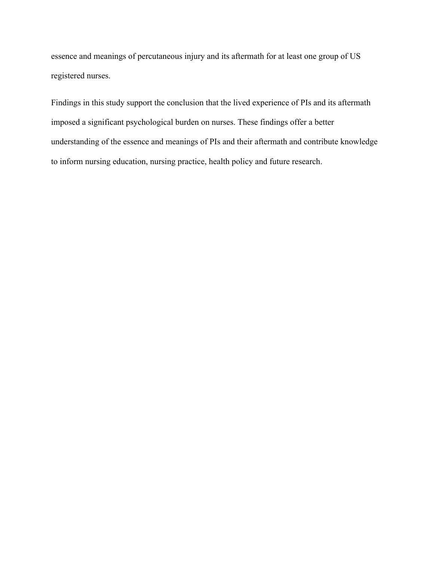essence and meanings of percutaneous injury and its aftermath for at least one group of US registered nurses.

Findings in this study support the conclusion that the lived experience of PIs and its aftermath imposed a significant psychological burden on nurses. These findings offer a better understanding of the essence and meanings of PIs and their aftermath and contribute knowledge to inform nursing education, nursing practice, health policy and future research.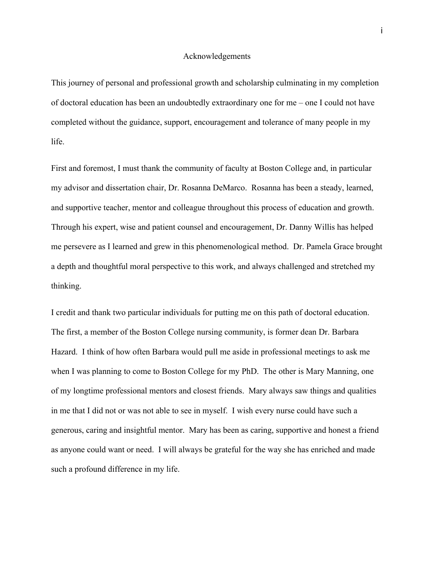#### Acknowledgements

This journey of personal and professional growth and scholarship culminating in my completion of doctoral education has been an undoubtedly extraordinary one for me – one I could not have completed without the guidance, support, encouragement and tolerance of many people in my life.

First and foremost, I must thank the community of faculty at Boston College and, in particular my advisor and dissertation chair, Dr. Rosanna DeMarco. Rosanna has been a steady, learned, and supportive teacher, mentor and colleague throughout this process of education and growth. Through his expert, wise and patient counsel and encouragement, Dr. Danny Willis has helped me persevere as I learned and grew in this phenomenological method. Dr. Pamela Grace brought a depth and thoughtful moral perspective to this work, and always challenged and stretched my thinking.

I credit and thank two particular individuals for putting me on this path of doctoral education. The first, a member of the Boston College nursing community, is former dean Dr. Barbara Hazard. I think of how often Barbara would pull me aside in professional meetings to ask me when I was planning to come to Boston College for my PhD. The other is Mary Manning, one of my longtime professional mentors and closest friends. Mary always saw things and qualities in me that I did not or was not able to see in myself. I wish every nurse could have such a generous, caring and insightful mentor. Mary has been as caring, supportive and honest a friend as anyone could want or need. I will always be grateful for the way she has enriched and made such a profound difference in my life.

i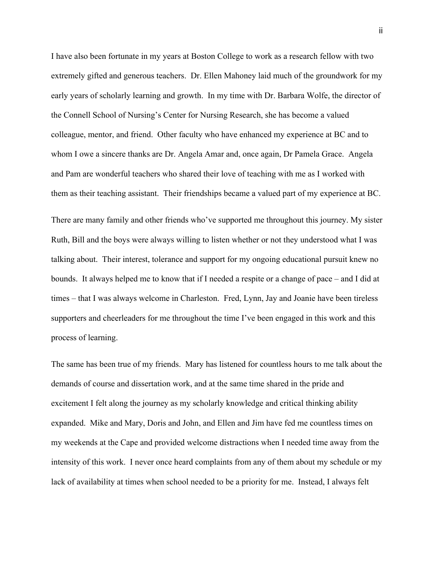I have also been fortunate in my years at Boston College to work as a research fellow with two extremely gifted and generous teachers. Dr. Ellen Mahoney laid much of the groundwork for my early years of scholarly learning and growth. In my time with Dr. Barbara Wolfe, the director of the Connell School of Nursing's Center for Nursing Research, she has become a valued colleague, mentor, and friend. Other faculty who have enhanced my experience at BC and to whom I owe a sincere thanks are Dr. Angela Amar and, once again, Dr Pamela Grace. Angela and Pam are wonderful teachers who shared their love of teaching with me as I worked with them as their teaching assistant. Their friendships became a valued part of my experience at BC.

There are many family and other friends who've supported me throughout this journey. My sister Ruth, Bill and the boys were always willing to listen whether or not they understood what I was talking about. Their interest, tolerance and support for my ongoing educational pursuit knew no bounds. It always helped me to know that if I needed a respite or a change of pace – and I did at times – that I was always welcome in Charleston. Fred, Lynn, Jay and Joanie have been tireless supporters and cheerleaders for me throughout the time I've been engaged in this work and this process of learning.

The same has been true of my friends. Mary has listened for countless hours to me talk about the demands of course and dissertation work, and at the same time shared in the pride and excitement I felt along the journey as my scholarly knowledge and critical thinking ability expanded. Mike and Mary, Doris and John, and Ellen and Jim have fed me countless times on my weekends at the Cape and provided welcome distractions when I needed time away from the intensity of this work. I never once heard complaints from any of them about my schedule or my lack of availability at times when school needed to be a priority for me. Instead, I always felt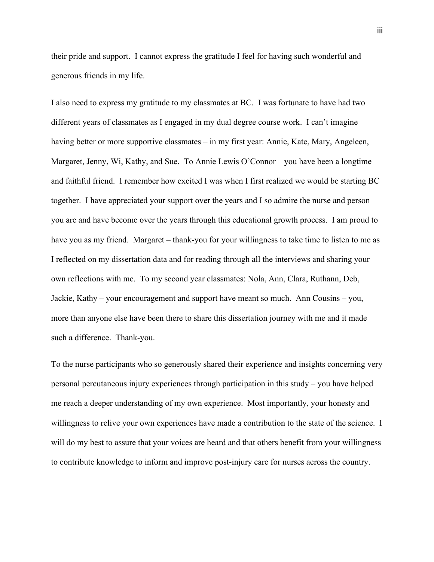their pride and support. I cannot express the gratitude I feel for having such wonderful and generous friends in my life.

I also need to express my gratitude to my classmates at BC. I was fortunate to have had two different years of classmates as I engaged in my dual degree course work. I can't imagine having better or more supportive classmates – in my first year: Annie, Kate, Mary, Angeleen, Margaret, Jenny, Wi, Kathy, and Sue. To Annie Lewis O'Connor – you have been a longtime and faithful friend. I remember how excited I was when I first realized we would be starting BC together. I have appreciated your support over the years and I so admire the nurse and person you are and have become over the years through this educational growth process. I am proud to have you as my friend. Margaret – thank-you for your willingness to take time to listen to me as I reflected on my dissertation data and for reading through all the interviews and sharing your own reflections with me. To my second year classmates: Nola, Ann, Clara, Ruthann, Deb, Jackie, Kathy – your encouragement and support have meant so much. Ann Cousins – you, more than anyone else have been there to share this dissertation journey with me and it made such a difference. Thank-you.

To the nurse participants who so generously shared their experience and insights concerning very personal percutaneous injury experiences through participation in this study – you have helped me reach a deeper understanding of my own experience. Most importantly, your honesty and willingness to relive your own experiences have made a contribution to the state of the science. I will do my best to assure that your voices are heard and that others benefit from your willingness to contribute knowledge to inform and improve post-injury care for nurses across the country.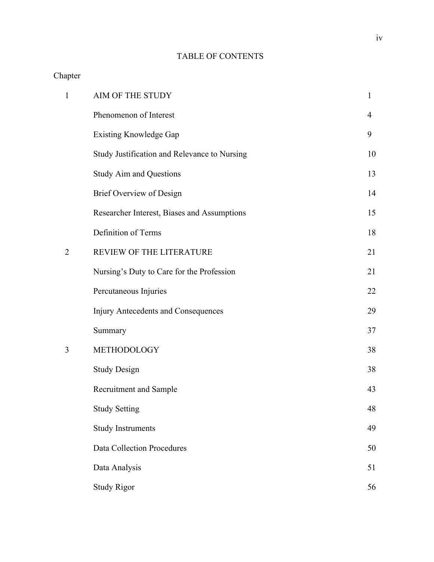### TABLE OF CONTENTS

### Chapter

| $\mathbf{1}$   | AIM OF THE STUDY                             | 1  |
|----------------|----------------------------------------------|----|
|                | Phenomenon of Interest                       | 4  |
|                | <b>Existing Knowledge Gap</b>                | 9  |
|                | Study Justification and Relevance to Nursing | 10 |
|                | <b>Study Aim and Questions</b>               | 13 |
|                | Brief Overview of Design                     | 14 |
|                | Researcher Interest, Biases and Assumptions  | 15 |
|                | Definition of Terms                          | 18 |
| $\overline{2}$ | REVIEW OF THE LITERATURE                     | 21 |
|                | Nursing's Duty to Care for the Profession    | 21 |
|                | Percutaneous Injuries                        | 22 |
|                | <b>Injury Antecedents and Consequences</b>   | 29 |
|                | Summary                                      | 37 |
| 3              | METHODOLOGY                                  | 38 |
|                | <b>Study Design</b>                          | 38 |
|                | Recruitment and Sample                       | 43 |
|                | <b>Study Setting</b>                         | 48 |
|                | <b>Study Instruments</b>                     | 49 |
|                | <b>Data Collection Procedures</b>            | 50 |
|                | Data Analysis                                | 51 |
|                | <b>Study Rigor</b>                           | 56 |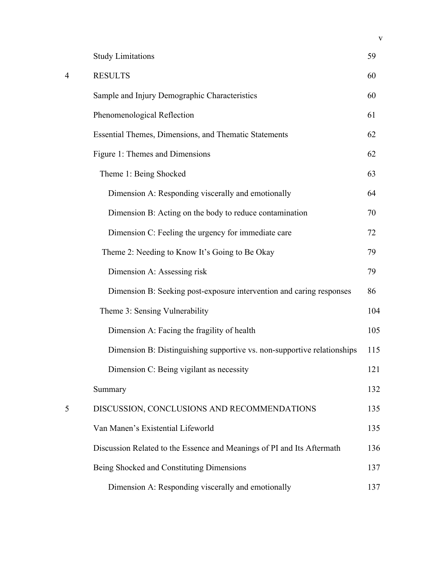|                | <b>Study Limitations</b>                                                | 59  |
|----------------|-------------------------------------------------------------------------|-----|
| $\overline{4}$ | <b>RESULTS</b>                                                          | 60  |
|                | Sample and Injury Demographic Characteristics                           | 60  |
|                | Phenomenological Reflection                                             | 61  |
|                | Essential Themes, Dimensions, and Thematic Statements                   | 62  |
|                | Figure 1: Themes and Dimensions                                         | 62  |
|                | Theme 1: Being Shocked                                                  | 63  |
|                | Dimension A: Responding viscerally and emotionally                      | 64  |
|                | Dimension B: Acting on the body to reduce contamination                 | 70  |
|                | Dimension C: Feeling the urgency for immediate care                     | 72  |
|                | Theme 2: Needing to Know It's Going to Be Okay                          | 79  |
|                | Dimension A: Assessing risk                                             | 79  |
|                | Dimension B: Seeking post-exposure intervention and caring responses    | 86  |
|                | Theme 3: Sensing Vulnerability                                          | 104 |
|                | Dimension A: Facing the fragility of health                             | 105 |
|                | Dimension B: Distinguishing supportive vs. non-supportive relationships | 115 |
|                | Dimension C: Being vigilant as necessity                                | 121 |
|                | Summary                                                                 | 132 |
| 5              | DISCUSSION, CONCLUSIONS AND RECOMMENDATIONS                             | 135 |
|                | Van Manen's Existential Lifeworld                                       | 135 |
|                | Discussion Related to the Essence and Meanings of PI and Its Aftermath  | 136 |
|                | Being Shocked and Constituting Dimensions                               | 137 |
|                | Dimension A: Responding viscerally and emotionally                      | 137 |

v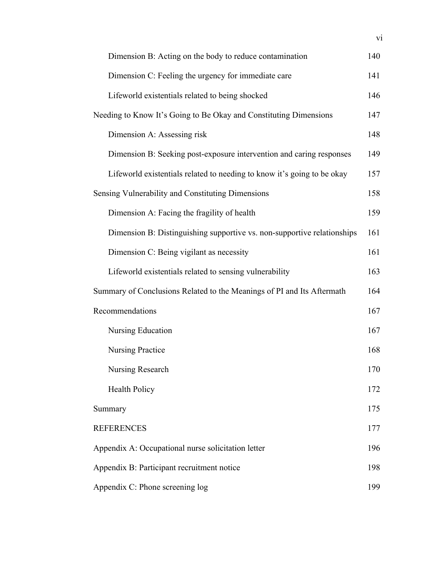| Dimension B: Acting on the body to reduce contamination                 | 140 |  |
|-------------------------------------------------------------------------|-----|--|
| Dimension C: Feeling the urgency for immediate care                     | 141 |  |
| Lifeworld existentials related to being shocked                         | 146 |  |
| Needing to Know It's Going to Be Okay and Constituting Dimensions       |     |  |
| Dimension A: Assessing risk                                             | 148 |  |
| Dimension B: Seeking post-exposure intervention and caring responses    | 149 |  |
| Lifeworld existentials related to needing to know it's going to be okay | 157 |  |
| Sensing Vulnerability and Constituting Dimensions                       |     |  |
| Dimension A: Facing the fragility of health                             | 159 |  |
| Dimension B: Distinguishing supportive vs. non-supportive relationships | 161 |  |
| Dimension C: Being vigilant as necessity                                | 161 |  |
| Lifeworld existentials related to sensing vulnerability                 | 163 |  |
| Summary of Conclusions Related to the Meanings of PI and Its Aftermath  |     |  |
| Recommendations                                                         |     |  |
| Nursing Education                                                       | 167 |  |
| <b>Nursing Practice</b>                                                 | 168 |  |
| Nursing Research                                                        | 170 |  |
| <b>Health Policy</b>                                                    | 172 |  |
| Summary                                                                 | 175 |  |
| <b>REFERENCES</b>                                                       |     |  |
| Appendix A: Occupational nurse solicitation letter                      |     |  |
| Appendix B: Participant recruitment notice                              |     |  |
| Appendix C: Phone screening log                                         |     |  |

vi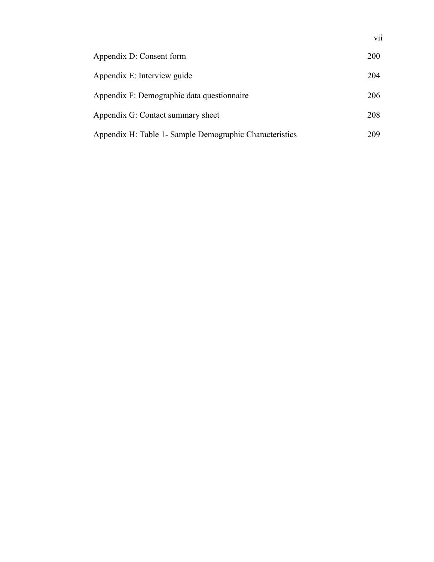| Appendix D: Consent form                                 | 200 |
|----------------------------------------------------------|-----|
| Appendix E: Interview guide                              | 204 |
| Appendix F: Demographic data questionnaire               | 206 |
| Appendix G: Contact summary sheet                        | 208 |
| Appendix H: Table 1 - Sample Demographic Characteristics | 209 |

vii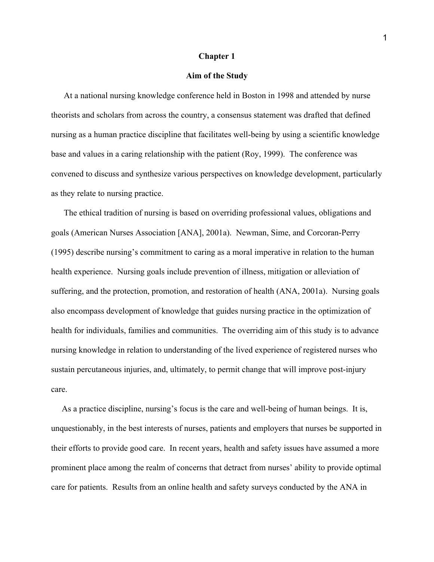#### **Chapter 1**

#### **Aim of the Study**

 At a national nursing knowledge conference held in Boston in 1998 and attended by nurse theorists and scholars from across the country, a consensus statement was drafted that defined nursing as a human practice discipline that facilitates well-being by using a scientific knowledge base and values in a caring relationship with the patient (Roy, 1999). The conference was convened to discuss and synthesize various perspectives on knowledge development, particularly as they relate to nursing practice.

 The ethical tradition of nursing is based on overriding professional values, obligations and goals (American Nurses Association [ANA], 2001a). Newman, Sime, and Corcoran-Perry (1995) describe nursing's commitment to caring as a moral imperative in relation to the human health experience. Nursing goals include prevention of illness, mitigation or alleviation of suffering, and the protection, promotion, and restoration of health (ANA, 2001a). Nursing goals also encompass development of knowledge that guides nursing practice in the optimization of health for individuals, families and communities. The overriding aim of this study is to advance nursing knowledge in relation to understanding of the lived experience of registered nurses who sustain percutaneous injuries, and, ultimately, to permit change that will improve post-injury care.

 As a practice discipline, nursing's focus is the care and well-being of human beings. It is, unquestionably, in the best interests of nurses, patients and employers that nurses be supported in their efforts to provide good care. In recent years, health and safety issues have assumed a more prominent place among the realm of concerns that detract from nurses' ability to provide optimal care for patients. Results from an online health and safety surveys conducted by the ANA in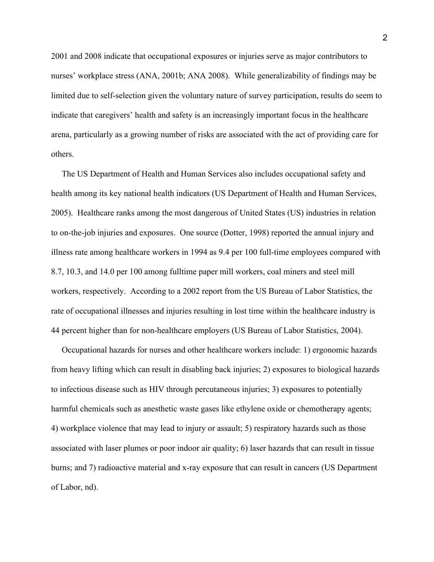2001 and 2008 indicate that occupational exposures or injuries serve as major contributors to nurses' workplace stress (ANA, 2001b; ANA 2008). While generalizability of findings may be limited due to self-selection given the voluntary nature of survey participation, results do seem to indicate that caregivers' health and safety is an increasingly important focus in the healthcare arena, particularly as a growing number of risks are associated with the act of providing care for others.

 The US Department of Health and Human Services also includes occupational safety and health among its key national health indicators (US Department of Health and Human Services, 2005). Healthcare ranks among the most dangerous of United States (US) industries in relation to on-the-job injuries and exposures. One source (Dotter, 1998) reported the annual injury and illness rate among healthcare workers in 1994 as 9.4 per 100 full-time employees compared with 8.7, 10.3, and 14.0 per 100 among fulltime paper mill workers, coal miners and steel mill workers, respectively. According to a 2002 report from the US Bureau of Labor Statistics, the rate of occupational illnesses and injuries resulting in lost time within the healthcare industry is 44 percent higher than for non-healthcare employers (US Bureau of Labor Statistics, 2004).

 Occupational hazards for nurses and other healthcare workers include: 1) ergonomic hazards from heavy lifting which can result in disabling back injuries; 2) exposures to biological hazards to infectious disease such as HIV through percutaneous injuries; 3) exposures to potentially harmful chemicals such as anesthetic waste gases like ethylene oxide or chemotherapy agents; 4) workplace violence that may lead to injury or assault; 5) respiratory hazards such as those associated with laser plumes or poor indoor air quality; 6) laser hazards that can result in tissue burns; and 7) radioactive material and x-ray exposure that can result in cancers (US Department of Labor, nd).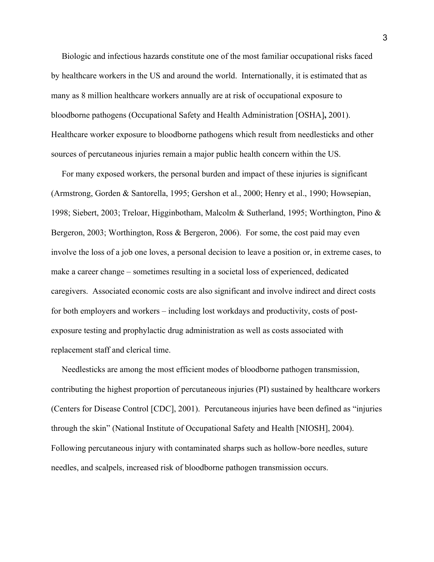Biologic and infectious hazards constitute one of the most familiar occupational risks faced by healthcare workers in the US and around the world. Internationally, it is estimated that as many as 8 million healthcare workers annually are at risk of occupational exposure to bloodborne pathogens (Occupational Safety and Health Administration [OSHA]**,** 2001). Healthcare worker exposure to bloodborne pathogens which result from needlesticks and other sources of percutaneous injuries remain a major public health concern within the US.

 For many exposed workers, the personal burden and impact of these injuries is significant (Armstrong, Gorden & Santorella, 1995; Gershon et al., 2000; Henry et al., 1990; Howsepian, 1998; Siebert, 2003; Treloar, Higginbotham, Malcolm & Sutherland, 1995; Worthington, Pino & Bergeron, 2003; Worthington, Ross & Bergeron, 2006). For some, the cost paid may even involve the loss of a job one loves, a personal decision to leave a position or, in extreme cases, to make a career change – sometimes resulting in a societal loss of experienced, dedicated caregivers. Associated economic costs are also significant and involve indirect and direct costs for both employers and workers – including lost workdays and productivity, costs of postexposure testing and prophylactic drug administration as well as costs associated with replacement staff and clerical time.

 Needlesticks are among the most efficient modes of bloodborne pathogen transmission, contributing the highest proportion of percutaneous injuries (PI) sustained by healthcare workers (Centers for Disease Control [CDC], 2001). Percutaneous injuries have been defined as "injuries through the skin" (National Institute of Occupational Safety and Health [NIOSH], 2004). Following percutaneous injury with contaminated sharps such as hollow-bore needles, suture needles, and scalpels, increased risk of bloodborne pathogen transmission occurs.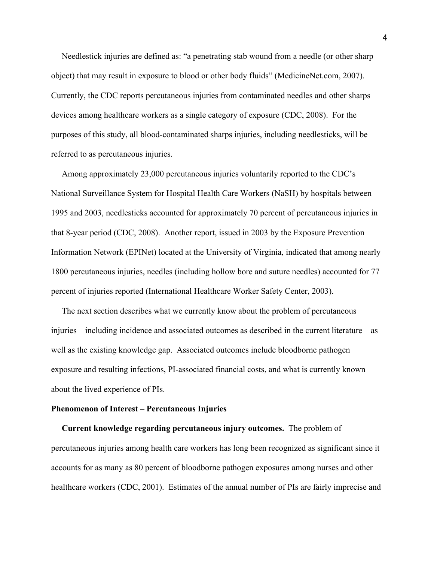Needlestick injuries are defined as: "a penetrating stab wound from a needle (or other sharp object) that may result in exposure to blood or other body fluids" (MedicineNet.com, 2007). Currently, the CDC reports percutaneous injuries from contaminated needles and other sharps devices among healthcare workers as a single category of exposure (CDC, 2008). For the purposes of this study, all blood-contaminated sharps injuries, including needlesticks, will be referred to as percutaneous injuries.

 Among approximately 23,000 percutaneous injuries voluntarily reported to the CDC's National Surveillance System for Hospital Health Care Workers (NaSH) by hospitals between 1995 and 2003, needlesticks accounted for approximately 70 percent of percutaneous injuries in that 8-year period (CDC, 2008). Another report, issued in 2003 by the Exposure Prevention Information Network (EPINet) located at the University of Virginia, indicated that among nearly 1800 percutaneous injuries, needles (including hollow bore and suture needles) accounted for 77 percent of injuries reported (International Healthcare Worker Safety Center, 2003).

 The next section describes what we currently know about the problem of percutaneous injuries – including incidence and associated outcomes as described in the current literature – as well as the existing knowledge gap. Associated outcomes include bloodborne pathogen exposure and resulting infections, PI-associated financial costs, and what is currently known about the lived experience of PIs.

#### **Phenomenon of Interest – Percutaneous Injuries**

 **Current knowledge regarding percutaneous injury outcomes.** The problem of percutaneous injuries among health care workers has long been recognized as significant since it accounts for as many as 80 percent of bloodborne pathogen exposures among nurses and other healthcare workers (CDC, 2001). Estimates of the annual number of PIs are fairly imprecise and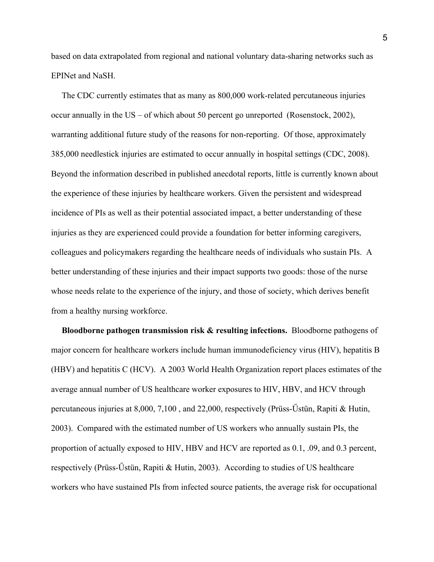based on data extrapolated from regional and national voluntary data-sharing networks such as EPINet and NaSH.

 The CDC currently estimates that as many as 800,000 work-related percutaneous injuries occur annually in the US – of which about 50 percent go unreported (Rosenstock, 2002), warranting additional future study of the reasons for non-reporting. Of those, approximately 385,000 needlestick injuries are estimated to occur annually in hospital settings (CDC, 2008). Beyond the information described in published anecdotal reports, little is currently known about the experience of these injuries by healthcare workers. Given the persistent and widespread incidence of PIs as well as their potential associated impact, a better understanding of these injuries as they are experienced could provide a foundation for better informing caregivers, colleagues and policymakers regarding the healthcare needs of individuals who sustain PIs. A better understanding of these injuries and their impact supports two goods: those of the nurse whose needs relate to the experience of the injury, and those of society, which derives benefit from a healthy nursing workforce.

 **Bloodborne pathogen transmission risk & resulting infections.** Bloodborne pathogens of major concern for healthcare workers include human immunodeficiency virus (HIV), hepatitis B (HBV) and hepatitis C (HCV). A 2003 World Health Organization report places estimates of the average annual number of US healthcare worker exposures to HIV, HBV, and HCV through percutaneous injuries at 8,000, 7,100 , and 22,000, respectively (Prüss-Űstün, Rapiti & Hutin, 2003). Compared with the estimated number of US workers who annually sustain PIs, the proportion of actually exposed to HIV, HBV and HCV are reported as 0.1, .09, and 0.3 percent, respectively (Prüss-Űstün, Rapiti & Hutin, 2003). According to studies of US healthcare workers who have sustained PIs from infected source patients, the average risk for occupational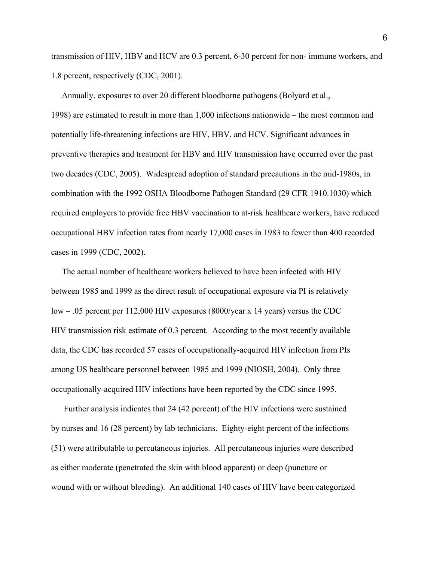transmission of HIV, HBV and HCV are 0.3 percent, 6-30 percent for non- immune workers, and 1.8 percent, respectively (CDC, 2001).

 Annually, exposures to over 20 different bloodborne pathogens (Bolyard et al., 1998) are estimated to result in more than 1,000 infections nationwide – the most common and potentially life-threatening infections are HIV, HBV, and HCV. Significant advances in preventive therapies and treatment for HBV and HIV transmission have occurred over the past two decades (CDC, 2005). Widespread adoption of standard precautions in the mid-1980s, in combination with the 1992 OSHA Bloodborne Pathogen Standard (29 CFR 1910.1030) which required employers to provide free HBV vaccination to at-risk healthcare workers, have reduced occupational HBV infection rates from nearly 17,000 cases in 1983 to fewer than 400 recorded cases in 1999 (CDC, 2002).

 The actual number of healthcare workers believed to have been infected with HIV between 1985 and 1999 as the direct result of occupational exposure via PI is relatively low – .05 percent per 112,000 HIV exposures (8000/year x 14 years) versus the CDC HIV transmission risk estimate of 0.3 percent. According to the most recently available data, the CDC has recorded 57 cases of occupationally-acquired HIV infection from PIs among US healthcare personnel between 1985 and 1999 (NIOSH, 2004). Only three occupationally-acquired HIV infections have been reported by the CDC since 1995.

Further analysis indicates that 24 (42 percent) of the HIV infections were sustained by nurses and 16 (28 percent) by lab technicians. Eighty-eight percent of the infections (51) were attributable to percutaneous injuries. All percutaneous injuries were described as either moderate (penetrated the skin with blood apparent) or deep (puncture or wound with or without bleeding). An additional 140 cases of HIV have been categorized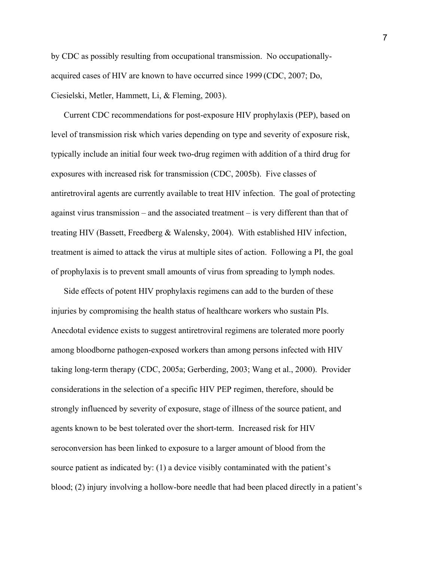by CDC as possibly resulting from occupational transmission. No occupationallyacquired cases of HIV are known to have occurred since 1999 (CDC, 2007; Do, Ciesielski, Metler, Hammett, Li, & Fleming, 2003).

Current CDC recommendations for post-exposure HIV prophylaxis (PEP), based on level of transmission risk which varies depending on type and severity of exposure risk, typically include an initial four week two-drug regimen with addition of a third drug for exposures with increased risk for transmission (CDC, 2005b). Five classes of antiretroviral agents are currently available to treat HIV infection. The goal of protecting against virus transmission – and the associated treatment – is very different than that of treating HIV (Bassett, Freedberg & Walensky, 2004). With established HIV infection, treatment is aimed to attack the virus at multiple sites of action. Following a PI, the goal of prophylaxis is to prevent small amounts of virus from spreading to lymph nodes.

Side effects of potent HIV prophylaxis regimens can add to the burden of these injuries by compromising the health status of healthcare workers who sustain PIs. Anecdotal evidence exists to suggest antiretroviral regimens are tolerated more poorly among bloodborne pathogen-exposed workers than among persons infected with HIV taking long-term therapy (CDC, 2005a; Gerberding, 2003; Wang et al., 2000). Provider considerations in the selection of a specific HIV PEP regimen, therefore, should be strongly influenced by severity of exposure, stage of illness of the source patient, and agents known to be best tolerated over the short-term. Increased risk for HIV seroconversion has been linked to exposure to a larger amount of blood from the source patient as indicated by: (1) a device visibly contaminated with the patient's blood; (2) injury involving a hollow-bore needle that had been placed directly in a patient's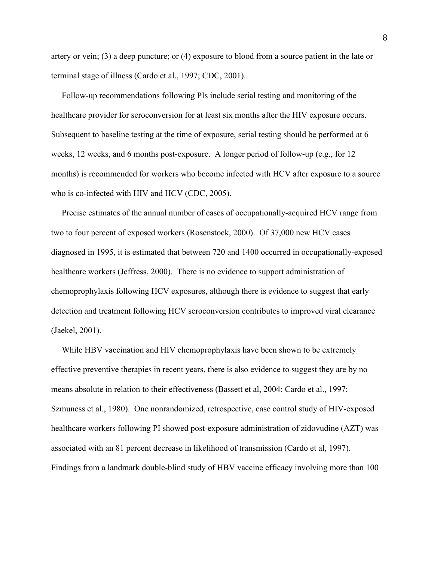artery or vein; (3) a deep puncture; or (4) exposure to blood from a source patient in the late or terminal stage of illness (Cardo et al., 1997; CDC, 2001).

 Follow-up recommendations following PIs include serial testing and monitoring of the healthcare provider for seroconversion for at least six months after the HIV exposure occurs. Subsequent to baseline testing at the time of exposure, serial testing should be performed at 6 weeks, 12 weeks, and 6 months post-exposure. A longer period of follow-up (e.g., for 12 months) is recommended for workers who become infected with HCV after exposure to a source who is co-infected with HIV and HCV (CDC, 2005).

 Precise estimates of the annual number of cases of occupationally-acquired HCV range from two to four percent of exposed workers (Rosenstock, 2000). Of 37,000 new HCV cases diagnosed in 1995, it is estimated that between 720 and 1400 occurred in occupationally-exposed healthcare workers (Jeffress, 2000). There is no evidence to support administration of chemoprophylaxis following HCV exposures, although there is evidence to suggest that early detection and treatment following HCV seroconversion contributes to improved viral clearance (Jaekel, 2001).

While HBV vaccination and HIV chemoprophylaxis have been shown to be extremely effective preventive therapies in recent years, there is also evidence to suggest they are by no means absolute in relation to their effectiveness (Bassett et al, 2004; Cardo et al., 1997; Szmuness et al., 1980). One nonrandomized, retrospective, case control study of HIV-exposed healthcare workers following PI showed post-exposure administration of zidovudine (AZT) was associated with an 81 percent decrease in likelihood of transmission (Cardo et al, 1997). Findings from a landmark double-blind study of HBV vaccine efficacy involving more than 100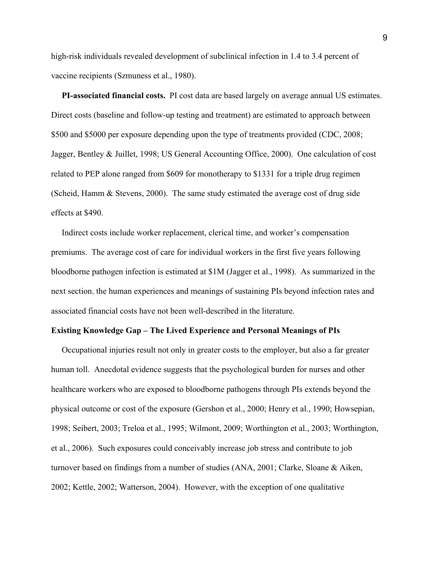high-risk individuals revealed development of subclinical infection in 1.4 to 3.4 percent of vaccine recipients (Szmuness et al., 1980).

 **PI-associated financial costs.** PI cost data are based largely on average annual US estimates. Direct costs (baseline and follow-up testing and treatment) are estimated to approach between \$500 and \$5000 per exposure depending upon the type of treatments provided (CDC, 2008; Jagger, Bentley & Juillet, 1998; US General Accounting Office, 2000). One calculation of cost related to PEP alone ranged from \$609 for monotherapy to \$1331 for a triple drug regimen (Scheid, Hamm & Stevens, 2000). The same study estimated the average cost of drug side effects at \$490.

 Indirect costs include worker replacement, clerical time, and worker's compensation premiums. The average cost of care for individual workers in the first five years following bloodborne pathogen infection is estimated at \$1M (Jagger et al., 1998). As summarized in the next section, the human experiences and meanings of sustaining PIs beyond infection rates and associated financial costs have not been well-described in the literature.

#### **Existing Knowledge Gap – The Lived Experience and Personal Meanings of PIs**

 Occupational injuries result not only in greater costs to the employer, but also a far greater human toll. Anecdotal evidence suggests that the psychological burden for nurses and other healthcare workers who are exposed to bloodborne pathogens through PIs extends beyond the physical outcome or cost of the exposure (Gershon et al., 2000; Henry et al., 1990; Howsepian, 1998; Seibert, 2003; Treloa et al., 1995; Wilmont, 2009; Worthington et al., 2003; Worthington, et al., 2006). Such exposures could conceivably increase job stress and contribute to job turnover based on findings from a number of studies (ANA, 2001; Clarke, Sloane & Aiken, 2002; Kettle, 2002; Watterson, 2004). However, with the exception of one qualitative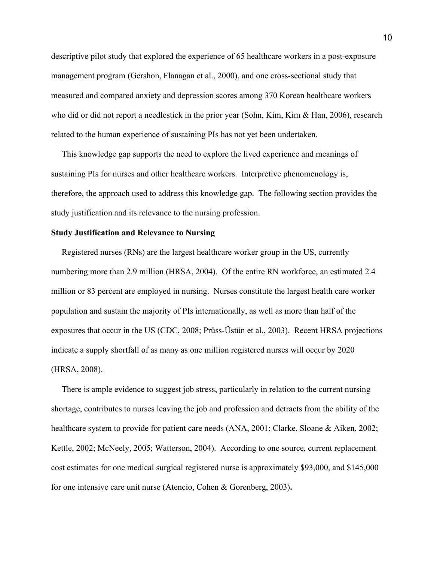descriptive pilot study that explored the experience of 65 healthcare workers in a post-exposure management program (Gershon, Flanagan et al., 2000), and one cross-sectional study that measured and compared anxiety and depression scores among 370 Korean healthcare workers who did or did not report a needlestick in the prior year (Sohn, Kim, Kim & Han, 2006), research related to the human experience of sustaining PIs has not yet been undertaken.

 This knowledge gap supports the need to explore the lived experience and meanings of sustaining PIs for nurses and other healthcare workers. Interpretive phenomenology is, therefore, the approach used to address this knowledge gap. The following section provides the study justification and its relevance to the nursing profession.

#### **Study Justification and Relevance to Nursing**

 Registered nurses (RNs) are the largest healthcare worker group in the US, currently numbering more than 2.9 million (HRSA, 2004). Of the entire RN workforce, an estimated 2.4 million or 83 percent are employed in nursing. Nurses constitute the largest health care worker population and sustain the majority of PIs internationally, as well as more than half of the exposures that occur in the US (CDC, 2008; Prüss-Üstün et al., 2003). Recent HRSA projections indicate a supply shortfall of as many as one million registered nurses will occur by 2020 (HRSA, 2008).

 There is ample evidence to suggest job stress, particularly in relation to the current nursing shortage, contributes to nurses leaving the job and profession and detracts from the ability of the healthcare system to provide for patient care needs (ANA, 2001; Clarke, Sloane & Aiken, 2002; Kettle, 2002; McNeely, 2005; Watterson, 2004). According to one source, current replacement cost estimates for one medical surgical registered nurse is approximately \$93,000, and \$145,000 for one intensive care unit nurse (Atencio, Cohen & Gorenberg, 2003)**.**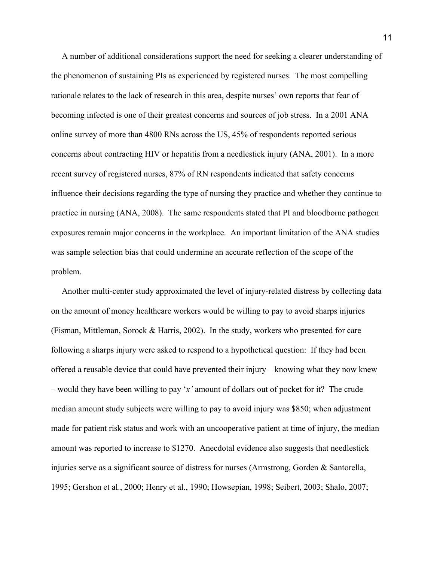A number of additional considerations support the need for seeking a clearer understanding of the phenomenon of sustaining PIs as experienced by registered nurses. The most compelling rationale relates to the lack of research in this area, despite nurses' own reports that fear of becoming infected is one of their greatest concerns and sources of job stress. In a 2001 ANA online survey of more than 4800 RNs across the US, 45% of respondents reported serious concerns about contracting HIV or hepatitis from a needlestick injury (ANA, 2001). In a more recent survey of registered nurses, 87% of RN respondents indicated that safety concerns influence their decisions regarding the type of nursing they practice and whether they continue to practice in nursing (ANA, 2008). The same respondents stated that PI and bloodborne pathogen exposures remain major concerns in the workplace. An important limitation of the ANA studies was sample selection bias that could undermine an accurate reflection of the scope of the problem.

 Another multi-center study approximated the level of injury-related distress by collecting data on the amount of money healthcare workers would be willing to pay to avoid sharps injuries (Fisman, Mittleman, Sorock & Harris, 2002). In the study, workers who presented for care following a sharps injury were asked to respond to a hypothetical question: If they had been offered a reusable device that could have prevented their injury – knowing what they now knew – would they have been willing to pay '*x'* amount of dollars out of pocket for it? The crude median amount study subjects were willing to pay to avoid injury was \$850; when adjustment made for patient risk status and work with an uncooperative patient at time of injury, the median amount was reported to increase to \$1270. Anecdotal evidence also suggests that needlestick injuries serve as a significant source of distress for nurses (Armstrong, Gorden & Santorella, 1995; Gershon et al., 2000; Henry et al., 1990; Howsepian, 1998; Seibert, 2003; Shalo, 2007;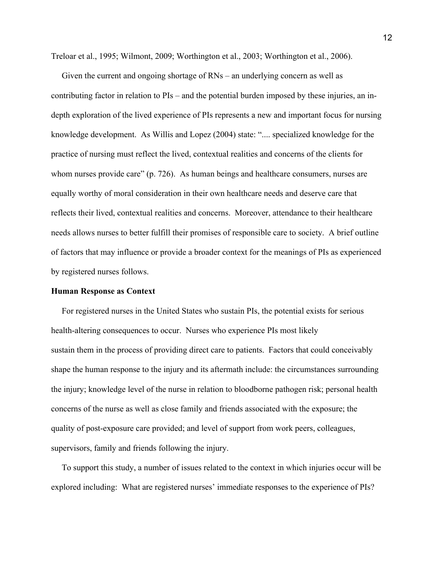Treloar et al., 1995; Wilmont, 2009; Worthington et al., 2003; Worthington et al., 2006).

 Given the current and ongoing shortage of RNs – an underlying concern as well as contributing factor in relation to PIs – and the potential burden imposed by these injuries, an indepth exploration of the lived experience of PIs represents a new and important focus for nursing knowledge development. As Willis and Lopez (2004) state: ".... specialized knowledge for the practice of nursing must reflect the lived, contextual realities and concerns of the clients for whom nurses provide care" (p. 726). As human beings and healthcare consumers, nurses are equally worthy of moral consideration in their own healthcare needs and deserve care that reflects their lived, contextual realities and concerns. Moreover, attendance to their healthcare needs allows nurses to better fulfill their promises of responsible care to society. A brief outline of factors that may influence or provide a broader context for the meanings of PIs as experienced by registered nurses follows.

#### **Human Response as Context**

 For registered nurses in the United States who sustain PIs, the potential exists for serious health-altering consequences to occur. Nurses who experience PIs most likely sustain them in the process of providing direct care to patients. Factors that could conceivably shape the human response to the injury and its aftermath include: the circumstances surrounding the injury; knowledge level of the nurse in relation to bloodborne pathogen risk; personal health concerns of the nurse as well as close family and friends associated with the exposure; the quality of post-exposure care provided; and level of support from work peers, colleagues, supervisors, family and friends following the injury.

 To support this study, a number of issues related to the context in which injuries occur will be explored including: What are registered nurses' immediate responses to the experience of PIs?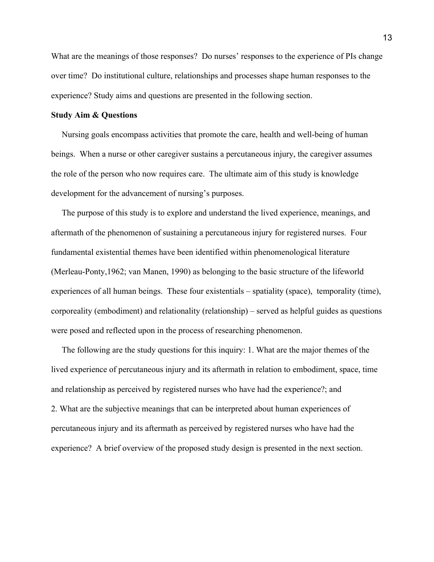What are the meanings of those responses? Do nurses' responses to the experience of PIs change over time? Do institutional culture, relationships and processes shape human responses to the experience? Study aims and questions are presented in the following section.

#### **Study Aim & Questions**

Nursing goals encompass activities that promote the care, health and well-being of human beings. When a nurse or other caregiver sustains a percutaneous injury, the caregiver assumes the role of the person who now requires care. The ultimate aim of this study is knowledge development for the advancement of nursing's purposes.

 The purpose of this study is to explore and understand the lived experience, meanings, and aftermath of the phenomenon of sustaining a percutaneous injury for registered nurses. Four fundamental existential themes have been identified within phenomenological literature (Merleau-Ponty,1962; van Manen, 1990) as belonging to the basic structure of the lifeworld experiences of all human beings. These four existentials – spatiality (space), temporality (time), corporeality (embodiment) and relationality (relationship) – served as helpful guides as questions were posed and reflected upon in the process of researching phenomenon.

 The following are the study questions for this inquiry: 1. What are the major themes of the lived experience of percutaneous injury and its aftermath in relation to embodiment, space, time and relationship as perceived by registered nurses who have had the experience?; and 2. What are the subjective meanings that can be interpreted about human experiences of percutaneous injury and its aftermath as perceived by registered nurses who have had the experience? A brief overview of the proposed study design is presented in the next section.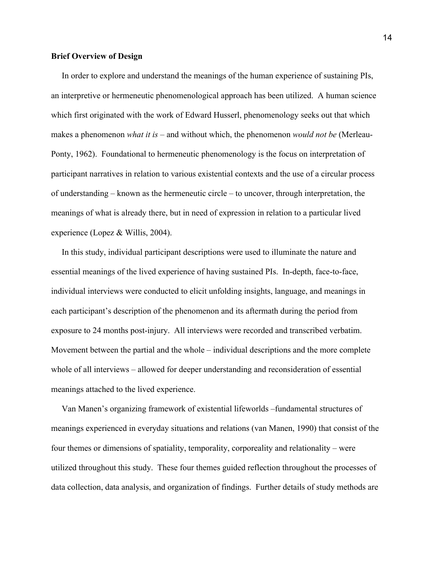#### **Brief Overview of Design**

 In order to explore and understand the meanings of the human experience of sustaining PIs, an interpretive or hermeneutic phenomenological approach has been utilized. A human science which first originated with the work of Edward Husserl, phenomenology seeks out that which makes a phenomenon *what it is* – and without which, the phenomenon *would not be* (Merleau-Ponty, 1962). Foundational to hermeneutic phenomenology is the focus on interpretation of participant narratives in relation to various existential contexts and the use of a circular process of understanding – known as the hermeneutic circle – to uncover, through interpretation, the meanings of what is already there, but in need of expression in relation to a particular lived experience (Lopez & Willis, 2004).

 In this study, individual participant descriptions were used to illuminate the nature and essential meanings of the lived experience of having sustained PIs. In-depth, face-to-face, individual interviews were conducted to elicit unfolding insights, language, and meanings in each participant's description of the phenomenon and its aftermath during the period from exposure to 24 months post-injury. All interviews were recorded and transcribed verbatim. Movement between the partial and the whole – individual descriptions and the more complete whole of all interviews – allowed for deeper understanding and reconsideration of essential meanings attached to the lived experience.

 Van Manen's organizing framework of existential lifeworlds –fundamental structures of meanings experienced in everyday situations and relations (van Manen, 1990) that consist of the four themes or dimensions of spatiality, temporality, corporeality and relationality – were utilized throughout this study. These four themes guided reflection throughout the processes of data collection, data analysis, and organization of findings. Further details of study methods are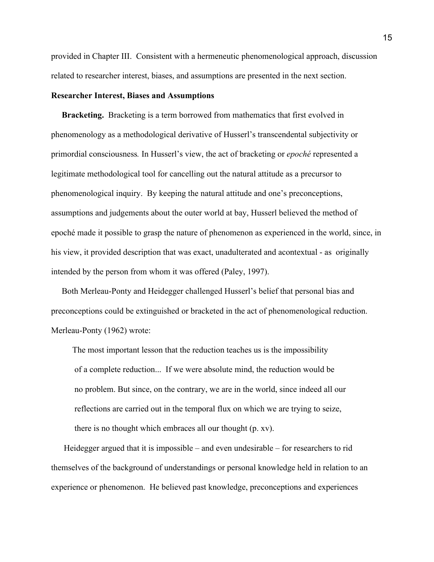provided in Chapter III. Consistent with a hermeneutic phenomenological approach, discussion related to researcher interest, biases, and assumptions are presented in the next section.

#### **Researcher Interest, Biases and Assumptions**

 **Bracketing.** Bracketing is a term borrowed from mathematics that first evolved in phenomenology as a methodological derivative of Husserl's transcendental subjectivity or primordial consciousness*.* In Husserl's view, the act of bracketing or *epoché* represented a legitimate methodological tool for cancelling out the natural attitude as a precursor to phenomenological inquiry. By keeping the natural attitude and one's preconceptions, assumptions and judgements about the outer world at bay, Husserl believed the method of epoché made it possible to grasp the nature of phenomenon as experienced in the world, since, in his view, it provided description that was exact, unadulterated and acontextual - as originally intended by the person from whom it was offered (Paley, 1997).

 Both Merleau-Ponty and Heidegger challenged Husserl's belief that personal bias and preconceptions could be extinguished or bracketed in the act of phenomenological reduction. Merleau-Ponty (1962) wrote:

The most important lesson that the reduction teaches us is the impossibility of a complete reduction... If we were absolute mind, the reduction would be no problem. But since, on the contrary, we are in the world, since indeed all our reflections are carried out in the temporal flux on which we are trying to seize, there is no thought which embraces all our thought (p. xv).

 Heidegger argued that it is impossible – and even undesirable – for researchers to rid themselves of the background of understandings or personal knowledge held in relation to an experience or phenomenon. He believed past knowledge, preconceptions and experiences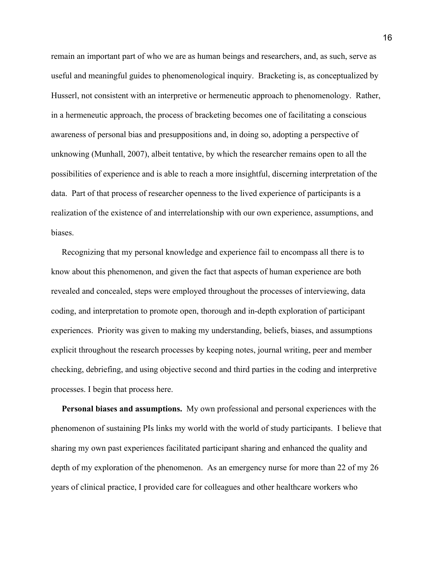remain an important part of who we are as human beings and researchers, and, as such, serve as useful and meaningful guides to phenomenological inquiry. Bracketing is, as conceptualized by Husserl, not consistent with an interpretive or hermeneutic approach to phenomenology. Rather, in a hermeneutic approach, the process of bracketing becomes one of facilitating a conscious awareness of personal bias and presuppositions and, in doing so, adopting a perspective of unknowing (Munhall, 2007), albeit tentative, by which the researcher remains open to all the possibilities of experience and is able to reach a more insightful, discerning interpretation of the data. Part of that process of researcher openness to the lived experience of participants is a realization of the existence of and interrelationship with our own experience, assumptions, and biases.

 Recognizing that my personal knowledge and experience fail to encompass all there is to know about this phenomenon, and given the fact that aspects of human experience are both revealed and concealed, steps were employed throughout the processes of interviewing, data coding, and interpretation to promote open, thorough and in-depth exploration of participant experiences. Priority was given to making my understanding, beliefs, biases, and assumptions explicit throughout the research processes by keeping notes, journal writing, peer and member checking, debriefing, and using objective second and third parties in the coding and interpretive processes. I begin that process here.

 **Personal biases and assumptions.** My own professional and personal experiences with the phenomenon of sustaining PIs links my world with the world of study participants. I believe that sharing my own past experiences facilitated participant sharing and enhanced the quality and depth of my exploration of the phenomenon. As an emergency nurse for more than 22 of my 26 years of clinical practice, I provided care for colleagues and other healthcare workers who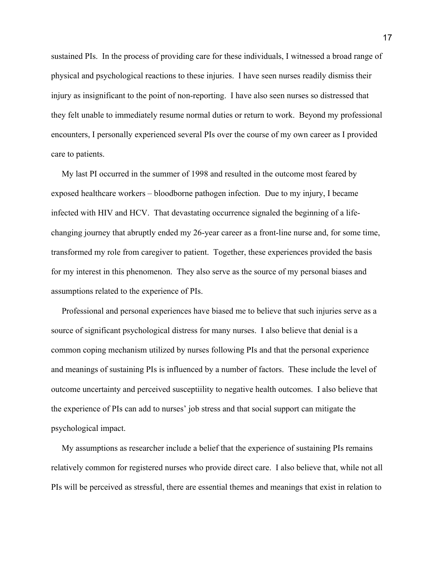sustained PIs. In the process of providing care for these individuals, I witnessed a broad range of physical and psychological reactions to these injuries. I have seen nurses readily dismiss their injury as insignificant to the point of non-reporting. I have also seen nurses so distressed that they felt unable to immediately resume normal duties or return to work. Beyond my professional encounters, I personally experienced several PIs over the course of my own career as I provided care to patients.

 My last PI occurred in the summer of 1998 and resulted in the outcome most feared by exposed healthcare workers – bloodborne pathogen infection. Due to my injury, I became infected with HIV and HCV. That devastating occurrence signaled the beginning of a lifechanging journey that abruptly ended my 26-year career as a front-line nurse and, for some time, transformed my role from caregiver to patient. Together, these experiences provided the basis for my interest in this phenomenon. They also serve as the source of my personal biases and assumptions related to the experience of PIs.

 Professional and personal experiences have biased me to believe that such injuries serve as a source of significant psychological distress for many nurses. I also believe that denial is a common coping mechanism utilized by nurses following PIs and that the personal experience and meanings of sustaining PIs is influenced by a number of factors. These include the level of outcome uncertainty and perceived susceptiility to negative health outcomes. I also believe that the experience of PIs can add to nurses' job stress and that social support can mitigate the psychological impact.

 My assumptions as researcher include a belief that the experience of sustaining PIs remains relatively common for registered nurses who provide direct care. I also believe that, while not all PIs will be perceived as stressful, there are essential themes and meanings that exist in relation to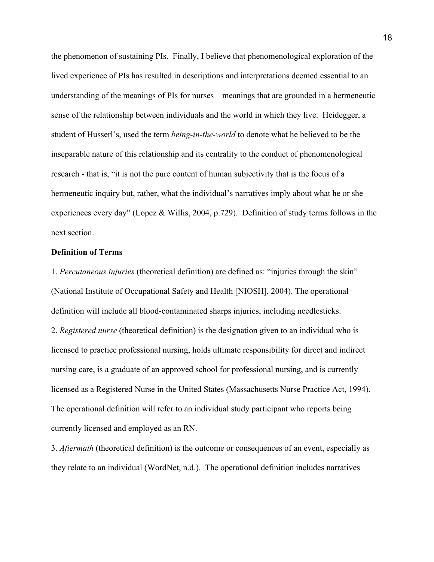the phenomenon of sustaining PIs.Finally, I believe that phenomenological exploration of the lived experience of PIs has resulted in descriptions and interpretations deemed essential to an understanding of the meanings of PIs for nurses – meanings that are grounded in a hermeneutic sense of the relationship between individuals and the world in which they live. Heidegger, a student of Husserl's, used the term *being-in-the-world* to denote what he believed to be the inseparable nature of this relationship and its centrality to the conduct of phenomenological research - that is, "it is not the pure content of human subjectivity that is the focus of a hermeneutic inquiry but, rather, what the individual's narratives imply about what he or she experiences every day" (Lopez & Willis, 2004, p.729). Definition of study terms follows in the next section.

#### **Definition of Terms**

1. *Percutaneous injuries* (theoretical definition) are defined as: "injuries through the skin" (National Institute of Occupational Safety and Health [NIOSH], 2004). The operational definition will include all blood-contaminated sharps injuries, including needlesticks.

2. *Registered nurse* (theoretical definition) is the designation given to an individual who is licensed to practice professional nursing, holds ultimate responsibility for direct and indirect nursing care, is a graduate of an approved school for professional nursing, and is currently licensed as a Registered Nurse in the United States (Massachusetts Nurse Practice Act, 1994). The operational definition will refer to an individual study participant who reports being currently licensed and employed as an RN.

3. *Aftermath* (theoretical definition) is the outcome or consequences of an event, especially as they relate to an individual (WordNet, n.d.). The operational definition includes narratives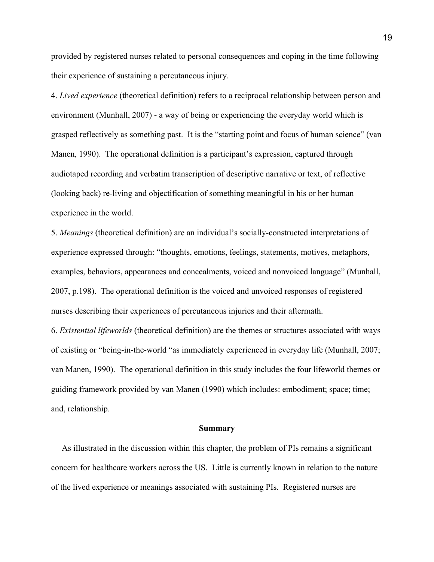provided by registered nurses related to personal consequences and coping in the time following their experience of sustaining a percutaneous injury.

4. *Lived experience* (theoretical definition) refers to a reciprocal relationship between person and environment (Munhall, 2007) - a way of being or experiencing the everyday world which is grasped reflectively as something past. It is the "starting point and focus of human science" (van Manen, 1990). The operational definition is a participant's expression, captured through audiotaped recording and verbatim transcription of descriptive narrative or text, of reflective (looking back) re-living and objectification of something meaningful in his or her human experience in the world.

5. *Meanings* (theoretical definition) are an individual's socially-constructed interpretations of experience expressed through: "thoughts, emotions, feelings, statements, motives, metaphors, examples, behaviors, appearances and concealments, voiced and nonvoiced language" (Munhall, 2007, p.198). The operational definition is the voiced and unvoiced responses of registered nurses describing their experiences of percutaneous injuries and their aftermath.

6. *Existential lifeworlds* (theoretical definition) are the themes or structures associated with ways of existing or "being-in-the-world "as immediately experienced in everyday life (Munhall, 2007; van Manen, 1990). The operational definition in this study includes the four lifeworld themes or guiding framework provided by van Manen (1990) which includes: embodiment; space; time; and, relationship.

#### **Summary**

 As illustrated in the discussion within this chapter, the problem of PIs remains a significant concern for healthcare workers across the US. Little is currently known in relation to the nature of the lived experience or meanings associated with sustaining PIs. Registered nurses are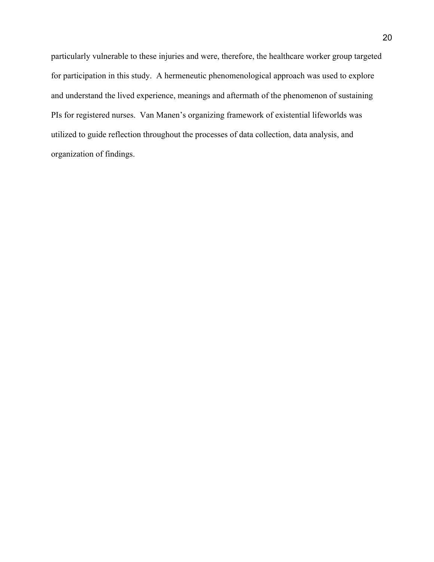particularly vulnerable to these injuries and were, therefore, the healthcare worker group targeted for participation in this study. A hermeneutic phenomenological approach was used to explore and understand the lived experience, meanings and aftermath of the phenomenon of sustaining PIs for registered nurses. Van Manen's organizing framework of existential lifeworlds was utilized to guide reflection throughout the processes of data collection, data analysis, and organization of findings.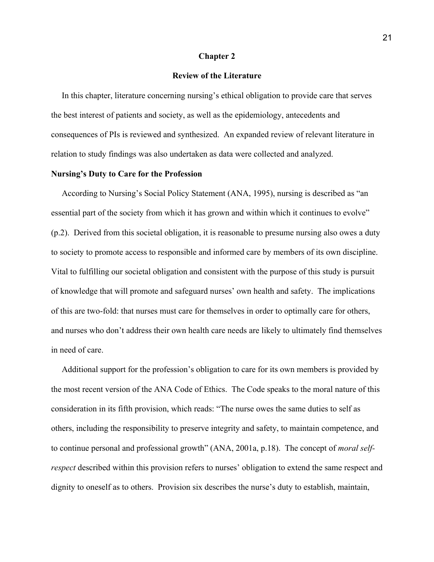#### **Chapter 2**

#### **Review of the Literature**

 In this chapter, literature concerning nursing's ethical obligation to provide care that serves the best interest of patients and society, as well as the epidemiology, antecedents and consequences of PIs is reviewed and synthesized. An expanded review of relevant literature in relation to study findings was also undertaken as data were collected and analyzed.

#### **Nursing's Duty to Care for the Profession**

 According to Nursing's Social Policy Statement (ANA, 1995), nursing is described as "an essential part of the society from which it has grown and within which it continues to evolve" (p.2). Derived from this societal obligation, it is reasonable to presume nursing also owes a duty to society to promote access to responsible and informed care by members of its own discipline. Vital to fulfilling our societal obligation and consistent with the purpose of this study is pursuit of knowledge that will promote and safeguard nurses' own health and safety. The implications of this are two-fold: that nurses must care for themselves in order to optimally care for others, and nurses who don't address their own health care needs are likely to ultimately find themselves in need of care.

 Additional support for the profession's obligation to care for its own members is provided by the most recent version of the ANA Code of Ethics. The Code speaks to the moral nature of this consideration in its fifth provision, which reads: "The nurse owes the same duties to self as others, including the responsibility to preserve integrity and safety, to maintain competence, and to continue personal and professional growth" (ANA, 2001a, p.18). The concept of *moral selfrespect* described within this provision refers to nurses' obligation to extend the same respect and dignity to oneself as to others. Provision six describes the nurse's duty to establish, maintain,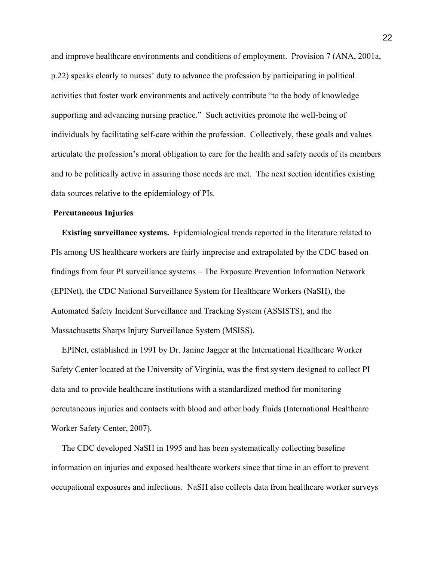and improve healthcare environments and conditions of employment.Provision 7 (ANA, 2001a, p.22) speaks clearly to nurses' duty to advance the profession by participating in political activities that foster work environments and actively contribute "to the body of knowledge supporting and advancing nursing practice." Such activities promote the well-being of individuals by facilitating self-care within the profession. Collectively, these goals and values articulate the profession's moral obligation to care for the health and safety needs of its members and to be politically active in assuring those needs are met. The next section identifies existing data sources relative to the epidemiology of PIs.

#### **Percutaneous Injuries**

 **Existing surveillance systems.** Epidemiological trends reported in the literature related to PIs among US healthcare workers are fairly imprecise and extrapolated by the CDC based on findings from four PI surveillance systems – The Exposure Prevention Information Network (EPINet), the CDC National Surveillance System for Healthcare Workers (NaSH), the Automated Safety Incident Surveillance and Tracking System (ASSISTS), and the Massachusetts Sharps Injury Surveillance System (MSISS).

 EPINet, established in 1991 by Dr. Janine Jagger at the International Healthcare Worker Safety Center located at the University of Virginia, was the first system designed to collect PI data and to provide healthcare institutions with a standardized method for monitoring percutaneous injuries and contacts with blood and other body fluids (International Healthcare Worker Safety Center, 2007).

 The CDC developed NaSH in 1995 and has been systematically collecting baseline information on injuries and exposed healthcare workers since that time in an effort to prevent occupational exposures and infections. NaSH also collects data from healthcare worker surveys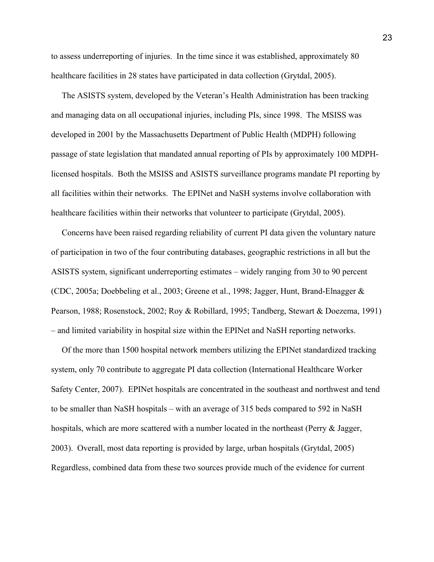to assess underreporting of injuries. In the time since it was established, approximately 80 healthcare facilities in 28 states have participated in data collection (Grytdal, 2005).

 The ASISTS system, developed by the Veteran's Health Administration has been tracking and managing data on all occupational injuries, including PIs, since 1998. The MSISS was developed in 2001 by the Massachusetts Department of Public Health (MDPH) following passage of state legislation that mandated annual reporting of PIs by approximately 100 MDPHlicensed hospitals. Both the MSISS and ASISTS surveillance programs mandate PI reporting by all facilities within their networks. The EPINet and NaSH systems involve collaboration with healthcare facilities within their networks that volunteer to participate (Grytdal, 2005).

 Concerns have been raised regarding reliability of current PI data given the voluntary nature of participation in two of the four contributing databases, geographic restrictions in all but the ASISTS system, significant underreporting estimates – widely ranging from 30 to 90 percent (CDC, 2005a; Doebbeling et al., 2003; Greene et al., 1998; Jagger, Hunt, Brand-Elnagger & Pearson, 1988; Rosenstock, 2002; Roy & Robillard, 1995; Tandberg, Stewart & Doezema, 1991) – and limited variability in hospital size within the EPINet and NaSH reporting networks.

 Of the more than 1500 hospital network members utilizing the EPINet standardized tracking system, only 70 contribute to aggregate PI data collection (International Healthcare Worker Safety Center, 2007). EPINet hospitals are concentrated in the southeast and northwest and tend to be smaller than NaSH hospitals – with an average of 315 beds compared to 592 in NaSH hospitals, which are more scattered with a number located in the northeast (Perry & Jagger, 2003). Overall, most data reporting is provided by large, urban hospitals (Grytdal, 2005) Regardless, combined data from these two sources provide much of the evidence for current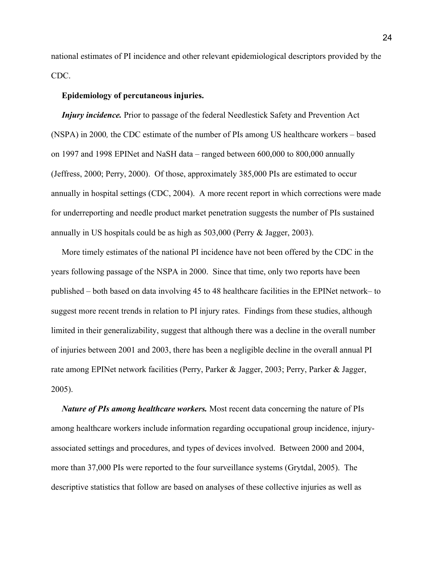national estimates of PI incidence and other relevant epidemiological descriptors provided by the CDC.

#### **Epidemiology of percutaneous injuries.**

*Injury incidence.* Prior to passage of the federal Needlestick Safety and Prevention Act (NSPA) in 2000*,* the CDC estimate of the number of PIs among US healthcare workers – based on 1997 and 1998 EPINet and NaSH data – ranged between 600,000 to 800,000 annually (Jeffress, 2000; Perry, 2000). Of those, approximately 385,000 PIs are estimated to occur annually in hospital settings (CDC, 2004). A more recent report in which corrections were made for underreporting and needle product market penetration suggests the number of PIs sustained annually in US hospitals could be as high as 503,000 (Perry & Jagger, 2003).

 More timely estimates of the national PI incidence have not been offered by the CDC in the years following passage of the NSPA in 2000. Since that time, only two reports have been published – both based on data involving 45 to 48 healthcare facilities in the EPINet network– to suggest more recent trends in relation to PI injury rates. Findings from these studies, although limited in their generalizability, suggest that although there was a decline in the overall number of injuries between 2001 and 2003, there has been a negligible decline in the overall annual PI rate among EPINet network facilities (Perry, Parker & Jagger, 2003; Perry, Parker & Jagger, 2005).

*Nature of PIs among healthcare workers.* Most recent data concerning the nature of PIs among healthcare workers include information regarding occupational group incidence, injuryassociated settings and procedures, and types of devices involved. Between 2000 and 2004, more than 37,000 PIs were reported to the four surveillance systems (Grytdal, 2005). The descriptive statistics that follow are based on analyses of these collective injuries as well as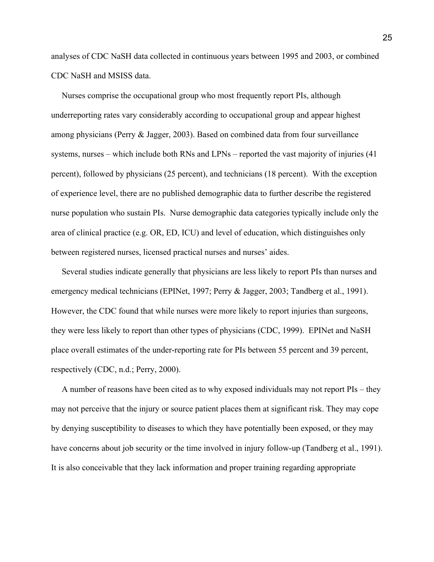analyses of CDC NaSH data collected in continuous years between 1995 and 2003, or combined CDC NaSH and MSISS data.

 Nurses comprise the occupational group who most frequently report PIs, although underreporting rates vary considerably according to occupational group and appear highest among physicians (Perry & Jagger, 2003). Based on combined data from four surveillance systems, nurses – which include both RNs and LPNs – reported the vast majority of injuries (41 percent), followed by physicians (25 percent), and technicians (18 percent). With the exception of experience level, there are no published demographic data to further describe the registered nurse population who sustain PIs. Nurse demographic data categories typically include only the area of clinical practice (e.g. OR, ED, ICU) and level of education, which distinguishes only between registered nurses, licensed practical nurses and nurses' aides.

 Several studies indicate generally that physicians are less likely to report PIs than nurses and emergency medical technicians (EPINet, 1997; Perry & Jagger, 2003; Tandberg et al., 1991). However, the CDC found that while nurses were more likely to report injuries than surgeons, they were less likely to report than other types of physicians (CDC, 1999). EPINet and NaSH place overall estimates of the under-reporting rate for PIs between 55 percent and 39 percent, respectively (CDC, n.d.; Perry, 2000).

 A number of reasons have been cited as to why exposed individuals may not report PIs – they may not perceive that the injury or source patient places them at significant risk. They may cope by denying susceptibility to diseases to which they have potentially been exposed, or they may have concerns about job security or the time involved in injury follow-up (Tandberg et al., 1991). It is also conceivable that they lack information and proper training regarding appropriate

25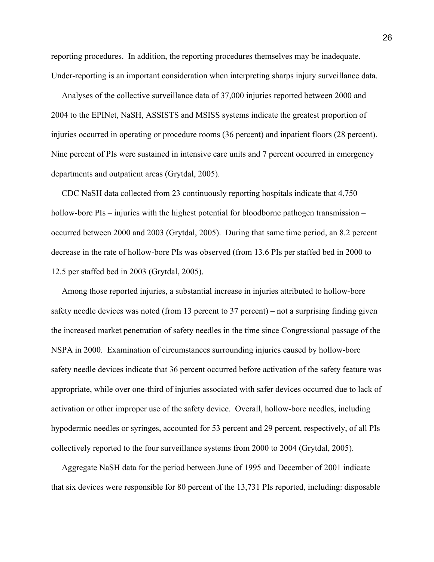reporting procedures. In addition, the reporting procedures themselves may be inadequate. Under-reporting is an important consideration when interpreting sharps injury surveillance data.

 Analyses of the collective surveillance data of 37,000 injuries reported between 2000 and 2004 to the EPINet, NaSH, ASSISTS and MSISS systems indicate the greatest proportion of injuries occurred in operating or procedure rooms (36 percent) and inpatient floors (28 percent). Nine percent of PIs were sustained in intensive care units and 7 percent occurred in emergency departments and outpatient areas (Grytdal, 2005).

 CDC NaSH data collected from 23 continuously reporting hospitals indicate that 4,750 hollow-bore PIs – injuries with the highest potential for bloodborne pathogen transmission – occurred between 2000 and 2003 (Grytdal, 2005). During that same time period, an 8.2 percent decrease in the rate of hollow-bore PIs was observed (from 13.6 PIs per staffed bed in 2000 to 12.5 per staffed bed in 2003 (Grytdal, 2005).

 Among those reported injuries, a substantial increase in injuries attributed to hollow-bore safety needle devices was noted (from 13 percent to 37 percent) – not a surprising finding given the increased market penetration of safety needles in the time since Congressional passage of the NSPA in 2000. Examination of circumstances surrounding injuries caused by hollow-bore safety needle devices indicate that 36 percent occurred before activation of the safety feature was appropriate, while over one-third of injuries associated with safer devices occurred due to lack of activation or other improper use of the safety device. Overall, hollow-bore needles, including hypodermic needles or syringes, accounted for 53 percent and 29 percent, respectively, of all PIs collectively reported to the four surveillance systems from 2000 to 2004 (Grytdal, 2005).

 Aggregate NaSH data for the period between June of 1995 and December of 2001 indicate that six devices were responsible for 80 percent of the 13,731 PIs reported, including: disposable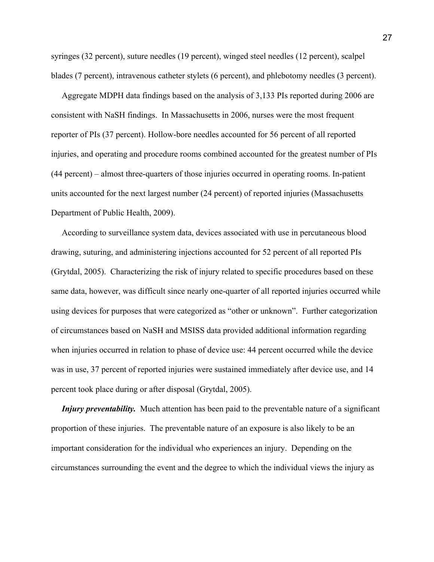syringes (32 percent), suture needles (19 percent), winged steel needles (12 percent), scalpel blades (7 percent), intravenous catheter stylets (6 percent), and phlebotomy needles (3 percent).

 Aggregate MDPH data findings based on the analysis of 3,133 PIs reported during 2006 are consistent with NaSH findings. In Massachusetts in 2006, nurses were the most frequent reporter of PIs (37 percent). Hollow-bore needles accounted for 56 percent of all reported injuries, and operating and procedure rooms combined accounted for the greatest number of PIs (44 percent) – almost three-quarters of those injuries occurred in operating rooms. In-patient units accounted for the next largest number (24 percent) of reported injuries (Massachusetts Department of Public Health, 2009).

 According to surveillance system data, devices associated with use in percutaneous blood drawing, suturing, and administering injections accounted for 52 percent of all reported PIs (Grytdal, 2005). Characterizing the risk of injury related to specific procedures based on these same data, however, was difficult since nearly one-quarter of all reported injuries occurred while using devices for purposes that were categorized as "other or unknown". Further categorization of circumstances based on NaSH and MSISS data provided additional information regarding when injuries occurred in relation to phase of device use: 44 percent occurred while the device was in use, 37 percent of reported injuries were sustained immediately after device use, and 14 percent took place during or after disposal (Grytdal, 2005).

*Injury preventability.* Much attention has been paid to the preventable nature of a significant proportion of these injuries. The preventable nature of an exposure is also likely to be an important consideration for the individual who experiences an injury. Depending on the circumstances surrounding the event and the degree to which the individual views the injury as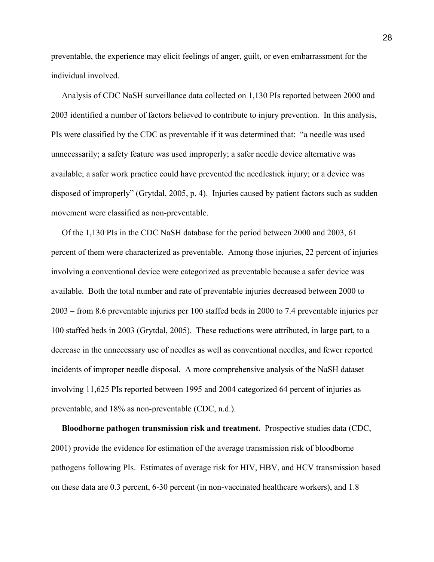preventable, the experience may elicit feelings of anger, guilt, or even embarrassment for the individual involved.

 Analysis of CDC NaSH surveillance data collected on 1,130 PIs reported between 2000 and 2003 identified a number of factors believed to contribute to injury prevention. In this analysis, PIs were classified by the CDC as preventable if it was determined that: "a needle was used unnecessarily; a safety feature was used improperly; a safer needle device alternative was available; a safer work practice could have prevented the needlestick injury; or a device was disposed of improperly" (Grytdal, 2005, p. 4). Injuries caused by patient factors such as sudden movement were classified as non-preventable.

 Of the 1,130 PIs in the CDC NaSH database for the period between 2000 and 2003, 61 percent of them were characterized as preventable. Among those injuries, 22 percent of injuries involving a conventional device were categorized as preventable because a safer device was available. Both the total number and rate of preventable injuries decreased between 2000 to 2003 – from 8.6 preventable injuries per 100 staffed beds in 2000 to 7.4 preventable injuries per 100 staffed beds in 2003 (Grytdal, 2005). These reductions were attributed, in large part, to a decrease in the unnecessary use of needles as well as conventional needles, and fewer reported incidents of improper needle disposal. A more comprehensive analysis of the NaSH dataset involving 11,625 PIs reported between 1995 and 2004 categorized 64 percent of injuries as preventable, and 18% as non-preventable (CDC, n.d.).

 **Bloodborne pathogen transmission risk and treatment.** Prospective studies data (CDC, 2001) provide the evidence for estimation of the average transmission risk of bloodborne pathogens following PIs. Estimates of average risk for HIV, HBV, and HCV transmission based on these data are 0.3 percent, 6-30 percent (in non-vaccinated healthcare workers), and 1.8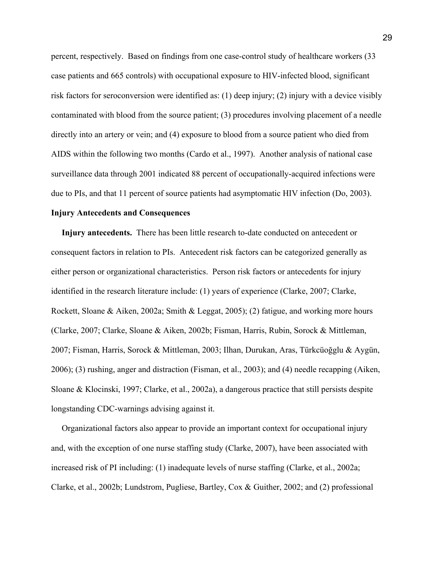percent, respectively. Based on findings from one case-control study of healthcare workers (33 case patients and 665 controls) with occupational exposure to HIV-infected blood, significant risk factors for seroconversion were identified as: (1) deep injury; (2) injury with a device visibly contaminated with blood from the source patient; (3) procedures involving placement of a needle directly into an artery or vein; and (4) exposure to blood from a source patient who died from AIDS within the following two months (Cardo et al., 1997). Another analysis of national case surveillance data through 2001 indicated 88 percent of occupationally-acquired infections were due to PIs, and that 11 percent of source patients had asymptomatic HIV infection (Do, 2003).

## **Injury Antecedents and Consequences**

 **Injury antecedents.** There has been little research to-date conducted on antecedent or consequent factors in relation to PIs. Antecedent risk factors can be categorized generally as either person or organizational characteristics. Person risk factors or antecedents for injury identified in the research literature include: (1) years of experience (Clarke, 2007; Clarke, Rockett, Sloane & Aiken, 2002a; Smith & Leggat, 2005); (2) fatigue, and working more hours (Clarke, 2007; Clarke, Sloane & Aiken, 2002b; Fisman, Harris, Rubin, Sorock & Mittleman, 2007; Fisman, Harris, Sorock & Mittleman, 2003; Ilhan, Durukan, Aras, Türkcüoğglu & Aygün, 2006); (3) rushing, anger and distraction (Fisman, et al., 2003); and (4) needle recapping (Aiken, Sloane & Klocinski, 1997; Clarke, et al., 2002a), a dangerous practice that still persists despite longstanding CDC-warnings advising against it.

 Organizational factors also appear to provide an important context for occupational injury and, with the exception of one nurse staffing study (Clarke, 2007), have been associated with increased risk of PI including: (1) inadequate levels of nurse staffing (Clarke, et al., 2002a; Clarke, et al., 2002b; Lundstrom, Pugliese, Bartley, Cox & Guither, 2002; and (2) professional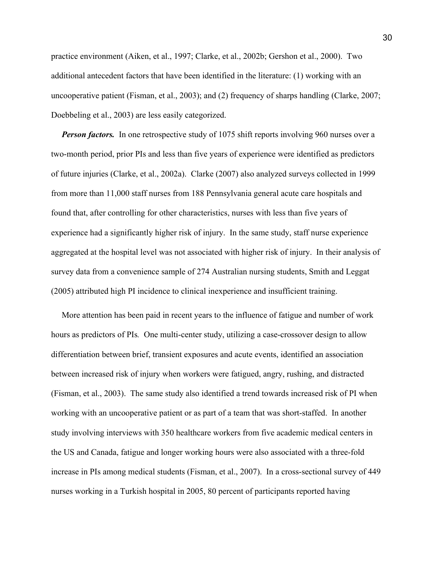practice environment (Aiken, et al., 1997; Clarke, et al., 2002b; Gershon et al., 2000). Two additional antecedent factors that have been identified in the literature: (1) working with an uncooperative patient (Fisman, et al., 2003); and (2) frequency of sharps handling (Clarke, 2007; Doebbeling et al., 2003) are less easily categorized.

*Person factors.* In one retrospective study of 1075 shift reports involving 960 nurses over a two-month period, prior PIs and less than five years of experience were identified as predictors of future injuries (Clarke, et al., 2002a). Clarke (2007) also analyzed surveys collected in 1999 from more than 11,000 staff nurses from 188 Pennsylvania general acute care hospitals and found that, after controlling for other characteristics, nurses with less than five years of experience had a significantly higher risk of injury. In the same study, staff nurse experience aggregated at the hospital level was not associated with higher risk of injury. In their analysis of survey data from a convenience sample of 274 Australian nursing students, Smith and Leggat (2005) attributed high PI incidence to clinical inexperience and insufficient training.

 More attention has been paid in recent years to the influence of fatigue and number of work hours as predictors of PIs*.* One multi-center study, utilizing a case-crossover design to allow differentiation between brief, transient exposures and acute events, identified an association between increased risk of injury when workers were fatigued, angry, rushing, and distracted (Fisman, et al., 2003). The same study also identified a trend towards increased risk of PI when working with an uncooperative patient or as part of a team that was short-staffed. In another study involving interviews with 350 healthcare workers from five academic medical centers in the US and Canada, fatigue and longer working hours were also associated with a three-fold increase in PIs among medical students (Fisman, et al., 2007). In a cross-sectional survey of 449 nurses working in a Turkish hospital in 2005, 80 percent of participants reported having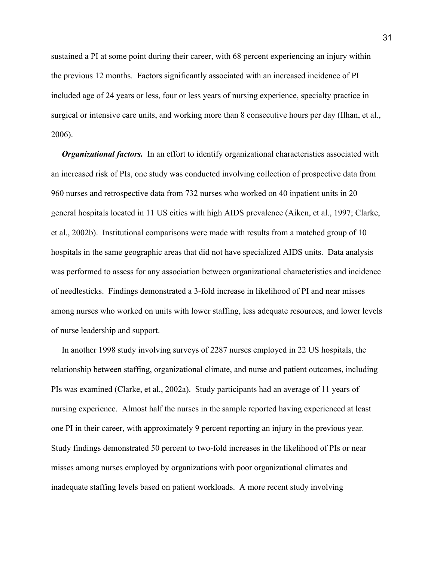sustained a PI at some point during their career, with 68 percent experiencing an injury within the previous 12 months. Factors significantly associated with an increased incidence of PI included age of 24 years or less, four or less years of nursing experience, specialty practice in surgical or intensive care units, and working more than 8 consecutive hours per day (Ilhan, et al., 2006).

*Organizational factors.* In an effort to identify organizational characteristics associated with an increased risk of PIs, one study was conducted involving collection of prospective data from 960 nurses and retrospective data from 732 nurses who worked on 40 inpatient units in 20 general hospitals located in 11 US cities with high AIDS prevalence (Aiken, et al., 1997; Clarke, et al., 2002b). Institutional comparisons were made with results from a matched group of 10 hospitals in the same geographic areas that did not have specialized AIDS units. Data analysis was performed to assess for any association between organizational characteristics and incidence of needlesticks. Findings demonstrated a 3-fold increase in likelihood of PI and near misses among nurses who worked on units with lower staffing, less adequate resources, and lower levels of nurse leadership and support.

 In another 1998 study involving surveys of 2287 nurses employed in 22 US hospitals, the relationship between staffing, organizational climate, and nurse and patient outcomes, including PIs was examined (Clarke, et al., 2002a). Study participants had an average of 11 years of nursing experience. Almost half the nurses in the sample reported having experienced at least one PI in their career, with approximately 9 percent reporting an injury in the previous year. Study findings demonstrated 50 percent to two-fold increases in the likelihood of PIs or near misses among nurses employed by organizations with poor organizational climates and inadequate staffing levels based on patient workloads. A more recent study involving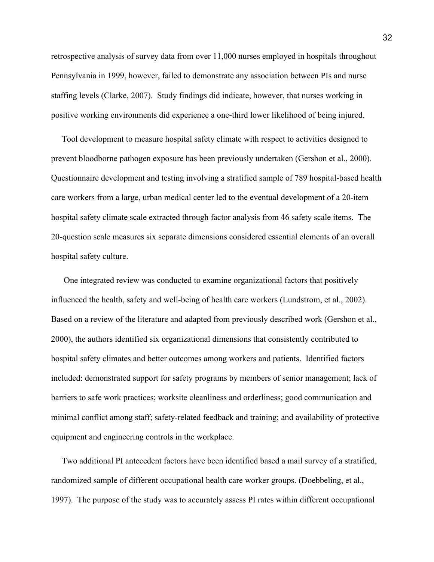retrospective analysis of survey data from over 11,000 nurses employed in hospitals throughout Pennsylvania in 1999, however, failed to demonstrate any association between PIs and nurse staffing levels (Clarke, 2007). Study findings did indicate, however, that nurses working in positive working environments did experience a one-third lower likelihood of being injured.

 Tool development to measure hospital safety climate with respect to activities designed to prevent bloodborne pathogen exposure has been previously undertaken (Gershon et al., 2000). Questionnaire development and testing involving a stratified sample of 789 hospital-based health care workers from a large, urban medical center led to the eventual development of a 20-item hospital safety climate scale extracted through factor analysis from 46 safety scale items. The 20-question scale measures six separate dimensions considered essential elements of an overall hospital safety culture.

 One integrated review was conducted to examine organizational factors that positively influenced the health, safety and well-being of health care workers (Lundstrom, et al., 2002). Based on a review of the literature and adapted from previously described work (Gershon et al., 2000), the authors identified six organizational dimensions that consistently contributed to hospital safety climates and better outcomes among workers and patients. Identified factors included: demonstrated support for safety programs by members of senior management; lack of barriers to safe work practices; worksite cleanliness and orderliness; good communication and minimal conflict among staff; safety-related feedback and training; and availability of protective equipment and engineering controls in the workplace.

 Two additional PI antecedent factors have been identified based a mail survey of a stratified, randomized sample of different occupational health care worker groups. (Doebbeling, et al., 1997). The purpose of the study was to accurately assess PI rates within different occupational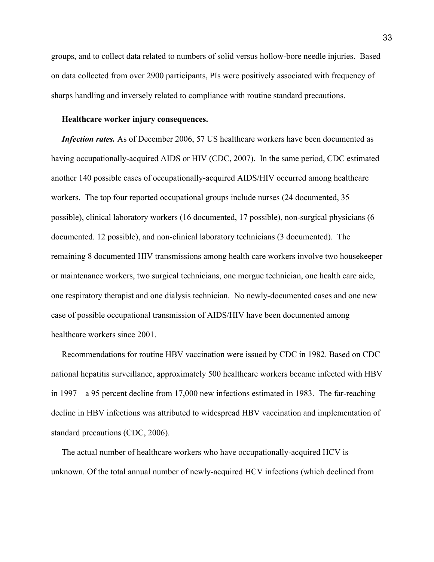groups, and to collect data related to numbers of solid versus hollow-bore needle injuries. Based on data collected from over 2900 participants, PIs were positively associated with frequency of sharps handling and inversely related to compliance with routine standard precautions.

### **Healthcare worker injury consequences.**

*Infection rates.* As of December 2006, 57 US healthcare workers have been documented as having occupationally-acquired AIDS or HIV (CDC, 2007). In the same period, CDC estimated another 140 possible cases of occupationally-acquired AIDS/HIV occurred among healthcare workers. The top four reported occupational groups include nurses (24 documented, 35 possible), clinical laboratory workers (16 documented, 17 possible), non-surgical physicians (6 documented. 12 possible), and non-clinical laboratory technicians (3 documented). The remaining 8 documented HIV transmissions among health care workers involve two housekeeper or maintenance workers, two surgical technicians, one morgue technician, one health care aide, one respiratory therapist and one dialysis technician. No newly-documented cases and one new case of possible occupational transmission of AIDS/HIV have been documented among healthcare workers since 2001.

 Recommendations for routine HBV vaccination were issued by CDC in 1982. Based on CDC national hepatitis surveillance, approximately 500 healthcare workers became infected with HBV in 1997 – a 95 percent decline from 17,000 new infections estimated in 1983. The far-reaching decline in HBV infections was attributed to widespread HBV vaccination and implementation of standard precautions (CDC, 2006).

 The actual number of healthcare workers who have occupationally-acquired HCV is unknown. Of the total annual number of newly-acquired HCV infections (which declined from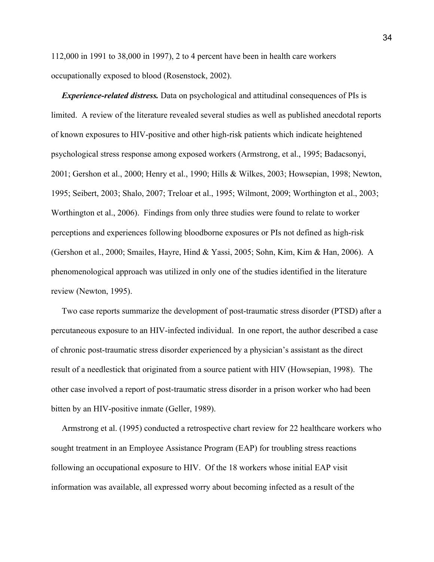112,000 in 1991 to 38,000 in 1997), 2 to 4 percent have been in health care workers occupationally exposed to blood (Rosenstock, 2002).

*Experience-related distress.* Data on psychological and attitudinal consequences of PIs is limited. A review of the literature revealed several studies as well as published anecdotal reports of known exposures to HIV-positive and other high-risk patients which indicate heightened psychological stress response among exposed workers (Armstrong, et al., 1995; Badacsonyi, 2001; Gershon et al., 2000; Henry et al., 1990; Hills & Wilkes, 2003; Howsepian, 1998; Newton, 1995; Seibert, 2003; Shalo, 2007; Treloar et al., 1995; Wilmont, 2009; Worthington et al., 2003; Worthington et al., 2006). Findings from only three studies were found to relate to worker perceptions and experiences following bloodborne exposures or PIs not defined as high-risk (Gershon et al., 2000; Smailes, Hayre, Hind & Yassi, 2005; Sohn, Kim, Kim & Han, 2006). A phenomenological approach was utilized in only one of the studies identified in the literature review (Newton, 1995).

 Two case reports summarize the development of post-traumatic stress disorder (PTSD) after a percutaneous exposure to an HIV-infected individual. In one report, the author described a case of chronic post-traumatic stress disorder experienced by a physician's assistant as the direct result of a needlestick that originated from a source patient with HIV (Howsepian, 1998). The other case involved a report of post-traumatic stress disorder in a prison worker who had been bitten by an HIV-positive inmate (Geller, 1989).

 Armstrong et al. (1995) conducted a retrospective chart review for 22 healthcare workers who sought treatment in an Employee Assistance Program (EAP) for troubling stress reactions following an occupational exposure to HIV. Of the 18 workers whose initial EAP visit information was available, all expressed worry about becoming infected as a result of the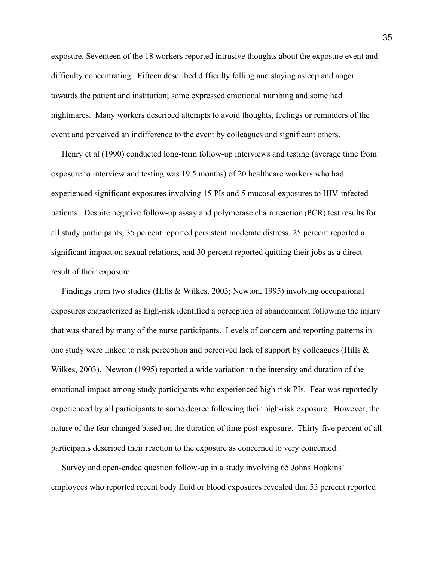exposure. Seventeen of the 18 workers reported intrusive thoughts about the exposure event and difficulty concentrating. Fifteen described difficulty falling and staying asleep and anger towards the patient and institution; some expressed emotional numbing and some had nightmares. Many workers described attempts to avoid thoughts, feelings or reminders of the event and perceived an indifference to the event by colleagues and significant others.

 Henry et al (1990) conducted long-term follow-up interviews and testing (average time from exposure to interview and testing was 19.5 months) of 20 healthcare workers who had experienced significant exposures involving 15 PIs and 5 mucosal exposures to HIV-infected patients. Despite negative follow-up assay and polymerase chain reaction (PCR) test results for all study participants, 35 percent reported persistent moderate distress, 25 percent reported a significant impact on sexual relations, and 30 percent reported quitting their jobs as a direct result of their exposure.

 Findings from two studies (Hills & Wilkes, 2003; Newton, 1995) involving occupational exposures characterized as high-risk identified a perception of abandonment following the injury that was shared by many of the nurse participants. Levels of concern and reporting patterns in one study were linked to risk perception and perceived lack of support by colleagues (Hills  $\&$ Wilkes, 2003). Newton (1995) reported a wide variation in the intensity and duration of the emotional impact among study participants who experienced high-risk PIs. Fear was reportedly experienced by all participants to some degree following their high-risk exposure. However, the nature of the fear changed based on the duration of time post-exposure. Thirty-five percent of all participants described their reaction to the exposure as concerned to very concerned.

 Survey and open-ended question follow-up in a study involving 65 Johns Hopkins' employees who reported recent body fluid or blood exposures revealed that 53 percent reported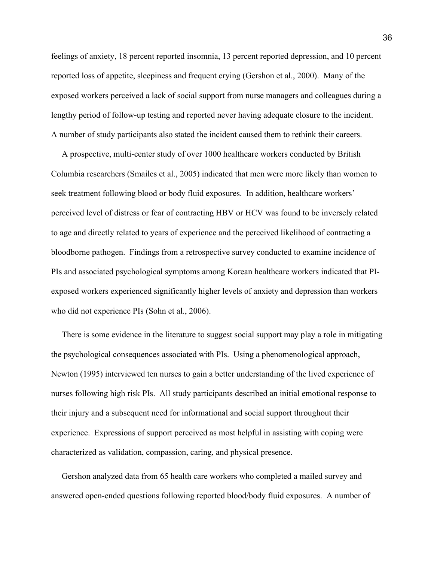feelings of anxiety, 18 percent reported insomnia, 13 percent reported depression, and 10 percent reported loss of appetite, sleepiness and frequent crying (Gershon et al., 2000). Many of the exposed workers perceived a lack of social support from nurse managers and colleagues during a lengthy period of follow-up testing and reported never having adequate closure to the incident. A number of study participants also stated the incident caused them to rethink their careers.

 A prospective, multi-center study of over 1000 healthcare workers conducted by British Columbia researchers (Smailes et al., 2005) indicated that men were more likely than women to seek treatment following blood or body fluid exposures. In addition, healthcare workers' perceived level of distress or fear of contracting HBV or HCV was found to be inversely related to age and directly related to years of experience and the perceived likelihood of contracting a bloodborne pathogen. Findings from a retrospective survey conducted to examine incidence of PIs and associated psychological symptoms among Korean healthcare workers indicated that PIexposed workers experienced significantly higher levels of anxiety and depression than workers who did not experience PIs (Sohn et al., 2006).

 There is some evidence in the literature to suggest social support may play a role in mitigating the psychological consequences associated with PIs. Using a phenomenological approach, Newton (1995) interviewed ten nurses to gain a better understanding of the lived experience of nurses following high risk PIs. All study participants described an initial emotional response to their injury and a subsequent need for informational and social support throughout their experience. Expressions of support perceived as most helpful in assisting with coping were characterized as validation, compassion, caring, and physical presence.

 Gershon analyzed data from 65 health care workers who completed a mailed survey and answered open-ended questions following reported blood/body fluid exposures. A number of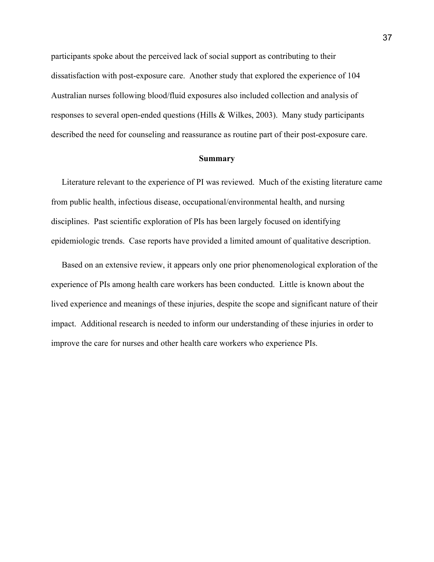participants spoke about the perceived lack of social support as contributing to their dissatisfaction with post-exposure care. Another study that explored the experience of 104 Australian nurses following blood/fluid exposures also included collection and analysis of responses to several open-ended questions (Hills & Wilkes, 2003). Many study participants described the need for counseling and reassurance as routine part of their post-exposure care.

#### **Summary**

 Literature relevant to the experience of PI was reviewed. Much of the existing literature came from public health, infectious disease, occupational/environmental health, and nursing disciplines. Past scientific exploration of PIs has been largely focused on identifying epidemiologic trends. Case reports have provided a limited amount of qualitative description.

 Based on an extensive review, it appears only one prior phenomenological exploration of the experience of PIs among health care workers has been conducted. Little is known about the lived experience and meanings of these injuries, despite the scope and significant nature of their impact. Additional research is needed to inform our understanding of these injuries in order to improve the care for nurses and other health care workers who experience PIs.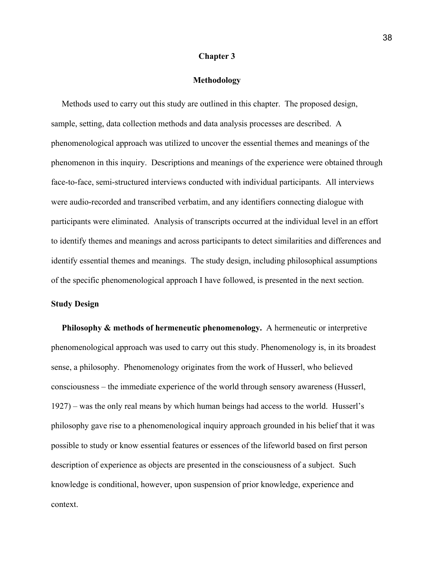# **Chapter 3**

#### **Methodology**

 Methods used to carry out this study are outlined in this chapter. The proposed design, sample, setting, data collection methods and data analysis processes are described. A phenomenological approach was utilized to uncover the essential themes and meanings of the phenomenon in this inquiry. Descriptions and meanings of the experience were obtained through face-to-face, semi-structured interviews conducted with individual participants. All interviews were audio-recorded and transcribed verbatim, and any identifiers connecting dialogue with participants were eliminated. Analysis of transcripts occurred at the individual level in an effort to identify themes and meanings and across participants to detect similarities and differences and identify essential themes and meanings. The study design, including philosophical assumptions of the specific phenomenological approach I have followed, is presented in the next section.

### **Study Design**

**Philosophy & methods of hermeneutic phenomenology.** A hermeneutic or interpretive phenomenological approach was used to carry out this study. Phenomenology is, in its broadest sense, a philosophy. Phenomenology originates from the work of Husserl, who believed consciousness – the immediate experience of the world through sensory awareness (Husserl, 1927) – was the only real means by which human beings had access to the world. Husserl's philosophy gave rise to a phenomenological inquiry approach grounded in his belief that it was possible to study or know essential features or essences of the lifeworld based on first person description of experience as objects are presented in the consciousness of a subject. Such knowledge is conditional, however, upon suspension of prior knowledge, experience and context.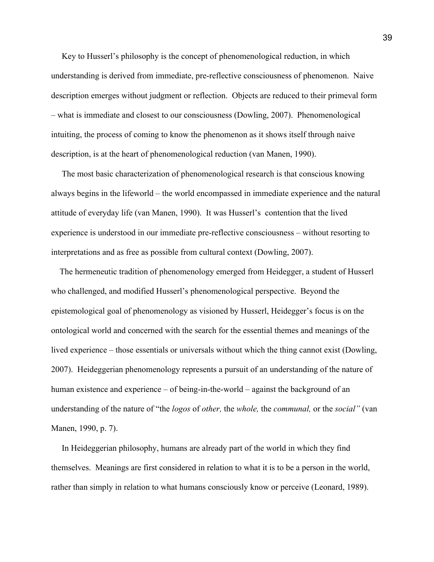Key to Husserl's philosophy is the concept of phenomenological reduction, in which understanding is derived from immediate, pre-reflective consciousness of phenomenon. Naive description emerges without judgment or reflection. Objects are reduced to their primeval form – what is immediate and closest to our consciousness (Dowling, 2007). Phenomenological intuiting, the process of coming to know the phenomenon as it shows itself through naive description, is at the heart of phenomenological reduction (van Manen, 1990).

 The most basic characterization of phenomenological research is that conscious knowing always begins in the lifeworld – the world encompassed in immediate experience and the natural attitude of everyday life (van Manen, 1990). It was Husserl's contention that the lived experience is understood in our immediate pre-reflective consciousness – without resorting to interpretations and as free as possible from cultural context (Dowling, 2007).

 The hermeneutic tradition of phenomenology emerged from Heidegger, a student of Husserl who challenged, and modified Husserl's phenomenological perspective. Beyond the epistemological goal of phenomenology as visioned by Husserl, Heidegger's focus is on the ontological world and concerned with the search for the essential themes and meanings of the lived experience – those essentials or universals without which the thing cannot exist (Dowling, 2007). Heideggerian phenomenology represents a pursuit of an understanding of the nature of human existence and experience – of being-in-the-world – against the background of an understanding of the nature of "the *logos* of *other,* the *whole,* the *communal,* or the *social"* (van Manen, 1990, p. 7).

 In Heideggerian philosophy, humans are already part of the world in which they find themselves. Meanings are first considered in relation to what it is to be a person in the world, rather than simply in relation to what humans consciously know or perceive (Leonard, 1989).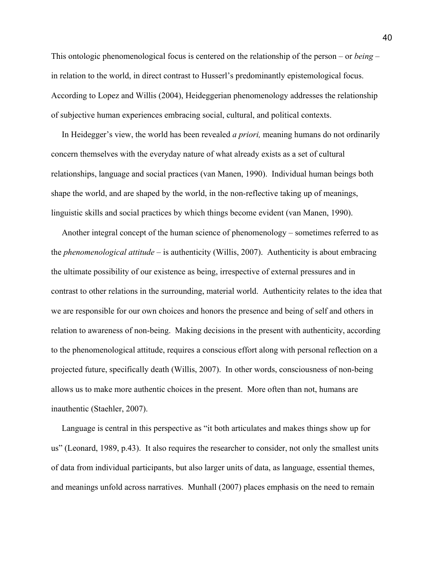This ontologic phenomenological focus is centered on the relationship of the person – or *being* – in relation to the world, in direct contrast to Husserl's predominantly epistemological focus. According to Lopez and Willis (2004), Heideggerian phenomenology addresses the relationship of subjective human experiences embracing social, cultural, and political contexts.

 In Heidegger's view, the world has been revealed *a priori,* meaning humans do not ordinarily concern themselves with the everyday nature of what already exists as a set of cultural relationships, language and social practices (van Manen, 1990). Individual human beings both shape the world, and are shaped by the world, in the non-reflective taking up of meanings, linguistic skills and social practices by which things become evident (van Manen, 1990).

 Another integral concept of the human science of phenomenology – sometimes referred to as the *phenomenological attitude* – is authenticity (Willis, 2007). Authenticity is about embracing the ultimate possibility of our existence as being, irrespective of external pressures and in contrast to other relations in the surrounding, material world. Authenticity relates to the idea that we are responsible for our own choices and honors the presence and being of self and others in relation to awareness of non-being. Making decisions in the present with authenticity, according to the phenomenological attitude, requires a conscious effort along with personal reflection on a projected future, specifically death (Willis, 2007). In other words, consciousness of non-being allows us to make more authentic choices in the present. More often than not, humans are inauthentic (Staehler, 2007).

 Language is central in this perspective as "it both articulates and makes things show up for us" (Leonard, 1989, p.43). It also requires the researcher to consider, not only the smallest units of data from individual participants, but also larger units of data, as language, essential themes, and meanings unfold across narratives. Munhall (2007) places emphasis on the need to remain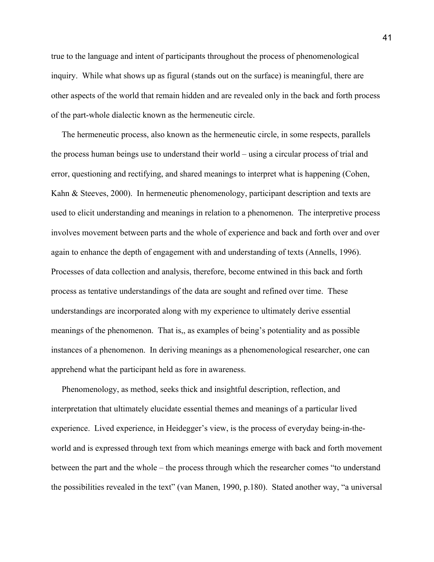true to the language and intent of participants throughout the process of phenomenological inquiry. While what shows up as figural (stands out on the surface) is meaningful, there are other aspects of the world that remain hidden and are revealed only in the back and forth process of the part-whole dialectic known as the hermeneutic circle.

 The hermeneutic process, also known as the hermeneutic circle, in some respects, parallels the process human beings use to understand their world – using a circular process of trial and error, questioning and rectifying, and shared meanings to interpret what is happening (Cohen, Kahn & Steeves, 2000). In hermeneutic phenomenology, participant description and texts are used to elicit understanding and meanings in relation to a phenomenon. The interpretive process involves movement between parts and the whole of experience and back and forth over and over again to enhance the depth of engagement with and understanding of texts (Annells, 1996). Processes of data collection and analysis, therefore, become entwined in this back and forth process as tentative understandings of the data are sought and refined over time. These understandings are incorporated along with my experience to ultimately derive essential meanings of the phenomenon. That is,, as examples of being's potentiality and as possible instances of a phenomenon. In deriving meanings as a phenomenological researcher, one can apprehend what the participant held as fore in awareness.

 Phenomenology, as method, seeks thick and insightful description, reflection, and interpretation that ultimately elucidate essential themes and meanings of a particular lived experience. Lived experience, in Heidegger's view, is the process of everyday being-in-theworld and is expressed through text from which meanings emerge with back and forth movement between the part and the whole – the process through which the researcher comes "to understand the possibilities revealed in the text" (van Manen, 1990, p.180). Stated another way, "a universal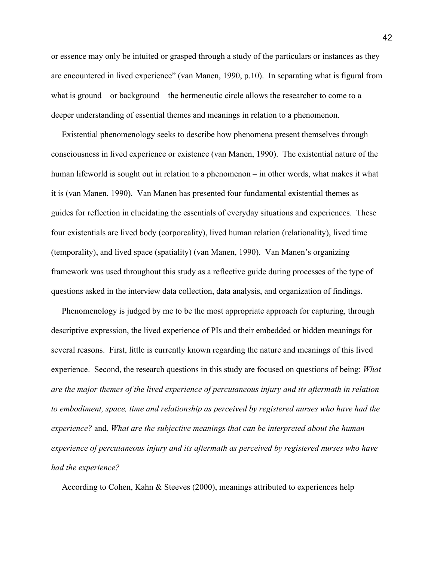or essence may only be intuited or grasped through a study of the particulars or instances as they are encountered in lived experience" (van Manen, 1990, p.10). In separating what is figural from what is ground – or background – the hermeneutic circle allows the researcher to come to a deeper understanding of essential themes and meanings in relation to a phenomenon.

 Existential phenomenology seeks to describe how phenomena present themselves through consciousness in lived experience or existence (van Manen, 1990). The existential nature of the human lifeworld is sought out in relation to a phenomenon – in other words, what makes it what it is (van Manen, 1990). Van Manen has presented four fundamental existential themes as guides for reflection in elucidating the essentials of everyday situations and experiences. These four existentials are lived body (corporeality), lived human relation (relationality), lived time (temporality), and lived space (spatiality) (van Manen, 1990). Van Manen's organizing framework was used throughout this study as a reflective guide during processes of the type of questions asked in the interview data collection, data analysis, and organization of findings.

 Phenomenology is judged by me to be the most appropriate approach for capturing, through descriptive expression, the lived experience of PIs and their embedded or hidden meanings for several reasons. First, little is currently known regarding the nature and meanings of this lived experience. Second, the research questions in this study are focused on questions of being: *What are the major themes of the lived experience of percutaneous injury and its aftermath in relation to embodiment, space, time and relationship as perceived by registered nurses who have had the experience?* and, *What are the subjective meanings that can be interpreted about the human experience of percutaneous injury and its aftermath as perceived by registered nurses who have had the experience?* 

According to Cohen, Kahn & Steeves (2000), meanings attributed to experiences help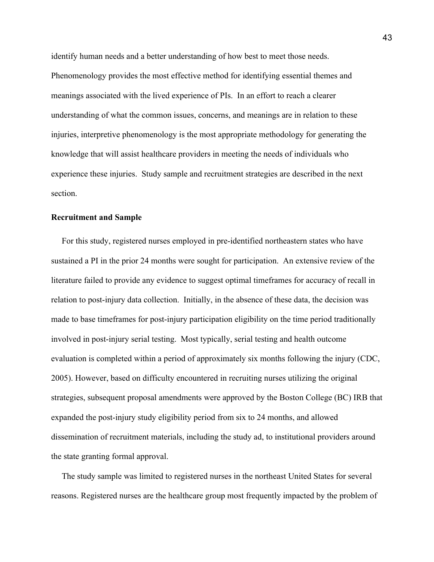identify human needs and a better understanding of how best to meet those needs. Phenomenology provides the most effective method for identifying essential themes and meanings associated with the lived experience of PIs. In an effort to reach a clearer understanding of what the common issues, concerns, and meanings are in relation to these injuries, interpretive phenomenology is the most appropriate methodology for generating the knowledge that will assist healthcare providers in meeting the needs of individuals who experience these injuries. Study sample and recruitment strategies are described in the next section.

### **Recruitment and Sample**

 For this study, registered nurses employed in pre-identified northeastern states who have sustained a PI in the prior 24 months were sought for participation. An extensive review of the literature failed to provide any evidence to suggest optimal timeframes for accuracy of recall in relation to post-injury data collection. Initially, in the absence of these data, the decision was made to base timeframes for post-injury participation eligibility on the time period traditionally involved in post-injury serial testing. Most typically, serial testing and health outcome evaluation is completed within a period of approximately six months following the injury (CDC, 2005). However, based on difficulty encountered in recruiting nurses utilizing the original strategies, subsequent proposal amendments were approved by the Boston College (BC) IRB that expanded the post-injury study eligibility period from six to 24 months, and allowed dissemination of recruitment materials, including the study ad, to institutional providers around the state granting formal approval.

 The study sample was limited to registered nurses in the northeast United States for several reasons. Registered nurses are the healthcare group most frequently impacted by the problem of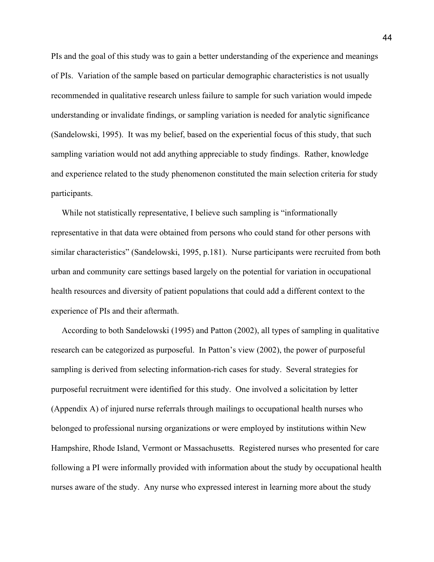PIs and the goal of this study was to gain a better understanding of the experience and meanings of PIs. Variation of the sample based on particular demographic characteristics is not usually recommended in qualitative research unless failure to sample for such variation would impede understanding or invalidate findings, or sampling variation is needed for analytic significance (Sandelowski, 1995). It was my belief, based on the experiential focus of this study, that such sampling variation would not add anything appreciable to study findings. Rather, knowledge and experience related to the study phenomenon constituted the main selection criteria for study participants.

 While not statistically representative, I believe such sampling is "informationally representative in that data were obtained from persons who could stand for other persons with similar characteristics" (Sandelowski, 1995, p.181). Nurse participants were recruited from both urban and community care settings based largely on the potential for variation in occupational health resources and diversity of patient populations that could add a different context to the experience of PIs and their aftermath.

 According to both Sandelowski (1995) and Patton (2002), all types of sampling in qualitative research can be categorized as purposeful. In Patton's view (2002), the power of purposeful sampling is derived from selecting information-rich cases for study. Several strategies for purposeful recruitment were identified for this study. One involved a solicitation by letter (Appendix A) of injured nurse referrals through mailings to occupational health nurses who belonged to professional nursing organizations or were employed by institutions within New Hampshire, Rhode Island, Vermont or Massachusetts. Registered nurses who presented for care following a PI were informally provided with information about the study by occupational health nurses aware of the study. Any nurse who expressed interest in learning more about the study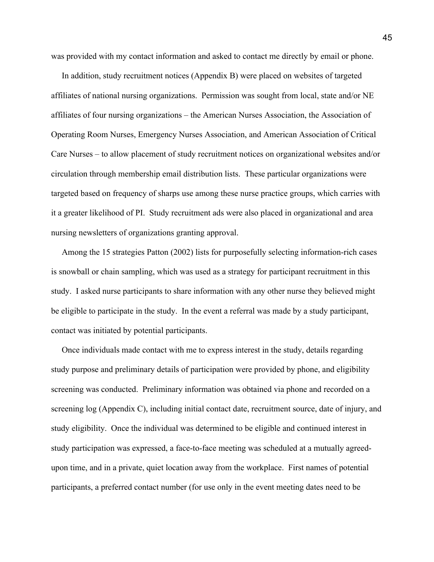was provided with my contact information and asked to contact me directly by email or phone.

 In addition, study recruitment notices (Appendix B) were placed on websites of targeted affiliates of national nursing organizations. Permission was sought from local, state and/or NE affiliates of four nursing organizations – the American Nurses Association, the Association of Operating Room Nurses, Emergency Nurses Association, and American Association of Critical Care Nurses – to allow placement of study recruitment notices on organizational websites and/or circulation through membership email distribution lists. These particular organizations were targeted based on frequency of sharps use among these nurse practice groups, which carries with it a greater likelihood of PI. Study recruitment ads were also placed in organizational and area nursing newsletters of organizations granting approval.

 Among the 15 strategies Patton (2002) lists for purposefully selecting information-rich cases is snowball or chain sampling, which was used as a strategy for participant recruitment in this study. I asked nurse participants to share information with any other nurse they believed might be eligible to participate in the study. In the event a referral was made by a study participant, contact was initiated by potential participants.

 Once individuals made contact with me to express interest in the study, details regarding study purpose and preliminary details of participation were provided by phone, and eligibility screening was conducted. Preliminary information was obtained via phone and recorded on a screening log (Appendix C), including initial contact date, recruitment source, date of injury, and study eligibility. Once the individual was determined to be eligible and continued interest in study participation was expressed, a face-to-face meeting was scheduled at a mutually agreedupon time, and in a private, quiet location away from the workplace. First names of potential participants, a preferred contact number (for use only in the event meeting dates need to be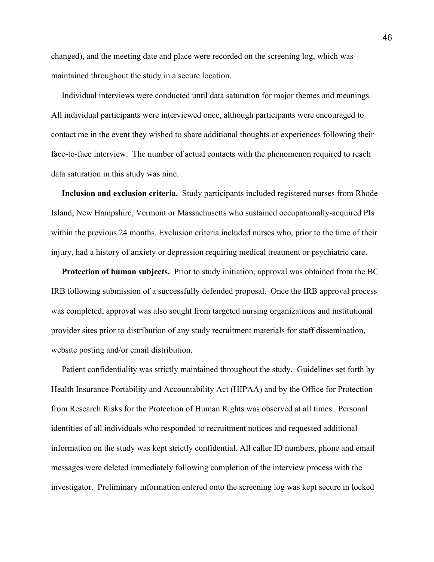changed), and the meeting date and place were recorded on the screening log, which was maintained throughout the study in a secure location.

 Individual interviews were conducted until data saturation for major themes and meanings. All individual participants were interviewed once, although participants were encouraged to contact me in the event they wished to share additional thoughts or experiences following their face-to-face interview. The number of actual contacts with the phenomenon required to reach data saturation in this study was nine.

 **Inclusion and exclusion criteria.** Study participants included registered nurses from Rhode Island, New Hampshire, Vermont or Massachusetts who sustained occupationally-acquired PIs within the previous 24 months. Exclusion criteria included nurses who, prior to the time of their injury, had a history of anxiety or depression requiring medical treatment or psychiatric care.

 **Protection of human subjects.** Prior to study initiation, approval was obtained from the BC IRB following submission of a successfully defended proposal. Once the IRB approval process was completed, approval was also sought from targeted nursing organizations and institutional provider sites prior to distribution of any study recruitment materials for staff dissemination, website posting and/or email distribution.

 Patient confidentiality was strictly maintained throughout the study. Guidelines set forth by Health Insurance Portability and Accountability Act (HIPAA) and by the Office for Protection from Research Risks for the Protection of Human Rights was observed at all times. Personal identities of all individuals who responded to recruitment notices and requested additional information on the study was kept strictly confidential. All caller ID numbers, phone and email messages were deleted immediately following completion of the interview process with the investigator. Preliminary information entered onto the screening log was kept secure in locked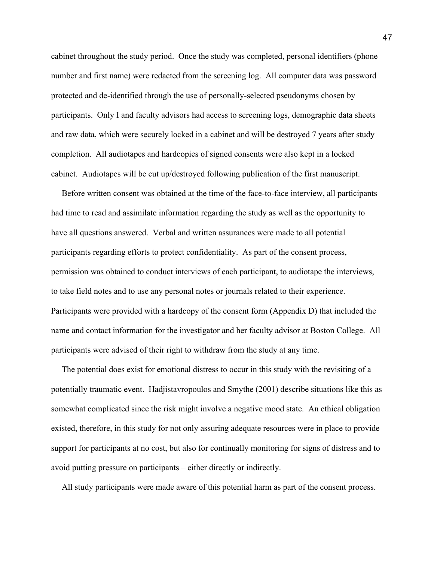cabinet throughout the study period. Once the study was completed, personal identifiers (phone number and first name) were redacted from the screening log. All computer data was password protected and de-identified through the use of personally-selected pseudonyms chosen by participants. Only I and faculty advisors had access to screening logs, demographic data sheets and raw data, which were securely locked in a cabinet and will be destroyed 7 years after study completion. All audiotapes and hardcopies of signed consents were also kept in a locked cabinet. Audiotapes will be cut up/destroyed following publication of the first manuscript.

 Before written consent was obtained at the time of the face-to-face interview, all participants had time to read and assimilate information regarding the study as well as the opportunity to have all questions answered. Verbal and written assurances were made to all potential participants regarding efforts to protect confidentiality. As part of the consent process, permission was obtained to conduct interviews of each participant, to audiotape the interviews, to take field notes and to use any personal notes or journals related to their experience. Participants were provided with a hardcopy of the consent form (Appendix D) that included the name and contact information for the investigator and her faculty advisor at Boston College. All participants were advised of their right to withdraw from the study at any time.

 The potential does exist for emotional distress to occur in this study with the revisiting of a potentially traumatic event. Hadjistavropoulos and Smythe (2001) describe situations like this as somewhat complicated since the risk might involve a negative mood state. An ethical obligation existed, therefore, in this study for not only assuring adequate resources were in place to provide support for participants at no cost, but also for continually monitoring for signs of distress and to avoid putting pressure on participants – either directly or indirectly.

All study participants were made aware of this potential harm as part of the consent process.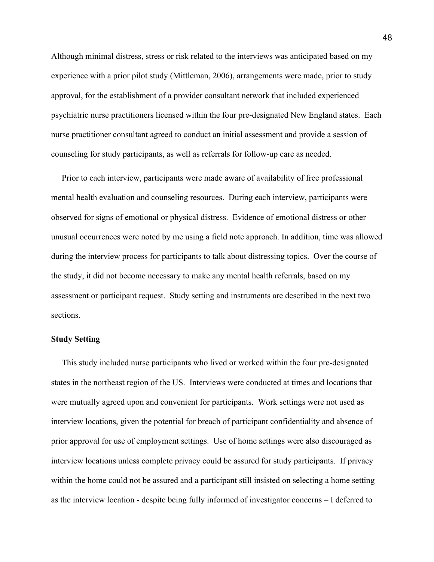Although minimal distress, stress or risk related to the interviews was anticipated based on my experience with a prior pilot study (Mittleman, 2006), arrangements were made, prior to study approval, for the establishment of a provider consultant network that included experienced psychiatric nurse practitioners licensed within the four pre-designated New England states. Each nurse practitioner consultant agreed to conduct an initial assessment and provide a session of counseling for study participants, as well as referrals for follow-up care as needed.

 Prior to each interview, participants were made aware of availability of free professional mental health evaluation and counseling resources. During each interview, participants were observed for signs of emotional or physical distress. Evidence of emotional distress or other unusual occurrences were noted by me using a field note approach. In addition, time was allowed during the interview process for participants to talk about distressing topics. Over the course of the study, it did not become necessary to make any mental health referrals, based on my assessment or participant request. Study setting and instruments are described in the next two sections.

## **Study Setting**

 This study included nurse participants who lived or worked within the four pre-designated states in the northeast region of the US. Interviews were conducted at times and locations that were mutually agreed upon and convenient for participants. Work settings were not used as interview locations, given the potential for breach of participant confidentiality and absence of prior approval for use of employment settings. Use of home settings were also discouraged as interview locations unless complete privacy could be assured for study participants. If privacy within the home could not be assured and a participant still insisted on selecting a home setting as the interview location - despite being fully informed of investigator concerns – I deferred to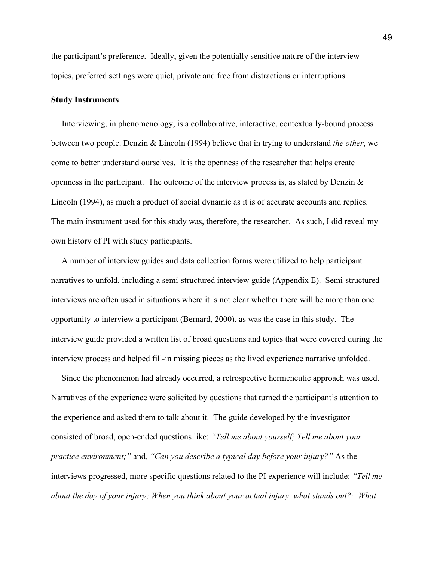the participant's preference. Ideally, given the potentially sensitive nature of the interview topics, preferred settings were quiet, private and free from distractions or interruptions.

## **Study Instruments**

 Interviewing, in phenomenology, is a collaborative, interactive, contextually-bound process between two people. Denzin & Lincoln (1994) believe that in trying to understand *the other*, we come to better understand ourselves. It is the openness of the researcher that helps create openness in the participant. The outcome of the interview process is, as stated by Denzin  $\&$ Lincoln (1994), as much a product of social dynamic as it is of accurate accounts and replies. The main instrument used for this study was, therefore, the researcher. As such, I did reveal my own history of PI with study participants.

 A number of interview guides and data collection forms were utilized to help participant narratives to unfold, including a semi-structured interview guide (Appendix E). Semi-structured interviews are often used in situations where it is not clear whether there will be more than one opportunity to interview a participant (Bernard, 2000), as was the case in this study. The interview guide provided a written list of broad questions and topics that were covered during the interview process and helped fill-in missing pieces as the lived experience narrative unfolded.

Since the phenomenon had already occurred, a retrospective hermeneutic approach was used. Narratives of the experience were solicited by questions that turned the participant's attention to the experience and asked them to talk about it. The guide developed by the investigator consisted of broad, open-ended questions like: *"Tell me about yourself; Tell me about your practice environment;"* and*, "Can you describe a typical day before your injury?"* As the interviews progressed, more specific questions related to the PI experience will include: *"Tell me about the day of your injury; When you think about your actual injury, what stands out?; What*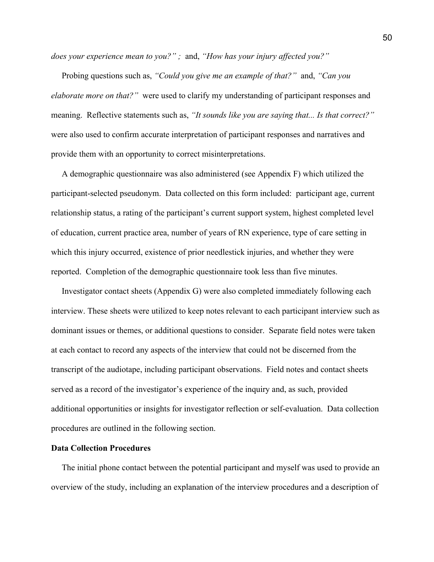*does your experience mean to you?" ;* and, *"How has your injury affected you?"* 

Probing questions such as, *"Could you give me an example of that?"* and, *"Can you elaborate more on that?"* were used to clarify my understanding of participant responses and meaning. Reflective statements such as, *"It sounds like you are saying that... Is that correct?"*  were also used to confirm accurate interpretation of participant responses and narratives and provide them with an opportunity to correct misinterpretations.

 A demographic questionnaire was also administered (see Appendix F) which utilized the participant-selected pseudonym. Data collected on this form included: participant age, current relationship status, a rating of the participant's current support system, highest completed level of education, current practice area, number of years of RN experience, type of care setting in which this injury occurred, existence of prior needlestick injuries, and whether they were reported. Completion of the demographic questionnaire took less than five minutes.

 Investigator contact sheets (Appendix G) were also completed immediately following each interview. These sheets were utilized to keep notes relevant to each participant interview such as dominant issues or themes, or additional questions to consider. Separate field notes were taken at each contact to record any aspects of the interview that could not be discerned from the transcript of the audiotape, including participant observations. Field notes and contact sheets served as a record of the investigator's experience of the inquiry and, as such, provided additional opportunities or insights for investigator reflection or self-evaluation. Data collection procedures are outlined in the following section.

#### **Data Collection Procedures**

 The initial phone contact between the potential participant and myself was used to provide an overview of the study, including an explanation of the interview procedures and a description of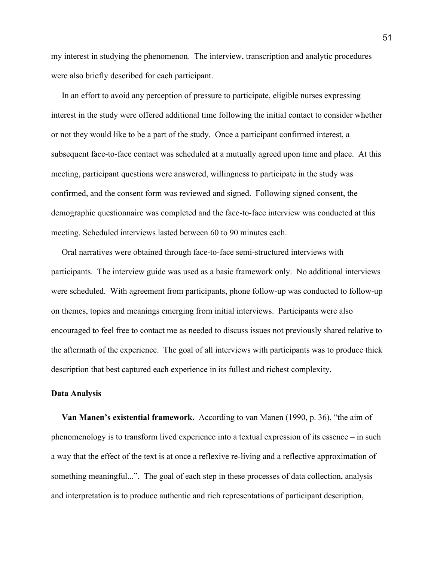my interest in studying the phenomenon. The interview, transcription and analytic procedures were also briefly described for each participant.

 In an effort to avoid any perception of pressure to participate, eligible nurses expressing interest in the study were offered additional time following the initial contact to consider whether or not they would like to be a part of the study. Once a participant confirmed interest, a subsequent face-to-face contact was scheduled at a mutually agreed upon time and place. At this meeting, participant questions were answered, willingness to participate in the study was confirmed, and the consent form was reviewed and signed. Following signed consent, the demographic questionnaire was completed and the face-to-face interview was conducted at this meeting. Scheduled interviews lasted between 60 to 90 minutes each.

 Oral narratives were obtained through face-to-face semi-structured interviews with participants. The interview guide was used as a basic framework only. No additional interviews were scheduled. With agreement from participants, phone follow-up was conducted to follow-up on themes, topics and meanings emerging from initial interviews. Participants were also encouraged to feel free to contact me as needed to discuss issues not previously shared relative to the aftermath of the experience. The goal of all interviews with participants was to produce thick description that best captured each experience in its fullest and richest complexity.

### **Data Analysis**

 **Van Manen's existential framework.** According to van Manen (1990, p. 36), "the aim of phenomenology is to transform lived experience into a textual expression of its essence – in such a way that the effect of the text is at once a reflexive re-living and a reflective approximation of something meaningful...". The goal of each step in these processes of data collection, analysis and interpretation is to produce authentic and rich representations of participant description,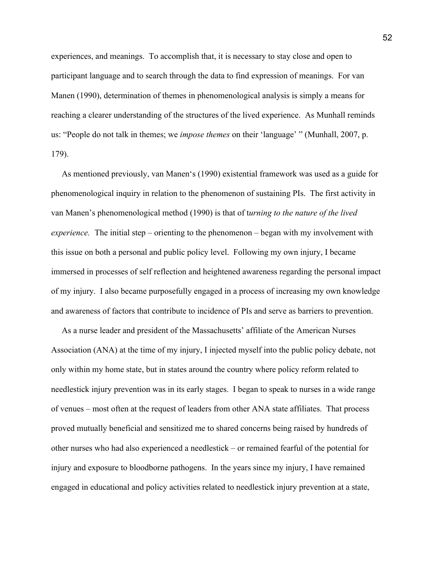experiences, and meanings. To accomplish that, it is necessary to stay close and open to participant language and to search through the data to find expression of meanings. For van Manen (1990), determination of themes in phenomenological analysis is simply a means for reaching a clearer understanding of the structures of the lived experience. As Munhall reminds us: "People do not talk in themes; we *impose themes* on their 'language' " (Munhall, 2007, p. 179).

 As mentioned previously, van Manen's (1990) existential framework was used as a guide for phenomenological inquiry in relation to the phenomenon of sustaining PIs. The first activity in van Manen's phenomenological method (1990) is that of t*urning to the nature of the lived experience.* The initial step – orienting to the phenomenon – began with my involvement with this issue on both a personal and public policy level. Following my own injury, I became immersed in processes of self reflection and heightened awareness regarding the personal impact of my injury. I also became purposefully engaged in a process of increasing my own knowledge and awareness of factors that contribute to incidence of PIs and serve as barriers to prevention.

 As a nurse leader and president of the Massachusetts' affiliate of the American Nurses Association (ANA) at the time of my injury, I injected myself into the public policy debate, not only within my home state, but in states around the country where policy reform related to needlestick injury prevention was in its early stages. I began to speak to nurses in a wide range of venues – most often at the request of leaders from other ANA state affiliates. That process proved mutually beneficial and sensitized me to shared concerns being raised by hundreds of other nurses who had also experienced a needlestick – or remained fearful of the potential for injury and exposure to bloodborne pathogens. In the years since my injury, I have remained engaged in educational and policy activities related to needlestick injury prevention at a state,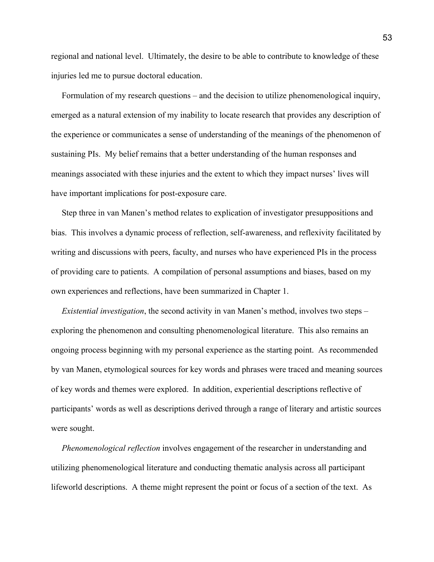regional and national level. Ultimately, the desire to be able to contribute to knowledge of these injuries led me to pursue doctoral education.

 Formulation of my research questions – and the decision to utilize phenomenological inquiry, emerged as a natural extension of my inability to locate research that provides any description of the experience or communicates a sense of understanding of the meanings of the phenomenon of sustaining PIs. My belief remains that a better understanding of the human responses and meanings associated with these injuries and the extent to which they impact nurses' lives will have important implications for post-exposure care.

Step three in van Manen's method relates to explication of investigator presuppositions and bias. This involves a dynamic process of reflection, self-awareness, and reflexivity facilitated by writing and discussions with peers, faculty, and nurses who have experienced PIs in the process of providing care to patients. A compilation of personal assumptions and biases, based on my own experiences and reflections, have been summarized in Chapter 1.

 *Existential investigation*, the second activity in van Manen's method, involves two steps – exploring the phenomenon and consulting phenomenological literature. This also remains an ongoing process beginning with my personal experience as the starting point. As recommended by van Manen, etymological sources for key words and phrases were traced and meaning sources of key words and themes were explored. In addition, experiential descriptions reflective of participants' words as well as descriptions derived through a range of literary and artistic sources were sought.

 *Phenomenological reflection* involves engagement of the researcher in understanding and utilizing phenomenological literature and conducting thematic analysis across all participant lifeworld descriptions. A theme might represent the point or focus of a section of the text. As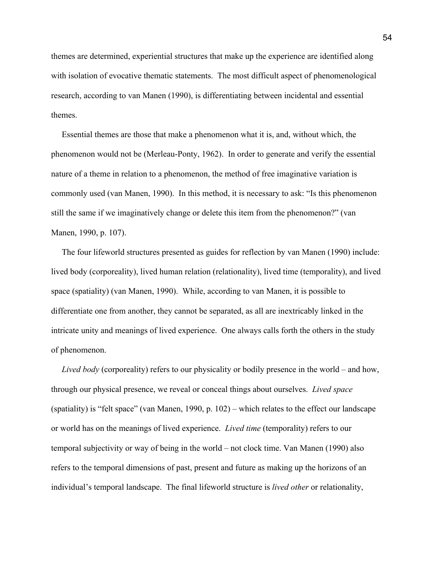themes are determined, experiential structures that make up the experience are identified along with isolation of evocative thematic statements. The most difficult aspect of phenomenological research, according to van Manen (1990), is differentiating between incidental and essential themes.

 Essential themes are those that make a phenomenon what it is, and, without which, the phenomenon would not be (Merleau-Ponty, 1962). In order to generate and verify the essential nature of a theme in relation to a phenomenon, the method of free imaginative variation is commonly used (van Manen, 1990). In this method, it is necessary to ask: "Is this phenomenon still the same if we imaginatively change or delete this item from the phenomenon?" (van Manen, 1990, p. 107).

 The four lifeworld structures presented as guides for reflection by van Manen (1990) include: lived body (corporeality), lived human relation (relationality), lived time (temporality), and lived space (spatiality) (van Manen, 1990). While, according to van Manen, it is possible to differentiate one from another, they cannot be separated, as all are inextricably linked in the intricate unity and meanings of lived experience. One always calls forth the others in the study of phenomenon.

 *Lived body* (corporeality) refers to our physicality or bodily presence in the world – and how, through our physical presence, we reveal or conceal things about ourselves. *Lived space* (spatiality) is "felt space" (van Manen, 1990, p. 102) – which relates to the effect our landscape or world has on the meanings of lived experience. *Lived time* (temporality) refers to our temporal subjectivity or way of being in the world – not clock time. Van Manen (1990) also refers to the temporal dimensions of past, present and future as making up the horizons of an individual's temporal landscape. The final lifeworld structure is *lived other* or relationality,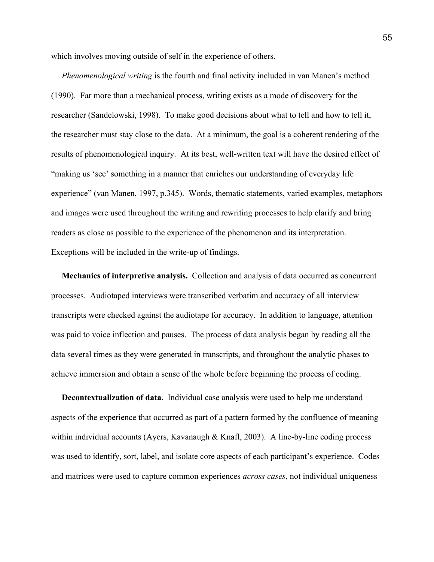which involves moving outside of self in the experience of others.

 *Phenomenological writing* is the fourth and final activity included in van Manen's method (1990). Far more than a mechanical process, writing exists as a mode of discovery for the researcher (Sandelowski, 1998). To make good decisions about what to tell and how to tell it, the researcher must stay close to the data. At a minimum, the goal is a coherent rendering of the results of phenomenological inquiry. At its best, well-written text will have the desired effect of "making us 'see' something in a manner that enriches our understanding of everyday life experience" (van Manen, 1997, p.345). Words, thematic statements, varied examples, metaphors and images were used throughout the writing and rewriting processes to help clarify and bring readers as close as possible to the experience of the phenomenon and its interpretation. Exceptions will be included in the write-up of findings.

 **Mechanics of interpretive analysis.** Collection and analysis of data occurred as concurrent processes. Audiotaped interviews were transcribed verbatim and accuracy of all interview transcripts were checked against the audiotape for accuracy. In addition to language, attention was paid to voice inflection and pauses. The process of data analysis began by reading all the data several times as they were generated in transcripts, and throughout the analytic phases to achieve immersion and obtain a sense of the whole before beginning the process of coding.

 **Decontextualization of data.** Individual case analysis were used to help me understand aspects of the experience that occurred as part of a pattern formed by the confluence of meaning within individual accounts (Ayers, Kavanaugh & Knafl, 2003). A line-by-line coding process was used to identify, sort, label, and isolate core aspects of each participant's experience. Codes and matrices were used to capture common experiences *across cases*, not individual uniqueness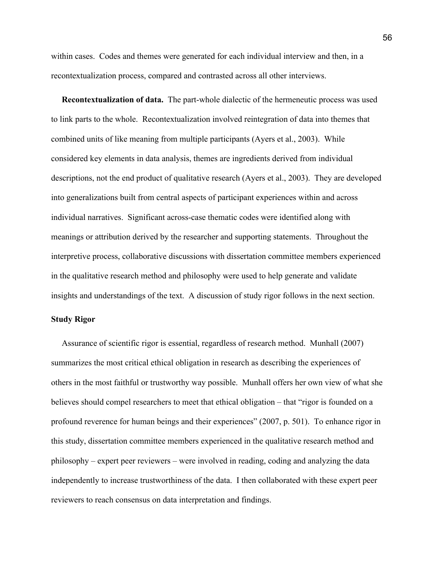within cases. Codes and themes were generated for each individual interview and then, in a recontextualization process, compared and contrasted across all other interviews.

 **Recontextualization of data.** The part-whole dialectic of the hermeneutic process was used to link parts to the whole. Recontextualization involved reintegration of data into themes that combined units of like meaning from multiple participants (Ayers et al., 2003). While considered key elements in data analysis, themes are ingredients derived from individual descriptions, not the end product of qualitative research (Ayers et al., 2003). They are developed into generalizations built from central aspects of participant experiences within and across individual narratives. Significant across-case thematic codes were identified along with meanings or attribution derived by the researcher and supporting statements. Throughout the interpretive process, collaborative discussions with dissertation committee members experienced in the qualitative research method and philosophy were used to help generate and validate insights and understandings of the text. A discussion of study rigor follows in the next section.

# **Study Rigor**

 Assurance of scientific rigor is essential, regardless of research method. Munhall (2007) summarizes the most critical ethical obligation in research as describing the experiences of others in the most faithful or trustworthy way possible. Munhall offers her own view of what she believes should compel researchers to meet that ethical obligation – that "rigor is founded on a profound reverence for human beings and their experiences" (2007, p. 501). To enhance rigor in this study, dissertation committee members experienced in the qualitative research method and philosophy – expert peer reviewers – were involved in reading, coding and analyzing the data independently to increase trustworthiness of the data. I then collaborated with these expert peer reviewers to reach consensus on data interpretation and findings.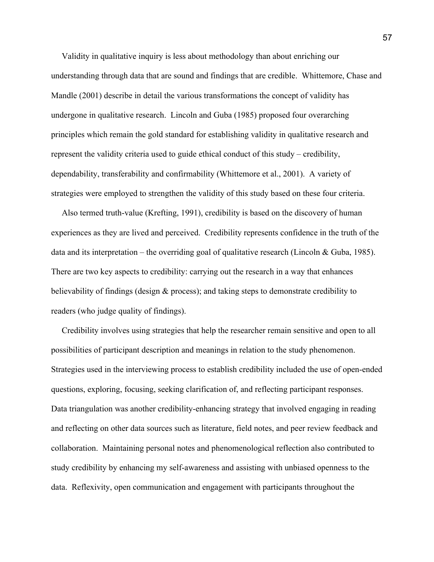Validity in qualitative inquiry is less about methodology than about enriching our understanding through data that are sound and findings that are credible. Whittemore, Chase and Mandle (2001) describe in detail the various transformations the concept of validity has undergone in qualitative research. Lincoln and Guba (1985) proposed four overarching principles which remain the gold standard for establishing validity in qualitative research and represent the validity criteria used to guide ethical conduct of this study – credibility, dependability, transferability and confirmability (Whittemore et al., 2001). A variety of strategies were employed to strengthen the validity of this study based on these four criteria.

 Also termed truth-value (Krefting, 1991), credibility is based on the discovery of human experiences as they are lived and perceived. Credibility represents confidence in the truth of the data and its interpretation – the overriding goal of qualitative research (Lincoln & Guba, 1985). There are two key aspects to credibility: carrying out the research in a way that enhances believability of findings (design  $\&$  process); and taking steps to demonstrate credibility to readers (who judge quality of findings).

 Credibility involves using strategies that help the researcher remain sensitive and open to all possibilities of participant description and meanings in relation to the study phenomenon. Strategies used in the interviewing process to establish credibility included the use of open-ended questions, exploring, focusing, seeking clarification of, and reflecting participant responses. Data triangulation was another credibility-enhancing strategy that involved engaging in reading and reflecting on other data sources such as literature, field notes, and peer review feedback and collaboration. Maintaining personal notes and phenomenological reflection also contributed to study credibility by enhancing my self-awareness and assisting with unbiased openness to the data. Reflexivity, open communication and engagement with participants throughout the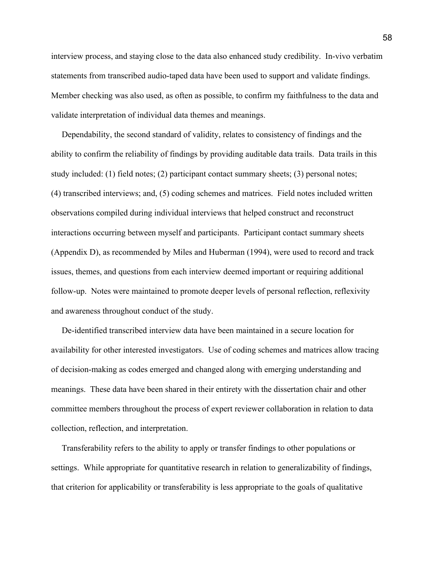interview process, and staying close to the data also enhanced study credibility. In-vivo verbatim statements from transcribed audio-taped data have been used to support and validate findings. Member checking was also used, as often as possible, to confirm my faithfulness to the data and validate interpretation of individual data themes and meanings.

 Dependability, the second standard of validity, relates to consistency of findings and the ability to confirm the reliability of findings by providing auditable data trails. Data trails in this study included: (1) field notes; (2) participant contact summary sheets; (3) personal notes; (4) transcribed interviews; and, (5) coding schemes and matrices. Field notes included written observations compiled during individual interviews that helped construct and reconstruct interactions occurring between myself and participants. Participant contact summary sheets (Appendix D), as recommended by Miles and Huberman (1994), were used to record and track issues, themes, and questions from each interview deemed important or requiring additional follow-up. Notes were maintained to promote deeper levels of personal reflection, reflexivity and awareness throughout conduct of the study.

 De-identified transcribed interview data have been maintained in a secure location for availability for other interested investigators. Use of coding schemes and matrices allow tracing of decision-making as codes emerged and changed along with emerging understanding and meanings. These data have been shared in their entirety with the dissertation chair and other committee members throughout the process of expert reviewer collaboration in relation to data collection, reflection, and interpretation.

 Transferability refers to the ability to apply or transfer findings to other populations or settings. While appropriate for quantitative research in relation to generalizability of findings, that criterion for applicability or transferability is less appropriate to the goals of qualitative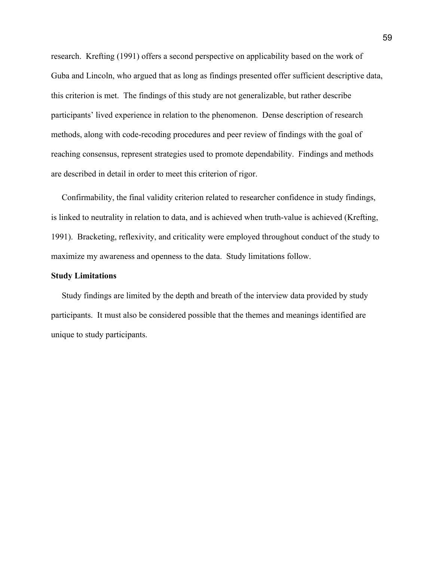research. Krefting (1991) offers a second perspective on applicability based on the work of Guba and Lincoln, who argued that as long as findings presented offer sufficient descriptive data, this criterion is met. The findings of this study are not generalizable, but rather describe participants' lived experience in relation to the phenomenon. Dense description of research methods, along with code-recoding procedures and peer review of findings with the goal of reaching consensus, represent strategies used to promote dependability. Findings and methods are described in detail in order to meet this criterion of rigor.

 Confirmability, the final validity criterion related to researcher confidence in study findings, is linked to neutrality in relation to data, and is achieved when truth-value is achieved (Krefting, 1991). Bracketing, reflexivity, and criticality were employed throughout conduct of the study to maximize my awareness and openness to the data. Study limitations follow.

#### **Study Limitations**

 Study findings are limited by the depth and breath of the interview data provided by study participants. It must also be considered possible that the themes and meanings identified are unique to study participants.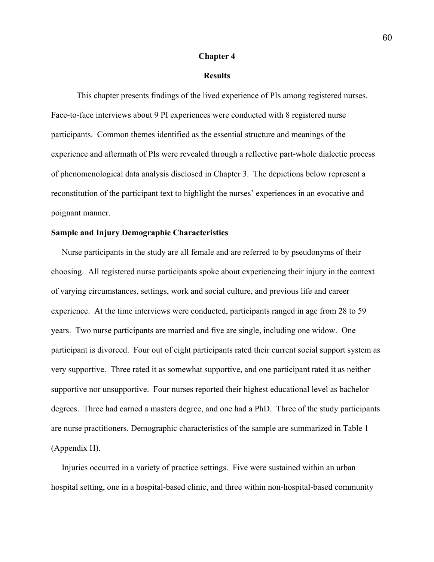#### **Chapter 4**

## **Results**

This chapter presents findings of the lived experience of PIs among registered nurses. Face-to-face interviews about 9 PI experiences were conducted with 8 registered nurse participants. Common themes identified as the essential structure and meanings of the experience and aftermath of PIs were revealed through a reflective part-whole dialectic process of phenomenological data analysis disclosed in Chapter 3. The depictions below represent a reconstitution of the participant text to highlight the nurses' experiences in an evocative and poignant manner.

## **Sample and Injury Demographic Characteristics**

 Nurse participants in the study are all female and are referred to by pseudonyms of their choosing. All registered nurse participants spoke about experiencing their injury in the context of varying circumstances, settings, work and social culture, and previous life and career experience. At the time interviews were conducted, participants ranged in age from 28 to 59 years. Two nurse participants are married and five are single, including one widow. One participant is divorced. Four out of eight participants rated their current social support system as very supportive. Three rated it as somewhat supportive, and one participant rated it as neither supportive nor unsupportive. Four nurses reported their highest educational level as bachelor degrees. Three had earned a masters degree, and one had a PhD. Three of the study participants are nurse practitioners. Demographic characteristics of the sample are summarized in Table 1 (Appendix H).

 Injuries occurred in a variety of practice settings. Five were sustained within an urban hospital setting, one in a hospital-based clinic, and three within non-hospital-based community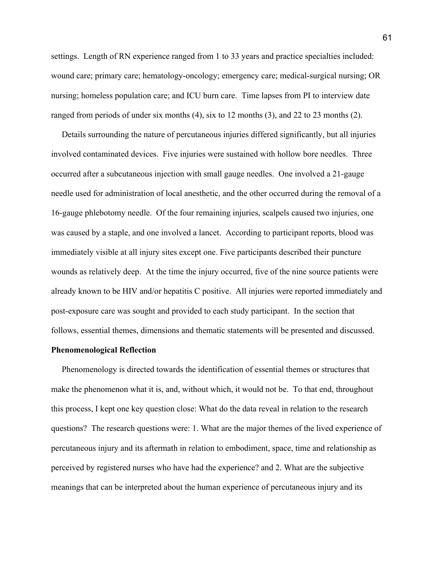settings. Length of RN experience ranged from 1 to 33 years and practice specialties included: wound care; primary care; hematology-oncology; emergency care; medical-surgical nursing; OR nursing; homeless population care; and ICU burn care. Time lapses from PI to interview date ranged from periods of under six months (4), six to 12 months (3), and 22 to 23 months (2).

 Details surrounding the nature of percutaneous injuries differed significantly, but all injuries involved contaminated devices. Five injuries were sustained with hollow bore needles. Three occurred after a subcutaneous injection with small gauge needles. One involved a 21-gauge needle used for administration of local anesthetic, and the other occurred during the removal of a 16-gauge phlebotomy needle. Of the four remaining injuries, scalpels caused two injuries, one was caused by a staple, and one involved a lancet. According to participant reports, blood was immediately visible at all injury sites except one. Five participants described their puncture wounds as relatively deep. At the time the injury occurred, five of the nine source patients were already known to be HIV and/or hepatitis C positive. All injuries were reported immediately and post-exposure care was sought and provided to each study participant. In the section that follows, essential themes, dimensions and thematic statements will be presented and discussed.

#### **Phenomenological Reflection**

Phenomenology is directed towards the identification of essential themes or structures that make the phenomenon what it is, and, without which, it would not be. To that end, throughout this process, I kept one key question close: What do the data reveal in relation to the research questions? The research questions were: 1. What are the major themes of the lived experience of percutaneous injury and its aftermath in relation to embodiment, space, time and relationship as perceived by registered nurses who have had the experience? and 2. What are the subjective meanings that can be interpreted about the human experience of percutaneous injury and its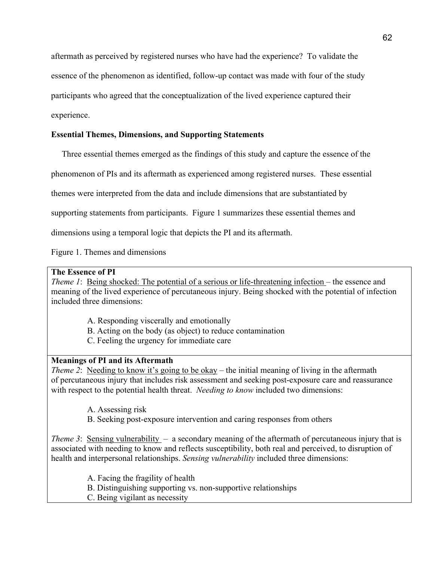aftermath as perceived by registered nurses who have had the experience? To validate the

essence of the phenomenon as identified, follow-up contact was made with four of the study

participants who agreed that the conceptualization of the lived experience captured their

## experience.

# **Essential Themes, Dimensions, and Supporting Statements**

Three essential themes emerged as the findings of this study and capture the essence of the

phenomenon of PIs and its aftermath as experienced among registered nurses. These essential

themes were interpreted from the data and include dimensions that are substantiated by

supporting statements from participants. Figure 1 summarizes these essential themes and

dimensions using a temporal logic that depicts the PI and its aftermath.

Figure 1. Themes and dimensions

### **The Essence of PI**

*Theme 1*: Being shocked: The potential of a serious or life-threatening infection – the essence and meaning of the lived experience of percutaneous injury. Being shocked with the potential of infection included three dimensions:

- A. Responding viscerally and emotionally
- B. Acting on the body (as object) to reduce contamination
- C. Feeling the urgency for immediate care

### **Meanings of PI and its Aftermath**

*Theme 2*: <u>Needing to know it's going to be okay</u> – the initial meaning of living in the aftermath of percutaneous injury that includes risk assessment and seeking post-exposure care and reassurance with respect to the potential health threat. *Needing to know* included two dimensions:

- A. Assessing risk
- B. Seeking post-exposure intervention and caring responses from others

*Theme 3*: Sensing vulnerability – a secondary meaning of the aftermath of percutaneous injury that is associated with needing to know and reflects susceptibility, both real and perceived, to disruption of health and interpersonal relationships. *Sensing vulnerability* included three dimensions:

A. Facing the fragility of health

B. Distinguishing supporting vs. non-supportive relationships

C. Being vigilant as necessity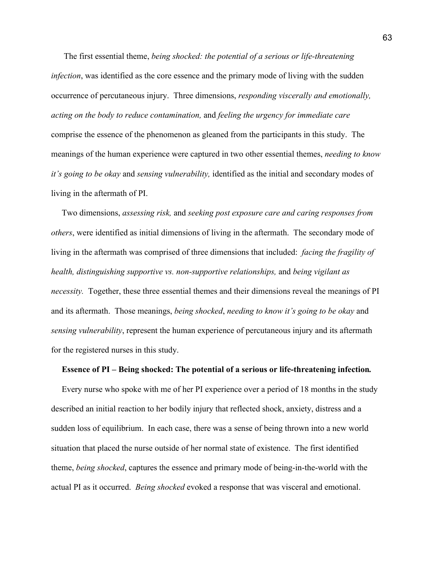The first essential theme, *being shocked: the potential of a serious or life-threatening infection*, was identified as the core essence and the primary mode of living with the sudden occurrence of percutaneous injury. Three dimensions, *responding viscerally and emotionally, acting on the body to reduce contamination,* and *feeling the urgency for immediate care* comprise the essence of the phenomenon as gleaned from the participants in this study. The meanings of the human experience were captured in two other essential themes, *needing to know it's going to be okay* and *sensing vulnerability,* identified as the initial and secondary modes of living in the aftermath of PI.

 Two dimensions, *assessing risk,* and *seeking post exposure care and caring responses from others*, were identified as initial dimensions of living in the aftermath. The secondary mode of living in the aftermath was comprised of three dimensions that included: *facing the fragility of health, distinguishing supportive vs. non-supportive relationships,* and *being vigilant as necessity*. Together, these three essential themes and their dimensions reveal the meanings of PI and its aftermath. Those meanings, *being shocked*, *needing to know it's going to be okay* and *sensing vulnerability*, represent the human experience of percutaneous injury and its aftermath for the registered nurses in this study.

#### **Essence of PI – Being shocked: The potential of a serious or life-threatening infection***.*

 Every nurse who spoke with me of her PI experience over a period of 18 months in the study described an initial reaction to her bodily injury that reflected shock, anxiety, distress and a sudden loss of equilibrium. In each case, there was a sense of being thrown into a new world situation that placed the nurse outside of her normal state of existence. The first identified theme, *being shocked*, captures the essence and primary mode of being-in-the-world with the actual PI as it occurred. *Being shocked* evoked a response that was visceral and emotional.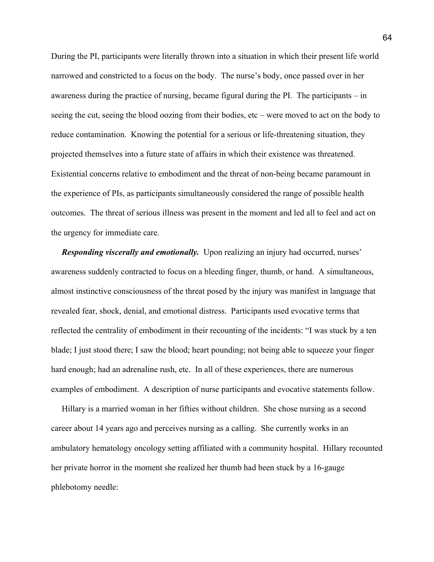During the PI, participants were literally thrown into a situation in which their present life world narrowed and constricted to a focus on the body. The nurse's body, once passed over in her awareness during the practice of nursing, became figural during the PI. The participants – in seeing the cut, seeing the blood oozing from their bodies, etc – were moved to act on the body to reduce contamination. Knowing the potential for a serious or life-threatening situation, they projected themselves into a future state of affairs in which their existence was threatened. Existential concerns relative to embodiment and the threat of non-being became paramount in the experience of PIs, as participants simultaneously considered the range of possible health outcomes. The threat of serious illness was present in the moment and led all to feel and act on the urgency for immediate care.

*Responding viscerally and emotionally.* Upon realizing an injury had occurred, nurses' awareness suddenly contracted to focus on a bleeding finger, thumb, or hand. A simultaneous, almost instinctive consciousness of the threat posed by the injury was manifest in language that revealed fear, shock, denial, and emotional distress. Participants used evocative terms that reflected the centrality of embodiment in their recounting of the incidents: "I was stuck by a ten blade; I just stood there; I saw the blood; heart pounding; not being able to squeeze your finger hard enough; had an adrenaline rush, etc. In all of these experiences, there are numerous examples of embodiment. A description of nurse participants and evocative statements follow.

 Hillary is a married woman in her fifties without children. She chose nursing as a second career about 14 years ago and perceives nursing as a calling. She currently works in an ambulatory hematology oncology setting affiliated with a community hospital. Hillary recounted her private horror in the moment she realized her thumb had been stuck by a 16-gauge phlebotomy needle: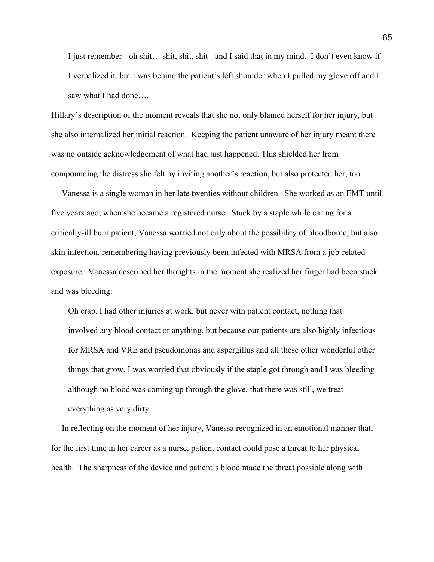I just remember - oh shit… shit, shit, shit - and I said that in my mind. I don't even know if I verbalized it, but I was behind the patient's left shoulder when I pulled my glove off and I saw what I had done….

Hillary's description of the moment reveals that she not only blamed herself for her injury, but she also internalized her initial reaction. Keeping the patient unaware of her injury meant there was no outside acknowledgement of what had just happened. This shielded her from compounding the distress she felt by inviting another's reaction, but also protected her, too.

 Vanessa is a single woman in her late twenties without children. She worked as an EMT until five years ago, when she became a registered nurse. Stuck by a staple while caring for a critically-ill burn patient, Vanessa worried not only about the possibility of bloodborne, but also skin infection, remembering having previously been infected with MRSA from a job-related exposure. Vanessa described her thoughts in the moment she realized her finger had been stuck and was bleeding:

 Oh crap. I had other injuries at work, but never with patient contact, nothing that involved any blood contact or anything, but because our patients are also highly infectious for MRSA and VRE and pseudomonas and aspergillus and all these other wonderful other things that grow, I was worried that obviously if the staple got through and I was bleeding although no blood was coming up through the glove, that there was still, we treat everything as very dirty.

 In reflecting on the moment of her injury, Vanessa recognized in an emotional manner that, for the first time in her career as a nurse, patient contact could pose a threat to her physical health. The sharpness of the device and patient's blood made the threat possible along with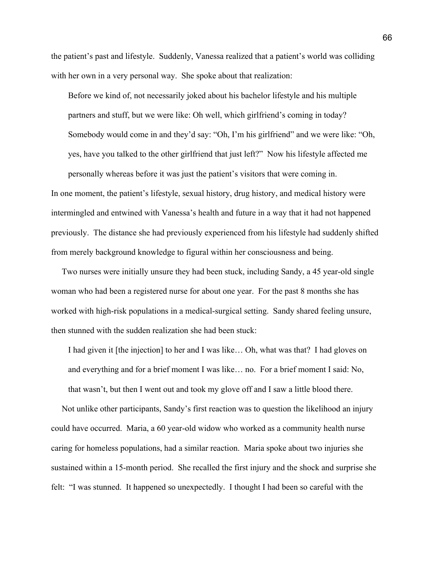the patient's past and lifestyle. Suddenly, Vanessa realized that a patient's world was colliding with her own in a very personal way. She spoke about that realization:

 Before we kind of, not necessarily joked about his bachelor lifestyle and his multiple partners and stuff, but we were like: Oh well, which girlfriend's coming in today? Somebody would come in and they'd say: "Oh, I'm his girlfriend" and we were like: "Oh, yes, have you talked to the other girlfriend that just left?" Now his lifestyle affected me personally whereas before it was just the patient's visitors that were coming in. In one moment, the patient's lifestyle, sexual history, drug history, and medical history were intermingled and entwined with Vanessa's health and future in a way that it had not happened previously. The distance she had previously experienced from his lifestyle had suddenly shifted

from merely background knowledge to figural within her consciousness and being.

 Two nurses were initially unsure they had been stuck, including Sandy, a 45 year-old single woman who had been a registered nurse for about one year. For the past 8 months she has worked with high-risk populations in a medical-surgical setting. Sandy shared feeling unsure, then stunned with the sudden realization she had been stuck:

 I had given it [the injection] to her and I was like… Oh, what was that? I had gloves on and everything and for a brief moment I was like… no. For a brief moment I said: No, that wasn't, but then I went out and took my glove off and I saw a little blood there.

 Not unlike other participants, Sandy's first reaction was to question the likelihood an injury could have occurred. Maria, a 60 year-old widow who worked as a community health nurse caring for homeless populations, had a similar reaction. Maria spoke about two injuries she sustained within a 15-month period. She recalled the first injury and the shock and surprise she felt: "I was stunned. It happened so unexpectedly. I thought I had been so careful with the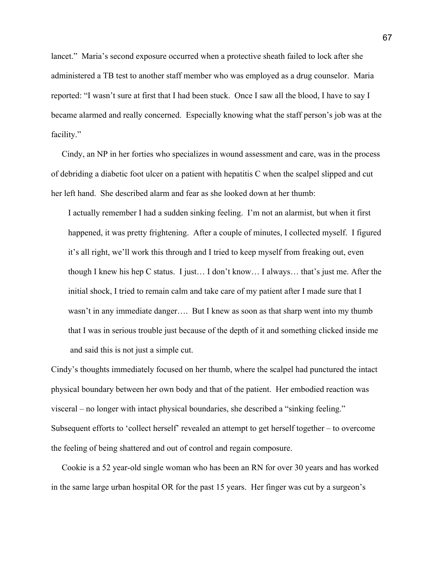lancet." Maria's second exposure occurred when a protective sheath failed to lock after she administered a TB test to another staff member who was employed as a drug counselor. Maria reported: "I wasn't sure at first that I had been stuck. Once I saw all the blood, I have to say I became alarmed and really concerned. Especially knowing what the staff person's job was at the facility."

 Cindy, an NP in her forties who specializes in wound assessment and care, was in the process of debriding a diabetic foot ulcer on a patient with hepatitis C when the scalpel slipped and cut her left hand. She described alarm and fear as she looked down at her thumb:

 I actually remember I had a sudden sinking feeling. I'm not an alarmist, but when it first happened, it was pretty frightening. After a couple of minutes, I collected myself. I figured it's all right, we'll work this through and I tried to keep myself from freaking out, even though I knew his hep C status. I just… I don't know… I always… that's just me. After the initial shock, I tried to remain calm and take care of my patient after I made sure that I wasn't in any immediate danger…. But I knew as soon as that sharp went into my thumb that I was in serious trouble just because of the depth of it and something clicked inside me and said this is not just a simple cut.

Cindy's thoughts immediately focused on her thumb, where the scalpel had punctured the intact physical boundary between her own body and that of the patient. Her embodied reaction was visceral – no longer with intact physical boundaries, she described a "sinking feeling." Subsequent efforts to 'collect herself' revealed an attempt to get herself together – to overcome the feeling of being shattered and out of control and regain composure.

 Cookie is a 52 year-old single woman who has been an RN for over 30 years and has worked in the same large urban hospital OR for the past 15 years. Her finger was cut by a surgeon's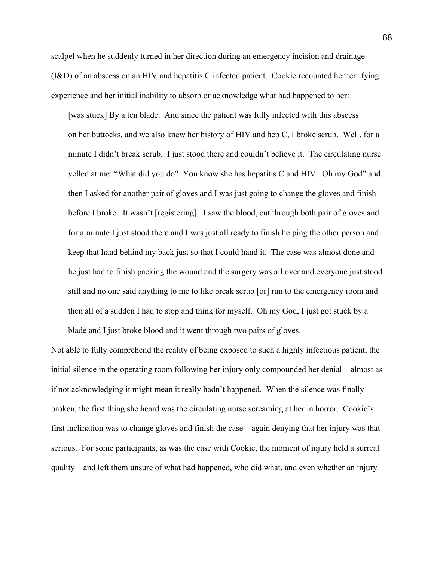scalpel when he suddenly turned in her direction during an emergency incision and drainage (I&D) of an abscess on an HIV and hepatitis C infected patient. Cookie recounted her terrifying experience and her initial inability to absorb or acknowledge what had happened to her:

[was stuck] By a ten blade. And since the patient was fully infected with this abscess on her buttocks, and we also knew her history of HIV and hep C, I broke scrub. Well, for a minute I didn't break scrub. I just stood there and couldn't believe it. The circulating nurse yelled at me: "What did you do? You know she has hepatitis C and HIV. Oh my God" and then I asked for another pair of gloves and I was just going to change the gloves and finish before I broke. It wasn't [registering]. I saw the blood, cut through both pair of gloves and for a minute I just stood there and I was just all ready to finish helping the other person and keep that hand behind my back just so that I could hand it. The case was almost done and he just had to finish packing the wound and the surgery was all over and everyone just stood still and no one said anything to me to like break scrub [or] run to the emergency room and then all of a sudden I had to stop and think for myself. Oh my God, I just got stuck by a blade and I just broke blood and it went through two pairs of gloves.

Not able to fully comprehend the reality of being exposed to such a highly infectious patient, the initial silence in the operating room following her injury only compounded her denial – almost as if not acknowledging it might mean it really hadn't happened. When the silence was finally broken, the first thing she heard was the circulating nurse screaming at her in horror. Cookie's first inclination was to change gloves and finish the case – again denying that her injury was that serious. For some participants, as was the case with Cookie, the moment of injury held a surreal quality – and left them unsure of what had happened, who did what, and even whether an injury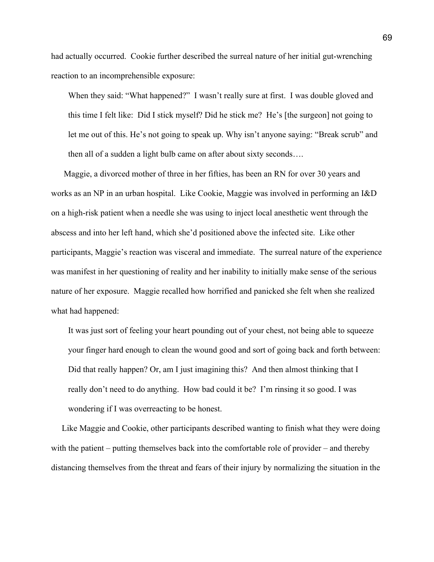had actually occurred. Cookie further described the surreal nature of her initial gut-wrenching reaction to an incomprehensible exposure:

 When they said: "What happened?" I wasn't really sure at first. I was double gloved and this time I felt like: Did I stick myself? Did he stick me? He's [the surgeon] not going to let me out of this. He's not going to speak up. Why isn't anyone saying: "Break scrub" and then all of a sudden a light bulb came on after about sixty seconds….

 Maggie, a divorced mother of three in her fifties, has been an RN for over 30 years and works as an NP in an urban hospital. Like Cookie, Maggie was involved in performing an I&D on a high-risk patient when a needle she was using to inject local anesthetic went through the abscess and into her left hand, which she'd positioned above the infected site. Like other participants, Maggie's reaction was visceral and immediate. The surreal nature of the experience was manifest in her questioning of reality and her inability to initially make sense of the serious nature of her exposure. Maggie recalled how horrified and panicked she felt when she realized what had happened:

 It was just sort of feeling your heart pounding out of your chest, not being able to squeeze your finger hard enough to clean the wound good and sort of going back and forth between: Did that really happen? Or, am I just imagining this? And then almost thinking that I really don't need to do anything. How bad could it be? I'm rinsing it so good. I was wondering if I was overreacting to be honest.

 Like Maggie and Cookie, other participants described wanting to finish what they were doing with the patient – putting themselves back into the comfortable role of provider – and thereby distancing themselves from the threat and fears of their injury by normalizing the situation in the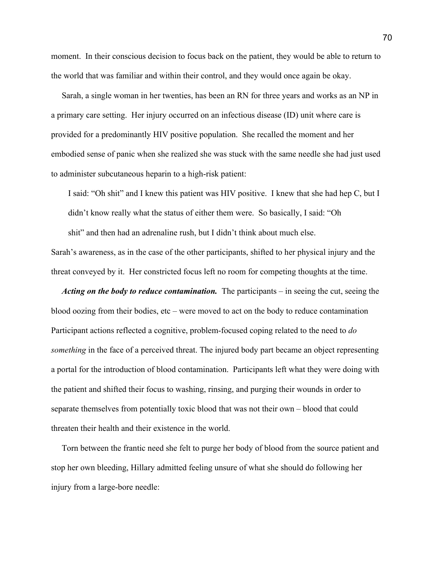moment. In their conscious decision to focus back on the patient, they would be able to return to the world that was familiar and within their control, and they would once again be okay.

 Sarah, a single woman in her twenties, has been an RN for three years and works as an NP in a primary care setting. Her injury occurred on an infectious disease (ID) unit where care is provided for a predominantly HIV positive population. She recalled the moment and her embodied sense of panic when she realized she was stuck with the same needle she had just used to administer subcutaneous heparin to a high-risk patient:

 I said: "Oh shit" and I knew this patient was HIV positive. I knew that she had hep C, but I didn't know really what the status of either them were. So basically, I said: "Oh

shit" and then had an adrenaline rush, but I didn't think about much else.

Sarah's awareness, as in the case of the other participants, shifted to her physical injury and the threat conveyed by it. Her constricted focus left no room for competing thoughts at the time.

*Acting on the body to reduce contamination.* The participants – in seeing the cut, seeing the blood oozing from their bodies, etc – were moved to act on the body to reduce contamination Participant actions reflected a cognitive, problem-focused coping related to the need to *do something* in the face of a perceived threat. The injured body part became an object representing a portal for the introduction of blood contamination. Participants left what they were doing with the patient and shifted their focus to washing, rinsing, and purging their wounds in order to separate themselves from potentially toxic blood that was not their own – blood that could threaten their health and their existence in the world.

 Torn between the frantic need she felt to purge her body of blood from the source patient and stop her own bleeding, Hillary admitted feeling unsure of what she should do following her injury from a large-bore needle: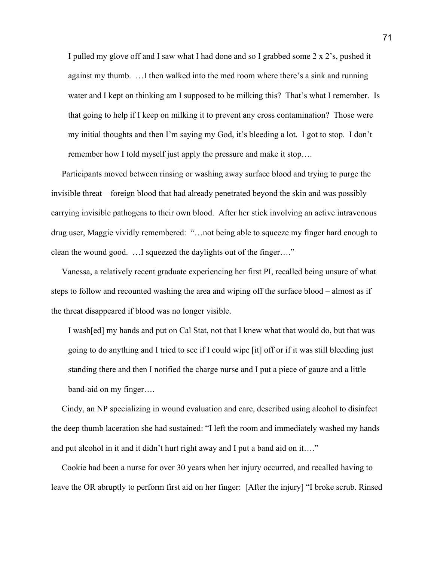I pulled my glove off and I saw what I had done and so I grabbed some 2 x 2's, pushed it against my thumb. …I then walked into the med room where there's a sink and running water and I kept on thinking am I supposed to be milking this? That's what I remember. Is that going to help if I keep on milking it to prevent any cross contamination? Those were my initial thoughts and then I'm saying my God, it's bleeding a lot. I got to stop. I don't remember how I told myself just apply the pressure and make it stop….

 Participants moved between rinsing or washing away surface blood and trying to purge the invisible threat – foreign blood that had already penetrated beyond the skin and was possibly carrying invisible pathogens to their own blood. After her stick involving an active intravenous drug user, Maggie vividly remembered: "…not being able to squeeze my finger hard enough to clean the wound good. …I squeezed the daylights out of the finger…."

 Vanessa, a relatively recent graduate experiencing her first PI, recalled being unsure of what steps to follow and recounted washing the area and wiping off the surface blood – almost as if the threat disappeared if blood was no longer visible.

 I wash[ed] my hands and put on Cal Stat, not that I knew what that would do, but that was going to do anything and I tried to see if I could wipe [it] off or if it was still bleeding just standing there and then I notified the charge nurse and I put a piece of gauze and a little band-aid on my finger….

 Cindy, an NP specializing in wound evaluation and care, described using alcohol to disinfect the deep thumb laceration she had sustained: "I left the room and immediately washed my hands and put alcohol in it and it didn't hurt right away and I put a band aid on it…."

 Cookie had been a nurse for over 30 years when her injury occurred, and recalled having to leave the OR abruptly to perform first aid on her finger: [After the injury] "I broke scrub. Rinsed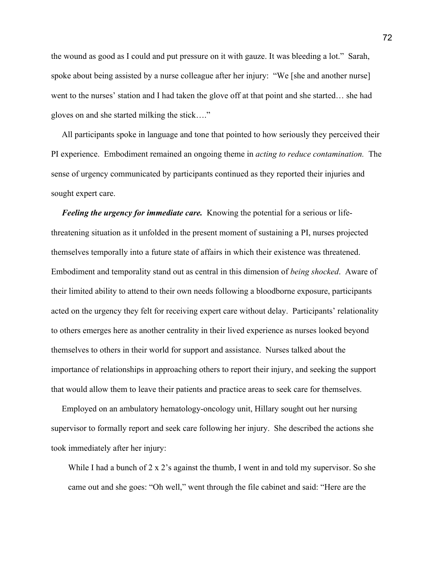the wound as good as I could and put pressure on it with gauze. It was bleeding a lot." Sarah, spoke about being assisted by a nurse colleague after her injury: "We [she and another nurse] went to the nurses' station and I had taken the glove off at that point and she started… she had gloves on and she started milking the stick…."

 All participants spoke in language and tone that pointed to how seriously they perceived their PI experience. Embodiment remained an ongoing theme in *acting to reduce contamination.* The sense of urgency communicated by participants continued as they reported their injuries and sought expert care.

*Feeling the urgency for immediate care.* Knowing the potential for a serious or lifethreatening situation as it unfolded in the present moment of sustaining a PI, nurses projected themselves temporally into a future state of affairs in which their existence was threatened. Embodiment and temporality stand out as central in this dimension of *being shocked*. Aware of their limited ability to attend to their own needs following a bloodborne exposure, participants acted on the urgency they felt for receiving expert care without delay. Participants' relationality to others emerges here as another centrality in their lived experience as nurses looked beyond themselves to others in their world for support and assistance. Nurses talked about the importance of relationships in approaching others to report their injury, and seeking the support that would allow them to leave their patients and practice areas to seek care for themselves.

 Employed on an ambulatory hematology-oncology unit, Hillary sought out her nursing supervisor to formally report and seek care following her injury. She described the actions she took immediately after her injury:

While I had a bunch of 2 x 2's against the thumb, I went in and told my supervisor. So she came out and she goes: "Oh well," went through the file cabinet and said: "Here are the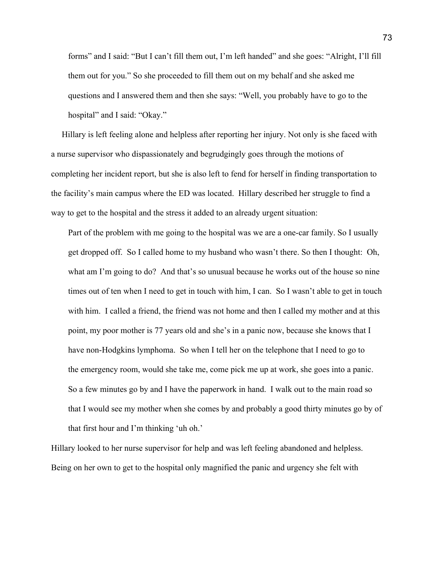forms" and I said: "But I can't fill them out, I'm left handed" and she goes: "Alright, I'll fill them out for you." So she proceeded to fill them out on my behalf and she asked me questions and I answered them and then she says: "Well, you probably have to go to the hospital" and I said: "Okay."

 Hillary is left feeling alone and helpless after reporting her injury. Not only is she faced with a nurse supervisor who dispassionately and begrudgingly goes through the motions of completing her incident report, but she is also left to fend for herself in finding transportation to the facility's main campus where the ED was located. Hillary described her struggle to find a way to get to the hospital and the stress it added to an already urgent situation:

 Part of the problem with me going to the hospital was we are a one-car family. So I usually get dropped off. So I called home to my husband who wasn't there. So then I thought: Oh, what am I'm going to do? And that's so unusual because he works out of the house so nine times out of ten when I need to get in touch with him, I can. So I wasn't able to get in touch with him. I called a friend, the friend was not home and then I called my mother and at this point, my poor mother is 77 years old and she's in a panic now, because she knows that I have non-Hodgkins lymphoma. So when I tell her on the telephone that I need to go to the emergency room, would she take me, come pick me up at work, she goes into a panic. So a few minutes go by and I have the paperwork in hand. I walk out to the main road so that I would see my mother when she comes by and probably a good thirty minutes go by of that first hour and I'm thinking 'uh oh.'

Hillary looked to her nurse supervisor for help and was left feeling abandoned and helpless. Being on her own to get to the hospital only magnified the panic and urgency she felt with

73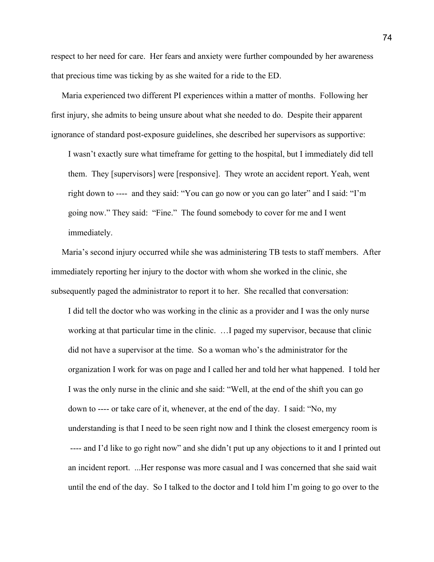respect to her need for care. Her fears and anxiety were further compounded by her awareness that precious time was ticking by as she waited for a ride to the ED.

 Maria experienced two different PI experiences within a matter of months. Following her first injury, she admits to being unsure about what she needed to do. Despite their apparent ignorance of standard post-exposure guidelines, she described her supervisors as supportive:

 I wasn't exactly sure what timeframe for getting to the hospital, but I immediately did tell them. They [supervisors] were [responsive]. They wrote an accident report. Yeah, went right down to ---- and they said: "You can go now or you can go later" and I said: "I'm going now." They said: "Fine." The found somebody to cover for me and I went immediately.

 Maria's second injury occurred while she was administering TB tests to staff members. After immediately reporting her injury to the doctor with whom she worked in the clinic, she subsequently paged the administrator to report it to her. She recalled that conversation:

 I did tell the doctor who was working in the clinic as a provider and I was the only nurse working at that particular time in the clinic. …I paged my supervisor, because that clinic did not have a supervisor at the time. So a woman who's the administrator for the organization I work for was on page and I called her and told her what happened. I told her I was the only nurse in the clinic and she said: "Well, at the end of the shift you can go down to ---- or take care of it, whenever, at the end of the day. I said: "No, my understanding is that I need to be seen right now and I think the closest emergency room is ---- and I'd like to go right now" and she didn't put up any objections to it and I printed out an incident report. ...Her response was more casual and I was concerned that she said wait until the end of the day. So I talked to the doctor and I told him I'm going to go over to the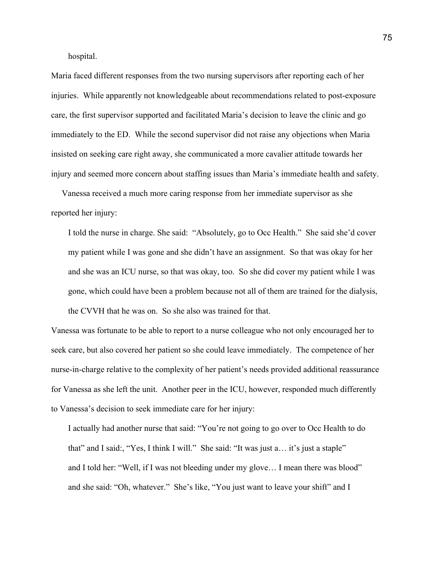hospital.

Maria faced different responses from the two nursing supervisors after reporting each of her injuries. While apparently not knowledgeable about recommendations related to post-exposure care, the first supervisor supported and facilitated Maria's decision to leave the clinic and go immediately to the ED. While the second supervisor did not raise any objections when Maria insisted on seeking care right away, she communicated a more cavalier attitude towards her injury and seemed more concern about staffing issues than Maria's immediate health and safety.

 Vanessa received a much more caring response from her immediate supervisor as she reported her injury:

 I told the nurse in charge. She said: "Absolutely, go to Occ Health." She said she'd cover my patient while I was gone and she didn't have an assignment. So that was okay for her and she was an ICU nurse, so that was okay, too. So she did cover my patient while I was gone, which could have been a problem because not all of them are trained for the dialysis, the CVVH that he was on. So she also was trained for that.

Vanessa was fortunate to be able to report to a nurse colleague who not only encouraged her to seek care, but also covered her patient so she could leave immediately. The competence of her nurse-in-charge relative to the complexity of her patient's needs provided additional reassurance for Vanessa as she left the unit. Another peer in the ICU, however, responded much differently to Vanessa's decision to seek immediate care for her injury:

 I actually had another nurse that said: "You're not going to go over to Occ Health to do that" and I said:, "Yes, I think I will." She said: "It was just a… it's just a staple" and I told her: "Well, if I was not bleeding under my glove… I mean there was blood" and she said: "Oh, whatever." She's like, "You just want to leave your shift" and I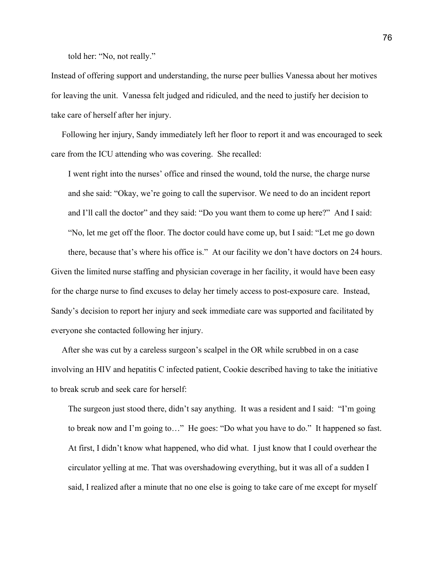told her: "No, not really."

Instead of offering support and understanding, the nurse peer bullies Vanessa about her motives for leaving the unit. Vanessa felt judged and ridiculed, and the need to justify her decision to take care of herself after her injury.

 Following her injury, Sandy immediately left her floor to report it and was encouraged to seek care from the ICU attending who was covering. She recalled:

 I went right into the nurses' office and rinsed the wound, told the nurse, the charge nurse and she said: "Okay, we're going to call the supervisor. We need to do an incident report and I'll call the doctor" and they said: "Do you want them to come up here?" And I said: "No, let me get off the floor. The doctor could have come up, but I said: "Let me go down there, because that's where his office is." At our facility we don't have doctors on 24 hours. Given the limited nurse staffing and physician coverage in her facility, it would have been easy for the charge nurse to find excuses to delay her timely access to post-exposure care. Instead, Sandy's decision to report her injury and seek immediate care was supported and facilitated by everyone she contacted following her injury.

 After she was cut by a careless surgeon's scalpel in the OR while scrubbed in on a case involving an HIV and hepatitis C infected patient, Cookie described having to take the initiative to break scrub and seek care for herself:

 The surgeon just stood there, didn't say anything. It was a resident and I said: "I'm going to break now and I'm going to…" He goes: "Do what you have to do." It happened so fast. At first, I didn't know what happened, who did what. I just know that I could overhear the circulator yelling at me. That was overshadowing everything, but it was all of a sudden I said, I realized after a minute that no one else is going to take care of me except for myself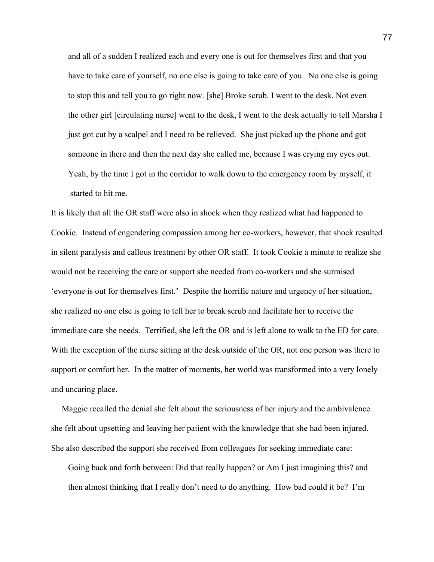and all of a sudden I realized each and every one is out for themselves first and that you have to take care of yourself, no one else is going to take care of you. No one else is going to stop this and tell you to go right now. [she] Broke scrub. I went to the desk. Not even the other girl [circulating nurse] went to the desk, I went to the desk actually to tell Marsha I just got cut by a scalpel and I need to be relieved. She just picked up the phone and got someone in there and then the next day she called me, because I was crying my eyes out. Yeah, by the time I got in the corridor to walk down to the emergency room by myself, it started to hit me.

It is likely that all the OR staff were also in shock when they realized what had happened to Cookie. Instead of engendering compassion among her co-workers, however, that shock resulted in silent paralysis and callous treatment by other OR staff. It took Cookie a minute to realize she would not be receiving the care or support she needed from co-workers and she surmised 'everyone is out for themselves first.' Despite the horrific nature and urgency of her situation, she realized no one else is going to tell her to break scrub and facilitate her to receive the immediate care she needs. Terrified, she left the OR and is left alone to walk to the ED for care. With the exception of the nurse sitting at the desk outside of the OR, not one person was there to support or comfort her. In the matter of moments, her world was transformed into a very lonely and uncaring place.

 Maggie recalled the denial she felt about the seriousness of her injury and the ambivalence she felt about upsetting and leaving her patient with the knowledge that she had been injured. She also described the support she received from colleagues for seeking immediate care:

 Going back and forth between: Did that really happen? or Am I just imagining this? and then almost thinking that I really don't need to do anything. How bad could it be? I'm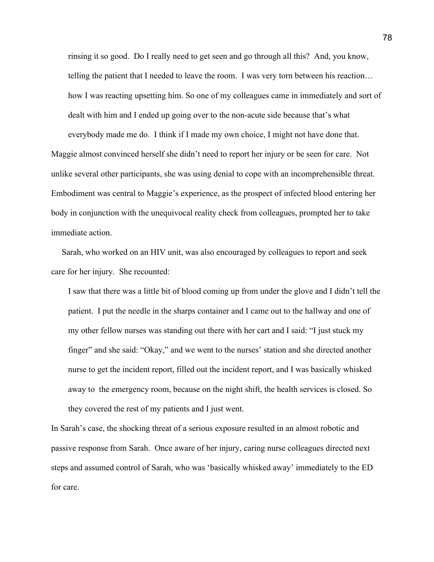rinsing it so good. Do I really need to get seen and go through all this? And, you know, telling the patient that I needed to leave the room. I was very torn between his reaction… how I was reacting upsetting him. So one of my colleagues came in immediately and sort of dealt with him and I ended up going over to the non-acute side because that's what everybody made me do. I think if I made my own choice, I might not have done that.

Maggie almost convinced herself she didn't need to report her injury or be seen for care. Not unlike several other participants, she was using denial to cope with an incomprehensible threat. Embodiment was central to Maggie's experience, as the prospect of infected blood entering her body in conjunction with the unequivocal reality check from colleagues, prompted her to take immediate action.

 Sarah, who worked on an HIV unit, was also encouraged by colleagues to report and seek care for her injury. She recounted:

 I saw that there was a little bit of blood coming up from under the glove and I didn't tell the patient. I put the needle in the sharps container and I came out to the hallway and one of my other fellow nurses was standing out there with her cart and I said: "I just stuck my finger" and she said: "Okay," and we went to the nurses' station and she directed another nurse to get the incident report, filled out the incident report, and I was basically whisked away to the emergency room, because on the night shift, the health services is closed. So they covered the rest of my patients and I just went.

In Sarah's case, the shocking threat of a serious exposure resulted in an almost robotic and passive response from Sarah. Once aware of her injury, caring nurse colleagues directed next steps and assumed control of Sarah, who was 'basically whisked away' immediately to the ED for care.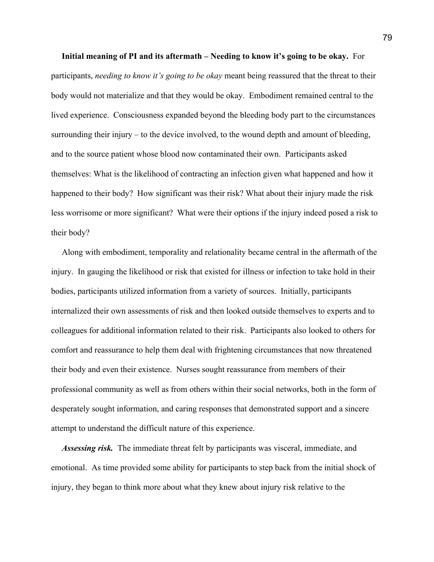**Initial meaning of PI and its aftermath – Needing to know it's going to be okay.** For participants, *needing to know it's going to be okay* meant being reassured that the threat to their body would not materialize and that they would be okay. Embodiment remained central to the lived experience. Consciousness expanded beyond the bleeding body part to the circumstances surrounding their injury – to the device involved, to the wound depth and amount of bleeding, and to the source patient whose blood now contaminated their own. Participants asked themselves: What is the likelihood of contracting an infection given what happened and how it happened to their body? How significant was their risk? What about their injury made the risk less worrisome or more significant? What were their options if the injury indeed posed a risk to their body?

 Along with embodiment, temporality and relationality became central in the aftermath of the injury. In gauging the likelihood or risk that existed for illness or infection to take hold in their bodies, participants utilized information from a variety of sources. Initially, participants internalized their own assessments of risk and then looked outside themselves to experts and to colleagues for additional information related to their risk. Participants also looked to others for comfort and reassurance to help them deal with frightening circumstances that now threatened their body and even their existence. Nurses sought reassurance from members of their professional community as well as from others within their social networks, both in the form of desperately sought information, and caring responses that demonstrated support and a sincere attempt to understand the difficult nature of this experience.

 *Assessing risk.* The immediate threat felt by participants was visceral, immediate, and emotional. As time provided some ability for participants to step back from the initial shock of injury, they began to think more about what they knew about injury risk relative to the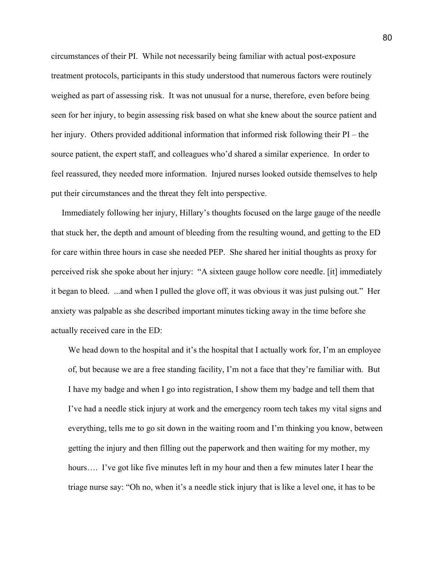circumstances of their PI. While not necessarily being familiar with actual post-exposure treatment protocols, participants in this study understood that numerous factors were routinely weighed as part of assessing risk. It was not unusual for a nurse, therefore, even before being seen for her injury, to begin assessing risk based on what she knew about the source patient and her injury. Others provided additional information that informed risk following their PI – the source patient, the expert staff, and colleagues who'd shared a similar experience. In order to feel reassured, they needed more information. Injured nurses looked outside themselves to help put their circumstances and the threat they felt into perspective.

 Immediately following her injury, Hillary's thoughts focused on the large gauge of the needle that stuck her, the depth and amount of bleeding from the resulting wound, and getting to the ED for care within three hours in case she needed PEP. She shared her initial thoughts as proxy for perceived risk she spoke about her injury: "A sixteen gauge hollow core needle. [it] immediately it began to bleed. ...and when I pulled the glove off, it was obvious it was just pulsing out." Her anxiety was palpable as she described important minutes ticking away in the time before she actually received care in the ED:

We head down to the hospital and it's the hospital that I actually work for, I'm an employee of, but because we are a free standing facility, I'm not a face that they're familiar with. But I have my badge and when I go into registration, I show them my badge and tell them that I've had a needle stick injury at work and the emergency room tech takes my vital signs and everything, tells me to go sit down in the waiting room and I'm thinking you know, between getting the injury and then filling out the paperwork and then waiting for my mother, my hours.... I've got like five minutes left in my hour and then a few minutes later I hear the triage nurse say: "Oh no, when it's a needle stick injury that is like a level one, it has to be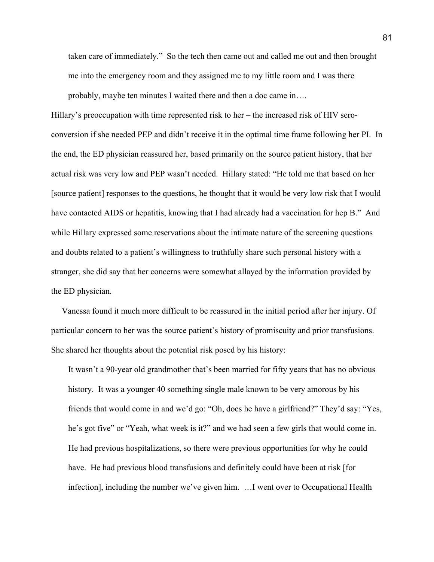taken care of immediately." So the tech then came out and called me out and then brought me into the emergency room and they assigned me to my little room and I was there

probably, maybe ten minutes I waited there and then a doc came in….

Hillary's preoccupation with time represented risk to her – the increased risk of HIV seroconversion if she needed PEP and didn't receive it in the optimal time frame following her PI. In the end, the ED physician reassured her, based primarily on the source patient history, that her actual risk was very low and PEP wasn't needed. Hillary stated: "He told me that based on her [source patient] responses to the questions, he thought that it would be very low risk that I would have contacted AIDS or hepatitis, knowing that I had already had a vaccination for hep B." And while Hillary expressed some reservations about the intimate nature of the screening questions and doubts related to a patient's willingness to truthfully share such personal history with a stranger, she did say that her concerns were somewhat allayed by the information provided by the ED physician.

 Vanessa found it much more difficult to be reassured in the initial period after her injury. Of particular concern to her was the source patient's history of promiscuity and prior transfusions. She shared her thoughts about the potential risk posed by his history:

 It wasn't a 90-year old grandmother that's been married for fifty years that has no obvious history. It was a younger 40 something single male known to be very amorous by his friends that would come in and we'd go: "Oh, does he have a girlfriend?" They'd say: "Yes, he's got five" or "Yeah, what week is it?" and we had seen a few girls that would come in. He had previous hospitalizations, so there were previous opportunities for why he could have. He had previous blood transfusions and definitely could have been at risk [for infection], including the number we've given him. …I went over to Occupational Health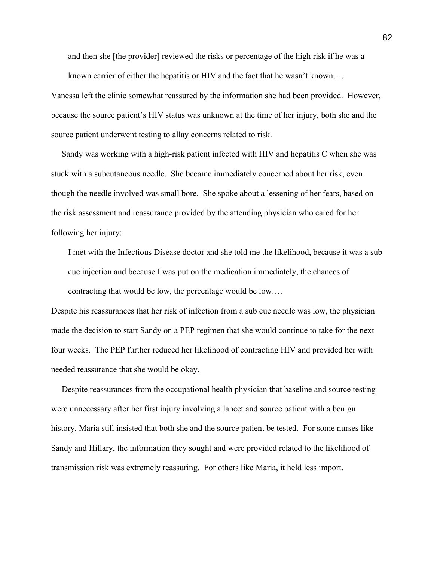and then she [the provider] reviewed the risks or percentage of the high risk if he was a known carrier of either the hepatitis or HIV and the fact that he wasn't known….

Vanessa left the clinic somewhat reassured by the information she had been provided. However, because the source patient's HIV status was unknown at the time of her injury, both she and the source patient underwent testing to allay concerns related to risk.

 Sandy was working with a high-risk patient infected with HIV and hepatitis C when she was stuck with a subcutaneous needle. She became immediately concerned about her risk, even though the needle involved was small bore. She spoke about a lessening of her fears, based on the risk assessment and reassurance provided by the attending physician who cared for her following her injury:

 I met with the Infectious Disease doctor and she told me the likelihood, because it was a sub cue injection and because I was put on the medication immediately, the chances of contracting that would be low, the percentage would be low….

Despite his reassurances that her risk of infection from a sub cue needle was low, the physician made the decision to start Sandy on a PEP regimen that she would continue to take for the next four weeks. The PEP further reduced her likelihood of contracting HIV and provided her with needed reassurance that she would be okay.

 Despite reassurances from the occupational health physician that baseline and source testing were unnecessary after her first injury involving a lancet and source patient with a benign history, Maria still insisted that both she and the source patient be tested. For some nurses like Sandy and Hillary, the information they sought and were provided related to the likelihood of transmission risk was extremely reassuring. For others like Maria, it held less import.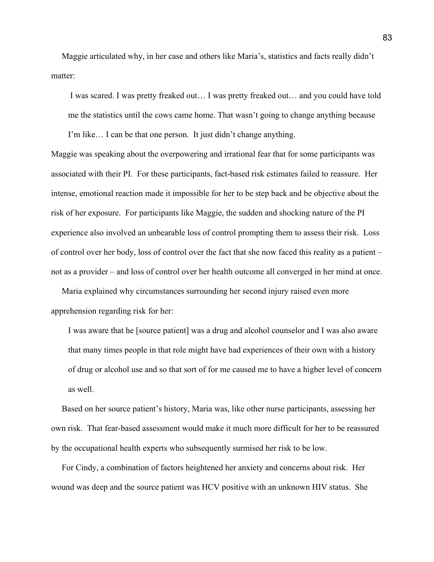Maggie articulated why, in her case and others like Maria's, statistics and facts really didn't matter:

 I was scared. I was pretty freaked out… I was pretty freaked out… and you could have told me the statistics until the cows came home. That wasn't going to change anything because I'm like… I can be that one person. It just didn't change anything.

Maggie was speaking about the overpowering and irrational fear that for some participants was associated with their PI. For these participants, fact-based risk estimates failed to reassure. Her intense, emotional reaction made it impossible for her to be step back and be objective about the risk of her exposure. For participants like Maggie, the sudden and shocking nature of the PI experience also involved an unbearable loss of control prompting them to assess their risk. Loss of control over her body, loss of control over the fact that she now faced this reality as a patient – not as a provider – and loss of control over her health outcome all converged in her mind at once.

 Maria explained why circumstances surrounding her second injury raised even more apprehension regarding risk for her:

 I was aware that he [source patient] was a drug and alcohol counselor and I was also aware that many times people in that role might have had experiences of their own with a history of drug or alcohol use and so that sort of for me caused me to have a higher level of concern as well.

 Based on her source patient's history, Maria was, like other nurse participants, assessing her own risk. That fear-based assessment would make it much more difficult for her to be reassured by the occupational health experts who subsequently surmised her risk to be low.

 For Cindy, a combination of factors heightened her anxiety and concerns about risk. Her wound was deep and the source patient was HCV positive with an unknown HIV status. She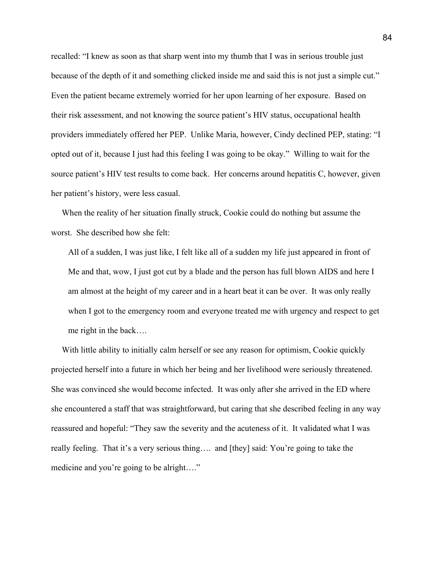recalled: "I knew as soon as that sharp went into my thumb that I was in serious trouble just because of the depth of it and something clicked inside me and said this is not just a simple cut." Even the patient became extremely worried for her upon learning of her exposure. Based on their risk assessment, and not knowing the source patient's HIV status, occupational health providers immediately offered her PEP. Unlike Maria, however, Cindy declined PEP, stating: "I opted out of it, because I just had this feeling I was going to be okay." Willing to wait for the source patient's HIV test results to come back. Her concerns around hepatitis C, however, given her patient's history, were less casual.

 When the reality of her situation finally struck, Cookie could do nothing but assume the worst. She described how she felt:

 All of a sudden, I was just like, I felt like all of a sudden my life just appeared in front of Me and that, wow, I just got cut by a blade and the person has full blown AIDS and here I am almost at the height of my career and in a heart beat it can be over. It was only really when I got to the emergency room and everyone treated me with urgency and respect to get me right in the back….

 With little ability to initially calm herself or see any reason for optimism, Cookie quickly projected herself into a future in which her being and her livelihood were seriously threatened. She was convinced she would become infected. It was only after she arrived in the ED where she encountered a staff that was straightforward, but caring that she described feeling in any way reassured and hopeful: "They saw the severity and the acuteness of it. It validated what I was really feeling. That it's a very serious thing…. and [they] said: You're going to take the medicine and you're going to be alright…."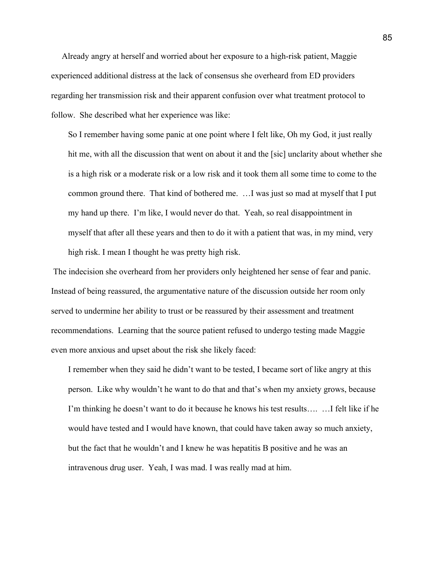Already angry at herself and worried about her exposure to a high-risk patient, Maggie experienced additional distress at the lack of consensus she overheard from ED providers regarding her transmission risk and their apparent confusion over what treatment protocol to follow. She described what her experience was like:

 So I remember having some panic at one point where I felt like, Oh my God, it just really hit me, with all the discussion that went on about it and the [sic] unclarity about whether she is a high risk or a moderate risk or a low risk and it took them all some time to come to the common ground there. That kind of bothered me. …I was just so mad at myself that I put my hand up there. I'm like, I would never do that. Yeah, so real disappointment in myself that after all these years and then to do it with a patient that was, in my mind, very high risk. I mean I thought he was pretty high risk.

 The indecision she overheard from her providers only heightened her sense of fear and panic. Instead of being reassured, the argumentative nature of the discussion outside her room only served to undermine her ability to trust or be reassured by their assessment and treatment recommendations. Learning that the source patient refused to undergo testing made Maggie even more anxious and upset about the risk she likely faced:

 I remember when they said he didn't want to be tested, I became sort of like angry at this person. Like why wouldn't he want to do that and that's when my anxiety grows, because I'm thinking he doesn't want to do it because he knows his test results…. …I felt like if he would have tested and I would have known, that could have taken away so much anxiety, but the fact that he wouldn't and I knew he was hepatitis B positive and he was an intravenous drug user. Yeah, I was mad. I was really mad at him.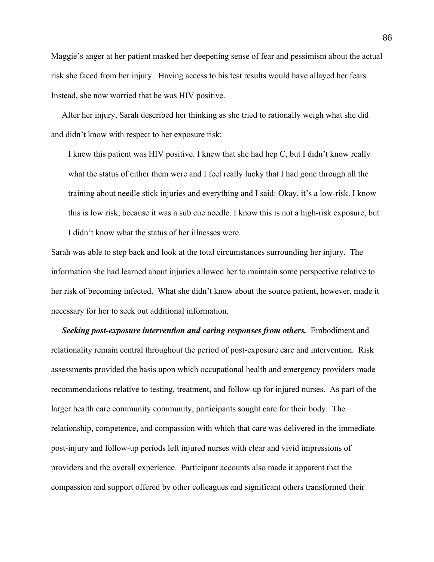Maggie's anger at her patient masked her deepening sense of fear and pessimism about the actual risk she faced from her injury. Having access to his test results would have allayed her fears. Instead, she now worried that he was HIV positive.

 After her injury, Sarah described her thinking as she tried to rationally weigh what she did and didn't know with respect to her exposure risk:

 I knew this patient was HIV positive. I knew that she had hep C, but I didn't know really what the status of either them were and I feel really lucky that I had gone through all the training about needle stick injuries and everything and I said: Okay, it's a low-risk. I know this is low risk, because it was a sub cue needle. I know this is not a high-risk exposure, but I didn't know what the status of her illnesses were.

Sarah was able to step back and look at the total circumstances surrounding her injury. The information she had learned about injuries allowed her to maintain some perspective relative to her risk of becoming infected. What she didn't know about the source patient, however, made it necessary for her to seek out additional information.

 *Seeking post-exposure intervention and caring responses from others.* Embodiment and relationality remain central throughout the period of post-exposure care and intervention. Risk assessments provided the basis upon which occupational health and emergency providers made recommendations relative to testing, treatment, and follow-up for injured nurses. As part of the larger health care community community, participants sought care for their body. The relationship, competence, and compassion with which that care was delivered in the immediate post-injury and follow-up periods left injured nurses with clear and vivid impressions of providers and the overall experience. Participant accounts also made it apparent that the compassion and support offered by other colleagues and significant others transformed their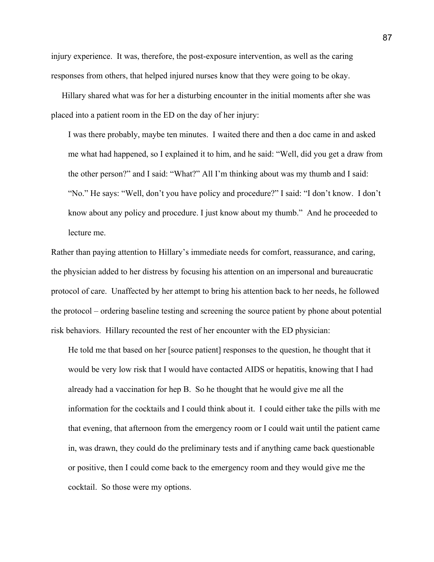injury experience. It was, therefore, the post-exposure intervention, as well as the caring responses from others, that helped injured nurses know that they were going to be okay.

 Hillary shared what was for her a disturbing encounter in the initial moments after she was placed into a patient room in the ED on the day of her injury:

 I was there probably, maybe ten minutes. I waited there and then a doc came in and asked me what had happened, so I explained it to him, and he said: "Well, did you get a draw from the other person?" and I said: "What?" All I'm thinking about was my thumb and I said: "No." He says: "Well, don't you have policy and procedure?" I said: "I don't know. I don't know about any policy and procedure. I just know about my thumb." And he proceeded to lecture me.

Rather than paying attention to Hillary's immediate needs for comfort, reassurance, and caring, the physician added to her distress by focusing his attention on an impersonal and bureaucratic protocol of care. Unaffected by her attempt to bring his attention back to her needs, he followed the protocol – ordering baseline testing and screening the source patient by phone about potential risk behaviors. Hillary recounted the rest of her encounter with the ED physician:

 He told me that based on her [source patient] responses to the question, he thought that it would be very low risk that I would have contacted AIDS or hepatitis, knowing that I had already had a vaccination for hep B. So he thought that he would give me all the information for the cocktails and I could think about it. I could either take the pills with me that evening, that afternoon from the emergency room or I could wait until the patient came in, was drawn, they could do the preliminary tests and if anything came back questionable or positive, then I could come back to the emergency room and they would give me the cocktail. So those were my options.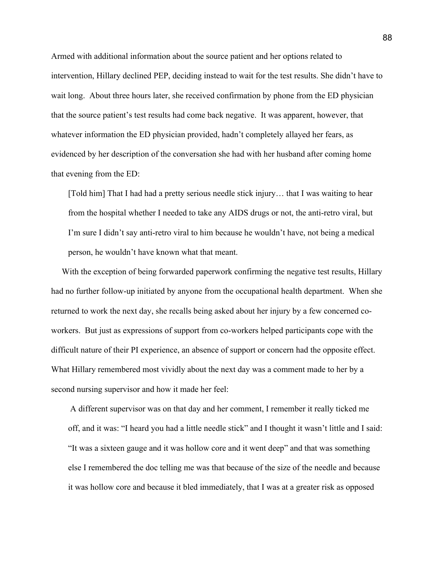Armed with additional information about the source patient and her options related to intervention, Hillary declined PEP, deciding instead to wait for the test results. She didn't have to wait long. About three hours later, she received confirmation by phone from the ED physician that the source patient's test results had come back negative. It was apparent, however, that whatever information the ED physician provided, hadn't completely allayed her fears, as evidenced by her description of the conversation she had with her husband after coming home that evening from the ED:

 [Told him] That I had had a pretty serious needle stick injury… that I was waiting to hear from the hospital whether I needed to take any AIDS drugs or not, the anti-retro viral, but I'm sure I didn't say anti-retro viral to him because he wouldn't have, not being a medical person, he wouldn't have known what that meant.

 With the exception of being forwarded paperwork confirming the negative test results, Hillary had no further follow-up initiated by anyone from the occupational health department. When she returned to work the next day, she recalls being asked about her injury by a few concerned coworkers. But just as expressions of support from co-workers helped participants cope with the difficult nature of their PI experience, an absence of support or concern had the opposite effect. What Hillary remembered most vividly about the next day was a comment made to her by a second nursing supervisor and how it made her feel:

 A different supervisor was on that day and her comment, I remember it really ticked me off, and it was: "I heard you had a little needle stick" and I thought it wasn't little and I said: "It was a sixteen gauge and it was hollow core and it went deep" and that was something else I remembered the doc telling me was that because of the size of the needle and because it was hollow core and because it bled immediately, that I was at a greater risk as opposed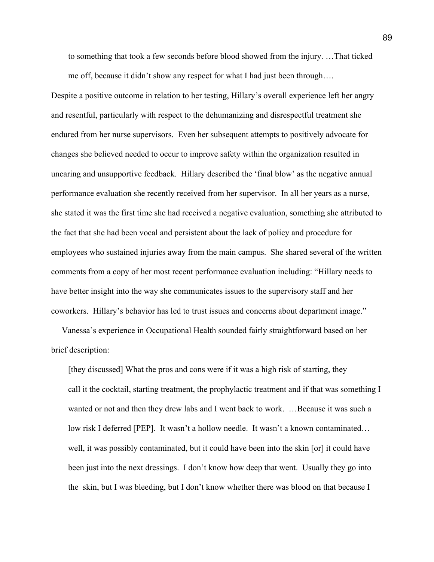to something that took a few seconds before blood showed from the injury. …That ticked me off, because it didn't show any respect for what I had just been through….

Despite a positive outcome in relation to her testing, Hillary's overall experience left her angry and resentful, particularly with respect to the dehumanizing and disrespectful treatment she endured from her nurse supervisors. Even her subsequent attempts to positively advocate for changes she believed needed to occur to improve safety within the organization resulted in uncaring and unsupportive feedback. Hillary described the 'final blow' as the negative annual performance evaluation she recently received from her supervisor. In all her years as a nurse, she stated it was the first time she had received a negative evaluation, something she attributed to the fact that she had been vocal and persistent about the lack of policy and procedure for employees who sustained injuries away from the main campus. She shared several of the written comments from a copy of her most recent performance evaluation including: "Hillary needs to have better insight into the way she communicates issues to the supervisory staff and her coworkers. Hillary's behavior has led to trust issues and concerns about department image."

 Vanessa's experience in Occupational Health sounded fairly straightforward based on her brief description:

 [they discussed] What the pros and cons were if it was a high risk of starting, they call it the cocktail, starting treatment, the prophylactic treatment and if that was something I wanted or not and then they drew labs and I went back to work. …Because it was such a low risk I deferred [PEP]. It wasn't a hollow needle. It wasn't a known contaminated… well, it was possibly contaminated, but it could have been into the skin [or] it could have been just into the next dressings. I don't know how deep that went. Usually they go into the skin, but I was bleeding, but I don't know whether there was blood on that because I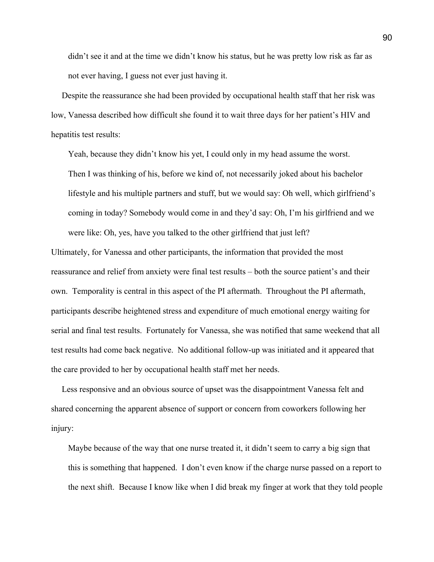didn't see it and at the time we didn't know his status, but he was pretty low risk as far as not ever having, I guess not ever just having it.

 Despite the reassurance she had been provided by occupational health staff that her risk was low, Vanessa described how difficult she found it to wait three days for her patient's HIV and hepatitis test results:

 Yeah, because they didn't know his yet, I could only in my head assume the worst. Then I was thinking of his, before we kind of, not necessarily joked about his bachelor lifestyle and his multiple partners and stuff, but we would say: Oh well, which girlfriend's coming in today? Somebody would come in and they'd say: Oh, I'm his girlfriend and we were like: Oh, yes, have you talked to the other girlfriend that just left?

Ultimately, for Vanessa and other participants, the information that provided the most reassurance and relief from anxiety were final test results – both the source patient's and their own. Temporality is central in this aspect of the PI aftermath. Throughout the PI aftermath, participants describe heightened stress and expenditure of much emotional energy waiting for serial and final test results. Fortunately for Vanessa, she was notified that same weekend that all test results had come back negative. No additional follow-up was initiated and it appeared that the care provided to her by occupational health staff met her needs.

 Less responsive and an obvious source of upset was the disappointment Vanessa felt and shared concerning the apparent absence of support or concern from coworkers following her injury:

 Maybe because of the way that one nurse treated it, it didn't seem to carry a big sign that this is something that happened. I don't even know if the charge nurse passed on a report to the next shift. Because I know like when I did break my finger at work that they told people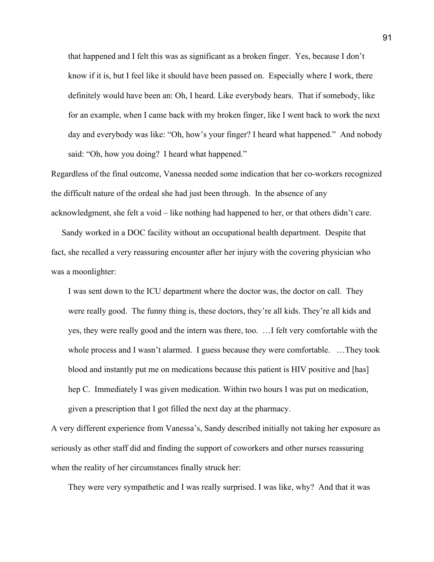that happened and I felt this was as significant as a broken finger. Yes, because I don't know if it is, but I feel like it should have been passed on. Especially where I work, there definitely would have been an: Oh, I heard. Like everybody hears. That if somebody, like for an example, when I came back with my broken finger, like I went back to work the next day and everybody was like: "Oh, how's your finger? I heard what happened." And nobody said: "Oh, how you doing? I heard what happened."

Regardless of the final outcome, Vanessa needed some indication that her co-workers recognized the difficult nature of the ordeal she had just been through. In the absence of any acknowledgment, she felt a void – like nothing had happened to her, or that others didn't care.

 Sandy worked in a DOC facility without an occupational health department. Despite that fact, she recalled a very reassuring encounter after her injury with the covering physician who was a moonlighter:

 I was sent down to the ICU department where the doctor was, the doctor on call. They were really good. The funny thing is, these doctors, they're all kids. They're all kids and yes, they were really good and the intern was there, too. …I felt very comfortable with the whole process and I wasn't alarmed. I guess because they were comfortable. …They took blood and instantly put me on medications because this patient is HIV positive and [has] hep C. Immediately I was given medication. Within two hours I was put on medication, given a prescription that I got filled the next day at the pharmacy.

A very different experience from Vanessa's, Sandy described initially not taking her exposure as seriously as other staff did and finding the support of coworkers and other nurses reassuring when the reality of her circumstances finally struck her:

They were very sympathetic and I was really surprised. I was like, why? And that it was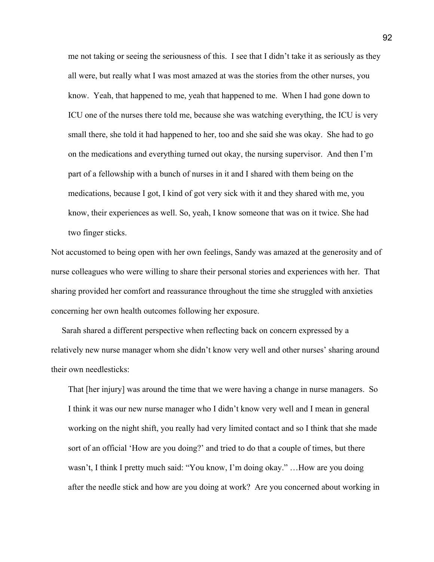me not taking or seeing the seriousness of this. I see that I didn't take it as seriously as they all were, but really what I was most amazed at was the stories from the other nurses, you know. Yeah, that happened to me, yeah that happened to me. When I had gone down to ICU one of the nurses there told me, because she was watching everything, the ICU is very small there, she told it had happened to her, too and she said she was okay. She had to go on the medications and everything turned out okay, the nursing supervisor. And then I'm part of a fellowship with a bunch of nurses in it and I shared with them being on the medications, because I got, I kind of got very sick with it and they shared with me, you know, their experiences as well. So, yeah, I know someone that was on it twice. She had two finger sticks.

Not accustomed to being open with her own feelings, Sandy was amazed at the generosity and of nurse colleagues who were willing to share their personal stories and experiences with her. That sharing provided her comfort and reassurance throughout the time she struggled with anxieties concerning her own health outcomes following her exposure.

 Sarah shared a different perspective when reflecting back on concern expressed by a relatively new nurse manager whom she didn't know very well and other nurses' sharing around their own needlesticks:

 That [her injury] was around the time that we were having a change in nurse managers. So I think it was our new nurse manager who I didn't know very well and I mean in general working on the night shift, you really had very limited contact and so I think that she made sort of an official 'How are you doing?' and tried to do that a couple of times, but there wasn't, I think I pretty much said: "You know, I'm doing okay." …How are you doing after the needle stick and how are you doing at work? Are you concerned about working in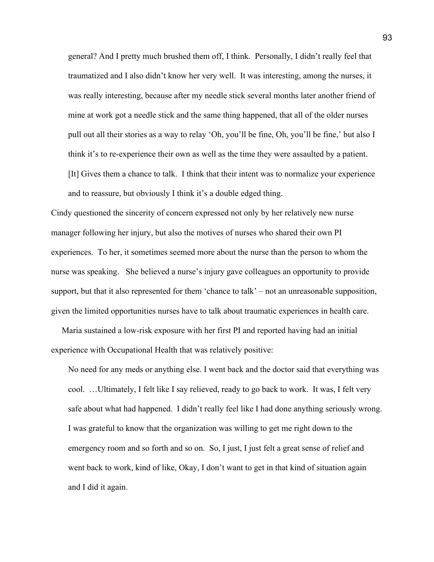general? And I pretty much brushed them off, I think. Personally, I didn't really feel that traumatized and I also didn't know her very well. It was interesting, among the nurses, it was really interesting, because after my needle stick several months later another friend of mine at work got a needle stick and the same thing happened, that all of the older nurses pull out all their stories as a way to relay 'Oh, you'll be fine, Oh, you'll be fine,' but also I think it's to re-experience their own as well as the time they were assaulted by a patient. [It] Gives them a chance to talk. I think that their intent was to normalize your experience

Cindy questioned the sincerity of concern expressed not only by her relatively new nurse manager following her injury, but also the motives of nurses who shared their own PI experiences. To her, it sometimes seemed more about the nurse than the person to whom the nurse was speaking. She believed a nurse's injury gave colleagues an opportunity to provide support, but that it also represented for them 'chance to talk' – not an unreasonable supposition, given the limited opportunities nurses have to talk about traumatic experiences in health care.

and to reassure, but obviously I think it's a double edged thing.

 Maria sustained a low-risk exposure with her first PI and reported having had an initial experience with Occupational Health that was relatively positive:

 No need for any meds or anything else. I went back and the doctor said that everything was cool. …Ultimately, I felt like I say relieved, ready to go back to work. It was, I felt very safe about what had happened. I didn't really feel like I had done anything seriously wrong. I was grateful to know that the organization was willing to get me right down to the emergency room and so forth and so on. So, I just, I just felt a great sense of relief and went back to work, kind of like, Okay, I don't want to get in that kind of situation again and I did it again.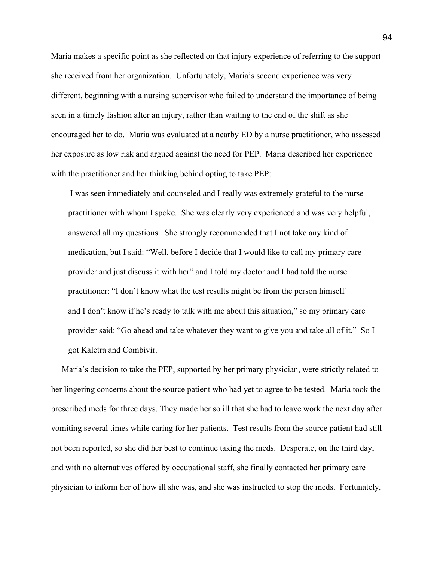Maria makes a specific point as she reflected on that injury experience of referring to the support she received from her organization. Unfortunately, Maria's second experience was very different, beginning with a nursing supervisor who failed to understand the importance of being seen in a timely fashion after an injury, rather than waiting to the end of the shift as she encouraged her to do. Maria was evaluated at a nearby ED by a nurse practitioner, who assessed her exposure as low risk and argued against the need for PEP. Maria described her experience with the practitioner and her thinking behind opting to take PEP:

 I was seen immediately and counseled and I really was extremely grateful to the nurse practitioner with whom I spoke. She was clearly very experienced and was very helpful, answered all my questions. She strongly recommended that I not take any kind of medication, but I said: "Well, before I decide that I would like to call my primary care provider and just discuss it with her" and I told my doctor and I had told the nurse practitioner: "I don't know what the test results might be from the person himself and I don't know if he's ready to talk with me about this situation," so my primary care provider said: "Go ahead and take whatever they want to give you and take all of it." So I got Kaletra and Combivir.

 Maria's decision to take the PEP, supported by her primary physician, were strictly related to her lingering concerns about the source patient who had yet to agree to be tested. Maria took the prescribed meds for three days. They made her so ill that she had to leave work the next day after vomiting several times while caring for her patients. Test results from the source patient had still not been reported, so she did her best to continue taking the meds. Desperate, on the third day, and with no alternatives offered by occupational staff, she finally contacted her primary care physician to inform her of how ill she was, and she was instructed to stop the meds. Fortunately,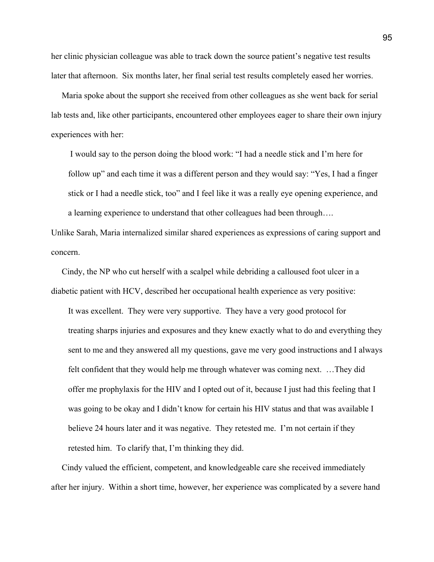her clinic physician colleague was able to track down the source patient's negative test results later that afternoon. Six months later, her final serial test results completely eased her worries.

 Maria spoke about the support she received from other colleagues as she went back for serial lab tests and, like other participants, encountered other employees eager to share their own injury experiences with her:

 I would say to the person doing the blood work: "I had a needle stick and I'm here for follow up" and each time it was a different person and they would say: "Yes, I had a finger stick or I had a needle stick, too" and I feel like it was a really eye opening experience, and a learning experience to understand that other colleagues had been through….

Unlike Sarah, Maria internalized similar shared experiences as expressions of caring support and concern.

 Cindy, the NP who cut herself with a scalpel while debriding a calloused foot ulcer in a diabetic patient with HCV, described her occupational health experience as very positive:

 It was excellent. They were very supportive. They have a very good protocol for treating sharps injuries and exposures and they knew exactly what to do and everything they sent to me and they answered all my questions, gave me very good instructions and I always felt confident that they would help me through whatever was coming next. …They did offer me prophylaxis for the HIV and I opted out of it, because I just had this feeling that I was going to be okay and I didn't know for certain his HIV status and that was available I believe 24 hours later and it was negative. They retested me. I'm not certain if they retested him. To clarify that, I'm thinking they did.

 Cindy valued the efficient, competent, and knowledgeable care she received immediately after her injury. Within a short time, however, her experience was complicated by a severe hand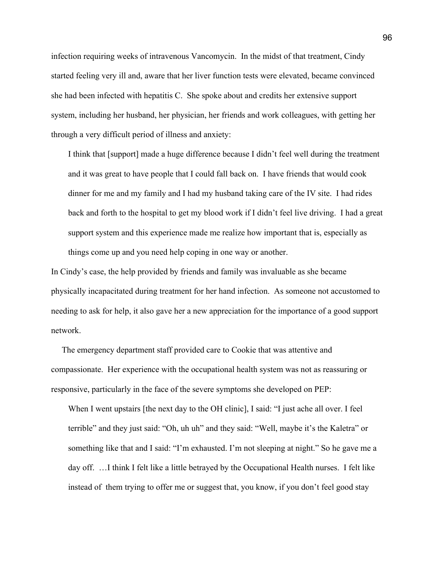infection requiring weeks of intravenous Vancomycin. In the midst of that treatment, Cindy started feeling very ill and, aware that her liver function tests were elevated, became convinced she had been infected with hepatitis C. She spoke about and credits her extensive support system, including her husband, her physician, her friends and work colleagues, with getting her through a very difficult period of illness and anxiety:

 I think that [support] made a huge difference because I didn't feel well during the treatment and it was great to have people that I could fall back on. I have friends that would cook dinner for me and my family and I had my husband taking care of the IV site. I had rides back and forth to the hospital to get my blood work if I didn't feel live driving. I had a great support system and this experience made me realize how important that is, especially as things come up and you need help coping in one way or another.

In Cindy's case, the help provided by friends and family was invaluable as she became physically incapacitated during treatment for her hand infection. As someone not accustomed to needing to ask for help, it also gave her a new appreciation for the importance of a good support network.

 The emergency department staff provided care to Cookie that was attentive and compassionate. Her experience with the occupational health system was not as reassuring or responsive, particularly in the face of the severe symptoms she developed on PEP:

When I went upstairs [the next day to the OH clinic], I said: "I just ache all over. I feel terrible" and they just said: "Oh, uh uh" and they said: "Well, maybe it's the Kaletra" or something like that and I said: "I'm exhausted. I'm not sleeping at night." So he gave me a day off. …I think I felt like a little betrayed by the Occupational Health nurses. I felt like instead of them trying to offer me or suggest that, you know, if you don't feel good stay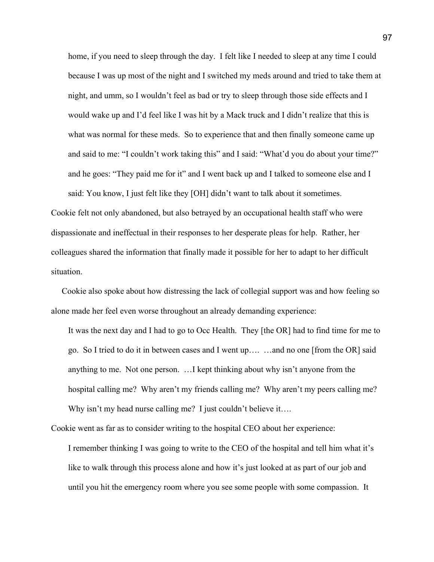home, if you need to sleep through the day. I felt like I needed to sleep at any time I could because I was up most of the night and I switched my meds around and tried to take them at night, and umm, so I wouldn't feel as bad or try to sleep through those side effects and I would wake up and I'd feel like I was hit by a Mack truck and I didn't realize that this is what was normal for these meds. So to experience that and then finally someone came up and said to me: "I couldn't work taking this" and I said: "What'd you do about your time?" and he goes: "They paid me for it" and I went back up and I talked to someone else and I said: You know, I just felt like they [OH] didn't want to talk about it sometimes.

Cookie felt not only abandoned, but also betrayed by an occupational health staff who were dispassionate and ineffectual in their responses to her desperate pleas for help. Rather, her colleagues shared the information that finally made it possible for her to adapt to her difficult situation.

 Cookie also spoke about how distressing the lack of collegial support was and how feeling so alone made her feel even worse throughout an already demanding experience:

 It was the next day and I had to go to Occ Health. They [the OR] had to find time for me to go. So I tried to do it in between cases and I went up…. …and no one [from the OR] said anything to me. Not one person. …I kept thinking about why isn't anyone from the hospital calling me? Why aren't my friends calling me? Why aren't my peers calling me? Why isn't my head nurse calling me? I just couldn't believe it....

Cookie went as far as to consider writing to the hospital CEO about her experience: I remember thinking I was going to write to the CEO of the hospital and tell him what it's like to walk through this process alone and how it's just looked at as part of our job and until you hit the emergency room where you see some people with some compassion. It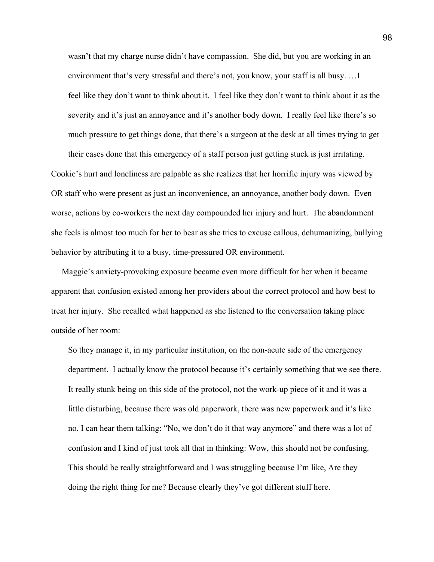wasn't that my charge nurse didn't have compassion. She did, but you are working in an environment that's very stressful and there's not, you know, your staff is all busy. ... I feel like they don't want to think about it. I feel like they don't want to think about it as the severity and it's just an annoyance and it's another body down. I really feel like there's so much pressure to get things done, that there's a surgeon at the desk at all times trying to get their cases done that this emergency of a staff person just getting stuck is just irritating.

Cookie's hurt and loneliness are palpable as she realizes that her horrific injury was viewed by OR staff who were present as just an inconvenience, an annoyance, another body down. Even worse, actions by co-workers the next day compounded her injury and hurt. The abandonment she feels is almost too much for her to bear as she tries to excuse callous, dehumanizing, bullying behavior by attributing it to a busy, time-pressured OR environment.

 Maggie's anxiety-provoking exposure became even more difficult for her when it became apparent that confusion existed among her providers about the correct protocol and how best to treat her injury. She recalled what happened as she listened to the conversation taking place outside of her room:

 So they manage it, in my particular institution, on the non-acute side of the emergency department. I actually know the protocol because it's certainly something that we see there. It really stunk being on this side of the protocol, not the work-up piece of it and it was a little disturbing, because there was old paperwork, there was new paperwork and it's like no, I can hear them talking: "No, we don't do it that way anymore" and there was a lot of confusion and I kind of just took all that in thinking: Wow, this should not be confusing. This should be really straightforward and I was struggling because I'm like, Are they doing the right thing for me? Because clearly they've got different stuff here.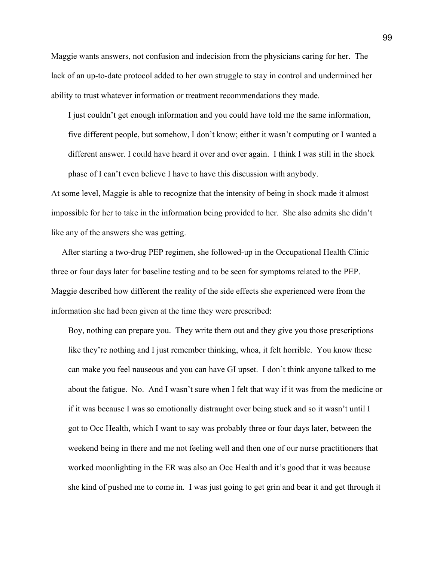Maggie wants answers, not confusion and indecision from the physicians caring for her. The lack of an up-to-date protocol added to her own struggle to stay in control and undermined her ability to trust whatever information or treatment recommendations they made.

 I just couldn't get enough information and you could have told me the same information, five different people, but somehow, I don't know; either it wasn't computing or I wanted a different answer. I could have heard it over and over again. I think I was still in the shock phase of I can't even believe I have to have this discussion with anybody.

At some level, Maggie is able to recognize that the intensity of being in shock made it almost impossible for her to take in the information being provided to her. She also admits she didn't like any of the answers she was getting.

 After starting a two-drug PEP regimen, she followed-up in the Occupational Health Clinic three or four days later for baseline testing and to be seen for symptoms related to the PEP. Maggie described how different the reality of the side effects she experienced were from the information she had been given at the time they were prescribed:

 Boy, nothing can prepare you. They write them out and they give you those prescriptions like they're nothing and I just remember thinking, whoa, it felt horrible. You know these can make you feel nauseous and you can have GI upset. I don't think anyone talked to me about the fatigue. No. And I wasn't sure when I felt that way if it was from the medicine or if it was because I was so emotionally distraught over being stuck and so it wasn't until I got to Occ Health, which I want to say was probably three or four days later, between the weekend being in there and me not feeling well and then one of our nurse practitioners that worked moonlighting in the ER was also an Occ Health and it's good that it was because she kind of pushed me to come in. I was just going to get grin and bear it and get through it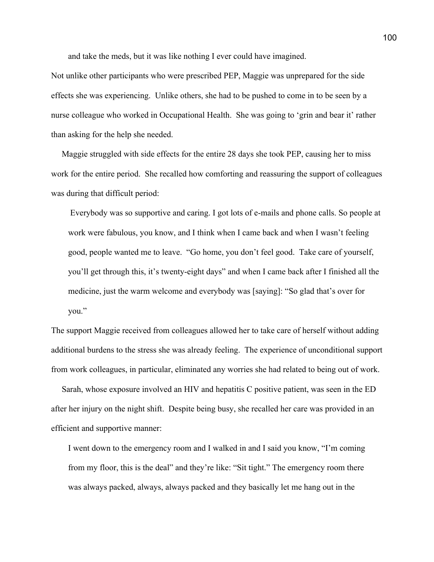and take the meds, but it was like nothing I ever could have imagined.

Not unlike other participants who were prescribed PEP, Maggie was unprepared for the side effects she was experiencing. Unlike others, she had to be pushed to come in to be seen by a nurse colleague who worked in Occupational Health. She was going to 'grin and bear it' rather than asking for the help she needed.

 Maggie struggled with side effects for the entire 28 days she took PEP, causing her to miss work for the entire period. She recalled how comforting and reassuring the support of colleagues was during that difficult period:

 Everybody was so supportive and caring. I got lots of e-mails and phone calls. So people at work were fabulous, you know, and I think when I came back and when I wasn't feeling good, people wanted me to leave. "Go home, you don't feel good. Take care of yourself, you'll get through this, it's twenty-eight days" and when I came back after I finished all the medicine, just the warm welcome and everybody was [saying]: "So glad that's over for you."

The support Maggie received from colleagues allowed her to take care of herself without adding additional burdens to the stress she was already feeling. The experience of unconditional support from work colleagues, in particular, eliminated any worries she had related to being out of work.

 Sarah, whose exposure involved an HIV and hepatitis C positive patient, was seen in the ED after her injury on the night shift. Despite being busy, she recalled her care was provided in an efficient and supportive manner:

 I went down to the emergency room and I walked in and I said you know, "I'm coming from my floor, this is the deal" and they're like: "Sit tight." The emergency room there was always packed, always, always packed and they basically let me hang out in the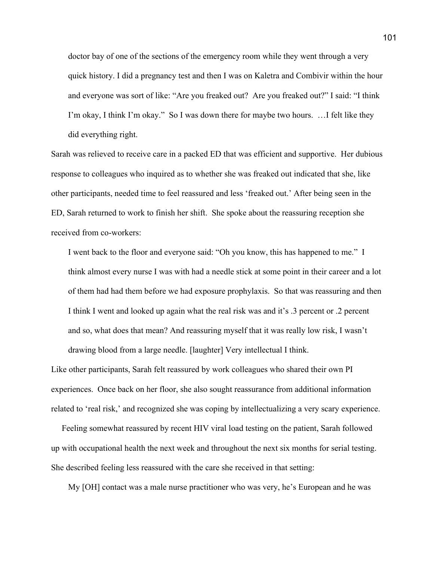doctor bay of one of the sections of the emergency room while they went through a very quick history. I did a pregnancy test and then I was on Kaletra and Combivir within the hour and everyone was sort of like: "Are you freaked out? Are you freaked out?" I said: "I think I'm okay, I think I'm okay." So I was down there for maybe two hours. …I felt like they did everything right.

Sarah was relieved to receive care in a packed ED that was efficient and supportive. Her dubious response to colleagues who inquired as to whether she was freaked out indicated that she, like other participants, needed time to feel reassured and less 'freaked out.' After being seen in the ED, Sarah returned to work to finish her shift. She spoke about the reassuring reception she received from co-workers:

 I went back to the floor and everyone said: "Oh you know, this has happened to me." I think almost every nurse I was with had a needle stick at some point in their career and a lot of them had had them before we had exposure prophylaxis. So that was reassuring and then I think I went and looked up again what the real risk was and it's .3 percent or .2 percent and so, what does that mean? And reassuring myself that it was really low risk, I wasn't drawing blood from a large needle. [laughter] Very intellectual I think.

Like other participants, Sarah felt reassured by work colleagues who shared their own PI experiences. Once back on her floor, she also sought reassurance from additional information related to 'real risk,' and recognized she was coping by intellectualizing a very scary experience.

 Feeling somewhat reassured by recent HIV viral load testing on the patient, Sarah followed up with occupational health the next week and throughout the next six months for serial testing. She described feeling less reassured with the care she received in that setting:

My [OH] contact was a male nurse practitioner who was very, he's European and he was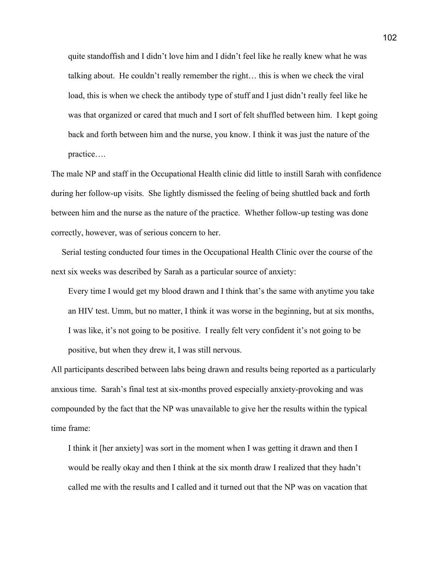quite standoffish and I didn't love him and I didn't feel like he really knew what he was talking about. He couldn't really remember the right… this is when we check the viral load, this is when we check the antibody type of stuff and I just didn't really feel like he was that organized or cared that much and I sort of felt shuffled between him. I kept going back and forth between him and the nurse, you know. I think it was just the nature of the practice….

The male NP and staff in the Occupational Health clinic did little to instill Sarah with confidence during her follow-up visits. She lightly dismissed the feeling of being shuttled back and forth between him and the nurse as the nature of the practice. Whether follow-up testing was done correctly, however, was of serious concern to her.

 Serial testing conducted four times in the Occupational Health Clinic over the course of the next six weeks was described by Sarah as a particular source of anxiety:

 Every time I would get my blood drawn and I think that's the same with anytime you take an HIV test. Umm, but no matter, I think it was worse in the beginning, but at six months, I was like, it's not going to be positive. I really felt very confident it's not going to be positive, but when they drew it, I was still nervous.

All participants described between labs being drawn and results being reported as a particularly anxious time. Sarah's final test at six-months proved especially anxiety-provoking and was compounded by the fact that the NP was unavailable to give her the results within the typical time frame:

 I think it [her anxiety] was sort in the moment when I was getting it drawn and then I would be really okay and then I think at the six month draw I realized that they hadn't called me with the results and I called and it turned out that the NP was on vacation that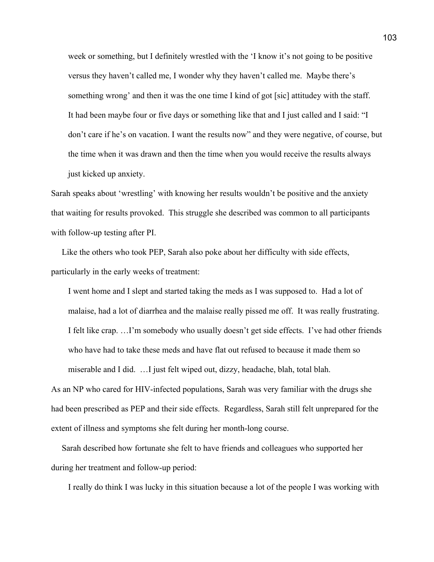week or something, but I definitely wrestled with the 'I know it's not going to be positive versus they haven't called me, I wonder why they haven't called me. Maybe there's something wrong' and then it was the one time I kind of got [sic] attitudey with the staff. It had been maybe four or five days or something like that and I just called and I said: "I don't care if he's on vacation. I want the results now" and they were negative, of course, but the time when it was drawn and then the time when you would receive the results always just kicked up anxiety.

Sarah speaks about 'wrestling' with knowing her results wouldn't be positive and the anxiety that waiting for results provoked. This struggle she described was common to all participants with follow-up testing after PI.

 Like the others who took PEP, Sarah also poke about her difficulty with side effects, particularly in the early weeks of treatment:

 I went home and I slept and started taking the meds as I was supposed to. Had a lot of malaise, had a lot of diarrhea and the malaise really pissed me off. It was really frustrating. I felt like crap. …I'm somebody who usually doesn't get side effects. I've had other friends who have had to take these meds and have flat out refused to because it made them so miserable and I did. …I just felt wiped out, dizzy, headache, blah, total blah. As an NP who cared for HIV-infected populations, Sarah was very familiar with the drugs she had been prescribed as PEP and their side effects. Regardless, Sarah still felt unprepared for the extent of illness and symptoms she felt during her month-long course.

 Sarah described how fortunate she felt to have friends and colleagues who supported her during her treatment and follow-up period:

I really do think I was lucky in this situation because a lot of the people I was working with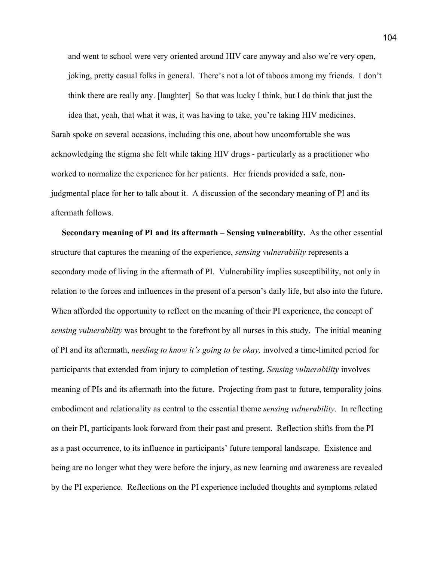and went to school were very oriented around HIV care anyway and also we're very open, joking, pretty casual folks in general. There's not a lot of taboos among my friends. I don't think there are really any. [laughter] So that was lucky I think, but I do think that just the idea that, yeah, that what it was, it was having to take, you're taking HIV medicines. Sarah spoke on several occasions, including this one, about how uncomfortable she was acknowledging the stigma she felt while taking HIV drugs - particularly as a practitioner who worked to normalize the experience for her patients. Her friends provided a safe, nonjudgmental place for her to talk about it. A discussion of the secondary meaning of PI and its aftermath follows.

 **Secondary meaning of PI and its aftermath – Sensing vulnerability.** As the other essential structure that captures the meaning of the experience, *sensing vulnerability* represents a secondary mode of living in the aftermath of PI. Vulnerability implies susceptibility, not only in relation to the forces and influences in the present of a person's daily life, but also into the future. When afforded the opportunity to reflect on the meaning of their PI experience, the concept of *sensing vulnerability* was brought to the forefront by all nurses in this study. The initial meaning of PI and its aftermath, *needing to know it's going to be okay,* involved a time-limited period for participants that extended from injury to completion of testing. *Sensing vulnerability* involves meaning of PIs and its aftermath into the future. Projecting from past to future, temporality joins embodiment and relationality as central to the essential theme *sensing vulnerability*. In reflecting on their PI, participants look forward from their past and present. Reflection shifts from the PI as a past occurrence, to its influence in participants' future temporal landscape. Existence and being are no longer what they were before the injury, as new learning and awareness are revealed by the PI experience. Reflections on the PI experience included thoughts and symptoms related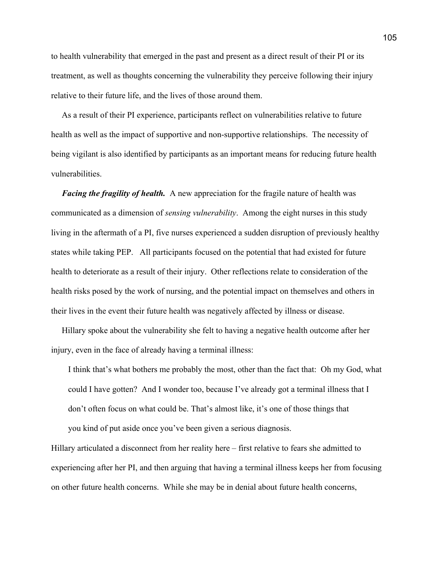to health vulnerability that emerged in the past and present as a direct result of their PI or its treatment, as well as thoughts concerning the vulnerability they perceive following their injury relative to their future life, and the lives of those around them.

 As a result of their PI experience, participants reflect on vulnerabilities relative to future health as well as the impact of supportive and non-supportive relationships. The necessity of being vigilant is also identified by participants as an important means for reducing future health vulnerabilities.

*Facing the fragility of health.* A new appreciation for the fragile nature of health was communicated as a dimension of *sensing vulnerability*. Among the eight nurses in this study living in the aftermath of a PI, five nurses experienced a sudden disruption of previously healthy states while taking PEP. All participants focused on the potential that had existed for future health to deteriorate as a result of their injury. Other reflections relate to consideration of the health risks posed by the work of nursing, and the potential impact on themselves and others in their lives in the event their future health was negatively affected by illness or disease.

 Hillary spoke about the vulnerability she felt to having a negative health outcome after her injury, even in the face of already having a terminal illness:

 I think that's what bothers me probably the most, other than the fact that: Oh my God, what could I have gotten? And I wonder too, because I've already got a terminal illness that I don't often focus on what could be. That's almost like, it's one of those things that you kind of put aside once you've been given a serious diagnosis.

Hillary articulated a disconnect from her reality here – first relative to fears she admitted to experiencing after her PI, and then arguing that having a terminal illness keeps her from focusing on other future health concerns. While she may be in denial about future health concerns,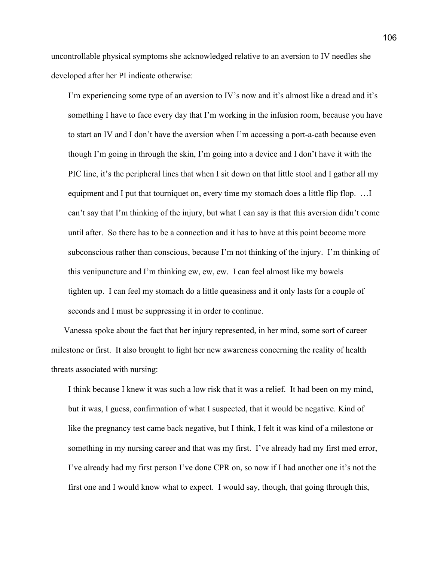uncontrollable physical symptoms she acknowledged relative to an aversion to IV needles she developed after her PI indicate otherwise:

 I'm experiencing some type of an aversion to IV's now and it's almost like a dread and it's something I have to face every day that I'm working in the infusion room, because you have to start an IV and I don't have the aversion when I'm accessing a port-a-cath because even though I'm going in through the skin, I'm going into a device and I don't have it with the PIC line, it's the peripheral lines that when I sit down on that little stool and I gather all my equipment and I put that tourniquet on, every time my stomach does a little flip flop. ... I can't say that I'm thinking of the injury, but what I can say is that this aversion didn't come until after. So there has to be a connection and it has to have at this point become more subconscious rather than conscious, because I'm not thinking of the injury. I'm thinking of this venipuncture and I'm thinking ew, ew, ew. I can feel almost like my bowels tighten up. I can feel my stomach do a little queasiness and it only lasts for a couple of seconds and I must be suppressing it in order to continue.

 Vanessa spoke about the fact that her injury represented, in her mind, some sort of career milestone or first. It also brought to light her new awareness concerning the reality of health threats associated with nursing:

 I think because I knew it was such a low risk that it was a relief. It had been on my mind, but it was, I guess, confirmation of what I suspected, that it would be negative. Kind of like the pregnancy test came back negative, but I think, I felt it was kind of a milestone or something in my nursing career and that was my first. I've already had my first med error, I've already had my first person I've done CPR on, so now if I had another one it's not the first one and I would know what to expect. I would say, though, that going through this,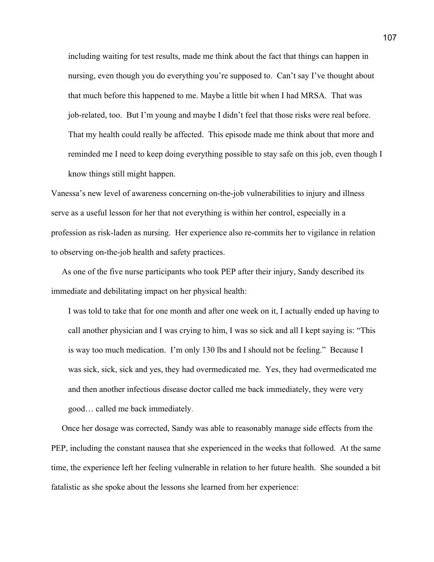including waiting for test results, made me think about the fact that things can happen in nursing, even though you do everything you're supposed to. Can't say I've thought about that much before this happened to me. Maybe a little bit when I had MRSA. That was job-related, too. But I'm young and maybe I didn't feel that those risks were real before. That my health could really be affected. This episode made me think about that more and reminded me I need to keep doing everything possible to stay safe on this job, even though I know things still might happen.

Vanessa's new level of awareness concerning on-the-job vulnerabilities to injury and illness serve as a useful lesson for her that not everything is within her control, especially in a profession as risk-laden as nursing. Her experience also re-commits her to vigilance in relation to observing on-the-job health and safety practices.

 As one of the five nurse participants who took PEP after their injury, Sandy described its immediate and debilitating impact on her physical health:

 I was told to take that for one month and after one week on it, I actually ended up having to call another physician and I was crying to him, I was so sick and all I kept saying is: "This is way too much medication. I'm only 130 lbs and I should not be feeling." Because I was sick, sick, sick and yes, they had overmedicated me. Yes, they had overmedicated me and then another infectious disease doctor called me back immediately, they were very good… called me back immediately.

 Once her dosage was corrected, Sandy was able to reasonably manage side effects from the PEP, including the constant nausea that she experienced in the weeks that followed. At the same time, the experience left her feeling vulnerable in relation to her future health. She sounded a bit fatalistic as she spoke about the lessons she learned from her experience: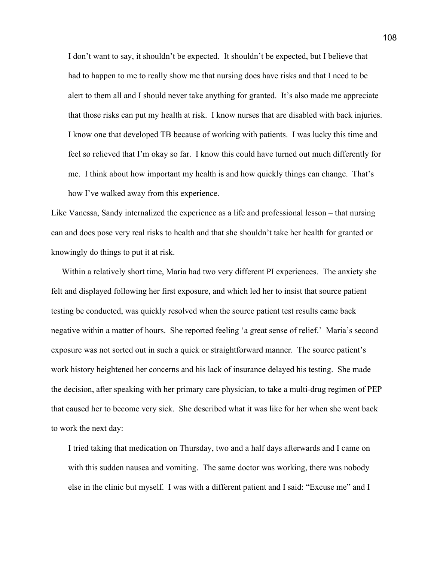I don't want to say, it shouldn't be expected. It shouldn't be expected, but I believe that had to happen to me to really show me that nursing does have risks and that I need to be alert to them all and I should never take anything for granted. It's also made me appreciate that those risks can put my health at risk. I know nurses that are disabled with back injuries. I know one that developed TB because of working with patients. I was lucky this time and feel so relieved that I'm okay so far. I know this could have turned out much differently for me. I think about how important my health is and how quickly things can change. That's how I've walked away from this experience.

Like Vanessa, Sandy internalized the experience as a life and professional lesson – that nursing can and does pose very real risks to health and that she shouldn't take her health for granted or knowingly do things to put it at risk.

 Within a relatively short time, Maria had two very different PI experiences. The anxiety she felt and displayed following her first exposure, and which led her to insist that source patient testing be conducted, was quickly resolved when the source patient test results came back negative within a matter of hours. She reported feeling 'a great sense of relief.' Maria's second exposure was not sorted out in such a quick or straightforward manner. The source patient's work history heightened her concerns and his lack of insurance delayed his testing. She made the decision, after speaking with her primary care physician, to take a multi-drug regimen of PEP that caused her to become very sick. She described what it was like for her when she went back to work the next day:

 I tried taking that medication on Thursday, two and a half days afterwards and I came on with this sudden nausea and vomiting. The same doctor was working, there was nobody else in the clinic but myself. I was with a different patient and I said: "Excuse me" and I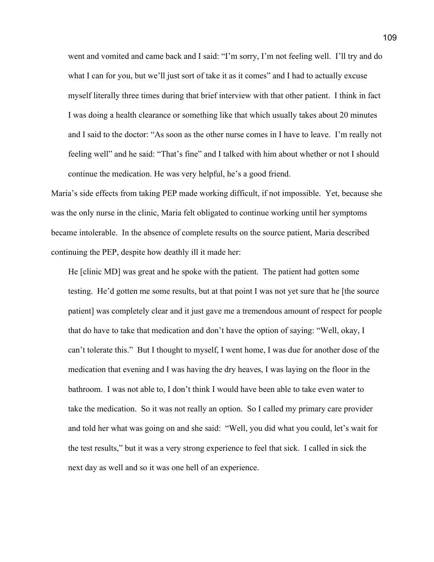went and vomited and came back and I said: "I'm sorry, I'm not feeling well. I'll try and do what I can for you, but we'll just sort of take it as it comes" and I had to actually excuse myself literally three times during that brief interview with that other patient. I think in fact I was doing a health clearance or something like that which usually takes about 20 minutes and I said to the doctor: "As soon as the other nurse comes in I have to leave. I'm really not feeling well" and he said: "That's fine" and I talked with him about whether or not I should continue the medication. He was very helpful, he's a good friend.

Maria's side effects from taking PEP made working difficult, if not impossible. Yet, because she was the only nurse in the clinic, Maria felt obligated to continue working until her symptoms became intolerable. In the absence of complete results on the source patient, Maria described continuing the PEP, despite how deathly ill it made her:

 He [clinic MD] was great and he spoke with the patient. The patient had gotten some testing. He'd gotten me some results, but at that point I was not yet sure that he [the source patient] was completely clear and it just gave me a tremendous amount of respect for people that do have to take that medication and don't have the option of saying: "Well, okay, I can't tolerate this." But I thought to myself, I went home, I was due for another dose of the medication that evening and I was having the dry heaves, I was laying on the floor in the bathroom. I was not able to, I don't think I would have been able to take even water to take the medication. So it was not really an option. So I called my primary care provider and told her what was going on and she said: "Well, you did what you could, let's wait for the test results," but it was a very strong experience to feel that sick. I called in sick the next day as well and so it was one hell of an experience.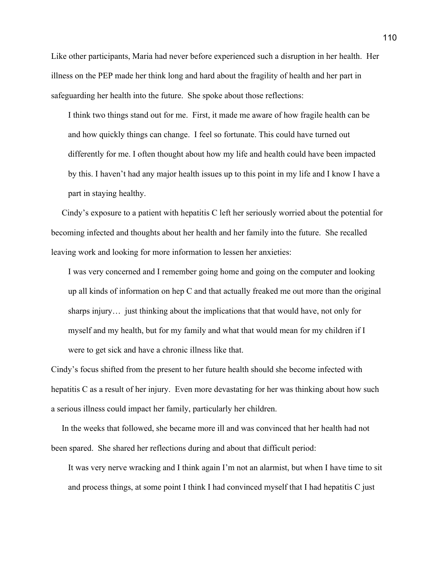Like other participants, Maria had never before experienced such a disruption in her health. Her illness on the PEP made her think long and hard about the fragility of health and her part in safeguarding her health into the future. She spoke about those reflections:

 I think two things stand out for me. First, it made me aware of how fragile health can be and how quickly things can change. I feel so fortunate. This could have turned out differently for me. I often thought about how my life and health could have been impacted by this. I haven't had any major health issues up to this point in my life and I know I have a part in staying healthy.

 Cindy's exposure to a patient with hepatitis C left her seriously worried about the potential for becoming infected and thoughts about her health and her family into the future. She recalled leaving work and looking for more information to lessen her anxieties:

 I was very concerned and I remember going home and going on the computer and looking up all kinds of information on hep C and that actually freaked me out more than the original sharps injury… just thinking about the implications that that would have, not only for myself and my health, but for my family and what that would mean for my children if I were to get sick and have a chronic illness like that.

Cindy's focus shifted from the present to her future health should she become infected with hepatitis C as a result of her injury. Even more devastating for her was thinking about how such a serious illness could impact her family, particularly her children.

 In the weeks that followed, she became more ill and was convinced that her health had not been spared. She shared her reflections during and about that difficult period:

 It was very nerve wracking and I think again I'm not an alarmist, but when I have time to sit and process things, at some point I think I had convinced myself that I had hepatitis C just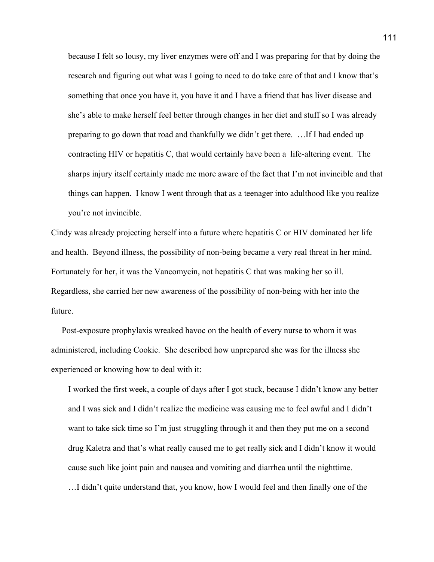because I felt so lousy, my liver enzymes were off and I was preparing for that by doing the research and figuring out what was I going to need to do take care of that and I know that's something that once you have it, you have it and I have a friend that has liver disease and she's able to make herself feel better through changes in her diet and stuff so I was already preparing to go down that road and thankfully we didn't get there. …If I had ended up contracting HIV or hepatitis C, that would certainly have been a life-altering event. The sharps injury itself certainly made me more aware of the fact that I'm not invincible and that things can happen. I know I went through that as a teenager into adulthood like you realize you're not invincible.

Cindy was already projecting herself into a future where hepatitis C or HIV dominated her life and health. Beyond illness, the possibility of non-being became a very real threat in her mind. Fortunately for her, it was the Vancomycin, not hepatitis C that was making her so ill. Regardless, she carried her new awareness of the possibility of non-being with her into the future.

 Post-exposure prophylaxis wreaked havoc on the health of every nurse to whom it was administered, including Cookie. She described how unprepared she was for the illness she experienced or knowing how to deal with it:

 I worked the first week, a couple of days after I got stuck, because I didn't know any better and I was sick and I didn't realize the medicine was causing me to feel awful and I didn't want to take sick time so I'm just struggling through it and then they put me on a second drug Kaletra and that's what really caused me to get really sick and I didn't know it would cause such like joint pain and nausea and vomiting and diarrhea until the nighttime. …I didn't quite understand that, you know, how I would feel and then finally one of the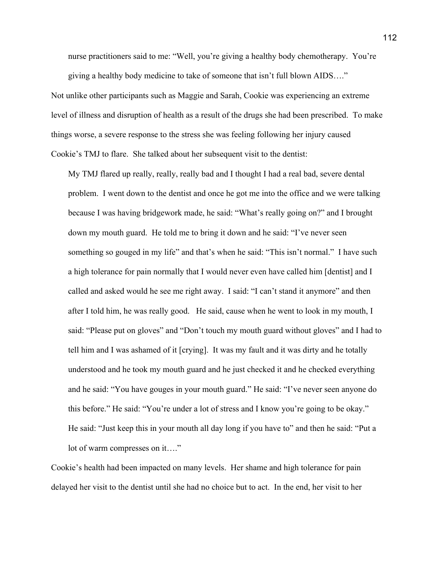nurse practitioners said to me: "Well, you're giving a healthy body chemotherapy. You're

 giving a healthy body medicine to take of someone that isn't full blown AIDS…." Not unlike other participants such as Maggie and Sarah, Cookie was experiencing an extreme level of illness and disruption of health as a result of the drugs she had been prescribed. To make things worse, a severe response to the stress she was feeling following her injury caused Cookie's TMJ to flare. She talked about her subsequent visit to the dentist:

 My TMJ flared up really, really, really bad and I thought I had a real bad, severe dental problem. I went down to the dentist and once he got me into the office and we were talking because I was having bridgework made, he said: "What's really going on?" and I brought down my mouth guard. He told me to bring it down and he said: "I've never seen something so gouged in my life" and that's when he said: "This isn't normal." I have such a high tolerance for pain normally that I would never even have called him [dentist] and I called and asked would he see me right away. I said: "I can't stand it anymore" and then after I told him, he was really good. He said, cause when he went to look in my mouth, I said: "Please put on gloves" and "Don't touch my mouth guard without gloves" and I had to tell him and I was ashamed of it [crying]. It was my fault and it was dirty and he totally understood and he took my mouth guard and he just checked it and he checked everything and he said: "You have gouges in your mouth guard." He said: "I've never seen anyone do this before." He said: "You're under a lot of stress and I know you're going to be okay." He said: "Just keep this in your mouth all day long if you have to" and then he said: "Put a lot of warm compresses on it…."

Cookie's health had been impacted on many levels. Her shame and high tolerance for pain delayed her visit to the dentist until she had no choice but to act. In the end, her visit to her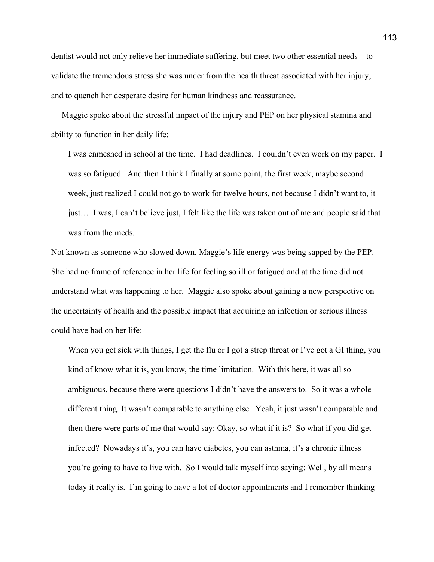dentist would not only relieve her immediate suffering, but meet two other essential needs – to validate the tremendous stress she was under from the health threat associated with her injury, and to quench her desperate desire for human kindness and reassurance.

 Maggie spoke about the stressful impact of the injury and PEP on her physical stamina and ability to function in her daily life:

 I was enmeshed in school at the time. I had deadlines. I couldn't even work on my paper. I was so fatigued. And then I think I finally at some point, the first week, maybe second week, just realized I could not go to work for twelve hours, not because I didn't want to, it just… I was, I can't believe just, I felt like the life was taken out of me and people said that was from the meds.

Not known as someone who slowed down, Maggie's life energy was being sapped by the PEP. She had no frame of reference in her life for feeling so ill or fatigued and at the time did not understand what was happening to her. Maggie also spoke about gaining a new perspective on the uncertainty of health and the possible impact that acquiring an infection or serious illness could have had on her life:

When you get sick with things, I get the flu or I got a strep throat or I've got a GI thing, you kind of know what it is, you know, the time limitation. With this here, it was all so ambiguous, because there were questions I didn't have the answers to. So it was a whole different thing. It wasn't comparable to anything else. Yeah, it just wasn't comparable and then there were parts of me that would say: Okay, so what if it is? So what if you did get infected? Nowadays it's, you can have diabetes, you can asthma, it's a chronic illness you're going to have to live with. So I would talk myself into saying: Well, by all means today it really is. I'm going to have a lot of doctor appointments and I remember thinking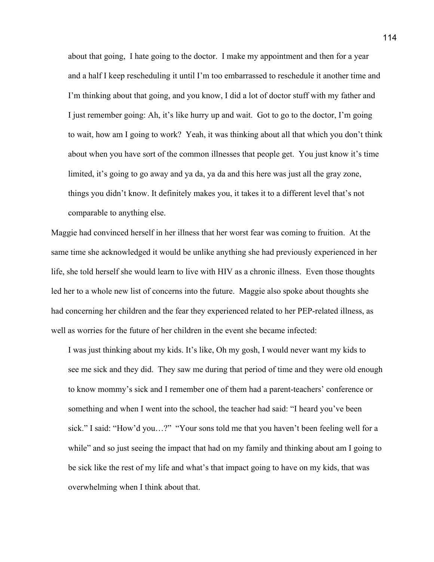about that going, I hate going to the doctor. I make my appointment and then for a year and a half I keep rescheduling it until I'm too embarrassed to reschedule it another time and I'm thinking about that going, and you know, I did a lot of doctor stuff with my father and I just remember going: Ah, it's like hurry up and wait. Got to go to the doctor, I'm going to wait, how am I going to work? Yeah, it was thinking about all that which you don't think about when you have sort of the common illnesses that people get. You just know it's time limited, it's going to go away and ya da, ya da and this here was just all the gray zone, things you didn't know. It definitely makes you, it takes it to a different level that's not comparable to anything else.

Maggie had convinced herself in her illness that her worst fear was coming to fruition. At the same time she acknowledged it would be unlike anything she had previously experienced in her life, she told herself she would learn to live with HIV as a chronic illness. Even those thoughts led her to a whole new list of concerns into the future. Maggie also spoke about thoughts she had concerning her children and the fear they experienced related to her PEP-related illness, as well as worries for the future of her children in the event she became infected:

 I was just thinking about my kids. It's like, Oh my gosh, I would never want my kids to see me sick and they did. They saw me during that period of time and they were old enough to know mommy's sick and I remember one of them had a parent-teachers' conference or something and when I went into the school, the teacher had said: "I heard you've been sick." I said: "How'd you…?" "Your sons told me that you haven't been feeling well for a while" and so just seeing the impact that had on my family and thinking about am I going to be sick like the rest of my life and what's that impact going to have on my kids, that was overwhelming when I think about that.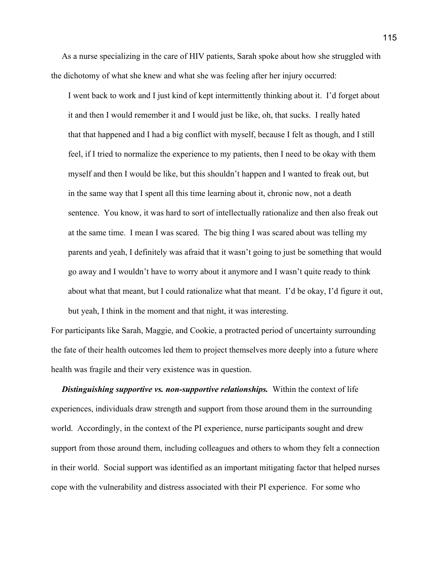As a nurse specializing in the care of HIV patients, Sarah spoke about how she struggled with the dichotomy of what she knew and what she was feeling after her injury occurred:

 I went back to work and I just kind of kept intermittently thinking about it. I'd forget about it and then I would remember it and I would just be like, oh, that sucks. I really hated that that happened and I had a big conflict with myself, because I felt as though, and I still feel, if I tried to normalize the experience to my patients, then I need to be okay with them myself and then I would be like, but this shouldn't happen and I wanted to freak out, but in the same way that I spent all this time learning about it, chronic now, not a death sentence. You know, it was hard to sort of intellectually rationalize and then also freak out at the same time. I mean I was scared. The big thing I was scared about was telling my parents and yeah, I definitely was afraid that it wasn't going to just be something that would go away and I wouldn't have to worry about it anymore and I wasn't quite ready to think about what that meant, but I could rationalize what that meant. I'd be okay, I'd figure it out, but yeah, I think in the moment and that night, it was interesting.

For participants like Sarah, Maggie, and Cookie, a protracted period of uncertainty surrounding the fate of their health outcomes led them to project themselves more deeply into a future where health was fragile and their very existence was in question.

 *Distinguishing supportive vs. non-supportive relationships.* Within the context of life experiences, individuals draw strength and support from those around them in the surrounding world. Accordingly, in the context of the PI experience, nurse participants sought and drew support from those around them, including colleagues and others to whom they felt a connection in their world. Social support was identified as an important mitigating factor that helped nurses cope with the vulnerability and distress associated with their PI experience. For some who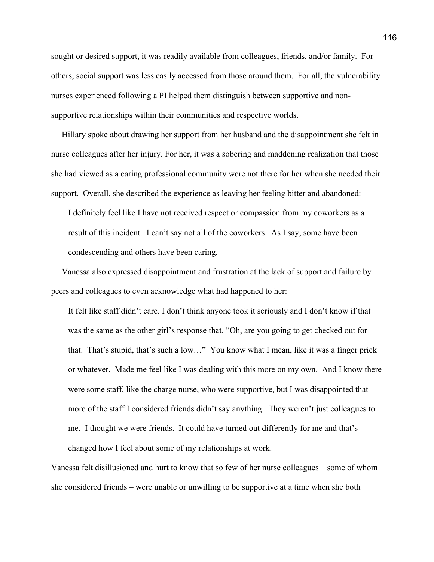sought or desired support, it was readily available from colleagues, friends, and/or family. For others, social support was less easily accessed from those around them. For all, the vulnerability nurses experienced following a PI helped them distinguish between supportive and nonsupportive relationships within their communities and respective worlds.

 Hillary spoke about drawing her support from her husband and the disappointment she felt in nurse colleagues after her injury. For her, it was a sobering and maddening realization that those she had viewed as a caring professional community were not there for her when she needed their support. Overall, she described the experience as leaving her feeling bitter and abandoned:

 I definitely feel like I have not received respect or compassion from my coworkers as a result of this incident. I can't say not all of the coworkers. As I say, some have been condescending and others have been caring.

 Vanessa also expressed disappointment and frustration at the lack of support and failure by peers and colleagues to even acknowledge what had happened to her:

 It felt like staff didn't care. I don't think anyone took it seriously and I don't know if that was the same as the other girl's response that. "Oh, are you going to get checked out for that. That's stupid, that's such a low…" You know what I mean, like it was a finger prick or whatever. Made me feel like I was dealing with this more on my own. And I know there were some staff, like the charge nurse, who were supportive, but I was disappointed that more of the staff I considered friends didn't say anything. They weren't just colleagues to me. I thought we were friends. It could have turned out differently for me and that's changed how I feel about some of my relationships at work.

Vanessa felt disillusioned and hurt to know that so few of her nurse colleagues – some of whom she considered friends – were unable or unwilling to be supportive at a time when she both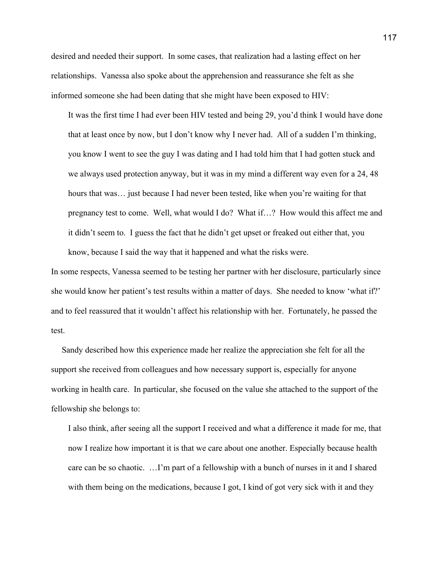desired and needed their support. In some cases, that realization had a lasting effect on her relationships. Vanessa also spoke about the apprehension and reassurance she felt as she informed someone she had been dating that she might have been exposed to HIV:

 It was the first time I had ever been HIV tested and being 29, you'd think I would have done that at least once by now, but I don't know why I never had. All of a sudden I'm thinking, you know I went to see the guy I was dating and I had told him that I had gotten stuck and we always used protection anyway, but it was in my mind a different way even for a 24, 48 hours that was... just because I had never been tested, like when you're waiting for that pregnancy test to come. Well, what would I do? What if…? How would this affect me and it didn't seem to. I guess the fact that he didn't get upset or freaked out either that, you know, because I said the way that it happened and what the risks were.

In some respects, Vanessa seemed to be testing her partner with her disclosure, particularly since she would know her patient's test results within a matter of days. She needed to know 'what if?' and to feel reassured that it wouldn't affect his relationship with her. Fortunately, he passed the test.

 Sandy described how this experience made her realize the appreciation she felt for all the support she received from colleagues and how necessary support is, especially for anyone working in health care. In particular, she focused on the value she attached to the support of the fellowship she belongs to:

 I also think, after seeing all the support I received and what a difference it made for me, that now I realize how important it is that we care about one another. Especially because health care can be so chaotic. …I'm part of a fellowship with a bunch of nurses in it and I shared with them being on the medications, because I got, I kind of got very sick with it and they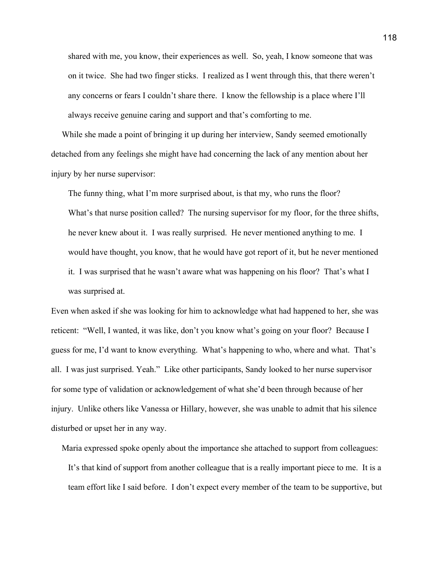shared with me, you know, their experiences as well. So, yeah, I know someone that was on it twice. She had two finger sticks. I realized as I went through this, that there weren't any concerns or fears I couldn't share there. I know the fellowship is a place where I'll always receive genuine caring and support and that's comforting to me.

 While she made a point of bringing it up during her interview, Sandy seemed emotionally detached from any feelings she might have had concerning the lack of any mention about her injury by her nurse supervisor:

 The funny thing, what I'm more surprised about, is that my, who runs the floor? What's that nurse position called? The nursing supervisor for my floor, for the three shifts, he never knew about it. I was really surprised. He never mentioned anything to me. I would have thought, you know, that he would have got report of it, but he never mentioned it. I was surprised that he wasn't aware what was happening on his floor? That's what I was surprised at.

Even when asked if she was looking for him to acknowledge what had happened to her, she was reticent: "Well, I wanted, it was like, don't you know what's going on your floor? Because I guess for me, I'd want to know everything. What's happening to who, where and what. That's all. I was just surprised. Yeah." Like other participants, Sandy looked to her nurse supervisor for some type of validation or acknowledgement of what she'd been through because of her injury. Unlike others like Vanessa or Hillary, however, she was unable to admit that his silence disturbed or upset her in any way.

Maria expressed spoke openly about the importance she attached to support from colleagues:

 It's that kind of support from another colleague that is a really important piece to me. It is a team effort like I said before. I don't expect every member of the team to be supportive, but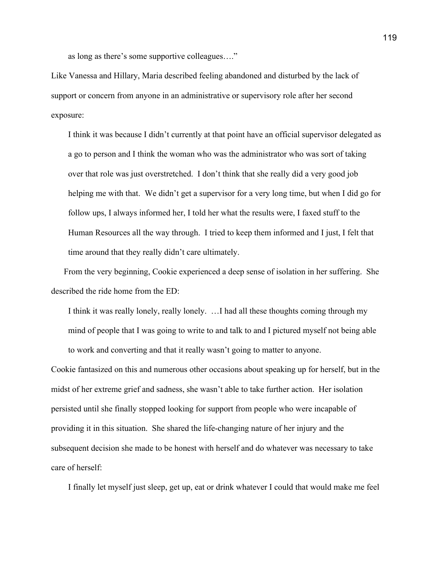as long as there's some supportive colleagues…."

Like Vanessa and Hillary, Maria described feeling abandoned and disturbed by the lack of support or concern from anyone in an administrative or supervisory role after her second exposure:

 I think it was because I didn't currently at that point have an official supervisor delegated as a go to person and I think the woman who was the administrator who was sort of taking over that role was just overstretched. I don't think that she really did a very good job helping me with that. We didn't get a supervisor for a very long time, but when I did go for follow ups, I always informed her, I told her what the results were, I faxed stuff to the Human Resources all the way through. I tried to keep them informed and I just, I felt that time around that they really didn't care ultimately.

 From the very beginning, Cookie experienced a deep sense of isolation in her suffering. She described the ride home from the ED:

 I think it was really lonely, really lonely. …I had all these thoughts coming through my mind of people that I was going to write to and talk to and I pictured myself not being able to work and converting and that it really wasn't going to matter to anyone.

Cookie fantasized on this and numerous other occasions about speaking up for herself, but in the midst of her extreme grief and sadness, she wasn't able to take further action. Her isolation persisted until she finally stopped looking for support from people who were incapable of providing it in this situation. She shared the life-changing nature of her injury and the subsequent decision she made to be honest with herself and do whatever was necessary to take care of herself:

I finally let myself just sleep, get up, eat or drink whatever I could that would make me feel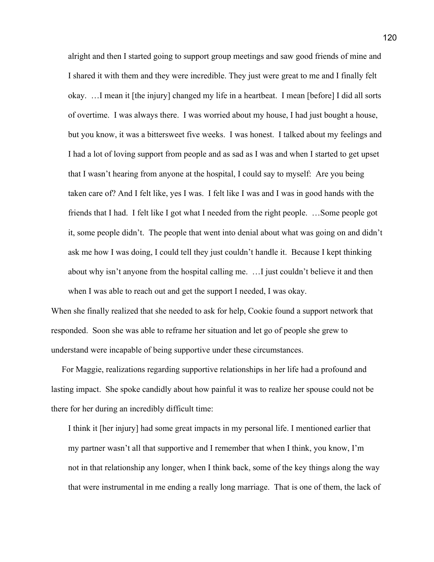alright and then I started going to support group meetings and saw good friends of mine and I shared it with them and they were incredible. They just were great to me and I finally felt okay. …I mean it [the injury] changed my life in a heartbeat. I mean [before] I did all sorts of overtime. I was always there. I was worried about my house, I had just bought a house, but you know, it was a bittersweet five weeks. I was honest. I talked about my feelings and I had a lot of loving support from people and as sad as I was and when I started to get upset that I wasn't hearing from anyone at the hospital, I could say to myself: Are you being taken care of? And I felt like, yes I was. I felt like I was and I was in good hands with the friends that I had. I felt like I got what I needed from the right people. …Some people got it, some people didn't. The people that went into denial about what was going on and didn't ask me how I was doing, I could tell they just couldn't handle it. Because I kept thinking about why isn't anyone from the hospital calling me. …I just couldn't believe it and then when I was able to reach out and get the support I needed, I was okay.

When she finally realized that she needed to ask for help, Cookie found a support network that responded. Soon she was able to reframe her situation and let go of people she grew to understand were incapable of being supportive under these circumstances.

 For Maggie, realizations regarding supportive relationships in her life had a profound and lasting impact. She spoke candidly about how painful it was to realize her spouse could not be there for her during an incredibly difficult time:

 I think it [her injury] had some great impacts in my personal life. I mentioned earlier that my partner wasn't all that supportive and I remember that when I think, you know, I'm not in that relationship any longer, when I think back, some of the key things along the way that were instrumental in me ending a really long marriage. That is one of them, the lack of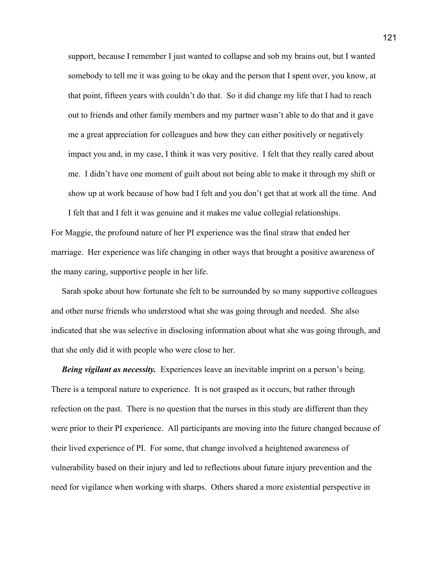support, because I remember I just wanted to collapse and sob my brains out, but I wanted somebody to tell me it was going to be okay and the person that I spent over, you know, at that point, fifteen years with couldn't do that. So it did change my life that I had to reach out to friends and other family members and my partner wasn't able to do that and it gave me a great appreciation for colleagues and how they can either positively or negatively impact you and, in my case, I think it was very positive. I felt that they really cared about me. I didn't have one moment of guilt about not being able to make it through my shift or show up at work because of how bad I felt and you don't get that at work all the time. And

 I felt that and I felt it was genuine and it makes me value collegial relationships. For Maggie, the profound nature of her PI experience was the final straw that ended her marriage. Her experience was life changing in other ways that brought a positive awareness of the many caring, supportive people in her life.

 Sarah spoke about how fortunate she felt to be surrounded by so many supportive colleagues and other nurse friends who understood what she was going through and needed. She also indicated that she was selective in disclosing information about what she was going through, and that she only did it with people who were close to her.

 *Being vigilant as necessity.* Experiences leave an inevitable imprint on a person's being. There is a temporal nature to experience. It is not grasped as it occurs, but rather through refection on the past. There is no question that the nurses in this study are different than they were prior to their PI experience. All participants are moving into the future changed because of their lived experience of PI. For some, that change involved a heightened awareness of vulnerability based on their injury and led to reflections about future injury prevention and the need for vigilance when working with sharps. Others shared a more existential perspective in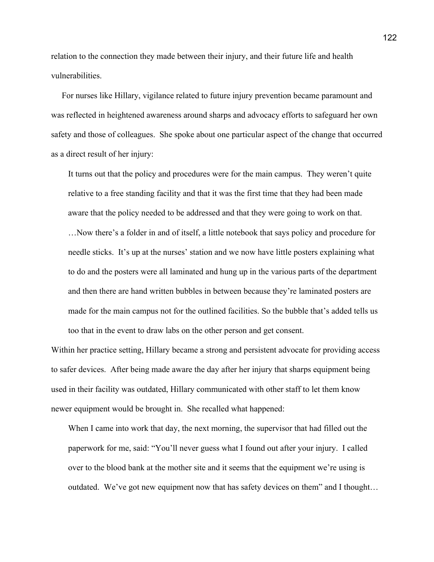relation to the connection they made between their injury, and their future life and health vulnerabilities.

 For nurses like Hillary, vigilance related to future injury prevention became paramount and was reflected in heightened awareness around sharps and advocacy efforts to safeguard her own safety and those of colleagues. She spoke about one particular aspect of the change that occurred as a direct result of her injury:

 It turns out that the policy and procedures were for the main campus. They weren't quite relative to a free standing facility and that it was the first time that they had been made aware that the policy needed to be addressed and that they were going to work on that.

 …Now there's a folder in and of itself, a little notebook that says policy and procedure for needle sticks. It's up at the nurses' station and we now have little posters explaining what to do and the posters were all laminated and hung up in the various parts of the department and then there are hand written bubbles in between because they're laminated posters are made for the main campus not for the outlined facilities. So the bubble that's added tells us too that in the event to draw labs on the other person and get consent.

Within her practice setting, Hillary became a strong and persistent advocate for providing access to safer devices. After being made aware the day after her injury that sharps equipment being used in their facility was outdated, Hillary communicated with other staff to let them know newer equipment would be brought in. She recalled what happened:

 When I came into work that day, the next morning, the supervisor that had filled out the paperwork for me, said: "You'll never guess what I found out after your injury. I called over to the blood bank at the mother site and it seems that the equipment we're using is outdated. We've got new equipment now that has safety devices on them" and I thought…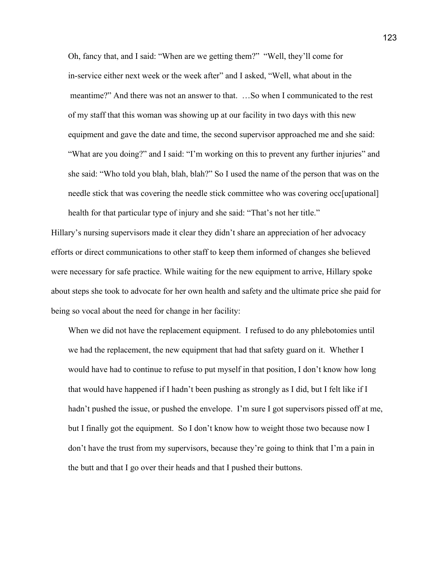Oh, fancy that, and I said: "When are we getting them?" "Well, they'll come for in-service either next week or the week after" and I asked, "Well, what about in the meantime?" And there was not an answer to that. …So when I communicated to the rest of my staff that this woman was showing up at our facility in two days with this new equipment and gave the date and time, the second supervisor approached me and she said: "What are you doing?" and I said: "I'm working on this to prevent any further injuries" and she said: "Who told you blah, blah, blah?" So I used the name of the person that was on the needle stick that was covering the needle stick committee who was covering occ[upational] health for that particular type of injury and she said: "That's not her title."

Hillary's nursing supervisors made it clear they didn't share an appreciation of her advocacy efforts or direct communications to other staff to keep them informed of changes she believed were necessary for safe practice. While waiting for the new equipment to arrive, Hillary spoke about steps she took to advocate for her own health and safety and the ultimate price she paid for being so vocal about the need for change in her facility:

 When we did not have the replacement equipment. I refused to do any phlebotomies until we had the replacement, the new equipment that had that safety guard on it. Whether I would have had to continue to refuse to put myself in that position, I don't know how long that would have happened if I hadn't been pushing as strongly as I did, but I felt like if I hadn't pushed the issue, or pushed the envelope. I'm sure I got supervisors pissed off at me, but I finally got the equipment. So I don't know how to weight those two because now I don't have the trust from my supervisors, because they're going to think that I'm a pain in the butt and that I go over their heads and that I pushed their buttons.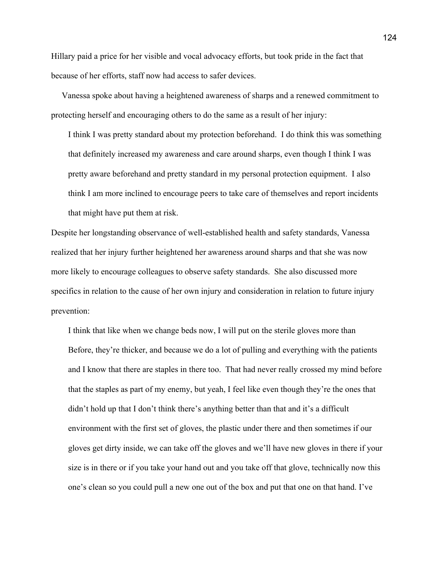Hillary paid a price for her visible and vocal advocacy efforts, but took pride in the fact that because of her efforts, staff now had access to safer devices.

 Vanessa spoke about having a heightened awareness of sharps and a renewed commitment to protecting herself and encouraging others to do the same as a result of her injury:

 I think I was pretty standard about my protection beforehand. I do think this was something that definitely increased my awareness and care around sharps, even though I think I was pretty aware beforehand and pretty standard in my personal protection equipment. I also think I am more inclined to encourage peers to take care of themselves and report incidents that might have put them at risk.

Despite her longstanding observance of well-established health and safety standards, Vanessa realized that her injury further heightened her awareness around sharps and that she was now more likely to encourage colleagues to observe safety standards. She also discussed more specifics in relation to the cause of her own injury and consideration in relation to future injury prevention:

 I think that like when we change beds now, I will put on the sterile gloves more than Before, they're thicker, and because we do a lot of pulling and everything with the patients and I know that there are staples in there too. That had never really crossed my mind before that the staples as part of my enemy, but yeah, I feel like even though they're the ones that didn't hold up that I don't think there's anything better than that and it's a difficult environment with the first set of gloves, the plastic under there and then sometimes if our gloves get dirty inside, we can take off the gloves and we'll have new gloves in there if your size is in there or if you take your hand out and you take off that glove, technically now this one's clean so you could pull a new one out of the box and put that one on that hand. I've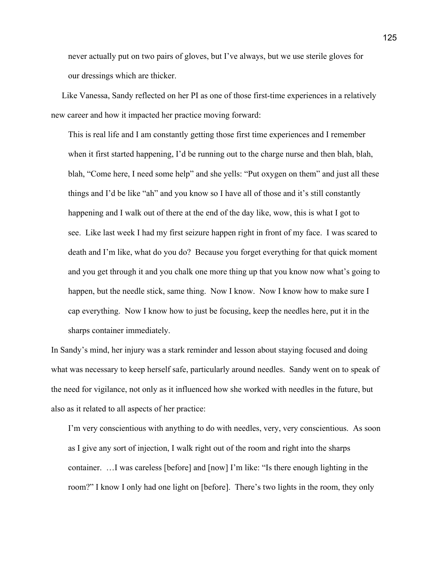never actually put on two pairs of gloves, but I've always, but we use sterile gloves for our dressings which are thicker.

 Like Vanessa, Sandy reflected on her PI as one of those first-time experiences in a relatively new career and how it impacted her practice moving forward:

 This is real life and I am constantly getting those first time experiences and I remember when it first started happening, I'd be running out to the charge nurse and then blah, blah, blah, "Come here, I need some help" and she yells: "Put oxygen on them" and just all these things and I'd be like "ah" and you know so I have all of those and it's still constantly happening and I walk out of there at the end of the day like, wow, this is what I got to see. Like last week I had my first seizure happen right in front of my face. I was scared to death and I'm like, what do you do? Because you forget everything for that quick moment and you get through it and you chalk one more thing up that you know now what's going to happen, but the needle stick, same thing. Now I know. Now I know how to make sure I cap everything. Now I know how to just be focusing, keep the needles here, put it in the sharps container immediately.

In Sandy's mind, her injury was a stark reminder and lesson about staying focused and doing what was necessary to keep herself safe, particularly around needles. Sandy went on to speak of the need for vigilance, not only as it influenced how she worked with needles in the future, but also as it related to all aspects of her practice:

 I'm very conscientious with anything to do with needles, very, very conscientious. As soon as I give any sort of injection, I walk right out of the room and right into the sharps container. …I was careless [before] and [now] I'm like: "Is there enough lighting in the room?" I know I only had one light on [before]. There's two lights in the room, they only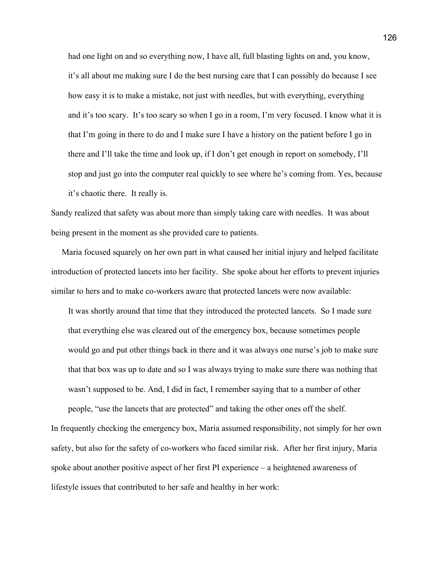had one light on and so everything now, I have all, full blasting lights on and, you know, it's all about me making sure I do the best nursing care that I can possibly do because I see how easy it is to make a mistake, not just with needles, but with everything, everything and it's too scary. It's too scary so when I go in a room, I'm very focused. I know what it is that I'm going in there to do and I make sure I have a history on the patient before I go in there and I'll take the time and look up, if I don't get enough in report on somebody, I'll stop and just go into the computer real quickly to see where he's coming from. Yes, because it's chaotic there. It really is.

Sandy realized that safety was about more than simply taking care with needles. It was about being present in the moment as she provided care to patients.

 Maria focused squarely on her own part in what caused her initial injury and helped facilitate introduction of protected lancets into her facility. She spoke about her efforts to prevent injuries similar to hers and to make co-workers aware that protected lancets were now available:

 It was shortly around that time that they introduced the protected lancets. So I made sure that everything else was cleared out of the emergency box, because sometimes people would go and put other things back in there and it was always one nurse's job to make sure that that box was up to date and so I was always trying to make sure there was nothing that wasn't supposed to be. And, I did in fact, I remember saying that to a number of other

 people, "use the lancets that are protected" and taking the other ones off the shelf. In frequently checking the emergency box, Maria assumed responsibility, not simply for her own safety, but also for the safety of co-workers who faced similar risk. After her first injury, Maria spoke about another positive aspect of her first PI experience – a heightened awareness of lifestyle issues that contributed to her safe and healthy in her work: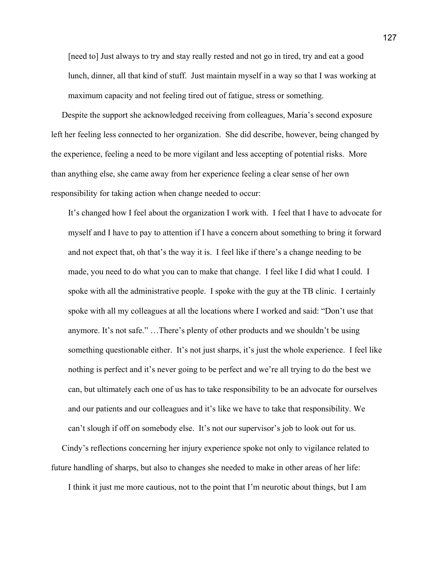[need to] Just always to try and stay really rested and not go in tired, try and eat a good lunch, dinner, all that kind of stuff. Just maintain myself in a way so that I was working at maximum capacity and not feeling tired out of fatigue, stress or something.

 Despite the support she acknowledged receiving from colleagues, Maria's second exposure left her feeling less connected to her organization. She did describe, however, being changed by the experience, feeling a need to be more vigilant and less accepting of potential risks. More than anything else, she came away from her experience feeling a clear sense of her own responsibility for taking action when change needed to occur:

 It's changed how I feel about the organization I work with. I feel that I have to advocate for myself and I have to pay to attention if I have a concern about something to bring it forward and not expect that, oh that's the way it is. I feel like if there's a change needing to be made, you need to do what you can to make that change. I feel like I did what I could. I spoke with all the administrative people. I spoke with the guy at the TB clinic. I certainly spoke with all my colleagues at all the locations where I worked and said: "Don't use that anymore. It's not safe." …There's plenty of other products and we shouldn't be using something questionable either. It's not just sharps, it's just the whole experience. I feel like nothing is perfect and it's never going to be perfect and we're all trying to do the best we can, but ultimately each one of us has to take responsibility to be an advocate for ourselves and our patients and our colleagues and it's like we have to take that responsibility. We can't slough if off on somebody else. It's not our supervisor's job to look out for us.

 Cindy's reflections concerning her injury experience spoke not only to vigilance related to future handling of sharps, but also to changes she needed to make in other areas of her life:

I think it just me more cautious, not to the point that I'm neurotic about things, but I am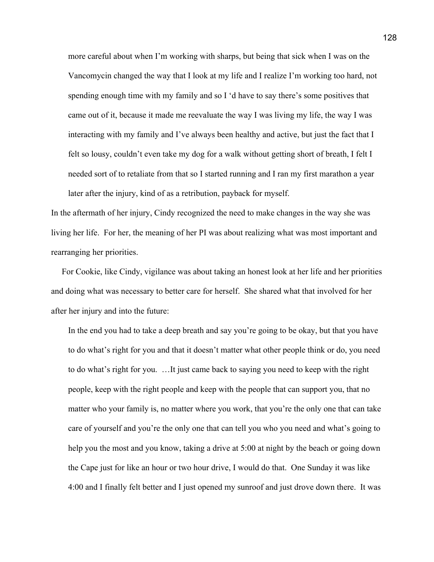more careful about when I'm working with sharps, but being that sick when I was on the Vancomycin changed the way that I look at my life and I realize I'm working too hard, not spending enough time with my family and so I 'd have to say there's some positives that came out of it, because it made me reevaluate the way I was living my life, the way I was interacting with my family and I've always been healthy and active, but just the fact that I felt so lousy, couldn't even take my dog for a walk without getting short of breath, I felt I needed sort of to retaliate from that so I started running and I ran my first marathon a year later after the injury, kind of as a retribution, payback for myself.

In the aftermath of her injury, Cindy recognized the need to make changes in the way she was living her life. For her, the meaning of her PI was about realizing what was most important and rearranging her priorities.

 For Cookie, like Cindy, vigilance was about taking an honest look at her life and her priorities and doing what was necessary to better care for herself. She shared what that involved for her after her injury and into the future:

 In the end you had to take a deep breath and say you're going to be okay, but that you have to do what's right for you and that it doesn't matter what other people think or do, you need to do what's right for you. …It just came back to saying you need to keep with the right people, keep with the right people and keep with the people that can support you, that no matter who your family is, no matter where you work, that you're the only one that can take care of yourself and you're the only one that can tell you who you need and what's going to help you the most and you know, taking a drive at 5:00 at night by the beach or going down the Cape just for like an hour or two hour drive, I would do that. One Sunday it was like 4:00 and I finally felt better and I just opened my sunroof and just drove down there. It was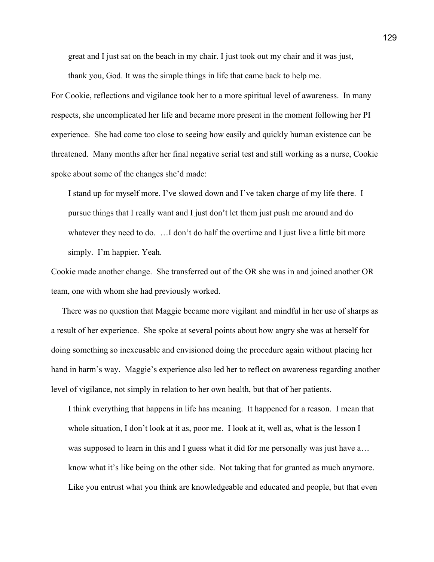great and I just sat on the beach in my chair. I just took out my chair and it was just, thank you, God. It was the simple things in life that came back to help me.

For Cookie, reflections and vigilance took her to a more spiritual level of awareness. In many respects, she uncomplicated her life and became more present in the moment following her PI experience. She had come too close to seeing how easily and quickly human existence can be threatened. Many months after her final negative serial test and still working as a nurse, Cookie spoke about some of the changes she'd made:

 I stand up for myself more. I've slowed down and I've taken charge of my life there. I pursue things that I really want and I just don't let them just push me around and do whatever they need to do. ... I don't do half the overtime and I just live a little bit more simply. I'm happier. Yeah.

Cookie made another change. She transferred out of the OR she was in and joined another OR team, one with whom she had previously worked.

 There was no question that Maggie became more vigilant and mindful in her use of sharps as a result of her experience. She spoke at several points about how angry she was at herself for doing something so inexcusable and envisioned doing the procedure again without placing her hand in harm's way. Maggie's experience also led her to reflect on awareness regarding another level of vigilance, not simply in relation to her own health, but that of her patients.

 I think everything that happens in life has meaning. It happened for a reason. I mean that whole situation, I don't look at it as, poor me. I look at it, well as, what is the lesson I was supposed to learn in this and I guess what it did for me personally was just have a... know what it's like being on the other side. Not taking that for granted as much anymore. Like you entrust what you think are knowledgeable and educated and people, but that even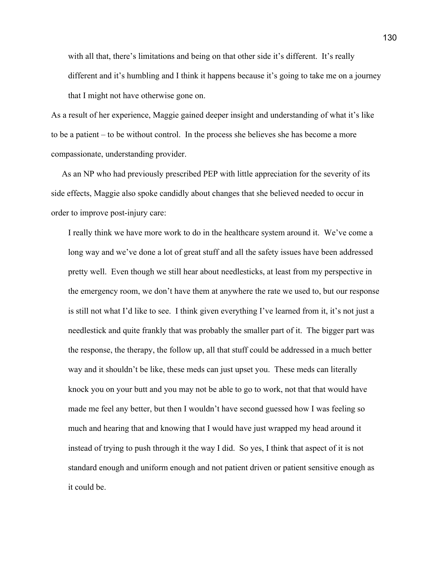with all that, there's limitations and being on that other side it's different. It's really different and it's humbling and I think it happens because it's going to take me on a journey that I might not have otherwise gone on.

As a result of her experience, Maggie gained deeper insight and understanding of what it's like to be a patient – to be without control. In the process she believes she has become a more compassionate, understanding provider.

 As an NP who had previously prescribed PEP with little appreciation for the severity of its side effects, Maggie also spoke candidly about changes that she believed needed to occur in order to improve post-injury care:

 I really think we have more work to do in the healthcare system around it. We've come a long way and we've done a lot of great stuff and all the safety issues have been addressed pretty well. Even though we still hear about needlesticks, at least from my perspective in the emergency room, we don't have them at anywhere the rate we used to, but our response is still not what I'd like to see. I think given everything I've learned from it, it's not just a needlestick and quite frankly that was probably the smaller part of it. The bigger part was the response, the therapy, the follow up, all that stuff could be addressed in a much better way and it shouldn't be like, these meds can just upset you. These meds can literally knock you on your butt and you may not be able to go to work, not that that would have made me feel any better, but then I wouldn't have second guessed how I was feeling so much and hearing that and knowing that I would have just wrapped my head around it instead of trying to push through it the way I did. So yes, I think that aspect of it is not standard enough and uniform enough and not patient driven or patient sensitive enough as it could be.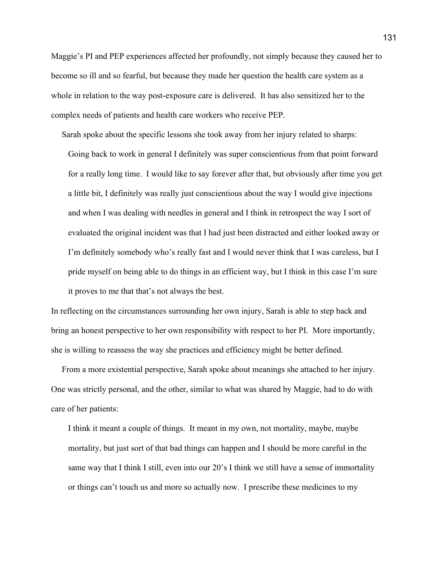Maggie's PI and PEP experiences affected her profoundly, not simply because they caused her to become so ill and so fearful, but because they made her question the health care system as a whole in relation to the way post-exposure care is delivered. It has also sensitized her to the complex needs of patients and health care workers who receive PEP.

Sarah spoke about the specific lessons she took away from her injury related to sharps:

 Going back to work in general I definitely was super conscientious from that point forward for a really long time. I would like to say forever after that, but obviously after time you get a little bit, I definitely was really just conscientious about the way I would give injections and when I was dealing with needles in general and I think in retrospect the way I sort of evaluated the original incident was that I had just been distracted and either looked away or I'm definitely somebody who's really fast and I would never think that I was careless, but I pride myself on being able to do things in an efficient way, but I think in this case I'm sure it proves to me that that's not always the best.

In reflecting on the circumstances surrounding her own injury, Sarah is able to step back and bring an honest perspective to her own responsibility with respect to her PI. More importantly, she is willing to reassess the way she practices and efficiency might be better defined.

 From a more existential perspective, Sarah spoke about meanings she attached to her injury. One was strictly personal, and the other, similar to what was shared by Maggie, had to do with care of her patients:

 I think it meant a couple of things. It meant in my own, not mortality, maybe, maybe mortality, but just sort of that bad things can happen and I should be more careful in the same way that I think I still, even into our 20's I think we still have a sense of immortality or things can't touch us and more so actually now. I prescribe these medicines to my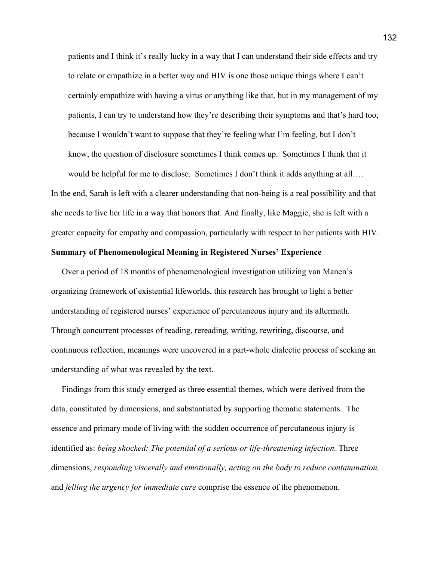patients and I think it's really lucky in a way that I can understand their side effects and try to relate or empathize in a better way and HIV is one those unique things where I can't certainly empathize with having a virus or anything like that, but in my management of my patients, I can try to understand how they're describing their symptoms and that's hard too, because I wouldn't want to suppose that they're feeling what I'm feeling, but I don't know, the question of disclosure sometimes I think comes up. Sometimes I think that it would be helpful for me to disclose. Sometimes I don't think it adds anything at all…. In the end, Sarah is left with a clearer understanding that non-being is a real possibility and that

she needs to live her life in a way that honors that. And finally, like Maggie, she is left with a greater capacity for empathy and compassion, particularly with respect to her patients with HIV.

## **Summary of Phenomenological Meaning in Registered Nurses' Experience**

 Over a period of 18 months of phenomenological investigation utilizing van Manen's organizing framework of existential lifeworlds, this research has brought to light a better understanding of registered nurses' experience of percutaneous injury and its aftermath. Through concurrent processes of reading, rereading, writing, rewriting, discourse, and continuous reflection, meanings were uncovered in a part-whole dialectic process of seeking an understanding of what was revealed by the text.

 Findings from this study emerged as three essential themes, which were derived from the data, constituted by dimensions, and substantiated by supporting thematic statements. The essence and primary mode of living with the sudden occurrence of percutaneous injury is identified as: *being shocked: The potential of a serious or life-threatening infection*. Three dimensions, *responding viscerally and emotionally, acting on the body to reduce contamination,*  and *felling the urgency for immediate care* comprise the essence of the phenomenon.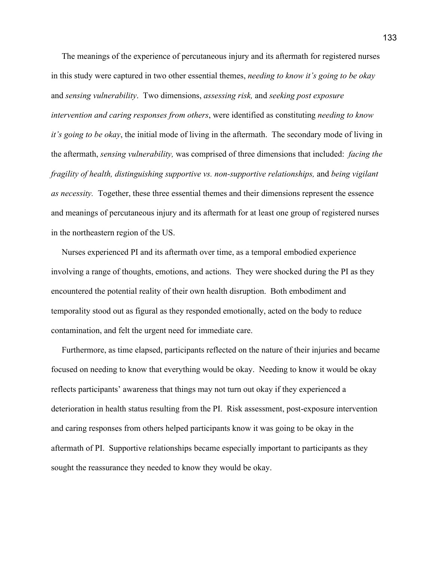The meanings of the experience of percutaneous injury and its aftermath for registered nurses in this study were captured in two other essential themes, *needing to know it's going to be okay*  and *sensing vulnerability*.Two dimensions, *assessing risk,* and *seeking post exposure intervention and caring responses from others*, were identified as constituting *needing to know it's going to be okay*, the initial mode of living in the aftermath. The secondary mode of living in the aftermath, *sensing vulnerability,* was comprised of three dimensions that included: *facing the fragility of health, distinguishing supportive vs. non-supportive relationships,* and *being vigilant as necessity.* Together, these three essential themes and their dimensions represent the essence and meanings of percutaneous injury and its aftermath for at least one group of registered nurses in the northeastern region of the US.

 Nurses experienced PI and its aftermath over time, as a temporal embodied experience involving a range of thoughts, emotions, and actions. They were shocked during the PI as they encountered the potential reality of their own health disruption. Both embodiment and temporality stood out as figural as they responded emotionally, acted on the body to reduce contamination, and felt the urgent need for immediate care.

 Furthermore, as time elapsed, participants reflected on the nature of their injuries and became focused on needing to know that everything would be okay. Needing to know it would be okay reflects participants' awareness that things may not turn out okay if they experienced a deterioration in health status resulting from the PI. Risk assessment, post-exposure intervention and caring responses from others helped participants know it was going to be okay in the aftermath of PI. Supportive relationships became especially important to participants as they sought the reassurance they needed to know they would be okay.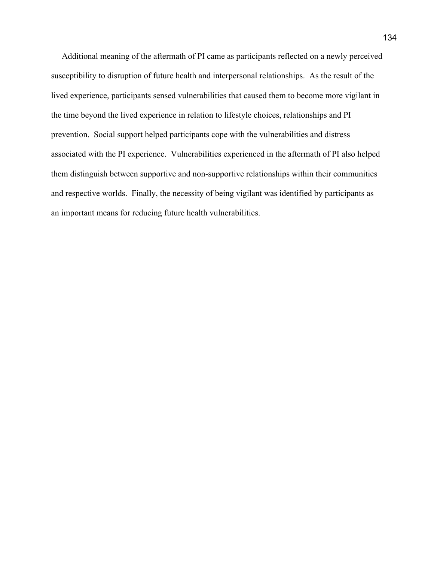Additional meaning of the aftermath of PI came as participants reflected on a newly perceived susceptibility to disruption of future health and interpersonal relationships. As the result of the lived experience, participants sensed vulnerabilities that caused them to become more vigilant in the time beyond the lived experience in relation to lifestyle choices, relationships and PI prevention. Social support helped participants cope with the vulnerabilities and distress associated with the PI experience. Vulnerabilities experienced in the aftermath of PI also helped them distinguish between supportive and non-supportive relationships within their communities and respective worlds. Finally, the necessity of being vigilant was identified by participants as an important means for reducing future health vulnerabilities.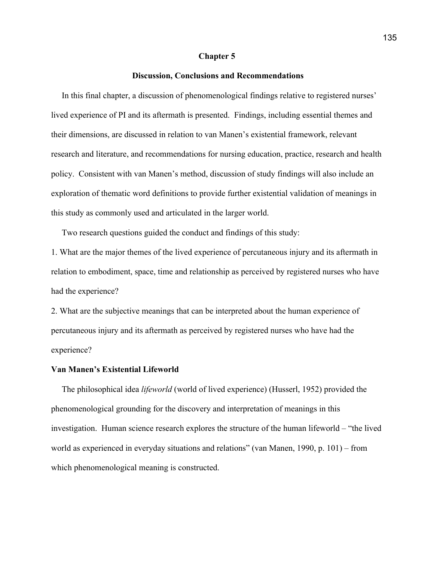#### **Chapter 5**

## **Discussion, Conclusions and Recommendations**

 In this final chapter, a discussion of phenomenological findings relative to registered nurses' lived experience of PI and its aftermath is presented. Findings, including essential themes and their dimensions, are discussed in relation to van Manen's existential framework, relevant research and literature, and recommendations for nursing education, practice, research and health policy. Consistent with van Manen's method, discussion of study findings will also include an exploration of thematic word definitions to provide further existential validation of meanings in this study as commonly used and articulated in the larger world.

Two research questions guided the conduct and findings of this study:

1. What are the major themes of the lived experience of percutaneous injury and its aftermath in relation to embodiment, space, time and relationship as perceived by registered nurses who have had the experience?

2. What are the subjective meanings that can be interpreted about the human experience of percutaneous injury and its aftermath as perceived by registered nurses who have had the experience?

## **Van Manen's Existential Lifeworld**

 The philosophical idea *lifeworld* (world of lived experience) (Husserl, 1952) provided the phenomenological grounding for the discovery and interpretation of meanings in this investigation. Human science research explores the structure of the human lifeworld – "the lived world as experienced in everyday situations and relations" (van Manen, 1990, p. 101) – from which phenomenological meaning is constructed.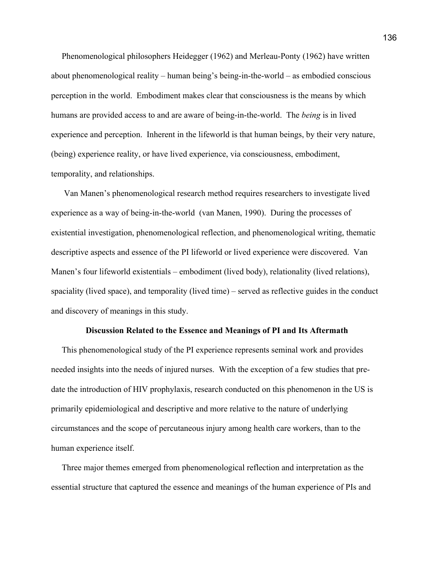Phenomenological philosophers Heidegger (1962) and Merleau-Ponty (1962) have written about phenomenological reality – human being's being-in-the-world – as embodied conscious perception in the world. Embodiment makes clear that consciousness is the means by which humans are provided access to and are aware of being-in-the-world. The *being* is in lived experience and perception. Inherent in the lifeworld is that human beings, by their very nature, (being) experience reality, or have lived experience, via consciousness, embodiment, temporality, and relationships.

Van Manen's phenomenological research method requires researchers to investigate lived experience as a way of being-in-the-world (van Manen, 1990). During the processes of existential investigation, phenomenological reflection, and phenomenological writing, thematic descriptive aspects and essence of the PI lifeworld or lived experience were discovered. Van Manen's four lifeworld existentials – embodiment (lived body), relationality (lived relations), spaciality (lived space), and temporality (lived time) – served as reflective guides in the conduct and discovery of meanings in this study.

#### **Discussion Related to the Essence and Meanings of PI and Its Aftermath**

This phenomenological study of the PI experience represents seminal work and provides needed insights into the needs of injured nurses. With the exception of a few studies that predate the introduction of HIV prophylaxis, research conducted on this phenomenon in the US is primarily epidemiological and descriptive and more relative to the nature of underlying circumstances and the scope of percutaneous injury among health care workers, than to the human experience itself.

Three major themes emerged from phenomenological reflection and interpretation as the essential structure that captured the essence and meanings of the human experience of PIs and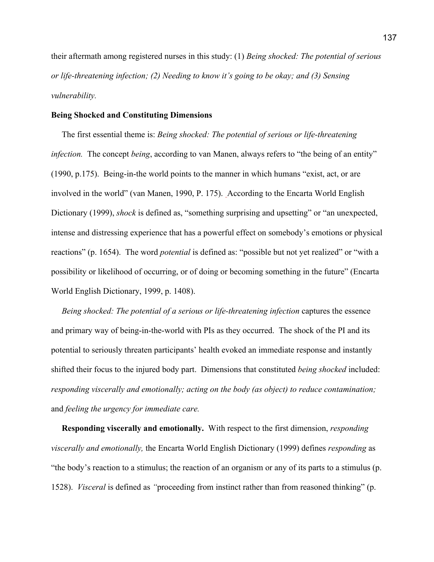their aftermath among registered nurses in this study: (1) *Being shocked: The potential of serious or life-threatening infection; (2) Needing to know it's going to be okay; and (3) Sensing vulnerability.*

## **Being Shocked and Constituting Dimensions**

 The first essential theme is: *Being shocked: The potential of serious or life-threatening infection.* The concept *being*, according to van Manen, always refers to "the being of an entity" (1990, p.175). Being-in-the world points to the manner in which humans "exist, act, or are involved in the world" (van Manen, 1990, P. 175). According to the Encarta World English Dictionary (1999), *shock* is defined as, "something surprising and upsetting" or "an unexpected, intense and distressing experience that has a powerful effect on somebody's emotions or physical reactions" (p. 1654). The word *potential* is defined as: "possible but not yet realized" or "with a possibility or likelihood of occurring, or of doing or becoming something in the future" (Encarta World English Dictionary, 1999, p. 1408).

 *Being shocked: The potential of a serious or life-threatening infection* captures the essence and primary way of being-in-the-world with PIs as they occurred. The shock of the PI and its potential to seriously threaten participants' health evoked an immediate response and instantly shifted their focus to the injured body part. Dimensions that constituted *being shocked* included: *responding viscerally and emotionally; acting on the body (as object) to reduce contamination;* and *feeling the urgency for immediate care.* 

 **Responding viscerally and emotionally.**With respect to the first dimension, *responding viscerally and emotionally,* the Encarta World English Dictionary (1999) defines *responding* as "the body's reaction to a stimulus; the reaction of an organism or any of its parts to a stimulus (p. 1528). *Visceral* is defined as *"*proceeding from instinct rather than from reasoned thinking" (p.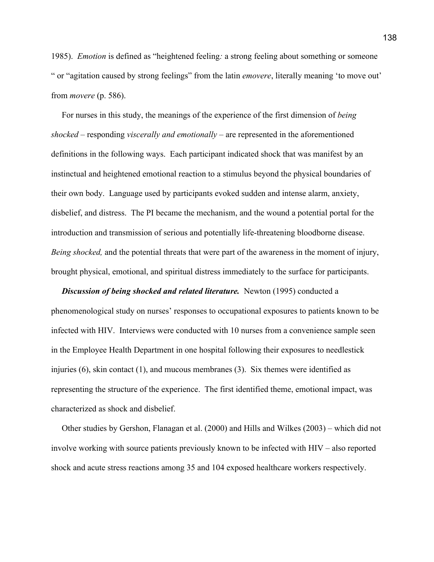1985). *Emotion* is defined as "heightened feeling*:* a strong feeling about something or someone " or "agitation caused by strong feelings" from the latin *emovere*, literally meaning 'to move out' from *movere* (p. 586).

 For nurses in this study, the meanings of the experience of the first dimension of *being shocked* – responding *viscerally and emotionally –* are represented in the aforementioned definitions in the following ways. Each participant indicated shock that was manifest by an instinctual and heightened emotional reaction to a stimulus beyond the physical boundaries of their own body. Language used by participants evoked sudden and intense alarm, anxiety, disbelief, and distress. The PI became the mechanism, and the wound a potential portal for the introduction and transmission of serious and potentially life-threatening bloodborne disease. *Being shocked,* and the potential threats that were part of the awareness in the moment of injury, brought physical, emotional, and spiritual distress immediately to the surface for participants.

*Discussion of being shocked and related literature.* Newton (1995) conducted a phenomenological study on nurses' responses to occupational exposures to patients known to be infected with HIV. Interviews were conducted with 10 nurses from a convenience sample seen in the Employee Health Department in one hospital following their exposures to needlestick injuries  $(6)$ , skin contact  $(1)$ , and mucous membranes  $(3)$ . Six themes were identified as representing the structure of the experience. The first identified theme, emotional impact, was characterized as shock and disbelief.

 Other studies by Gershon, Flanagan et al. (2000) and Hills and Wilkes (2003) – which did not involve working with source patients previously known to be infected with HIV – also reported shock and acute stress reactions among 35 and 104 exposed healthcare workers respectively.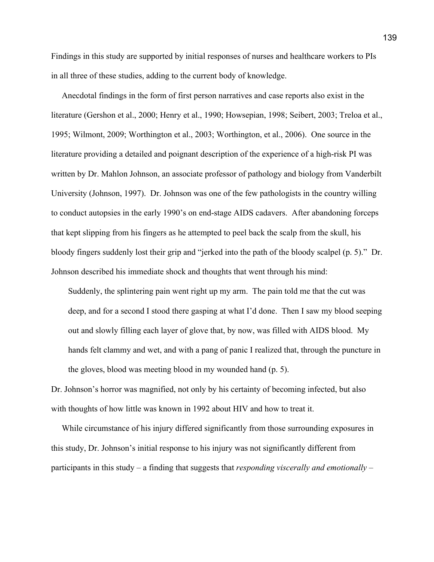Findings in this study are supported by initial responses of nurses and healthcare workers to PIs in all three of these studies, adding to the current body of knowledge.

 Anecdotal findings in the form of first person narratives and case reports also exist in the literature (Gershon et al., 2000; Henry et al., 1990; Howsepian, 1998; Seibert, 2003; Treloa et al., 1995; Wilmont, 2009; Worthington et al., 2003; Worthington, et al., 2006). One source in the literature providing a detailed and poignant description of the experience of a high-risk PI was written by Dr. Mahlon Johnson, an associate professor of pathology and biology from Vanderbilt University (Johnson, 1997). Dr. Johnson was one of the few pathologists in the country willing to conduct autopsies in the early 1990's on end-stage AIDS cadavers. After abandoning forceps that kept slipping from his fingers as he attempted to peel back the scalp from the skull, his bloody fingers suddenly lost their grip and "jerked into the path of the bloody scalpel (p. 5)." Dr. Johnson described his immediate shock and thoughts that went through his mind:

 Suddenly, the splintering pain went right up my arm. The pain told me that the cut was deep, and for a second I stood there gasping at what I'd done. Then I saw my blood seeping out and slowly filling each layer of glove that, by now, was filled with AIDS blood. My hands felt clammy and wet, and with a pang of panic I realized that, through the puncture in the gloves, blood was meeting blood in my wounded hand (p. 5).

Dr. Johnson's horror was magnified, not only by his certainty of becoming infected, but also with thoughts of how little was known in 1992 about HIV and how to treat it.

 While circumstance of his injury differed significantly from those surrounding exposures in this study, Dr. Johnson's initial response to his injury was not significantly different from participants in this study – a finding that suggests that *responding viscerally and emotionally –*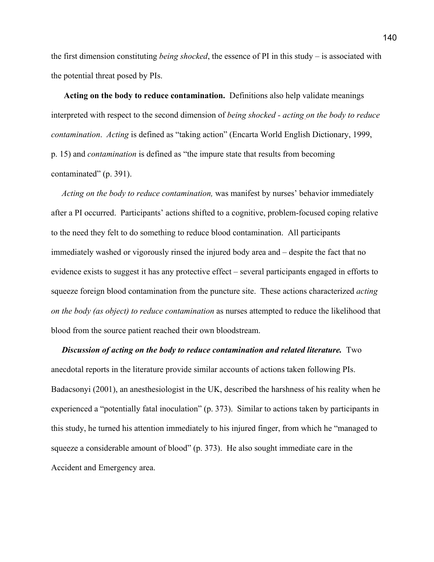the first dimension constituting *being shocked*, the essence of PI in this study *–* is associated with the potential threat posed by PIs.

 **Acting on the body to reduce contamination.** Definitions also help validate meanings interpreted with respect to the second dimension of *being shocked - acting on the body to reduce contamination*. *Acting* is defined as "taking action" (Encarta World English Dictionary, 1999, p. 15) and *contamination* is defined as "the impure state that results from becoming contaminated" (p. 391).

 *Acting on the body to reduce contamination,* was manifest by nurses' behavior immediately after a PI occurred. Participants' actions shifted to a cognitive, problem-focused coping relative to the need they felt to do something to reduce blood contamination. All participants immediately washed or vigorously rinsed the injured body area and – despite the fact that no evidence exists to suggest it has any protective effect – several participants engaged in efforts to squeeze foreign blood contamination from the puncture site. These actions characterized *acting on the body (as object) to reduce contamination* as nurses attempted to reduce the likelihood that blood from the source patient reached their own bloodstream.

*Discussion of acting on the body to reduce contamination and related literature.* **Two** anecdotal reports in the literature provide similar accounts of actions taken following PIs. Badacsonyi (2001), an anesthesiologist in the UK, described the harshness of his reality when he experienced a "potentially fatal inoculation" (p. 373). Similar to actions taken by participants in this study, he turned his attention immediately to his injured finger, from which he "managed to squeeze a considerable amount of blood" (p. 373). He also sought immediate care in the Accident and Emergency area.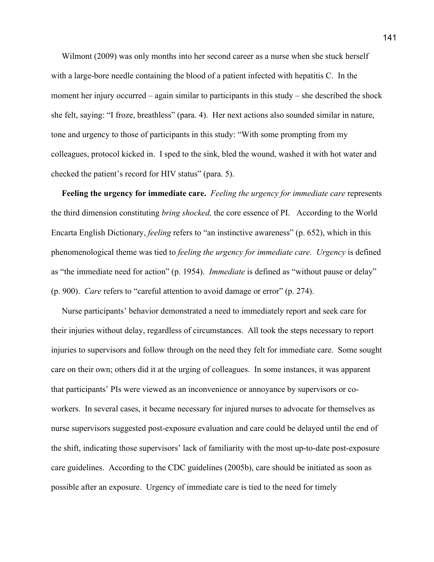Wilmont (2009) was only months into her second career as a nurse when she stuck herself with a large-bore needle containing the blood of a patient infected with hepatitis C. In the moment her injury occurred – again similar to participants in this study – she described the shock she felt, saying: "I froze, breathless" (para. 4). Her next actions also sounded similar in nature, tone and urgency to those of participants in this study: "With some prompting from my colleagues, protocol kicked in. I sped to the sink, bled the wound, washed it with hot water and checked the patient's record for HIV status" (para. 5).

 **Feeling the urgency for immediate care.** *Feeling the urgency for immediate care* represents the third dimension constituting *bring shocked,* the core essence of PI. According to the World Encarta English Dictionary, *feeling* refers to "an instinctive awareness" (p. 652), which in this phenomenological theme was tied to *feeling the urgency for immediate care. Urgency* is defined as "the immediate need for action" (p. 1954). *Immediate* is defined as "without pause or delay" (p. 900). *Care* refers to "careful attention to avoid damage or error" (p. 274).

 Nurse participants' behavior demonstrated a need to immediately report and seek care for their injuries without delay, regardless of circumstances. All took the steps necessary to report injuries to supervisors and follow through on the need they felt for immediate care. Some sought care on their own; others did it at the urging of colleagues. In some instances, it was apparent that participants' PIs were viewed as an inconvenience or annoyance by supervisors or coworkers. In several cases, it became necessary for injured nurses to advocate for themselves as nurse supervisors suggested post-exposure evaluation and care could be delayed until the end of the shift, indicating those supervisors' lack of familiarity with the most up-to-date post-exposure care guidelines. According to the CDC guidelines (2005b), care should be initiated as soon as possible after an exposure. Urgency of immediate care is tied to the need for timely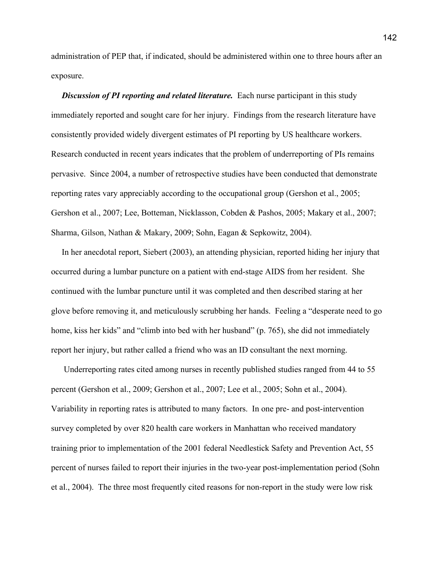administration of PEP that, if indicated, should be administered within one to three hours after an exposure.

*Discussion of PI reporting and related literature.* Each nurse participant in this study immediately reported and sought care for her injury. Findings from the research literature have consistently provided widely divergent estimates of PI reporting by US healthcare workers. Research conducted in recent years indicates that the problem of underreporting of PIs remains pervasive. Since 2004, a number of retrospective studies have been conducted that demonstrate reporting rates vary appreciably according to the occupational group (Gershon et al., 2005; Gershon et al., 2007; Lee, Botteman, Nicklasson, Cobden & Pashos, 2005; Makary et al., 2007; Sharma, Gilson, Nathan & Makary, 2009; Sohn, Eagan & Sepkowitz, 2004).

 In her anecdotal report, Siebert (2003), an attending physician, reported hiding her injury that occurred during a lumbar puncture on a patient with end-stage AIDS from her resident. She continued with the lumbar puncture until it was completed and then described staring at her glove before removing it, and meticulously scrubbing her hands. Feeling a "desperate need to go home, kiss her kids" and "climb into bed with her husband" (p. 765), she did not immediately report her injury, but rather called a friend who was an ID consultant the next morning.

Underreporting rates cited among nurses in recently published studies ranged from 44 to 55 percent (Gershon et al., 2009; Gershon et al., 2007; Lee et al., 2005; Sohn et al., 2004). Variability in reporting rates is attributed to many factors. In one pre- and post-intervention survey completed by over 820 health care workers in Manhattan who received mandatory training prior to implementation of the 2001 federal Needlestick Safety and Prevention Act, 55 percent of nurses failed to report their injuries in the two-year post-implementation period (Sohn et al., 2004). The three most frequently cited reasons for non-report in the study were low risk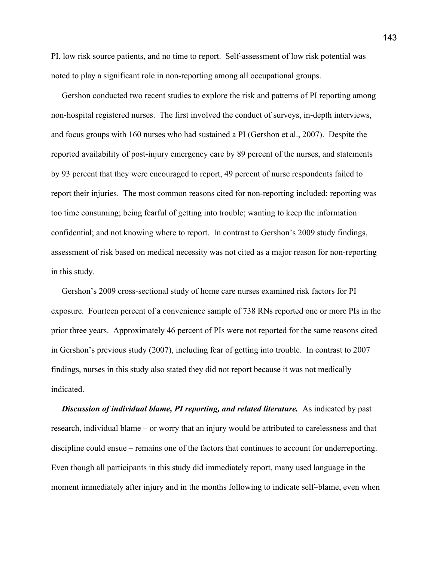PI, low risk source patients, and no time to report. Self-assessment of low risk potential was noted to play a significant role in non-reporting among all occupational groups.

 Gershon conducted two recent studies to explore the risk and patterns of PI reporting among non-hospital registered nurses. The first involved the conduct of surveys, in-depth interviews, and focus groups with 160 nurses who had sustained a PI (Gershon et al., 2007). Despite the reported availability of post-injury emergency care by 89 percent of the nurses, and statements by 93 percent that they were encouraged to report, 49 percent of nurse respondents failed to report their injuries. The most common reasons cited for non-reporting included: reporting was too time consuming; being fearful of getting into trouble; wanting to keep the information confidential; and not knowing where to report. In contrast to Gershon's 2009 study findings, assessment of risk based on medical necessity was not cited as a major reason for non-reporting in this study.

 Gershon's 2009 cross-sectional study of home care nurses examined risk factors for PI exposure. Fourteen percent of a convenience sample of 738 RNs reported one or more PIs in the prior three years. Approximately 46 percent of PIs were not reported for the same reasons cited in Gershon's previous study (2007), including fear of getting into trouble. In contrast to 2007 findings, nurses in this study also stated they did not report because it was not medically indicated.

*Discussion of individual blame, PI reporting, and related literature.* As indicated by past research, individual blame – or worry that an injury would be attributed to carelessness and that discipline could ensue – remains one of the factors that continues to account for underreporting. Even though all participants in this study did immediately report, many used language in the moment immediately after injury and in the months following to indicate self–blame, even when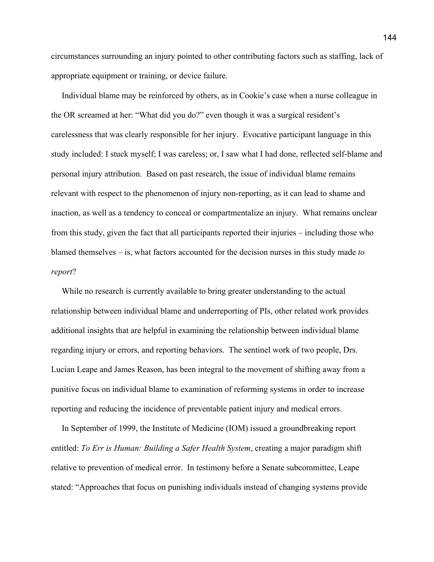circumstances surrounding an injury pointed to other contributing factors such as staffing, lack of appropriate equipment or training, or device failure.

 Individual blame may be reinforced by others, as in Cookie's case when a nurse colleague in the OR screamed at her: "What did you do?" even though it was a surgical resident's carelessness that was clearly responsible for her injury. Evocative participant language in this study included: I stuck myself; I was careless; or, I saw what I had done, reflected self-blame and personal injury attribution. Based on past research, the issue of individual blame remains relevant with respect to the phenomenon of injury non-reporting, as it can lead to shame and inaction, as well as a tendency to conceal or compartmentalize an injury. What remains unclear from this study, given the fact that all participants reported their injuries – including those who blamed themselves – is, what factors accounted for the decision nurses in this study made *to report*?

 While no research is currently available to bring greater understanding to the actual relationship between individual blame and underreporting of PIs, other related work provides additional insights that are helpful in examining the relationship between individual blame regarding injury or errors, and reporting behaviors. The sentinel work of two people, Drs. Lucian Leape and James Reason, has been integral to the movement of shifting away from a punitive focus on individual blame to examination of reforming systems in order to increase reporting and reducing the incidence of preventable patient injury and medical errors.

 In September of 1999, the Institute of Medicine (IOM) issued a groundbreaking report entitled: *To Err is Human: Building a Safer Health System*, creating a major paradigm shift relative to prevention of medical error. In testimony before a Senate subcommittee, Leape stated: "Approaches that focus on punishing individuals instead of changing systems provide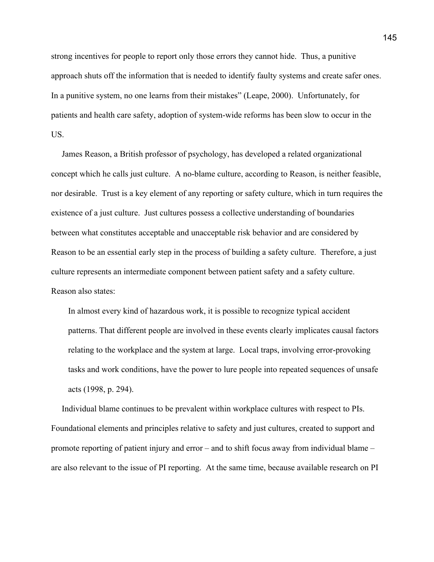strong incentives for people to report only those errors they cannot hide. Thus, a punitive approach shuts off the information that is needed to identify faulty systems and create safer ones. In a punitive system, no one learns from their mistakes" (Leape, 2000). Unfortunately, for patients and health care safety, adoption of system-wide reforms has been slow to occur in the US.

 James Reason, a British professor of psychology, has developed a related organizational concept which he calls just culture. A no-blame culture, according to Reason, is neither feasible, nor desirable. Trust is a key element of any reporting or safety culture, which in turn requires the existence of a just culture. Just cultures possess a collective understanding of boundaries between what constitutes acceptable and unacceptable risk behavior and are considered by Reason to be an essential early step in the process of building a safety culture. Therefore, a just culture represents an intermediate component between patient safety and a safety culture. Reason also states:

 In almost every kind of hazardous work, it is possible to recognize typical accident patterns. That different people are involved in these events clearly implicates causal factors relating to the workplace and the system at large. Local traps, involving error-provoking tasks and work conditions, have the power to lure people into repeated sequences of unsafe acts (1998, p. 294).

 Individual blame continues to be prevalent within workplace cultures with respect to PIs. Foundational elements and principles relative to safety and just cultures, created to support and promote reporting of patient injury and error – and to shift focus away from individual blame – are also relevant to the issue of PI reporting. At the same time, because available research on PI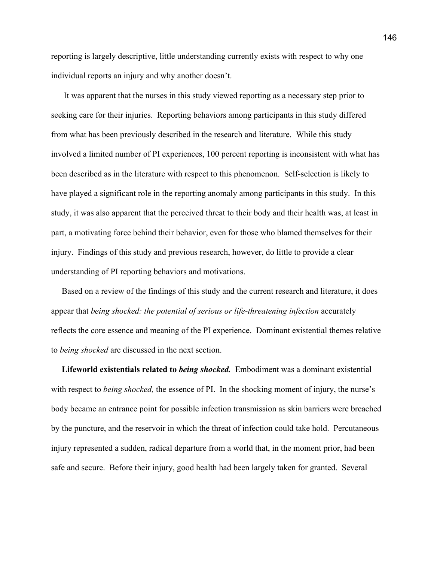reporting is largely descriptive, little understanding currently exists with respect to why one individual reports an injury and why another doesn't.

 It was apparent that the nurses in this study viewed reporting as a necessary step prior to seeking care for their injuries. Reporting behaviors among participants in this study differed from what has been previously described in the research and literature. While this study involved a limited number of PI experiences, 100 percent reporting is inconsistent with what has been described as in the literature with respect to this phenomenon. Self-selection is likely to have played a significant role in the reporting anomaly among participants in this study. In this study, it was also apparent that the perceived threat to their body and their health was, at least in part, a motivating force behind their behavior, even for those who blamed themselves for their injury. Findings of this study and previous research, however, do little to provide a clear understanding of PI reporting behaviors and motivations.

 Based on a review of the findings of this study and the current research and literature, it does appear that *being shocked: the potential of serious or life-threatening infection* accurately reflects the core essence and meaning of the PI experience.Dominant existential themes relative to *being shocked* are discussed in the next section.

 **Lifeworld existentials related to** *being shocked.* Embodiment was a dominant existential with respect to *being shocked,* the essence of PI. In the shocking moment of injury, the nurse's body became an entrance point for possible infection transmission as skin barriers were breached by the puncture, and the reservoir in which the threat of infection could take hold. Percutaneous injury represented a sudden, radical departure from a world that, in the moment prior, had been safe and secure. Before their injury, good health had been largely taken for granted. Several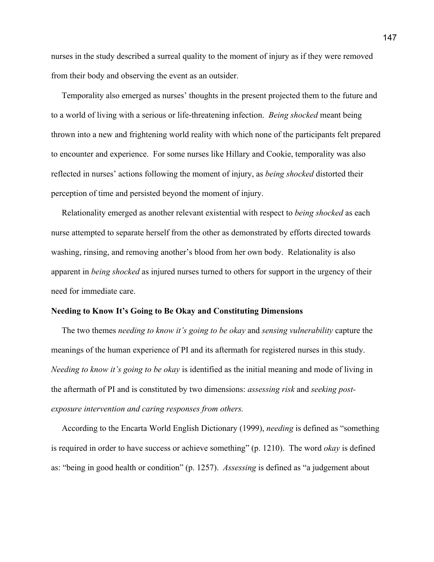nurses in the study described a surreal quality to the moment of injury as if they were removed from their body and observing the event as an outsider.

 Temporality also emerged as nurses' thoughts in the present projected them to the future and to a world of living with a serious or life-threatening infection. *Being shocked* meant being thrown into a new and frightening world reality with which none of the participants felt prepared to encounter and experience. For some nurses like Hillary and Cookie, temporality was also reflected in nurses' actions following the moment of injury, as *being shocked* distorted their perception of time and persisted beyond the moment of injury.

 Relationality emerged as another relevant existential with respect to *being shocked* as each nurse attempted to separate herself from the other as demonstrated by efforts directed towards washing, rinsing, and removing another's blood from her own body. Relationality is also apparent in *being shocked* as injured nurses turned to others for support in the urgency of their need for immediate care.

## **Needing to Know It's Going to Be Okay and Constituting Dimensions**

 The two themes *needing to know it's going to be okay* and *sensing vulnerability* capture the meanings of the human experience of PI and its aftermath for registered nurses in this study. *Needing to know it's going to be okay* is identified as the initial meaning and mode of living in the aftermath of PI and is constituted by two dimensions: *assessing risk* and *seeking postexposure intervention and caring responses from others.* 

According to the Encarta World English Dictionary (1999), *needing* is defined as "something is required in order to have success or achieve something" (p. 1210). The word *okay* is defined as: "being in good health or condition" (p. 1257). *Assessing* is defined as "a judgement about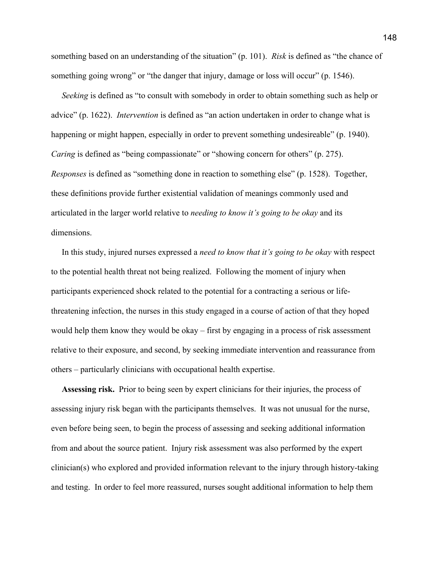something based on an understanding of the situation" (p. 101). *Risk* is defined as "the chance of something going wrong" or "the danger that injury, damage or loss will occur" (p. 1546).

 *Seeking* is defined as "to consult with somebody in order to obtain something such as help or advice" (p. 1622). *Intervention* is defined as "an action undertaken in order to change what is happening or might happen, especially in order to prevent something undesireable" (p. 1940). *Caring* is defined as "being compassionate" or "showing concern for others" (p. 275). *Responses* is defined as "something done in reaction to something else" (p. 1528). Together, these definitions provide further existential validation of meanings commonly used and articulated in the larger world relative to *needing to know it's going to be okay* and its dimensions.

 In this study, injured nurses expressed a *need to know that it's going to be okay* with respect to the potential health threat not being realized. Following the moment of injury when participants experienced shock related to the potential for a contracting a serious or lifethreatening infection, the nurses in this study engaged in a course of action of that they hoped would help them know they would be okay – first by engaging in a process of risk assessment relative to their exposure, and second, by seeking immediate intervention and reassurance from others – particularly clinicians with occupational health expertise.

 **Assessing risk.** Prior to being seen by expert clinicians for their injuries, the process of assessing injury risk began with the participants themselves. It was not unusual for the nurse, even before being seen, to begin the process of assessing and seeking additional information from and about the source patient. Injury risk assessment was also performed by the expert clinician(s) who explored and provided information relevant to the injury through history-taking and testing. In order to feel more reassured, nurses sought additional information to help them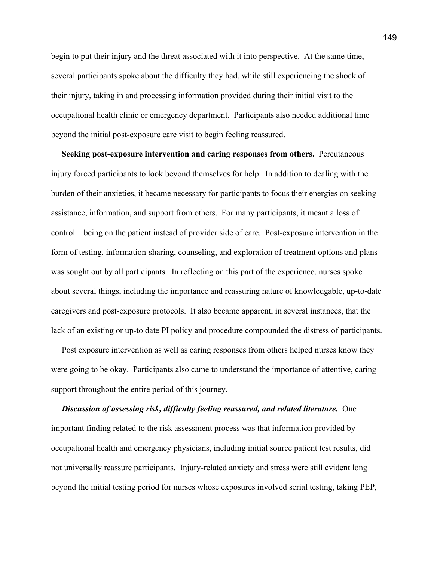begin to put their injury and the threat associated with it into perspective. At the same time, several participants spoke about the difficulty they had, while still experiencing the shock of their injury, taking in and processing information provided during their initial visit to the occupational health clinic or emergency department. Participants also needed additional time beyond the initial post-exposure care visit to begin feeling reassured.

 **Seeking post-exposure intervention and caring responses from others.** Percutaneous injury forced participants to look beyond themselves for help. In addition to dealing with the burden of their anxieties, it became necessary for participants to focus their energies on seeking assistance, information, and support from others. For many participants, it meant a loss of control – being on the patient instead of provider side of care. Post-exposure intervention in the form of testing, information-sharing, counseling, and exploration of treatment options and plans was sought out by all participants. In reflecting on this part of the experience, nurses spoke about several things, including the importance and reassuring nature of knowledgable, up-to-date caregivers and post-exposure protocols. It also became apparent, in several instances, that the lack of an existing or up-to date PI policy and procedure compounded the distress of participants.

 Post exposure intervention as well as caring responses from others helped nurses know they were going to be okay. Participants also came to understand the importance of attentive, caring support throughout the entire period of this journey.

 *Discussion of assessing risk, difficulty feeling reassured, and related literature.* One important finding related to the risk assessment process was that information provided by occupational health and emergency physicians, including initial source patient test results, did not universally reassure participants. Injury-related anxiety and stress were still evident long beyond the initial testing period for nurses whose exposures involved serial testing, taking PEP,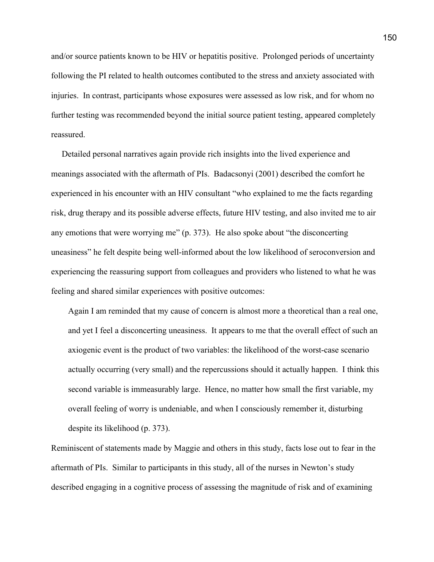and/or source patients known to be HIV or hepatitis positive. Prolonged periods of uncertainty following the PI related to health outcomes contibuted to the stress and anxiety associated with injuries. In contrast, participants whose exposures were assessed as low risk, and for whom no further testing was recommended beyond the initial source patient testing, appeared completely reassured.

 Detailed personal narratives again provide rich insights into the lived experience and meanings associated with the aftermath of PIs. Badacsonyi (2001) described the comfort he experienced in his encounter with an HIV consultant "who explained to me the facts regarding risk, drug therapy and its possible adverse effects, future HIV testing, and also invited me to air any emotions that were worrying me" (p. 373). He also spoke about "the disconcerting uneasiness" he felt despite being well-informed about the low likelihood of seroconversion and experiencing the reassuring support from colleagues and providers who listened to what he was feeling and shared similar experiences with positive outcomes:

 Again I am reminded that my cause of concern is almost more a theoretical than a real one, and yet I feel a disconcerting uneasiness. It appears to me that the overall effect of such an axiogenic event is the product of two variables: the likelihood of the worst-case scenario actually occurring (very small) and the repercussions should it actually happen. I think this second variable is immeasurably large. Hence, no matter how small the first variable, my overall feeling of worry is undeniable, and when I consciously remember it, disturbing despite its likelihood (p. 373).

Reminiscent of statements made by Maggie and others in this study, facts lose out to fear in the aftermath of PIs. Similar to participants in this study, all of the nurses in Newton's study described engaging in a cognitive process of assessing the magnitude of risk and of examining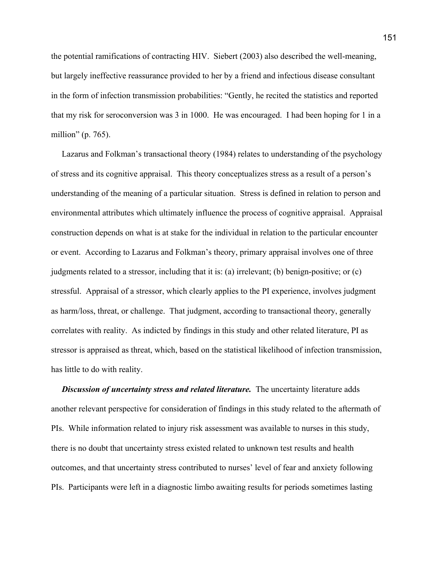the potential ramifications of contracting HIV. Siebert (2003) also described the well-meaning, but largely ineffective reassurance provided to her by a friend and infectious disease consultant in the form of infection transmission probabilities: "Gently, he recited the statistics and reported that my risk for seroconversion was 3 in 1000. He was encouraged. I had been hoping for 1 in a million" (p. 765).

 Lazarus and Folkman's transactional theory (1984) relates to understanding of the psychology of stress and its cognitive appraisal. This theory conceptualizes stress as a result of a person's understanding of the meaning of a particular situation. Stress is defined in relation to person and environmental attributes which ultimately influence the process of cognitive appraisal. Appraisal construction depends on what is at stake for the individual in relation to the particular encounter or event. According to Lazarus and Folkman's theory, primary appraisal involves one of three judgments related to a stressor, including that it is: (a) irrelevant; (b) benign-positive; or (c) stressful. Appraisal of a stressor, which clearly applies to the PI experience, involves judgment as harm/loss, threat, or challenge. That judgment, according to transactional theory, generally correlates with reality. As indicted by findings in this study and other related literature, PI as stressor is appraised as threat, which, based on the statistical likelihood of infection transmission, has little to do with reality.

*Discussion of uncertainty stress and related literature.* The uncertainty literature adds another relevant perspective for consideration of findings in this study related to the aftermath of PIs. While information related to injury risk assessment was available to nurses in this study, there is no doubt that uncertainty stress existed related to unknown test results and health outcomes, and that uncertainty stress contributed to nurses' level of fear and anxiety following PIs. Participants were left in a diagnostic limbo awaiting results for periods sometimes lasting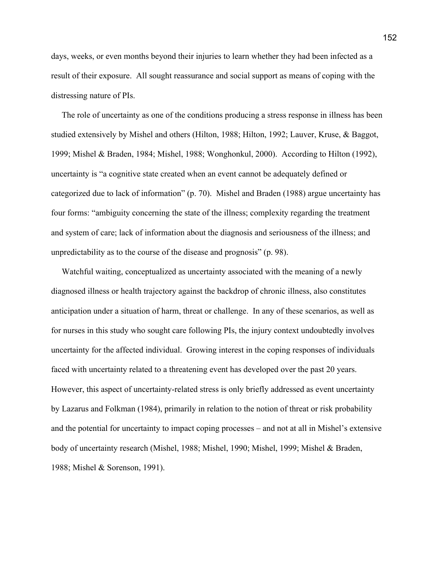days, weeks, or even months beyond their injuries to learn whether they had been infected as a result of their exposure. All sought reassurance and social support as means of coping with the distressing nature of PIs.

 The role of uncertainty as one of the conditions producing a stress response in illness has been studied extensively by Mishel and others (Hilton, 1988; Hilton, 1992; Lauver, Kruse, & Baggot, 1999; Mishel & Braden, 1984; Mishel, 1988; Wonghonkul, 2000). According to Hilton (1992), uncertainty is "a cognitive state created when an event cannot be adequately defined or categorized due to lack of information" (p. 70). Mishel and Braden (1988) argue uncertainty has four forms: "ambiguity concerning the state of the illness; complexity regarding the treatment and system of care; lack of information about the diagnosis and seriousness of the illness; and unpredictability as to the course of the disease and prognosis" (p. 98).

 Watchful waiting, conceptualized as uncertainty associated with the meaning of a newly diagnosed illness or health trajectory against the backdrop of chronic illness, also constitutes anticipation under a situation of harm, threat or challenge. In any of these scenarios, as well as for nurses in this study who sought care following PIs, the injury context undoubtedly involves uncertainty for the affected individual. Growing interest in the coping responses of individuals faced with uncertainty related to a threatening event has developed over the past 20 years. However, this aspect of uncertainty-related stress is only briefly addressed as event uncertainty by Lazarus and Folkman (1984), primarily in relation to the notion of threat or risk probability and the potential for uncertainty to impact coping processes – and not at all in Mishel's extensive body of uncertainty research (Mishel, 1988; Mishel, 1990; Mishel, 1999; Mishel & Braden, 1988; Mishel & Sorenson, 1991).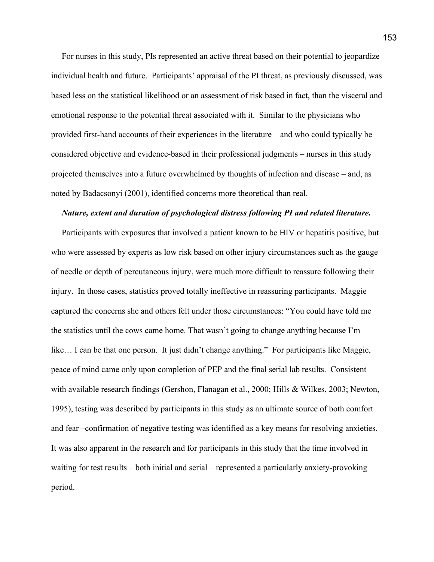For nurses in this study, PIs represented an active threat based on their potential to jeopardize individual health and future. Participants' appraisal of the PI threat, as previously discussed, was based less on the statistical likelihood or an assessment of risk based in fact, than the visceral and emotional response to the potential threat associated with it. Similar to the physicians who provided first-hand accounts of their experiences in the literature – and who could typically be considered objective and evidence-based in their professional judgments – nurses in this study projected themselves into a future overwhelmed by thoughts of infection and disease – and, as noted by Badacsonyi (2001), identified concerns more theoretical than real.

#### *Nature, extent and duration of psychological distress following PI and related literature.*

 Participants with exposures that involved a patient known to be HIV or hepatitis positive, but who were assessed by experts as low risk based on other injury circumstances such as the gauge of needle or depth of percutaneous injury, were much more difficult to reassure following their injury. In those cases, statistics proved totally ineffective in reassuring participants. Maggie captured the concerns she and others felt under those circumstances: "You could have told me the statistics until the cows came home. That wasn't going to change anything because I'm like… I can be that one person. It just didn't change anything." For participants like Maggie, peace of mind came only upon completion of PEP and the final serial lab results. Consistent with available research findings (Gershon, Flanagan et al., 2000; Hills & Wilkes, 2003; Newton, 1995), testing was described by participants in this study as an ultimate source of both comfort and fear –confirmation of negative testing was identified as a key means for resolving anxieties. It was also apparent in the research and for participants in this study that the time involved in waiting for test results – both initial and serial – represented a particularly anxiety-provoking period.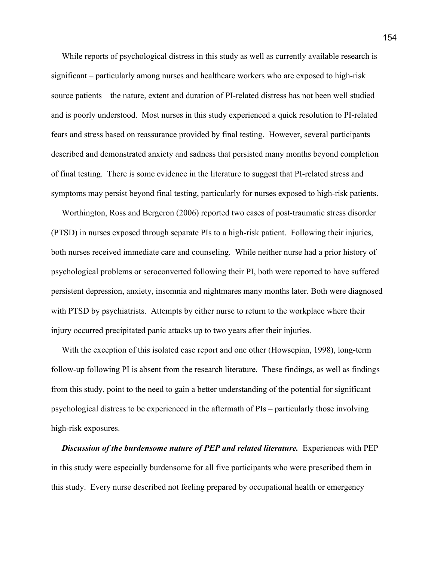While reports of psychological distress in this study as well as currently available research is significant – particularly among nurses and healthcare workers who are exposed to high-risk source patients – the nature, extent and duration of PI-related distress has not been well studied and is poorly understood. Most nurses in this study experienced a quick resolution to PI-related fears and stress based on reassurance provided by final testing. However, several participants described and demonstrated anxiety and sadness that persisted many months beyond completion of final testing. There is some evidence in the literature to suggest that PI-related stress and symptoms may persist beyond final testing, particularly for nurses exposed to high-risk patients.

 Worthington, Ross and Bergeron (2006) reported two cases of post-traumatic stress disorder (PTSD) in nurses exposed through separate PIs to a high-risk patient. Following their injuries, both nurses received immediate care and counseling. While neither nurse had a prior history of psychological problems or seroconverted following their PI, both were reported to have suffered persistent depression, anxiety, insomnia and nightmares many months later. Both were diagnosed with PTSD by psychiatrists. Attempts by either nurse to return to the workplace where their injury occurred precipitated panic attacks up to two years after their injuries.

 With the exception of this isolated case report and one other (Howsepian, 1998), long-term follow-up following PI is absent from the research literature. These findings, as well as findings from this study, point to the need to gain a better understanding of the potential for significant psychological distress to be experienced in the aftermath of PIs – particularly those involving high-risk exposures.

 *Discussion of the burdensome nature of PEP and related literature.* Experiences with PEP in this study were especially burdensome for all five participants who were prescribed them in this study. Every nurse described not feeling prepared by occupational health or emergency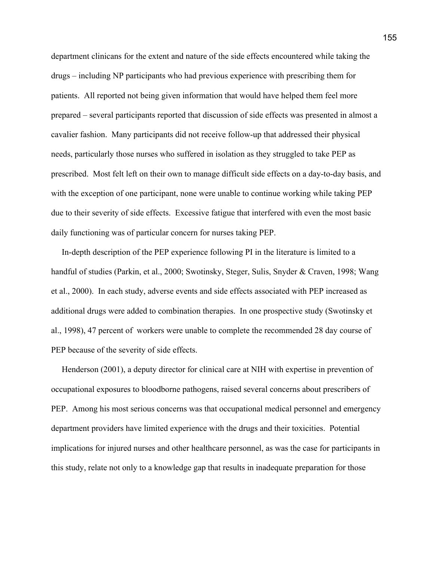department clinicans for the extent and nature of the side effects encountered while taking the drugs – including NP participants who had previous experience with prescribing them for patients. All reported not being given information that would have helped them feel more prepared – several participants reported that discussion of side effects was presented in almost a cavalier fashion. Many participants did not receive follow-up that addressed their physical needs, particularly those nurses who suffered in isolation as they struggled to take PEP as prescribed. Most felt left on their own to manage difficult side effects on a day-to-day basis, and with the exception of one participant, none were unable to continue working while taking PEP due to their severity of side effects. Excessive fatigue that interfered with even the most basic daily functioning was of particular concern for nurses taking PEP.

 In-depth description of the PEP experience following PI in the literature is limited to a handful of studies (Parkin, et al., 2000; Swotinsky, Steger, Sulis, Snyder & Craven, 1998; Wang et al., 2000). In each study, adverse events and side effects associated with PEP increased as additional drugs were added to combination therapies. In one prospective study (Swotinsky et al., 1998), 47 percent of workers were unable to complete the recommended 28 day course of PEP because of the severity of side effects.

 Henderson (2001), a deputy director for clinical care at NIH with expertise in prevention of occupational exposures to bloodborne pathogens, raised several concerns about prescribers of PEP. Among his most serious concerns was that occupational medical personnel and emergency department providers have limited experience with the drugs and their toxicities. Potential implications for injured nurses and other healthcare personnel, as was the case for participants in this study, relate not only to a knowledge gap that results in inadequate preparation for those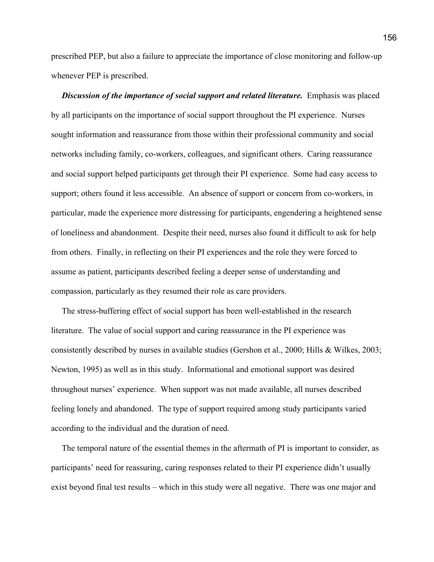prescribed PEP, but also a failure to appreciate the importance of close monitoring and follow-up whenever PEP is prescribed.

 *Discussion of the importance of social support and related literature.* Emphasis was placed by all participants on the importance of social support throughout the PI experience. Nurses sought information and reassurance from those within their professional community and social networks including family, co-workers, colleagues, and significant others. Caring reassurance and social support helped participants get through their PI experience. Some had easy access to support; others found it less accessible. An absence of support or concern from co-workers, in particular, made the experience more distressing for participants, engendering a heightened sense of loneliness and abandonment. Despite their need, nurses also found it difficult to ask for help from others. Finally, in reflecting on their PI experiences and the role they were forced to assume as patient, participants described feeling a deeper sense of understanding and compassion, particularly as they resumed their role as care providers.

 The stress-buffering effect of social support has been well-established in the research literature. The value of social support and caring reassurance in the PI experience was consistently described by nurses in available studies (Gershon et al., 2000; Hills & Wilkes, 2003; Newton, 1995) as well as in this study. Informational and emotional support was desired throughout nurses' experience. When support was not made available, all nurses described feeling lonely and abandoned. The type of support required among study participants varied according to the individual and the duration of need.

 The temporal nature of the essential themes in the aftermath of PI is important to consider, as participants' need for reassuring, caring responses related to their PI experience didn't usually exist beyond final test results – which in this study were all negative. There was one major and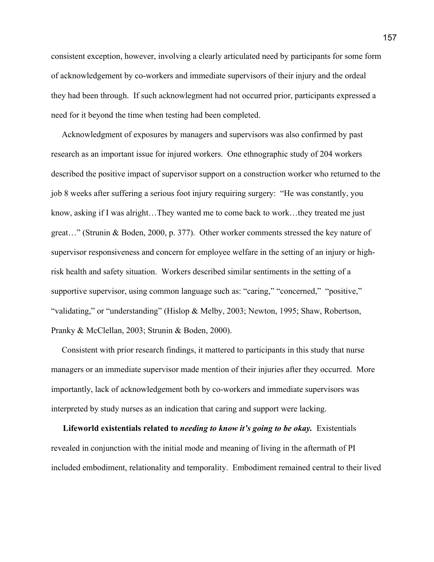consistent exception, however, involving a clearly articulated need by participants for some form of acknowledgement by co-workers and immediate supervisors of their injury and the ordeal they had been through. If such acknowlegment had not occurred prior, participants expressed a need for it beyond the time when testing had been completed.

 Acknowledgment of exposures by managers and supervisors was also confirmed by past research as an important issue for injured workers. One ethnographic study of 204 workers described the positive impact of supervisor support on a construction worker who returned to the job 8 weeks after suffering a serious foot injury requiring surgery: "He was constantly, you know, asking if I was alright…They wanted me to come back to work…they treated me just great…" (Strunin & Boden, 2000, p. 377). Other worker comments stressed the key nature of supervisor responsiveness and concern for employee welfare in the setting of an injury or highrisk health and safety situation. Workers described similar sentiments in the setting of a supportive supervisor, using common language such as: "caring," "concerned," "positive," "validating," or "understanding" (Hislop & Melby, 2003; Newton, 1995; Shaw, Robertson, Pranky & McClellan, 2003; Strunin & Boden, 2000).

 Consistent with prior research findings, it mattered to participants in this study that nurse managers or an immediate supervisor made mention of their injuries after they occurred. More importantly, lack of acknowledgement both by co-workers and immediate supervisors was interpreted by study nurses as an indication that caring and support were lacking.

 **Lifeworld existentials related to** *needing to know it's going to be okay.* Existentials revealed in conjunction with the initial mode and meaning of living in the aftermath of PI included embodiment, relationality and temporality. Embodiment remained central to their lived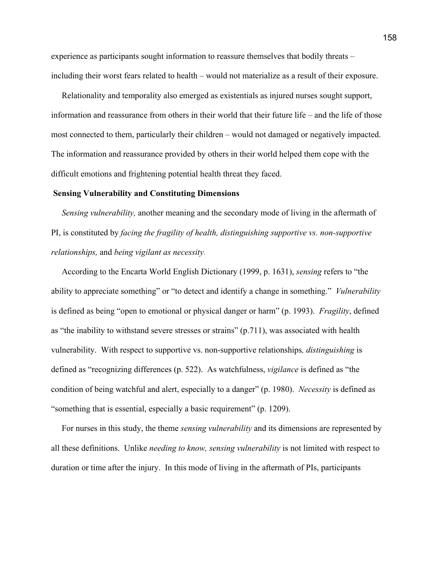experience as participants sought information to reassure themselves that bodily threats – including their worst fears related to health – would not materialize as a result of their exposure.

 Relationality and temporality also emerged as existentials as injured nurses sought support, information and reassurance from others in their world that their future life – and the life of those most connected to them, particularly their children – would not damaged or negatively impacted. The information and reassurance provided by others in their world helped them cope with the difficult emotions and frightening potential health threat they faced.

### **Sensing Vulnerability and Constituting Dimensions**

 *Sensing vulnerability,* another meaning and the secondary mode of living in the aftermath of PI, is constituted by *facing the fragility of health, distinguishing supportive vs. non-supportive relationships,* and *being vigilant as necessity.* 

 According to the Encarta World English Dictionary (1999, p. 1631), *sensing* refers to "the ability to appreciate something" or "to detect and identify a change in something." *Vulnerability* is defined as being "open to emotional or physical danger or harm" (p. 1993). *Fragility*, defined as "the inability to withstand severe stresses or strains" (p.711), was associated with health vulnerability. With respect to supportive vs. non-supportive relationships*, distinguishing* is defined as "recognizing differences (p. 522). As watchfulness, *vigilance* is defined as "the condition of being watchful and alert, especially to a danger" (p. 1980). *Necessity* is defined as "something that is essential, especially a basic requirement" (p. 1209).

 For nurses in this study, the theme *sensing vulnerability* and its dimensions are represented by all these definitions. Unlike *needing to know, sensing vulnerability* is not limited with respect to duration or time after the injury. In this mode of living in the aftermath of PIs, participants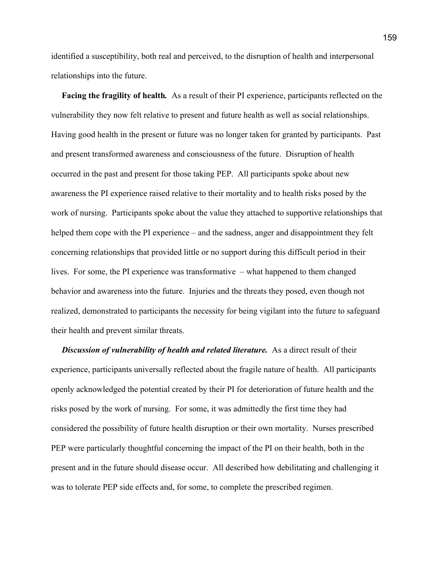identified a susceptibility, both real and perceived, to the disruption of health and interpersonal relationships into the future.

 **Facing the fragility of health***.* As a result of their PI experience, participants reflected on the vulnerability they now felt relative to present and future health as well as social relationships. Having good health in the present or future was no longer taken for granted by participants. Past and present transformed awareness and consciousness of the future. Disruption of health occurred in the past and present for those taking PEP. All participants spoke about new awareness the PI experience raised relative to their mortality and to health risks posed by the work of nursing. Participants spoke about the value they attached to supportive relationships that helped them cope with the PI experience – and the sadness, anger and disappointment they felt concerning relationships that provided little or no support during this difficult period in their lives. For some, the PI experience was transformative – what happened to them changed behavior and awareness into the future. Injuries and the threats they posed, even though not realized, demonstrated to participants the necessity for being vigilant into the future to safeguard their health and prevent similar threats.

 *Discussion of vulnerability of health and related literature.* As a direct result of their experience, participants universally reflected about the fragile nature of health. All participants openly acknowledged the potential created by their PI for deterioration of future health and the risks posed by the work of nursing. For some, it was admittedly the first time they had considered the possibility of future health disruption or their own mortality. Nurses prescribed PEP were particularly thoughtful concerning the impact of the PI on their health, both in the present and in the future should disease occur. All described how debilitating and challenging it was to tolerate PEP side effects and, for some, to complete the prescribed regimen.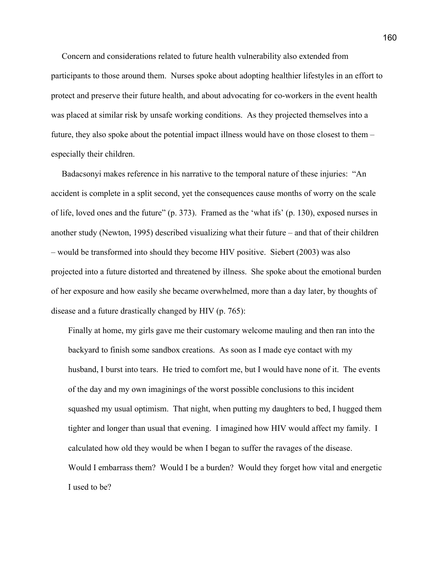Concern and considerations related to future health vulnerability also extended from participants to those around them. Nurses spoke about adopting healthier lifestyles in an effort to protect and preserve their future health, and about advocating for co-workers in the event health was placed at similar risk by unsafe working conditions. As they projected themselves into a future, they also spoke about the potential impact illness would have on those closest to them – especially their children.

 Badacsonyi makes reference in his narrative to the temporal nature of these injuries: "An accident is complete in a split second, yet the consequences cause months of worry on the scale of life, loved ones and the future" (p. 373). Framed as the 'what ifs' (p. 130), exposed nurses in another study (Newton, 1995) described visualizing what their future – and that of their children – would be transformed into should they become HIV positive. Siebert (2003) was also projected into a future distorted and threatened by illness. She spoke about the emotional burden of her exposure and how easily she became overwhelmed, more than a day later, by thoughts of disease and a future drastically changed by HIV (p. 765):

 Finally at home, my girls gave me their customary welcome mauling and then ran into the backyard to finish some sandbox creations. As soon as I made eye contact with my husband, I burst into tears. He tried to comfort me, but I would have none of it. The events of the day and my own imaginings of the worst possible conclusions to this incident squashed my usual optimism. That night, when putting my daughters to bed, I hugged them tighter and longer than usual that evening. I imagined how HIV would affect my family. I calculated how old they would be when I began to suffer the ravages of the disease. Would I embarrass them? Would I be a burden? Would they forget how vital and energetic I used to be?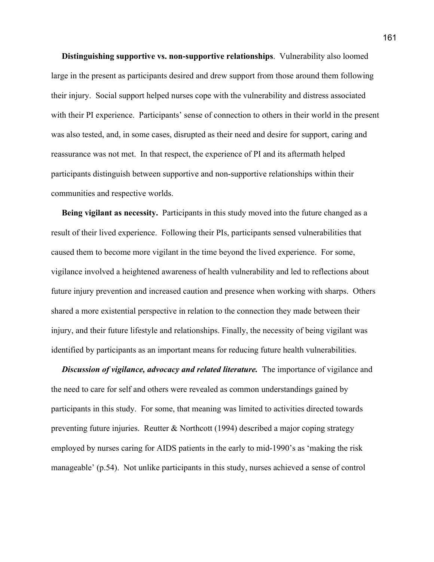**Distinguishing supportive vs. non-supportive relationships**. Vulnerability also loomed large in the present as participants desired and drew support from those around them following their injury. Social support helped nurses cope with the vulnerability and distress associated with their PI experience. Participants' sense of connection to others in their world in the present was also tested, and, in some cases, disrupted as their need and desire for support, caring and reassurance was not met. In that respect, the experience of PI and its aftermath helped participants distinguish between supportive and non-supportive relationships within their communities and respective worlds.

**Being vigilant as necessity.** Participants in this study moved into the future changed as a result of their lived experience. Following their PIs, participants sensed vulnerabilities that caused them to become more vigilant in the time beyond the lived experience. For some, vigilance involved a heightened awareness of health vulnerability and led to reflections about future injury prevention and increased caution and presence when working with sharps. Others shared a more existential perspective in relation to the connection they made between their injury, and their future lifestyle and relationships. Finally, the necessity of being vigilant was identified by participants as an important means for reducing future health vulnerabilities.

*Discussion of vigilance, advocacy and related literature.* The importance of vigilance and the need to care for self and others were revealed as common understandings gained by participants in this study. For some, that meaning was limited to activities directed towards preventing future injuries. Reutter & Northcott (1994) described a major coping strategy employed by nurses caring for AIDS patients in the early to mid-1990's as 'making the risk manageable' (p.54). Not unlike participants in this study, nurses achieved a sense of control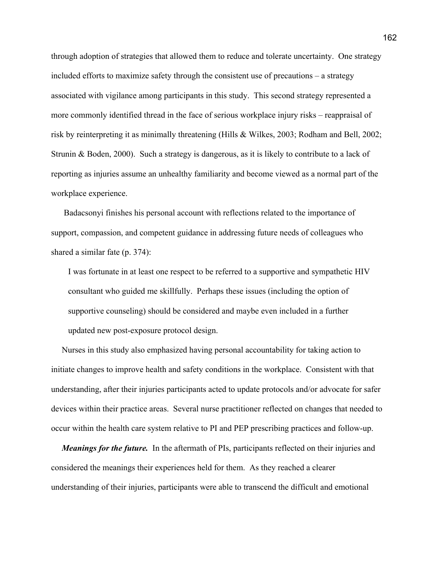through adoption of strategies that allowed them to reduce and tolerate uncertainty. One strategy included efforts to maximize safety through the consistent use of precautions – a strategy associated with vigilance among participants in this study. This second strategy represented a more commonly identified thread in the face of serious workplace injury risks – reappraisal of risk by reinterpreting it as minimally threatening (Hills & Wilkes, 2003; Rodham and Bell, 2002; Strunin & Boden, 2000). Such a strategy is dangerous, as it is likely to contribute to a lack of reporting as injuries assume an unhealthy familiarity and become viewed as a normal part of the workplace experience.

 Badacsonyi finishes his personal account with reflections related to the importance of support, compassion, and competent guidance in addressing future needs of colleagues who shared a similar fate (p. 374):

 I was fortunate in at least one respect to be referred to a supportive and sympathetic HIV consultant who guided me skillfully. Perhaps these issues (including the option of supportive counseling) should be considered and maybe even included in a further updated new post-exposure protocol design.

 Nurses in this study also emphasized having personal accountability for taking action to initiate changes to improve health and safety conditions in the workplace. Consistent with that understanding, after their injuries participants acted to update protocols and/or advocate for safer devices within their practice areas. Several nurse practitioner reflected on changes that needed to occur within the health care system relative to PI and PEP prescribing practices and follow-up.

 *Meanings for the future.* In the aftermath of PIs, participants reflected on their injuries and considered the meanings their experiences held for them. As they reached a clearer understanding of their injuries, participants were able to transcend the difficult and emotional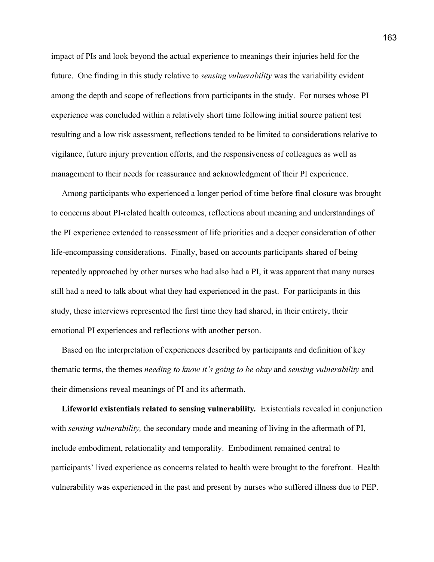impact of PIs and look beyond the actual experience to meanings their injuries held for the future. One finding in this study relative to *sensing vulnerability* was the variability evident among the depth and scope of reflections from participants in the study. For nurses whose PI experience was concluded within a relatively short time following initial source patient test resulting and a low risk assessment, reflections tended to be limited to considerations relative to vigilance, future injury prevention efforts, and the responsiveness of colleagues as well as management to their needs for reassurance and acknowledgment of their PI experience.

 Among participants who experienced a longer period of time before final closure was brought to concerns about PI-related health outcomes, reflections about meaning and understandings of the PI experience extended to reassessment of life priorities and a deeper consideration of other life-encompassing considerations. Finally, based on accounts participants shared of being repeatedly approached by other nurses who had also had a PI, it was apparent that many nurses still had a need to talk about what they had experienced in the past. For participants in this study, these interviews represented the first time they had shared, in their entirety, their emotional PI experiences and reflections with another person.

 Based on the interpretation of experiences described by participants and definition of key thematic terms, the themes *needing to know it's going to be okay* and *sensing vulnerability* and their dimensions reveal meanings of PI and its aftermath.

 **Lifeworld existentials related to sensing vulnerability***.* Existentials revealed in conjunction with *sensing vulnerability,* the secondary mode and meaning of living in the aftermath of PI, include embodiment, relationality and temporality. Embodiment remained central to participants' lived experience as concerns related to health were brought to the forefront. Health vulnerability was experienced in the past and present by nurses who suffered illness due to PEP.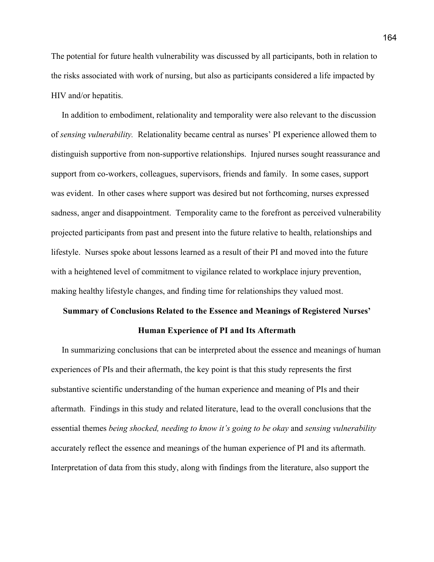The potential for future health vulnerability was discussed by all participants, both in relation to the risks associated with work of nursing, but also as participants considered a life impacted by HIV and/or hepatitis.

 In addition to embodiment, relationality and temporality were also relevant to the discussion of *sensing vulnerability.* Relationality became central as nurses' PI experience allowed them to distinguish supportive from non-supportive relationships. Injured nurses sought reassurance and support from co-workers, colleagues, supervisors, friends and family. In some cases, support was evident. In other cases where support was desired but not forthcoming, nurses expressed sadness, anger and disappointment. Temporality came to the forefront as perceived vulnerability projected participants from past and present into the future relative to health, relationships and lifestyle. Nurses spoke about lessons learned as a result of their PI and moved into the future with a heightened level of commitment to vigilance related to workplace injury prevention, making healthy lifestyle changes, and finding time for relationships they valued most.

# **Summary of Conclusions Related to the Essence and Meanings of Registered Nurses' Human Experience of PI and Its Aftermath**

In summarizing conclusions that can be interpreted about the essence and meanings of human experiences of PIs and their aftermath, the key point is that this study represents the first substantive scientific understanding of the human experience and meaning of PIs and their aftermath. Findings in this study and related literature, lead to the overall conclusions that the essential themes *being shocked, needing to know it's going to be okay* and *sensing vulnerability* accurately reflect the essence and meanings of the human experience of PI and its aftermath. Interpretation of data from this study, along with findings from the literature, also support the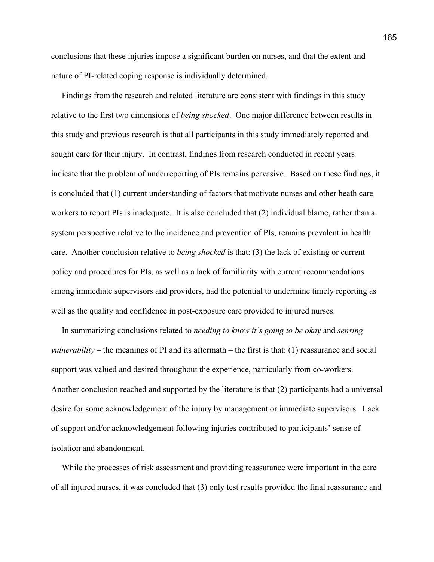conclusions that these injuries impose a significant burden on nurses, and that the extent and nature of PI-related coping response is individually determined.

Findings from the research and related literature are consistent with findings in this study relative to the first two dimensions of *being shocked*. One major difference between results in this study and previous research is that all participants in this study immediately reported and sought care for their injury. In contrast, findings from research conducted in recent years indicate that the problem of underreporting of PIs remains pervasive. Based on these findings, it is concluded that (1) current understanding of factors that motivate nurses and other heath care workers to report PIs is inadequate. It is also concluded that (2) individual blame, rather than a system perspective relative to the incidence and prevention of PIs, remains prevalent in health care. Another conclusion relative to *being shocked* is that: (3) the lack of existing or current policy and procedures for PIs, as well as a lack of familiarity with current recommendations among immediate supervisors and providers, had the potential to undermine timely reporting as well as the quality and confidence in post-exposure care provided to injured nurses.

 In summarizing conclusions related to *needing to know it's going to be okay* and *sensing vulnerability* – the meanings of PI and its aftermath – the first is that: (1) reassurance and social support was valued and desired throughout the experience, particularly from co-workers. Another conclusion reached and supported by the literature is that (2) participants had a universal desire for some acknowledgement of the injury by management or immediate supervisors. Lack of support and/or acknowledgement following injuries contributed to participants' sense of isolation and abandonment.

 While the processes of risk assessment and providing reassurance were important in the care of all injured nurses, it was concluded that (3) only test results provided the final reassurance and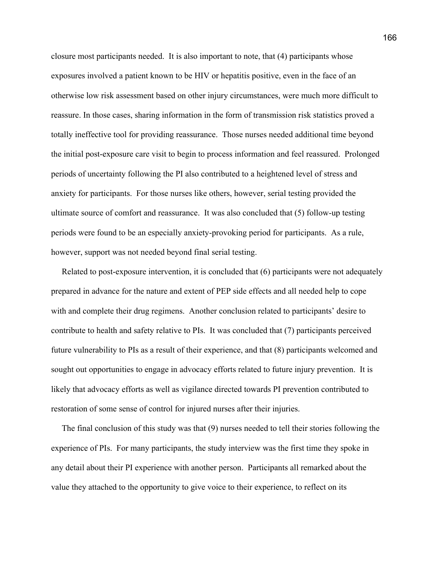closure most participants needed. It is also important to note, that (4) participants whose exposures involved a patient known to be HIV or hepatitis positive, even in the face of an otherwise low risk assessment based on other injury circumstances, were much more difficult to reassure. In those cases, sharing information in the form of transmission risk statistics proved a totally ineffective tool for providing reassurance. Those nurses needed additional time beyond the initial post-exposure care visit to begin to process information and feel reassured. Prolonged periods of uncertainty following the PI also contributed to a heightened level of stress and anxiety for participants. For those nurses like others, however, serial testing provided the ultimate source of comfort and reassurance. It was also concluded that (5) follow-up testing periods were found to be an especially anxiety-provoking period for participants. As a rule, however, support was not needed beyond final serial testing.

 Related to post-exposure intervention, it is concluded that (6) participants were not adequately prepared in advance for the nature and extent of PEP side effects and all needed help to cope with and complete their drug regimens. Another conclusion related to participants' desire to contribute to health and safety relative to PIs. It was concluded that (7) participants perceived future vulnerability to PIs as a result of their experience, and that (8) participants welcomed and sought out opportunities to engage in advocacy efforts related to future injury prevention. It is likely that advocacy efforts as well as vigilance directed towards PI prevention contributed to restoration of some sense of control for injured nurses after their injuries.

 The final conclusion of this study was that (9) nurses needed to tell their stories following the experience of PIs. For many participants, the study interview was the first time they spoke in any detail about their PI experience with another person. Participants all remarked about the value they attached to the opportunity to give voice to their experience, to reflect on its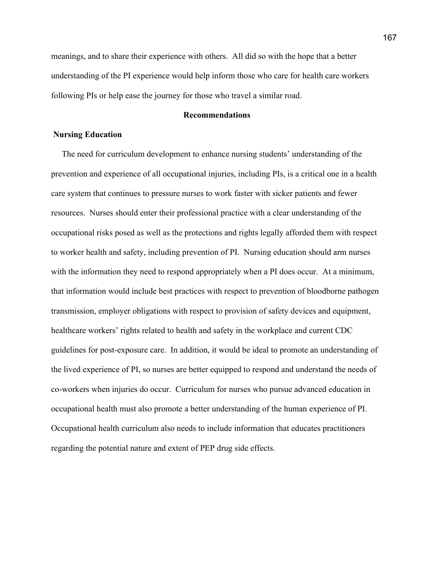meanings, and to share their experience with others. All did so with the hope that a better understanding of the PI experience would help inform those who care for health care workers following PIs or help ease the journey for those who travel a similar road.

# **Recommendations**

# **Nursing Education**

The need for curriculum development to enhance nursing students' understanding of the prevention and experience of all occupational injuries, including PIs, is a critical one in a health care system that continues to pressure nurses to work faster with sicker patients and fewer resources. Nurses should enter their professional practice with a clear understanding of the occupational risks posed as well as the protections and rights legally afforded them with respect to worker health and safety, including prevention of PI. Nursing education should arm nurses with the information they need to respond appropriately when a PI does occur. At a minimum, that information would include best practices with respect to prevention of bloodborne pathogen transmission, employer obligations with respect to provision of safety devices and equipment, healthcare workers' rights related to health and safety in the workplace and current CDC guidelines for post-exposure care. In addition, it would be ideal to promote an understanding of the lived experience of PI, so nurses are better equipped to respond and understand the needs of co-workers when injuries do occur. Curriculum for nurses who pursue advanced education in occupational health must also promote a better understanding of the human experience of PI. Occupational health curriculum also needs to include information that educates practitioners regarding the potential nature and extent of PEP drug side effects.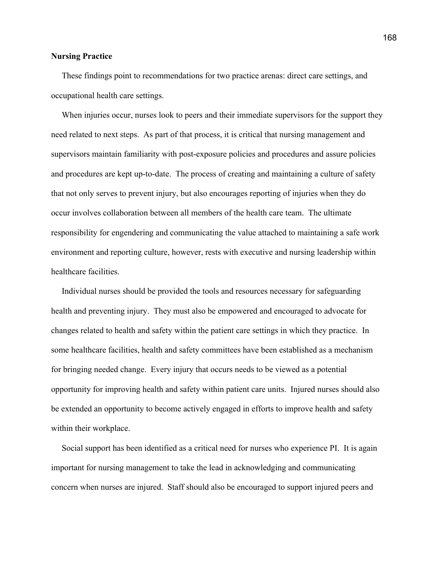# **Nursing Practice**

These findings point to recommendations for two practice arenas: direct care settings, and occupational health care settings.

When injuries occur, nurses look to peers and their immediate supervisors for the support they need related to next steps. As part of that process, it is critical that nursing management and supervisors maintain familiarity with post-exposure policies and procedures and assure policies and procedures are kept up-to-date. The process of creating and maintaining a culture of safety that not only serves to prevent injury, but also encourages reporting of injuries when they do occur involves collaboration between all members of the health care team. The ultimate responsibility for engendering and communicating the value attached to maintaining a safe work environment and reporting culture, however, rests with executive and nursing leadership within healthcare facilities.

 Individual nurses should be provided the tools and resources necessary for safeguarding health and preventing injury. They must also be empowered and encouraged to advocate for changes related to health and safety within the patient care settings in which they practice. In some healthcare facilities, health and safety committees have been established as a mechanism for bringing needed change. Every injury that occurs needs to be viewed as a potential opportunity for improving health and safety within patient care units. Injured nurses should also be extended an opportunity to become actively engaged in efforts to improve health and safety within their workplace.

 Social support has been identified as a critical need for nurses who experience PI. It is again important for nursing management to take the lead in acknowledging and communicating concern when nurses are injured. Staff should also be encouraged to support injured peers and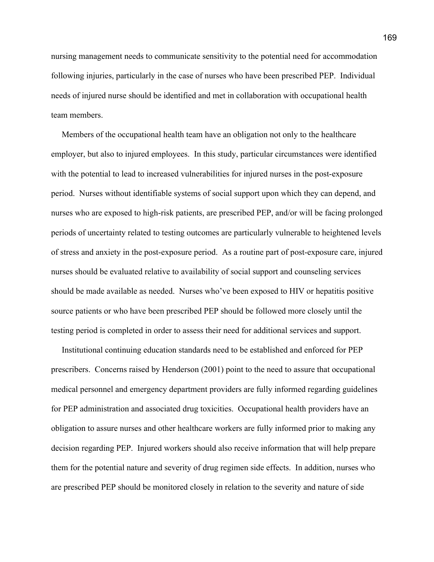nursing management needs to communicate sensitivity to the potential need for accommodation following injuries, particularly in the case of nurses who have been prescribed PEP. Individual needs of injured nurse should be identified and met in collaboration with occupational health team members.

 Members of the occupational health team have an obligation not only to the healthcare employer, but also to injured employees. In this study, particular circumstances were identified with the potential to lead to increased vulnerabilities for injured nurses in the post-exposure period. Nurses without identifiable systems of social support upon which they can depend, and nurses who are exposed to high-risk patients, are prescribed PEP, and/or will be facing prolonged periods of uncertainty related to testing outcomes are particularly vulnerable to heightened levels of stress and anxiety in the post-exposure period. As a routine part of post-exposure care, injured nurses should be evaluated relative to availability of social support and counseling services should be made available as needed. Nurses who've been exposed to HIV or hepatitis positive source patients or who have been prescribed PEP should be followed more closely until the testing period is completed in order to assess their need for additional services and support.

 Institutional continuing education standards need to be established and enforced for PEP prescribers. Concerns raised by Henderson (2001) point to the need to assure that occupational medical personnel and emergency department providers are fully informed regarding guidelines for PEP administration and associated drug toxicities. Occupational health providers have an obligation to assure nurses and other healthcare workers are fully informed prior to making any decision regarding PEP. Injured workers should also receive information that will help prepare them for the potential nature and severity of drug regimen side effects. In addition, nurses who are prescribed PEP should be monitored closely in relation to the severity and nature of side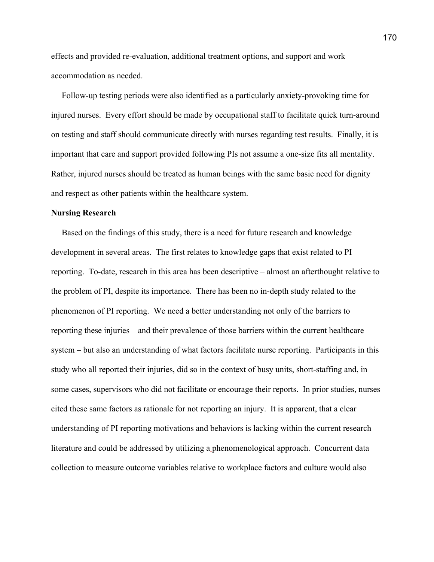effects and provided re-evaluation, additional treatment options, and support and work accommodation as needed.

 Follow-up testing periods were also identified as a particularly anxiety-provoking time for injured nurses. Every effort should be made by occupational staff to facilitate quick turn-around on testing and staff should communicate directly with nurses regarding test results. Finally, it is important that care and support provided following PIs not assume a one-size fits all mentality. Rather, injured nurses should be treated as human beings with the same basic need for dignity and respect as other patients within the healthcare system.

### **Nursing Research**

Based on the findings of this study, there is a need for future research and knowledge development in several areas. The first relates to knowledge gaps that exist related to PI reporting. To-date, research in this area has been descriptive – almost an afterthought relative to the problem of PI, despite its importance. There has been no in-depth study related to the phenomenon of PI reporting. We need a better understanding not only of the barriers to reporting these injuries – and their prevalence of those barriers within the current healthcare system – but also an understanding of what factors facilitate nurse reporting. Participants in this study who all reported their injuries, did so in the context of busy units, short-staffing and, in some cases, supervisors who did not facilitate or encourage their reports. In prior studies, nurses cited these same factors as rationale for not reporting an injury. It is apparent, that a clear understanding of PI reporting motivations and behaviors is lacking within the current research literature and could be addressed by utilizing a phenomenological approach. Concurrent data collection to measure outcome variables relative to workplace factors and culture would also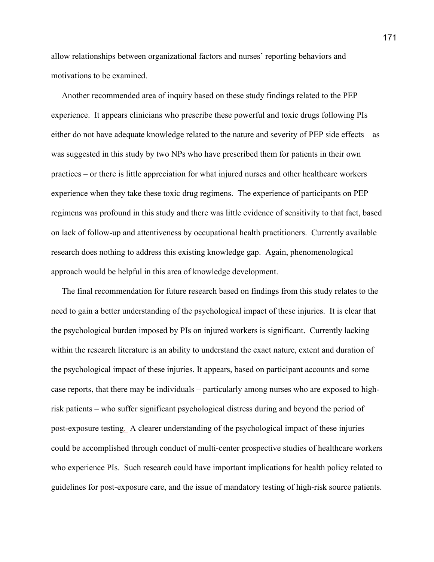allow relationships between organizational factors and nurses' reporting behaviors and motivations to be examined.

 Another recommended area of inquiry based on these study findings related to the PEP experience. It appears clinicians who prescribe these powerful and toxic drugs following PIs either do not have adequate knowledge related to the nature and severity of PEP side effects – as was suggested in this study by two NPs who have prescribed them for patients in their own practices – or there is little appreciation for what injured nurses and other healthcare workers experience when they take these toxic drug regimens. The experience of participants on PEP regimens was profound in this study and there was little evidence of sensitivity to that fact, based on lack of follow-up and attentiveness by occupational health practitioners. Currently available research does nothing to address this existing knowledge gap. Again, phenomenological approach would be helpful in this area of knowledge development.

 The final recommendation for future research based on findings from this study relates to the need to gain a better understanding of the psychological impact of these injuries. It is clear that the psychological burden imposed by PIs on injured workers is significant. Currently lacking within the research literature is an ability to understand the exact nature, extent and duration of the psychological impact of these injuries. It appears, based on participant accounts and some case reports, that there may be individuals – particularly among nurses who are exposed to highrisk patients – who suffer significant psychological distress during and beyond the period of post-exposure testing. A clearer understanding of the psychological impact of these injuries could be accomplished through conduct of multi-center prospective studies of healthcare workers who experience PIs. Such research could have important implications for health policy related to guidelines for post-exposure care, and the issue of mandatory testing of high-risk source patients.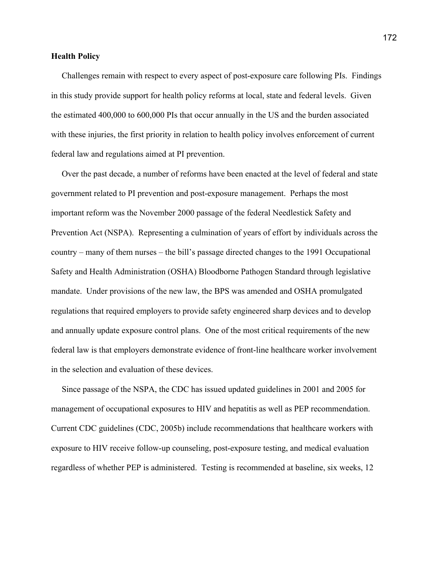### **Health Policy**

 Challenges remain with respect to every aspect of post-exposure care following PIs. Findings in this study provide support for health policy reforms at local, state and federal levels. Given the estimated 400,000 to 600,000 PIs that occur annually in the US and the burden associated with these injuries, the first priority in relation to health policy involves enforcement of current federal law and regulations aimed at PI prevention.

 Over the past decade, a number of reforms have been enacted at the level of federal and state government related to PI prevention and post-exposure management. Perhaps the most important reform was the November 2000 passage of the federal Needlestick Safety and Prevention Act (NSPA). Representing a culmination of years of effort by individuals across the country – many of them nurses – the bill's passage directed changes to the 1991 Occupational Safety and Health Administration (OSHA) Bloodborne Pathogen Standard through legislative mandate. Under provisions of the new law, the BPS was amended and OSHA promulgated regulations that required employers to provide safety engineered sharp devices and to develop and annually update exposure control plans. One of the most critical requirements of the new federal law is that employers demonstrate evidence of front-line healthcare worker involvement in the selection and evaluation of these devices.

 Since passage of the NSPA, the CDC has issued updated guidelines in 2001 and 2005 for management of occupational exposures to HIV and hepatitis as well as PEP recommendation. Current CDC guidelines (CDC, 2005b) include recommendations that healthcare workers with exposure to HIV receive follow-up counseling, post-exposure testing, and medical evaluation regardless of whether PEP is administered. Testing is recommended at baseline, six weeks, 12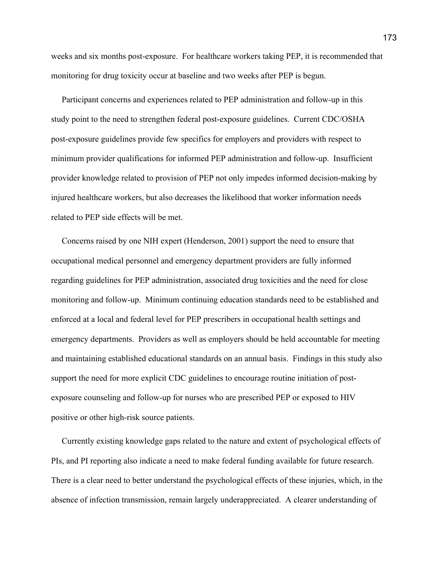weeks and six months post-exposure. For healthcare workers taking PEP, it is recommended that monitoring for drug toxicity occur at baseline and two weeks after PEP is begun.

 Participant concerns and experiences related to PEP administration and follow-up in this study point to the need to strengthen federal post-exposure guidelines. Current CDC/OSHA post-exposure guidelines provide few specifics for employers and providers with respect to minimum provider qualifications for informed PEP administration and follow-up. Insufficient provider knowledge related to provision of PEP not only impedes informed decision-making by injured healthcare workers, but also decreases the likelihood that worker information needs related to PEP side effects will be met.

 Concerns raised by one NIH expert (Henderson, 2001) support the need to ensure that occupational medical personnel and emergency department providers are fully informed regarding guidelines for PEP administration, associated drug toxicities and the need for close monitoring and follow-up. Minimum continuing education standards need to be established and enforced at a local and federal level for PEP prescribers in occupational health settings and emergency departments. Providers as well as employers should be held accountable for meeting and maintaining established educational standards on an annual basis. Findings in this study also support the need for more explicit CDC guidelines to encourage routine initiation of postexposure counseling and follow-up for nurses who are prescribed PEP or exposed to HIV positive or other high-risk source patients.

 Currently existing knowledge gaps related to the nature and extent of psychological effects of PIs, and PI reporting also indicate a need to make federal funding available for future research. There is a clear need to better understand the psychological effects of these injuries, which, in the absence of infection transmission, remain largely underappreciated. A clearer understanding of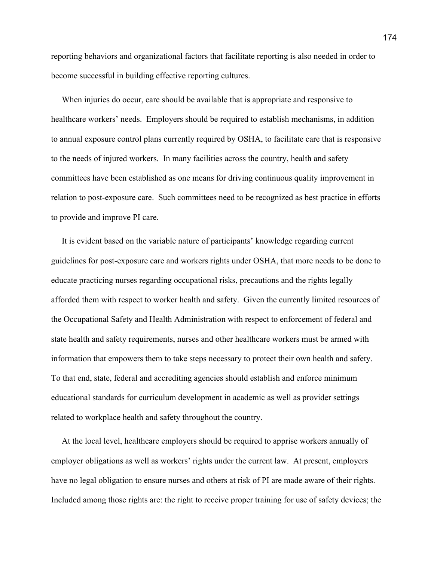reporting behaviors and organizational factors that facilitate reporting is also needed in order to become successful in building effective reporting cultures.

 When injuries do occur, care should be available that is appropriate and responsive to healthcare workers' needs. Employers should be required to establish mechanisms, in addition to annual exposure control plans currently required by OSHA, to facilitate care that is responsive to the needs of injured workers. In many facilities across the country, health and safety committees have been established as one means for driving continuous quality improvement in relation to post-exposure care. Such committees need to be recognized as best practice in efforts to provide and improve PI care.

 It is evident based on the variable nature of participants' knowledge regarding current guidelines for post-exposure care and workers rights under OSHA, that more needs to be done to educate practicing nurses regarding occupational risks, precautions and the rights legally afforded them with respect to worker health and safety. Given the currently limited resources of the Occupational Safety and Health Administration with respect to enforcement of federal and state health and safety requirements, nurses and other healthcare workers must be armed with information that empowers them to take steps necessary to protect their own health and safety. To that end, state, federal and accrediting agencies should establish and enforce minimum educational standards for curriculum development in academic as well as provider settings related to workplace health and safety throughout the country.

 At the local level, healthcare employers should be required to apprise workers annually of employer obligations as well as workers' rights under the current law. At present, employers have no legal obligation to ensure nurses and others at risk of PI are made aware of their rights. Included among those rights are: the right to receive proper training for use of safety devices; the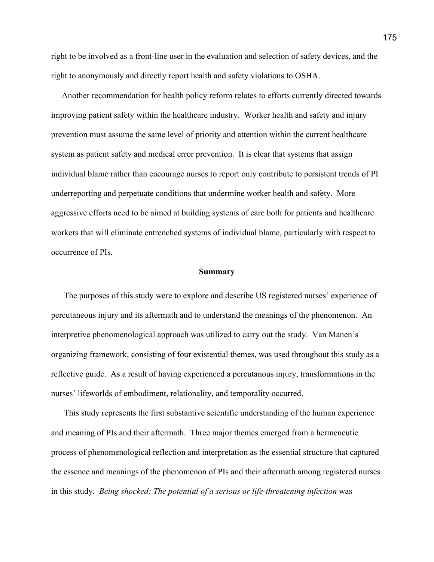right to be involved as a front-line user in the evaluation and selection of safety devices, and the right to anonymously and directly report health and safety violations to OSHA.

 Another recommendation for health policy reform relates to efforts currently directed towards improving patient safety within the healthcare industry. Worker health and safety and injury prevention must assume the same level of priority and attention within the current healthcare system as patient safety and medical error prevention. It is clear that systems that assign individual blame rather than encourage nurses to report only contribute to persistent trends of PI underreporting and perpetuate conditions that undermine worker health and safety. More aggressive efforts need to be aimed at building systems of care both for patients and healthcare workers that will eliminate entrenched systems of individual blame, particularly with respect to occurrence of PIs.

#### **Summary**

 The purposes of this study were to explore and describe US registered nurses' experience of percutaneous injury and its aftermath and to understand the meanings of the phenomenon. An interpretive phenomenological approach was utilized to carry out the study. Van Manen's organizing framework, consisting of four existential themes, was used throughout this study as a reflective guide. As a result of having experienced a percutanous injury, transformations in the nurses' lifeworlds of embodiment, relationality, and temporality occurred.

 This study represents the first substantive scientific understanding of the human experience and meaning of PIs and their aftermath. Three major themes emerged from a hermeneutic process of phenomenological reflection and interpretation as the essential structure that captured the essence and meanings of the phenomenon of PIs and their aftermath among registered nurses in this study. *Being shocked: The potential of a serious or life-threatening infection* was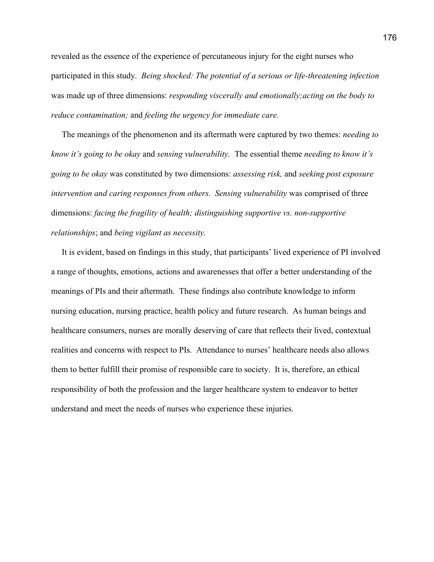revealed as the essence of the experience of percutaneous injury for the eight nurses who participated in this study. *Being shocked: The potential of a serious or life-threatening infection*  was made up of three dimensions: *responding viscerally and emotionally;acting on the body to reduce contamination;* and *feeling the urgency for immediate care.* 

The meanings of the phenomenon and its aftermath were captured by two themes: *needing to know it's going to be okay* and *sensing vulnerability.* The essential theme *needing to know it's going to be okay* was constituted by two dimensions: *assessing risk,* and *seeking post exposure intervention and caring responses from others. Sensing vulnerability* was comprised of three dimensions: *facing the fragility of health; distinguishing supportive vs. non-supportive relationships*; and *being vigilant as necessity.* 

 It is evident, based on findings in this study, that participants' lived experience of PI involved a range of thoughts, emotions, actions and awarenesses that offer a better understanding of the meanings of PIs and their aftermath. These findings also contribute knowledge to inform nursing education, nursing practice, health policy and future research. As human beings and healthcare consumers, nurses are morally deserving of care that reflects their lived, contextual realities and concerns with respect to PIs. Attendance to nurses' healthcare needs also allows them to better fulfill their promise of responsible care to society. It is, therefore, an ethical responsibility of both the profession and the larger healthcare system to endeavor to better understand and meet the needs of nurses who experience these injuries.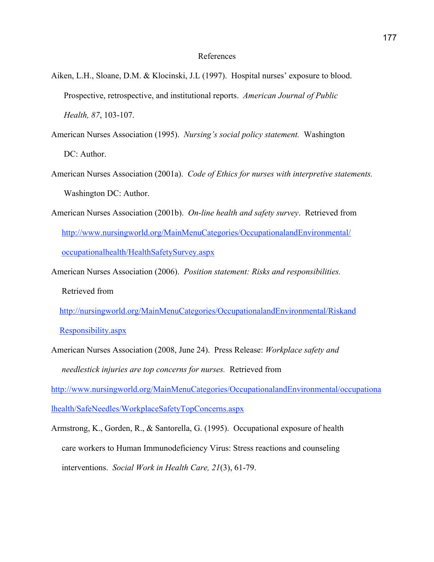- Aiken, L.H., Sloane, D.M. & Klocinski, J.L (1997). Hospital nurses' exposure to blood. Prospective, retrospective, and institutional reports. *American Journal of Public Health, 87*, 103-107.
- American Nurses Association (1995). *Nursing's social policy statement.* Washington DC: Author.
- American Nurses Association (2001a). *Code of Ethics for nurses with interpretive statements.* Washington DC: Author.
- American Nurses Association (2001b). *On-line health and safety survey*. Retrieved from http://www.nursingworld.org/MainMenuCategories/OccupationalandEnvironmental/ occupationalhealth/HealthSafetySurvey.aspx
- American Nurses Association (2006). *Position statement: Risks and responsibilities.*

Retrieved from

http://nursingworld.org/MainMenuCategories/OccupationalandEnvironmental/Riskand

Responsibility.aspx

American Nurses Association (2008, June 24). Press Release: *Workplace safety and needlestick injuries are top concerns for nurses.* Retrieved from

http://www.nursingworld.org/MainMenuCategories/OccupationalandEnvironmental/occupationa

lhealth/SafeNeedles/WorkplaceSafetyTopConcerns.aspx

Armstrong, K., Gorden, R., & Santorella, G. (1995). Occupational exposure of health care workers to Human Immunodeficiency Virus: Stress reactions and counseling interventions. *Social Work in Health Care, 21*(3), 61-79.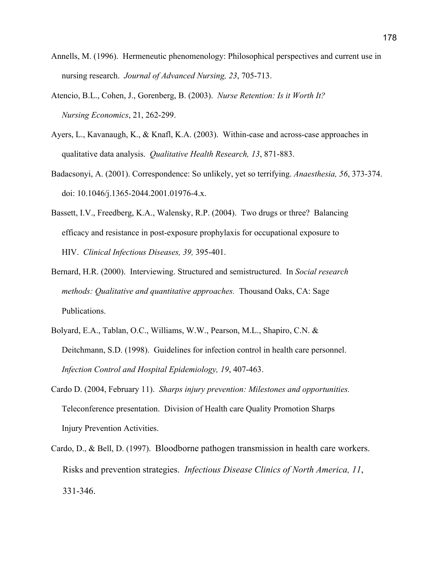- Annells, M. (1996). Hermeneutic phenomenology: Philosophical perspectives and current use in nursing research. *Journal of Advanced Nursing, 23*, 705-713.
- Atencio, B.L., Cohen, J., Gorenberg, B. (2003). *Nurse Retention: Is it Worth It? Nursing Economics*, 21, 262-299.
- Ayers, L., Kavanaugh, K., & Knafl, K.A. (2003). Within-case and across-case approaches in qualitative data analysis. *Qualitative Health Research, 13*, 871-883.
- Badacsonyi, A. (2001). Correspondence: So unlikely, yet so terrifying. *Anaesthesia, 56*, 373-374. doi: 10.1046/j.1365-2044.2001.01976-4.x.
- Bassett, I.V., Freedberg, K.A., Walensky, R.P. (2004). Two drugs or three? Balancing efficacy and resistance in post-exposure prophylaxis for occupational exposure to HIV. *Clinical Infectious Diseases, 39,* 395-401.
- Bernard, H.R. (2000). Interviewing. Structured and semistructured. In *Social research methods: Qualitative and quantitative approaches.* Thousand Oaks, CA: Sage Publications.
- Bolyard, E.A., Tablan, O.C., Williams, W.W., Pearson, M.L., Shapiro, C.N. & Deitchmann, S.D. (1998). Guidelines for infection control in health care personnel. *Infection Control and Hospital Epidemiology, 19*, 407-463.
- Cardo D. (2004, February 11). *Sharps injury prevention: Milestones and opportunities.* Teleconference presentation. Division of Health care Quality Promotion Sharps Injury Prevention Activities.
- Cardo, D., & Bell, D. (1997). Bloodborne pathogen transmission in health care workers. Risks and prevention strategies. *Infectious Disease Clinics of North America, 11*, 331-346.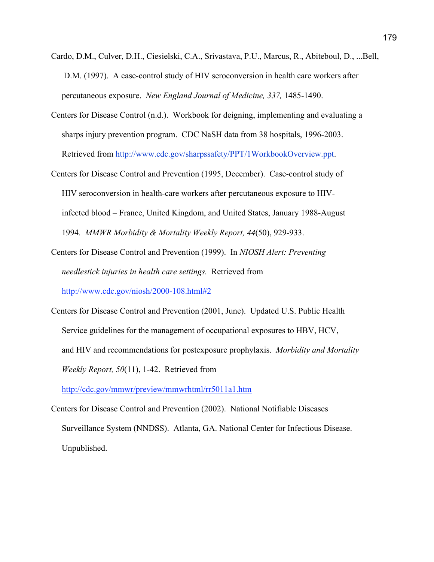- Cardo, D.M., Culver, D.H., Ciesielski, C.A., Srivastava, P.U., Marcus, R., Abiteboul, D., ...Bell, D.M. (1997). A case-control study of HIV seroconversion in health care workers after percutaneous exposure. *New England Journal of Medicine, 337,* 1485-1490.
- Centers for Disease Control (n.d.). Workbook for deigning, implementing and evaluating a sharps injury prevention program. CDC NaSH data from 38 hospitals, 1996-2003. Retrieved from http://www.cdc.gov/sharpssafety/PPT/1WorkbookOverview.ppt.
- Centers for Disease Control and Prevention (1995, December). Case-control study of HIV seroconversion in health-care workers after percutaneous exposure to HIV infected blood – France, United Kingdom, and United States, January 1988-August 1994*. MMWR Morbidity & Mortality Weekly Report, 44*(50), 929-933.
- Centers for Disease Control and Prevention (1999). In *NIOSH Alert: Preventing needlestick injuries in health care settings.* Retrieved from

http://www.cdc.gov/niosh/2000-108.html#2

Centers for Disease Control and Prevention (2001, June). Updated U.S. Public Health Service guidelines for the management of occupational exposures to HBV, HCV, and HIV and recommendations for postexposure prophylaxis. *Morbidity and Mortality Weekly Report, 50*(11), 1-42. Retrieved from

http://cdc.gov/mmwr/preview/mmwrhtml/rr5011a1.htm

Centers for Disease Control and Prevention (2002). National Notifiable Diseases Surveillance System (NNDSS). Atlanta, GA. National Center for Infectious Disease. Unpublished.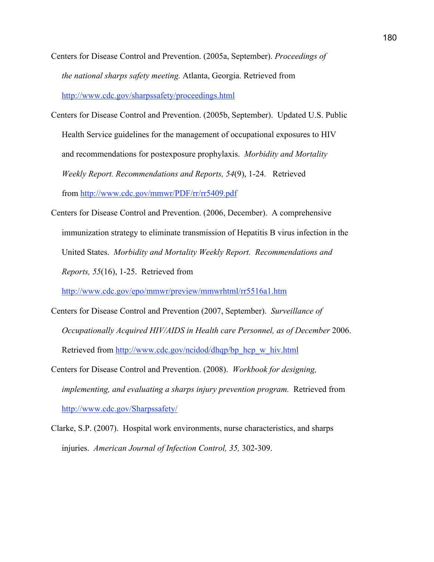- Centers for Disease Control and Prevention. (2005a, September). *Proceedings of the national sharps safety meeting.* Atlanta, Georgia. Retrieved from http://www.cdc.gov/sharpssafety/proceedings.html
- Centers for Disease Control and Prevention. (2005b, September). Updated U.S. Public Health Service guidelines for the management of occupational exposures to HIV and recommendations for postexposure prophylaxis. *Morbidity and Mortality Weekly Report. Recommendations and Reports, 54*(9), 1-24. Retrieved from http://www.cdc.gov/mmwr/PDF/rr/rr5409.pdf
- Centers for Disease Control and Prevention. (2006, December). A comprehensive immunization strategy to eliminate transmission of Hepatitis B virus infection in the United States. *Morbidity and Mortality Weekly Report. Recommendations and Reports, 55*(16), 1-25. Retrieved from

http://www.cdc.gov/epo/mmwr/preview/mmwrhtml/rr5516a1.htm

- Centers for Disease Control and Prevention (2007, September). *Surveillance of Occupationally Acquired HIV/AIDS in Health care Personnel, as of December* 2006. Retrieved from http://www.cdc.gov/ncidod/dhqp/bp\_hcp\_w\_hiv.html
- Centers for Disease Control and Prevention. (2008). *Workbook for designing, implementing, and evaluating a sharps injury prevention program.* Retrieved from http://www.cdc.gov/Sharpssafety/
- Clarke, S.P. (2007). Hospital work environments, nurse characteristics, and sharps injuries. *American Journal of Infection Control, 35,* 302-309.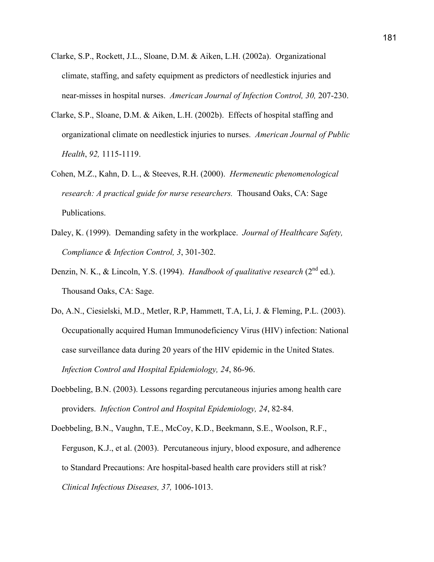- Clarke, S.P., Rockett, J.L., Sloane, D.M. & Aiken, L.H. (2002a). Organizational climate, staffing, and safety equipment as predictors of needlestick injuries and near-misses in hospital nurses. *American Journal of Infection Control, 30,* 207-230.
- Clarke, S.P., Sloane, D.M. & Aiken, L.H. (2002b). Effects of hospital staffing and organizational climate on needlestick injuries to nurses. *American Journal of Public Health*, *92,* 1115-1119.
- Cohen, M.Z., Kahn, D. L., & Steeves, R.H. (2000). *Hermeneutic phenomenological research: A practical guide for nurse researchers.* Thousand Oaks, CA: Sage Publications.
- Daley, K. (1999). Demanding safety in the workplace. *Journal of Healthcare Safety, Compliance & Infection Control, 3*, 301-302.
- Denzin, N. K., & Lincoln, Y.S. (1994). *Handbook of qualitative research* (2<sup>nd</sup> ed.). Thousand Oaks, CA: Sage.
- Do, A.N., Ciesielski, M.D., Metler, R.P, Hammett, T.A, Li, J. & Fleming, P.L. (2003). Occupationally acquired Human Immunodeficiency Virus (HIV) infection: National case surveillance data during 20 years of the HIV epidemic in the United States. *Infection Control and Hospital Epidemiology, 24*, 86-96.
- Doebbeling, B.N. (2003). Lessons regarding percutaneous injuries among health care providers. *Infection Control and Hospital Epidemiology, 24*, 82-84.
- Doebbeling, B.N., Vaughn, T.E., McCoy, K.D., Beekmann, S.E., Woolson, R.F., Ferguson, K.J., et al. (2003). Percutaneous injury, blood exposure, and adherence to Standard Precautions: Are hospital-based health care providers still at risk? *Clinical Infectious Diseases, 37,* 1006-1013.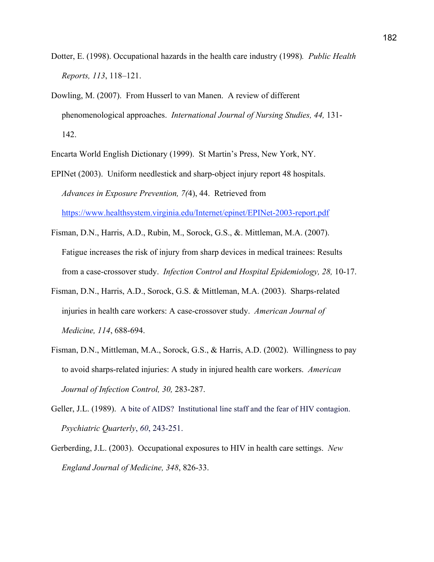- Dotter, E. (1998). Occupational hazards in the health care industry (1998)*. Public Health Reports, 113*, 118–121.
- Dowling, M. (2007). From Husserl to van Manen. A review of different phenomenological approaches. *International Journal of Nursing Studies, 44,* 131- 142.

Encarta World English Dictionary (1999). St Martin's Press, New York, NY.

- EPINet (2003). Uniform needlestick and sharp-object injury report 48 hospitals. *Advances in Exposure Prevention, 7(*4), 44. Retrieved from https://www.healthsystem.virginia.edu/Internet/epinet/EPINet-2003-report.pdf
- Fisman, D.N., Harris, A.D., Rubin, M., Sorock, G.S., &. Mittleman, M.A. (2007). Fatigue increases the risk of injury from sharp devices in medical trainees: Results from a case-crossover study. *Infection Control and Hospital Epidemiology, 28,* 10-17.
- Fisman, D.N., Harris, A.D., Sorock, G.S. & Mittleman, M.A. (2003). Sharps-related injuries in health care workers: A case-crossover study. *American Journal of Medicine, 114*, 688-694.
- Fisman, D.N., Mittleman, M.A., Sorock, G.S., & Harris, A.D. (2002). Willingness to pay to avoid sharps-related injuries: A study in injured health care workers. *American Journal of Infection Control, 30,* 283-287.
- Geller, J.L. (1989). A bite of AIDS? Institutional line staff and the fear of HIV contagion. *Psychiatric Quarterly*, *60*, 243-251.
- Gerberding, J.L. (2003). Occupational exposures to HIV in health care settings. *New England Journal of Medicine, 348*, 826-33.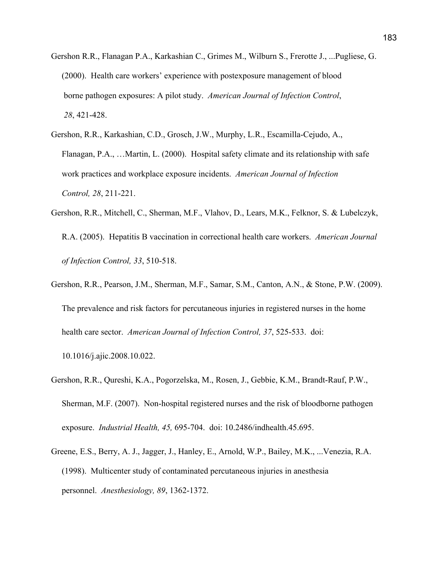- Gershon R.R., Flanagan P.A., Karkashian C., Grimes M., Wilburn S., Frerotte J., ...Pugliese, G. (2000). Health care workers' experience with postexposure management of blood borne pathogen exposures: A pilot study. *American Journal of Infection Control*, *28*, 421-428.
- Gershon, R.R., Karkashian, C.D., Grosch, J.W., Murphy, L.R., Escamilla-Cejudo, A., Flanagan, P.A., …Martin, L. (2000). Hospital safety climate and its relationship with safe work practices and workplace exposure incidents. *American Journal of Infection Control, 28*, 211-221.
- Gershon, R.R., Mitchell, C., Sherman, M.F., Vlahov, D., Lears, M.K., Felknor, S. & Lubelczyk, R.A. (2005). Hepatitis B vaccination in correctional health care workers. *American Journal of Infection Control, 33*, 510-518.
- Gershon, R.R., Pearson, J.M., Sherman, M.F., Samar, S.M., Canton, A.N., & Stone, P.W. (2009). The prevalence and risk factors for percutaneous injuries in registered nurses in the home health care sector. *American Journal of Infection Control, 37*, 525-533. doi:
	- 10.1016/j.ajic.2008.10.022.
- Gershon, R.R., Qureshi, K.A., Pogorzelska, M., Rosen, J., Gebbie, K.M., Brandt-Rauf, P.W., Sherman, M.F. (2007). Non-hospital registered nurses and the risk of bloodborne pathogen exposure. *Industrial Health, 45,* 695-704. doi: 10.2486/indhealth.45.695.
- Greene, E.S., Berry, A. J., Jagger, J., Hanley, E., Arnold, W.P., Bailey, M.K., ...Venezia, R.A. (1998). Multicenter study of contaminated percutaneous injuries in anesthesia personnel. *Anesthesiology, 89*, 1362-1372.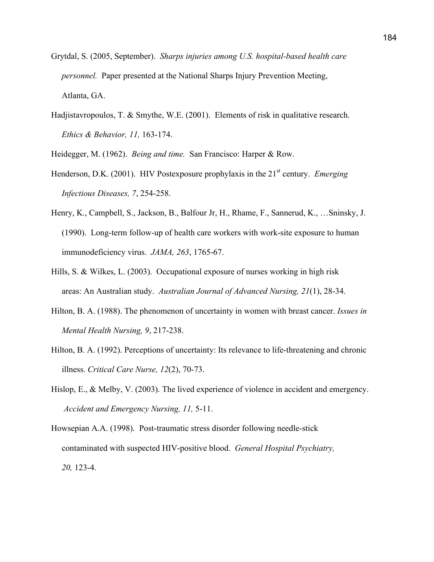- Grytdal, S. (2005, September). *Sharps injuries among U.S. hospital-based health care personnel.* Paper presented at the National Sharps Injury Prevention Meeting, Atlanta, GA.
- Hadjistavropoulos, T. & Smythe, W.E. (2001). Elements of risk in qualitative research. *Ethics & Behavior, 11,* 163-174.
- Heidegger, M. (1962). *Being and time.* San Francisco: Harper & Row.
- Henderson, D.K. (2001). HIV Postexposure prophylaxis in the 21<sup>st</sup> century. *Emerging Infectious Diseases, 7*, 254-258.
- Henry, K., Campbell, S., Jackson, B., Balfour Jr, H., Rhame, F., Sannerud, K., …Sninsky, J. (1990). Long-term follow-up of health care workers with work-site exposure to human immunodeficiency virus. *JAMA, 263*, 1765-67.
- Hills, S. & Wilkes, L. (2003). Occupational exposure of nurses working in high risk areas: An Australian study. *Australian Journal of Advanced Nursing, 21*(1), 28-34.
- Hilton, B. A. (1988). The phenomenon of uncertainty in women with breast cancer. *Issues in Mental Health Nursing, 9*, 217-238.
- Hilton, B. A. (1992). Perceptions of uncertainty: Its relevance to life-threatening and chronic illness. *Critical Care Nurse, 12*(2), 70-73.
- Hislop, E., & Melby, V. (2003). The lived experience of violence in accident and emergency. *Accident and Emergency Nursing, 11,* 5-11.
- Howsepian A.A. (1998). Post-traumatic stress disorder following needle-stick contaminated with suspected HIV-positive blood. *General Hospital Psychiatry, 20,* 123-4.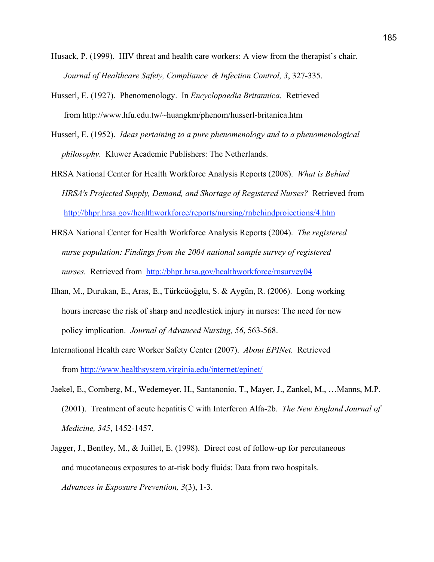- Husack, P. (1999). HIV threat and health care workers: A view from the therapist's chair. *Journal of Healthcare Safety, Compliance & Infection Control, 3*, 327-335.
- Husserl, E. (1927). Phenomenology. In *Encyclopaedia Britannica.* Retrieved from http://www.hfu.edu.tw/~huangkm/phenom/husserl-britanica.htm
- Husserl, E. (1952). *Ideas pertaining to a pure phenomenology and to a phenomenological philosophy.* Kluwer Academic Publishers: The Netherlands.
- HRSA National Center for Health Workforce Analysis Reports (2008). *What is Behind HRSA's Projected Supply, Demand, and Shortage of Registered Nurses?* Retrieved from http://bhpr.hrsa.gov/healthworkforce/reports/nursing/rnbehindprojections/4.htm
- HRSA National Center for Health Workforce Analysis Reports (2004). *The registered nurse population: Findings from the 2004 national sample survey of registered nurses.* Retrieved fromhttp://bhpr.hrsa.gov/healthworkforce/rnsurvey04
- Ilhan, M., Durukan, E., Aras, E., Türkcüoğglu, S. & Aygün, R. (2006). Long working hours increase the risk of sharp and needlestick injury in nurses: The need for new policy implication. *Journal of Advanced Nursing, 56*, 563-568.
- International Health care Worker Safety Center (2007). *About EPINet.* Retrieved from http://www.healthsystem.virginia.edu/internet/epinet/
- Jaekel, E., Cornberg, M., Wedemeyer, H., Santanonio, T., Mayer, J., Zankel, M., …Manns, M.P. (2001). Treatment of acute hepatitis C with Interferon Alfa-2b. *The New England Journal of Medicine, 345*, 1452-1457.
- Jagger, J., Bentley, M., & Juillet, E. (1998). Direct cost of follow-up for percutaneous and mucotaneous exposures to at-risk body fluids: Data from two hospitals. *Advances in Exposure Prevention, 3*(3), 1-3.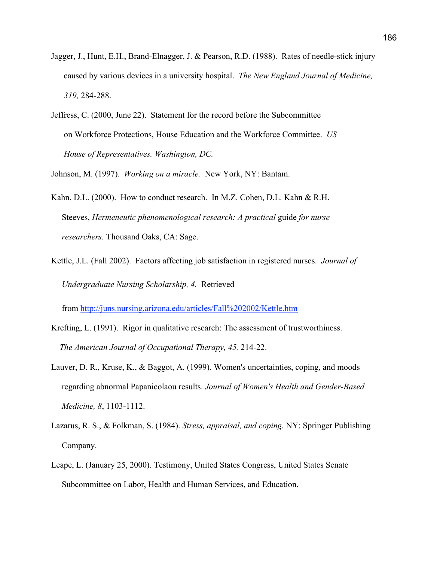- Jagger, J., Hunt, E.H., Brand-Elnagger, J. & Pearson, R.D. (1988). Rates of needle-stick injury caused by various devices in a university hospital. *The New England Journal of Medicine, 319,* 284-288.
- Jeffress, C. (2000, June 22). Statement for the record before the Subcommittee on Workforce Protections, House Education and the Workforce Committee. *US House of Representatives. Washington, DC.*

Johnson, M. (1997). *Working on a miracle.* New York, NY: Bantam.

- Kahn, D.L. (2000). How to conduct research. In M.Z. Cohen, D.L. Kahn & R.H. Steeves, *Hermeneutic phenomenological research: A practical* guide *for nurse researchers.* Thousand Oaks, CA: Sage.
- Kettle, J.L. (Fall 2002). Factors affecting job satisfaction in registered nurses. *Journal of Undergraduate Nursing Scholarship, 4.* Retrieved

from http://juns.nursing.arizona.edu/articles/Fall%202002/Kettle.htm

- Krefting, L. (1991). Rigor in qualitative research: The assessment of trustworthiness. *The American Journal of Occupational Therapy, 45,* 214-22.
- Lauver, D. R., Kruse, K., & Baggot, A. (1999). Women's uncertainties, coping, and moods regarding abnormal Papanicolaou results. *Journal of Women's Health and Gender-Based Medicine, 8*, 1103-1112.
- Lazarus, R. S., & Folkman, S. (1984). *Stress, appraisal, and coping.* NY: Springer Publishing Company.
- Leape, L. (January 25, 2000). Testimony, United States Congress, United States Senate Subcommittee on Labor, Health and Human Services, and Education.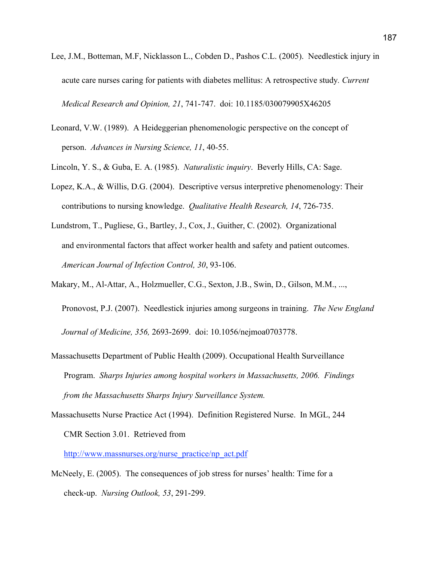- Lee, J.M., Botteman, M.F, Nicklasson L., Cobden D., Pashos C.L. (2005). Needlestick injury in acute care nurses caring for patients with diabetes mellitus: A retrospective study*. Current Medical Research and Opinion, 21*, 741-747. doi: 10.1185/030079905X46205
- Leonard, V.W. (1989). A Heideggerian phenomenologic perspective on the concept of person. *Advances in Nursing Science, 11*, 40-55.
- Lincoln, Y. S., & Guba, E. A. (1985). *Naturalistic inquiry*. Beverly Hills, CA: Sage.
- Lopez, K.A., & Willis, D.G. (2004). Descriptive versus interpretive phenomenology: Their contributions to nursing knowledge. *Qualitative Health Research, 14*, 726-735.
- Lundstrom, T., Pugliese, G., Bartley, J., Cox, J., Guither, C. (2002). Organizational and environmental factors that affect worker health and safety and patient outcomes. *American Journal of Infection Control, 30*, 93-106.
- Makary, M., Al-Attar, A., Holzmueller, C.G., Sexton, J.B., Swin, D., Gilson, M.M., ..., Pronovost, P.J. (2007). Needlestick injuries among surgeons in training. *The New England Journal of Medicine, 356,* 2693-2699. doi: 10.1056/nejmoa0703778.
- Massachusetts Department of Public Health (2009). Occupational Health Surveillance Program. *Sharps Injuries among hospital workers in Massachusetts, 2006. Findings from the Massachusetts Sharps Injury Surveillance System.*
- Massachusetts Nurse Practice Act (1994). Definition Registered Nurse. In MGL, 244 CMR Section 3.01. Retrieved from

http://www.massnurses.org/nurse\_practice/np\_act.pdf

McNeely, E. (2005). The consequences of job stress for nurses' health: Time for a check-up. *Nursing Outlook, 53*, 291-299.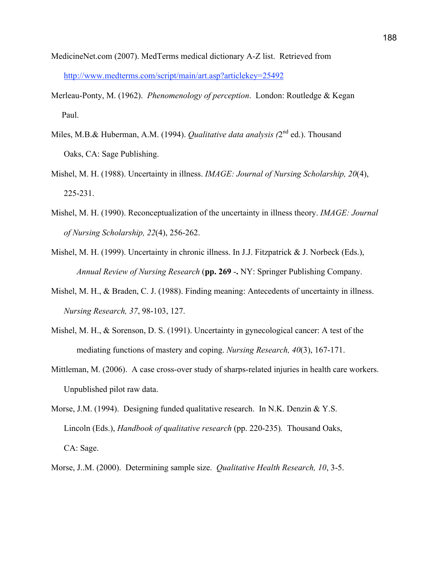- MedicineNet.com (2007). MedTerms medical dictionary A-Z list. Retrieved from http://www.medterms.com/script/main/art.asp?articlekey=25492
- Merleau-Ponty, M. (1962). *Phenomenology of perception*. London: Routledge & Kegan Paul.
- Miles, M.B.& Huberman, A.M. (1994). *Qualitative data analysis (2<sup>nd</sup> ed.)*. Thousand Oaks, CA: Sage Publishing.
- Mishel, M. H. (1988). Uncertainty in illness. *IMAGE: Journal of Nursing Scholarship, 20*(4), 225-231.
- Mishel, M. H. (1990). Reconceptualization of the uncertainty in illness theory. *IMAGE: Journal of Nursing Scholarship, 22*(4), 256-262.
- Mishel, M. H. (1999). Uncertainty in chronic illness. In J.J. Fitzpatrick & J. Norbeck (Eds.), *Annual Review of Nursing Research* (**pp. 269** -**.** NY: Springer Publishing Company.
- Mishel, M. H., & Braden, C. J. (1988). Finding meaning: Antecedents of uncertainty in illness. *Nursing Research, 37*, 98-103, 127.
- Mishel, M. H., & Sorenson, D. S. (1991). Uncertainty in gynecological cancer: A test of the mediating functions of mastery and coping. *Nursing Research, 40*(3), 167-171.
- Mittleman, M. (2006). A case cross-over study of sharps-related injuries in health care workers. Unpublished pilot raw data.
- Morse, J.M. (1994). Designing funded qualitative research. In N.K. Denzin & Y.S. Lincoln (Eds.), *Handbook of* q*ualitative research* (pp. 220-235)*.* Thousand Oaks, CA: Sage.
- Morse, J..M. (2000). Determining sample size. *Qualitative Health Research, 10*, 3-5.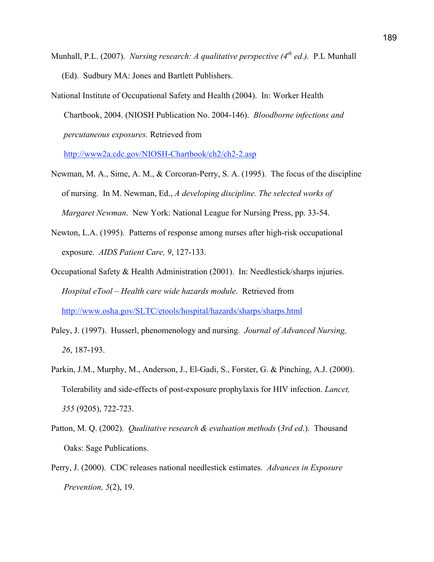- Munhall, P.L. (2007). *Nursing research: A qualitative perspective (4<sup>th</sup> ed.).* P.L Munhall (Ed). Sudbury MA: Jones and Bartlett Publishers.
- National Institute of Occupational Safety and Health (2004). In: Worker Health Chartbook, 2004. (NIOSH Publication No. 2004-146). *Bloodborne infections and percutaneous exposures.* Retrieved from

http://www2a.cdc.gov/NIOSH-Chartbook/ch2/ch2-2.asp

- Newman, M. A., Sime, A. M., & Corcoran-Perry, S. A. (1995). The focus of the discipline of nursing. In M. Newman, Ed., *A developing discipline. The selected works of Margaret Newman*. New York: National League for Nursing Press, pp. 33-54.
- Newton, L.A. (1995). Patterns of response among nurses after high-risk occupational exposure. *AIDS Patient Care, 9*, 127-133.
- Occupational Safety & Health Administration (2001). In: Needlestick/sharps injuries. *Hospital eTool – Health care wide hazards module*. Retrieved from http://www.osha.gov/SLTC/etools/hospital/hazards/sharps/sharps.html
- Paley, J. (1997). Husserl, phenomenology and nursing. *Journal of Advanced Nursing, 26*, 187-193.
- Parkin, J.M., Murphy, M., Anderson, J., El-Gadi, S., Forster, G. & Pinching, A.J. (2000). Tolerability and side-effects of post-exposure prophylaxis for HIV infection. *Lancet, 355* (9205), 722-723.
- Patton, M. Q. (2002). *Qualitative research & evaluation methods* (*3rd ed*.). Thousand Oaks: Sage Publications.
- Perry, J. (2000). CDC releases national needlestick estimates. *Advances in Exposure Prevention, 5*(2), 19.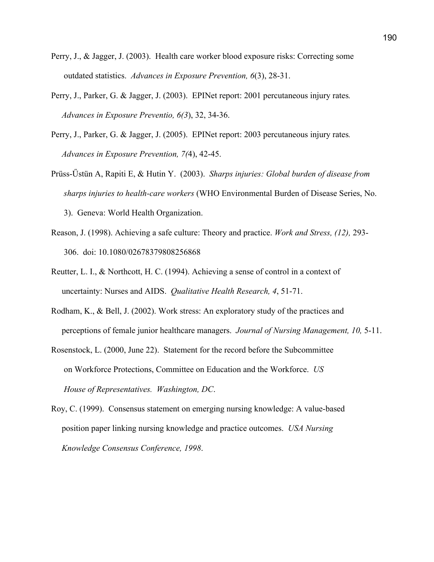- Perry, J., & Jagger, J. (2003). Health care worker blood exposure risks: Correcting some outdated statistics. *Advances in Exposure Prevention, 6*(3), 28-31.
- Perry, J., Parker, G. & Jagger, J. (2003). EPINet report: 2001 percutaneous injury rates*. Advances in Exposure Preventio, 6(3*), 32, 34-36.
- Perry, J., Parker, G. & Jagger, J. (2005). EPINet report: 2003 percutaneous injury rates*. Advances in Exposure Prevention, 7(*4), 42-45.
- Prüss-Űstün A, Rapiti E, & Hutin Y. (2003). *Sharps injuries: Global burden of disease from sharps injuries to health-care workers* (WHO Environmental Burden of Disease Series, No. 3). Geneva: World Health Organization.
- Reason, J. (1998). Achieving a safe culture: Theory and practice. *Work and Stress, (12),* 293- 306. doi: 10.1080/02678379808256868
- Reutter, L. I., & Northcott, H. C. (1994). Achieving a sense of control in a context of uncertainty: Nurses and AIDS. *Qualitative Health Research, 4*, 51-71.
- Rodham, K., & Bell, J. (2002). Work stress: An exploratory study of the practices and perceptions of female junior healthcare managers. *Journal of Nursing Management, 10,* 5-11.
- Rosenstock, L. (2000, June 22). Statement for the record before the Subcommittee on Workforce Protections, Committee on Education and the Workforce. *US House of Representatives. Washington, DC*.
- Roy, C. (1999). Consensus statement on emerging nursing knowledge: A value-based position paper linking nursing knowledge and practice outcomes. *USA Nursing Knowledge Consensus Conference, 1998*.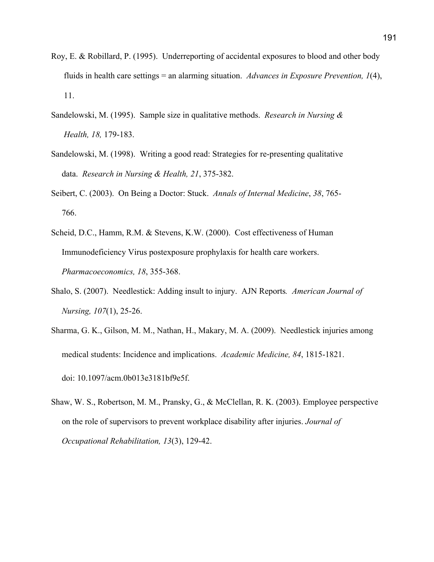- Roy, E. & Robillard, P. (1995). Underreporting of accidental exposures to blood and other body fluids in health care settings = an alarming situation. *Advances in Exposure Prevention, 1*(4), 11.
- Sandelowski, M. (1995). Sample size in qualitative methods. *Research in Nursing & Health, 18,* 179-183.
- Sandelowski, M. (1998). Writing a good read: Strategies for re-presenting qualitative data. *Research in Nursing & Health, 21*, 375-382.
- Seibert, C. (2003). On Being a Doctor: Stuck. *Annals of Internal Medicine*, *38*, 765- 766.
- Scheid, D.C., Hamm, R.M. & Stevens, K.W. (2000). Cost effectiveness of Human Immunodeficiency Virus postexposure prophylaxis for health care workers. *Pharmacoeconomics, 18*, 355-368.
- Shalo, S. (2007). Needlestick: Adding insult to injury. AJN Reports*. American Journal of Nursing, 107*(1), 25-26.
- Sharma, G. K., Gilson, M. M., Nathan, H., Makary, M. A. (2009). Needlestick injuries among medical students: Incidence and implications. *Academic Medicine, 84*, 1815-1821. doi: 10.1097/acm.0b013e3181bf9e5f.
- Shaw, W. S., Robertson, M. M., Pransky, G., & McClellan, R. K. (2003). Employee perspective on the role of supervisors to prevent workplace disability after injuries. *Journal of Occupational Rehabilitation, 13*(3), 129-42.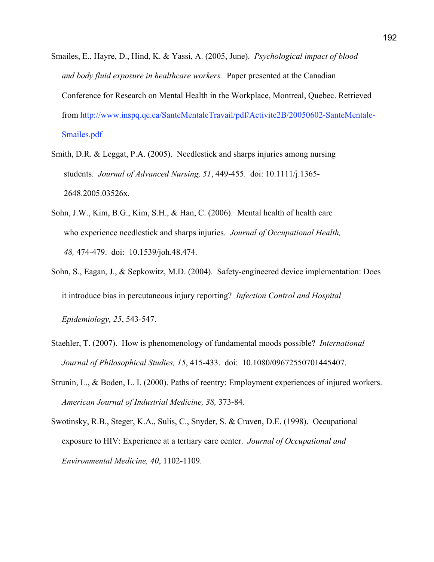- Smailes, E., Hayre, D., Hind, K. & Yassi, A. (2005, June). *Psychological impact of blood and body fluid exposure in healthcare workers.* Paper presented at the Canadian Conference for Research on Mental Health in the Workplace, Montreal, Quebec. Retrieved from http://www.inspq.qc.ca/SanteMentaleTravail/pdf/Activite2B/20050602-SanteMentale- Smailes.pdf
- Smith, D.R. & Leggat, P.A. (2005). Needlestick and sharps injuries among nursing students. *Journal of Advanced Nursing, 51*, 449-455. doi: 10.1111/j.1365- 2648.2005.03526x.
- Sohn, J.W., Kim, B.G., Kim, S.H., & Han, C. (2006). Mental health of health care who experience needlestick and sharps injuries. *Journal of Occupational Health, 48,* 474-479. doi: 10.1539/joh.48.474.
- Sohn, S., Eagan, J., & Sepkowitz, M.D. (2004). Safety-engineered device implementation: Does it introduce bias in percutaneous injury reporting? *Infection Control and Hospital Epidemiology, 25*, 543-547.
- Staehler, T. (2007). How is phenomenology of fundamental moods possible? *International Journal of Philosophical Studies, 15*, 415-433. doi: 10.1080/09672550701445407.
- Strunin, L., & Boden, L. I. (2000). Paths of reentry: Employment experiences of injured workers. *American Journal of Industrial Medicine, 38,* 373-84.
- Swotinsky, R.B., Steger, K.A., Sulis, C., Snyder, S. & Craven, D.E. (1998). Occupational exposure to HIV: Experience at a tertiary care center. *Journal of Occupational and Environmental Medicine, 40*, 1102-1109.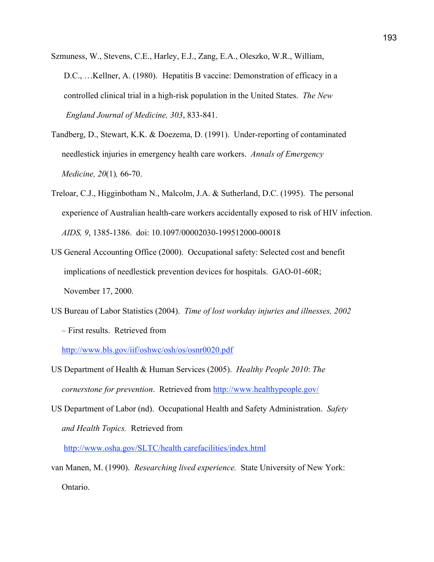- Szmuness, W., Stevens, C.E., Harley, E.J., Zang, E.A., Oleszko, W.R., William, D.C., …Kellner, A. (1980). Hepatitis B vaccine: Demonstration of efficacy in a controlled clinical trial in a high-risk population in the United States. *The New England Journal of Medicine, 303*, 833-841.
- Tandberg, D., Stewart, K.K. & Doezema, D. (1991). Under-reporting of contaminated needlestick injuries in emergency health care workers. *Annals of Emergency Medicine, 20*(1)*,* 66-70.
- Treloar, C.J., Higginbotham N., Malcolm, J.A. & Sutherland, D.C. (1995). The personal experience of Australian health-care workers accidentally exposed to risk of HIV infection. *AIDS, 9*, 1385-1386. doi: 10.1097/00002030-199512000-00018
- US General Accounting Office (2000). Occupational safety: Selected cost and benefit implications of needlestick prevention devices for hospitals. GAO-01-60R; November 17, 2000.
- US Bureau of Labor Statistics (2004). *Time of lost workday injuries and illnesses, 2002* – First results. Retrieved from

http://www.bls.gov/iif/oshwc/osh/os/osnr0020.pdf

- US Department of Health & Human Services (2005). *Healthy People 2010*: *The cornerstone for prevention*. Retrieved from http://www.healthypeople.gov/
- US Department of Labor (nd). Occupational Health and Safety Administration. *Safety and Health Topics.* Retrieved from

http://www.osha.gov/SLTC/health carefacilities/index.html

van Manen, M. (1990). *Researching lived experience.* State University of New York: Ontario.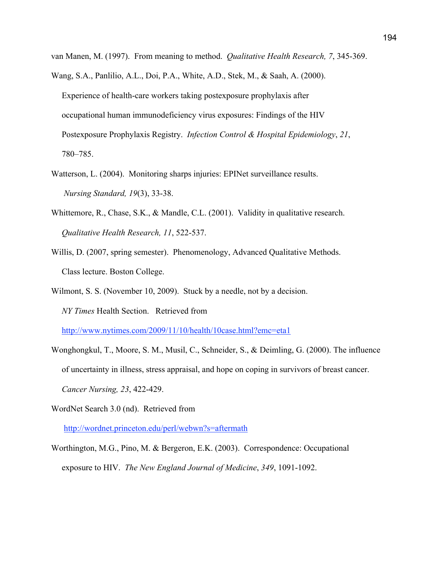van Manen, M. (1997). From meaning to method. *Qualitative Health Research, 7*, 345-369.

- Wang, S.A., Panlilio, A.L., Doi, P.A., White, A.D., Stek, M., & Saah, A. (2000). Experience of health-care workers taking postexposure prophylaxis after occupational human immunodeficiency virus exposures: Findings of the HIV Postexposure Prophylaxis Registry. *Infection Control & Hospital Epidemiology*, *21*, 780–785.
- Watterson, L. (2004). Monitoring sharps injuries: EPINet surveillance results. *Nursing Standard, 19*(3), 33-38.
- Whittemore, R., Chase, S.K., & Mandle, C.L. (2001). Validity in qualitative research.  *Qualitative Health Research, 11*, 522-537.
- Willis, D. (2007, spring semester). Phenomenology, Advanced Qualitative Methods. Class lecture. Boston College.
- Wilmont, S. S. (November 10, 2009). Stuck by a needle, not by a decision.  *NY Times* Health Section. Retrieved from

http://www.nytimes.com/2009/11/10/health/10case.html?emc=eta1

- Wonghongkul, T., Moore, S. M., Musil, C., Schneider, S., & Deimling, G. (2000). The influence of uncertainty in illness, stress appraisal, and hope on coping in survivors of breast cancer. *Cancer Nursing, 23*, 422-429.
- WordNet Search 3.0 (nd). Retrieved from

http://wordnet.princeton.edu/perl/webwn?s=aftermath

Worthington, M.G., Pino, M. & Bergeron, E.K. (2003). Correspondence: Occupational exposure to HIV. *The New England Journal of Medicine*, *349*, 1091-1092.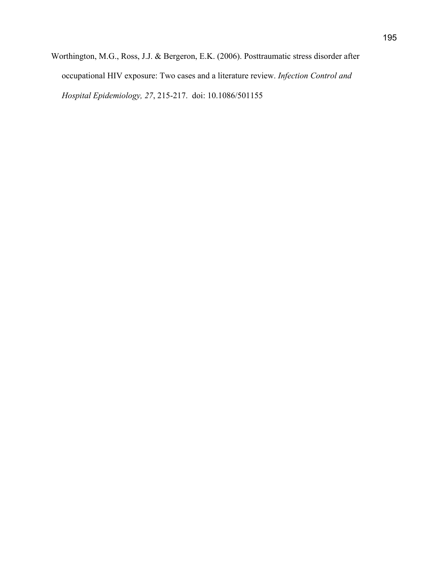Worthington, M.G., Ross, J.J. & Bergeron, E.K. (2006). Posttraumatic stress disorder after occupational HIV exposure: Two cases and a literature review. *Infection Control and Hospital Epidemiology, 27*, 215-217. doi: 10.1086/501155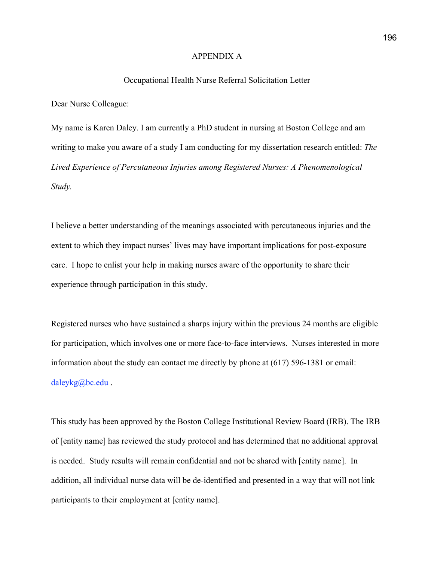### APPENDIX A

### Occupational Health Nurse Referral Solicitation Letter

Dear Nurse Colleague:

My name is Karen Daley. I am currently a PhD student in nursing at Boston College and am writing to make you aware of a study I am conducting for my dissertation research entitled: *The Lived Experience of Percutaneous Injuries among Registered Nurses: A Phenomenological Study.* 

I believe a better understanding of the meanings associated with percutaneous injuries and the extent to which they impact nurses' lives may have important implications for post-exposure care. I hope to enlist your help in making nurses aware of the opportunity to share their experience through participation in this study.

Registered nurses who have sustained a sharps injury within the previous 24 months are eligible for participation, which involves one or more face-to-face interviews. Nurses interested in more information about the study can contact me directly by phone at (617) 596-1381 or email: daleykg@bc.edu.

This study has been approved by the Boston College Institutional Review Board (IRB). The IRB of [entity name] has reviewed the study protocol and has determined that no additional approval is needed. Study results will remain confidential and not be shared with [entity name]. In addition, all individual nurse data will be de-identified and presented in a way that will not link participants to their employment at [entity name].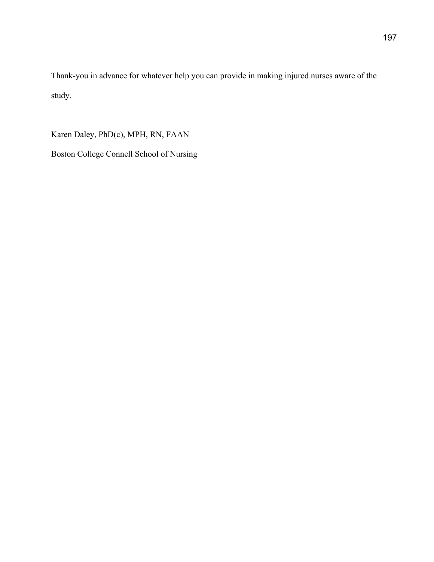Thank-you in advance for whatever help you can provide in making injured nurses aware of the study.

Karen Daley, PhD(c), MPH, RN, FAAN

Boston College Connell School of Nursing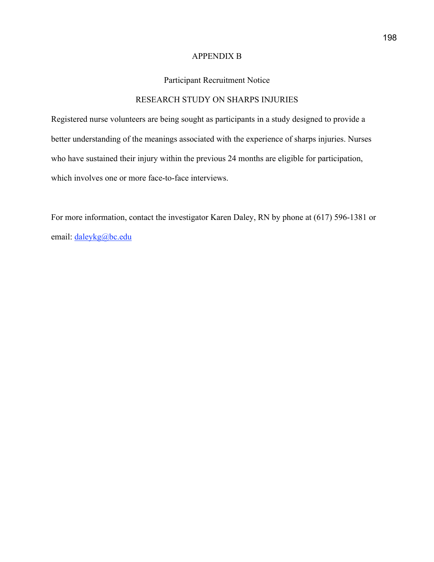## APPENDIX B

# Participant Recruitment Notice

# RESEARCH STUDY ON SHARPS INJURIES

Registered nurse volunteers are being sought as participants in a study designed to provide a better understanding of the meanings associated with the experience of sharps injuries. Nurses who have sustained their injury within the previous 24 months are eligible for participation, which involves one or more face-to-face interviews.

For more information, contact the investigator Karen Daley, RN by phone at (617) 596-1381 or email: daleykg@bc.edu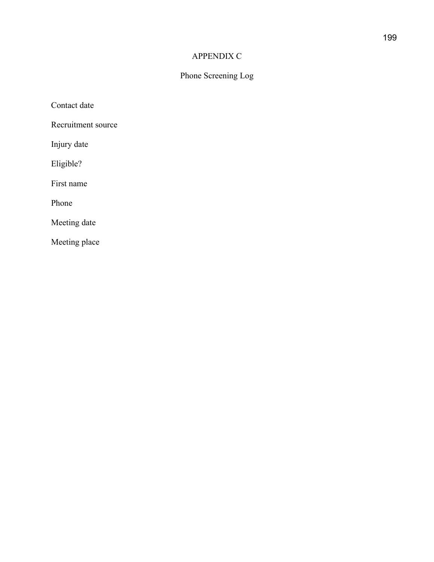# APPENDIX C

# Phone Screening Log

Contact date

Recruitment source

Injury date

Eligible?

First name

Phone

Meeting date

Meeting place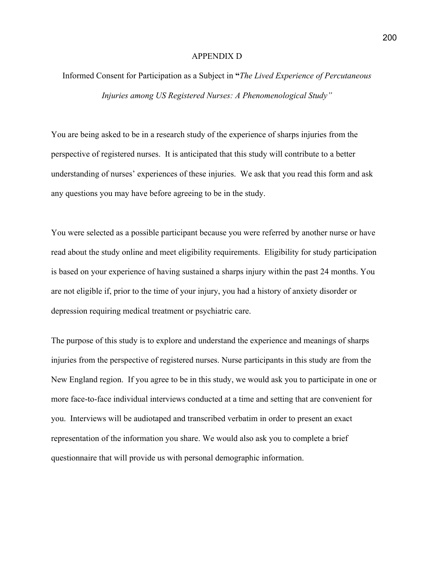#### APPENDIX D

# Informed Consent for Participation as a Subject in **"***The Lived Experience of Percutaneous Injuries among US Registered Nurses: A Phenomenological Study"*

You are being asked to be in a research study of the experience of sharps injuries from the perspective of registered nurses. It is anticipated that this study will contribute to a better understanding of nurses' experiences of these injuries. We ask that you read this form and ask any questions you may have before agreeing to be in the study.

You were selected as a possible participant because you were referred by another nurse or have read about the study online and meet eligibility requirements. Eligibility for study participation is based on your experience of having sustained a sharps injury within the past 24 months. You are not eligible if, prior to the time of your injury, you had a history of anxiety disorder or depression requiring medical treatment or psychiatric care.

The purpose of this study is to explore and understand the experience and meanings of sharps injuries from the perspective of registered nurses. Nurse participants in this study are from the New England region. If you agree to be in this study, we would ask you to participate in one or more face-to-face individual interviews conducted at a time and setting that are convenient for you. Interviews will be audiotaped and transcribed verbatim in order to present an exact representation of the information you share. We would also ask you to complete a brief questionnaire that will provide us with personal demographic information.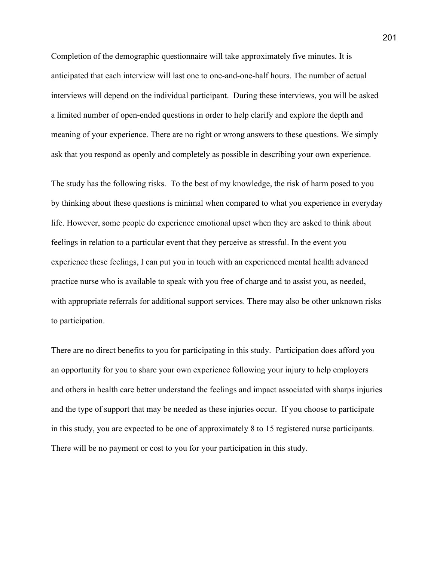Completion of the demographic questionnaire will take approximately five minutes. It is anticipated that each interview will last one to one-and-one-half hours. The number of actual interviews will depend on the individual participant. During these interviews, you will be asked a limited number of open-ended questions in order to help clarify and explore the depth and meaning of your experience. There are no right or wrong answers to these questions. We simply ask that you respond as openly and completely as possible in describing your own experience.

The study has the following risks. To the best of my knowledge, the risk of harm posed to you by thinking about these questions is minimal when compared to what you experience in everyday life. However, some people do experience emotional upset when they are asked to think about feelings in relation to a particular event that they perceive as stressful. In the event you experience these feelings, I can put you in touch with an experienced mental health advanced practice nurse who is available to speak with you free of charge and to assist you, as needed, with appropriate referrals for additional support services. There may also be other unknown risks to participation.

There are no direct benefits to you for participating in this study. Participation does afford you an opportunity for you to share your own experience following your injury to help employers and others in health care better understand the feelings and impact associated with sharps injuries and the type of support that may be needed as these injuries occur. If you choose to participate in this study, you are expected to be one of approximately 8 to 15 registered nurse participants. There will be no payment or cost to you for your participation in this study.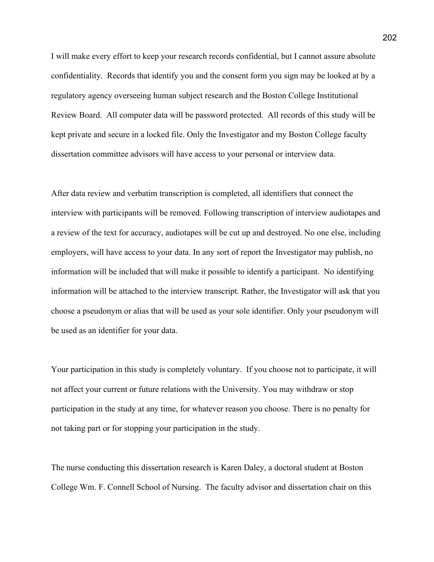I will make every effort to keep your research records confidential, but I cannot assure absolute confidentiality. Records that identify you and the consent form you sign may be looked at by a regulatory agency overseeing human subject research and the Boston College Institutional Review Board. All computer data will be password protected. All records of this study will be kept private and secure in a locked file. Only the Investigator and my Boston College faculty dissertation committee advisors will have access to your personal or interview data.

After data review and verbatim transcription is completed, all identifiers that connect the interview with participants will be removed. Following transcription of interview audiotapes and a review of the text for accuracy, audiotapes will be cut up and destroyed. No one else, including employers, will have access to your data. In any sort of report the Investigator may publish, no information will be included that will make it possible to identify a participant. No identifying information will be attached to the interview transcript. Rather, the Investigator will ask that you choose a pseudonym or alias that will be used as your sole identifier. Only your pseudonym will be used as an identifier for your data.

Your participation in this study is completely voluntary. If you choose not to participate, it will not affect your current or future relations with the University. You may withdraw or stop participation in the study at any time, for whatever reason you choose. There is no penalty for not taking part or for stopping your participation in the study.

The nurse conducting this dissertation research is Karen Daley, a doctoral student at Boston College Wm. F. Connell School of Nursing. The faculty advisor and dissertation chair on this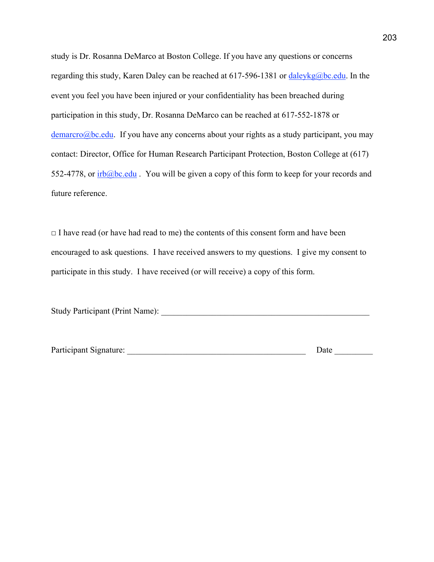study is Dr. Rosanna DeMarco at Boston College. If you have any questions or concerns regarding this study, Karen Daley can be reached at  $617-596-1381$  or  $\frac{dalevkg}{\omega}bc.edu$ . In the event you feel you have been injured or your confidentiality has been breached during participation in this study, Dr. Rosanna DeMarco can be reached at 617-552-1878 or  $d$ emarcro $@$ bc.edu. If you have any concerns about your rights as a study participant, you may contact: Director, Office for Human Research Participant Protection, Boston College at (617) 552-4778, or  $\frac{irb@bc.edu}{irb@bc.edu}$ . You will be given a copy of this form to keep for your records and future reference.

□ I have read (or have had read to me) the contents of this consent form and have been encouraged to ask questions. I have received answers to my questions. I give my consent to participate in this study. I have received (or will receive) a copy of this form.

Study Participant (Print Name): \_\_\_\_\_\_\_\_\_\_\_\_\_\_\_\_\_\_\_\_\_\_\_\_\_\_\_\_\_\_\_\_\_\_\_\_\_\_\_\_\_\_\_\_\_\_\_\_\_

| Participant Signature: | ⊃atc |  |
|------------------------|------|--|
|                        |      |  |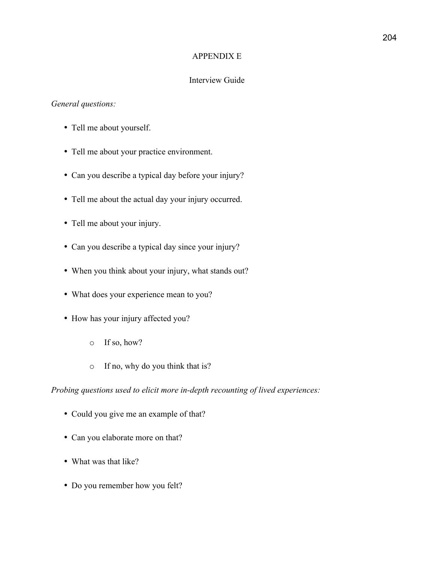## APPENDIX E

## Interview Guide

### *General questions:*

- Tell me about yourself.
- Tell me about your practice environment.
- Can you describe a typical day before your injury?
- Tell me about the actual day your injury occurred.
- Tell me about your injury.
- Can you describe a typical day since your injury?
- When you think about your injury, what stands out?
- What does your experience mean to you?
- How has your injury affected you?
	- o If so, how?
	- o If no, why do you think that is?

# *Probing questions used to elicit more in-depth recounting of lived experiences:*

- Could you give me an example of that?
- Can you elaborate more on that?
- What was that like?
- Do you remember how you felt?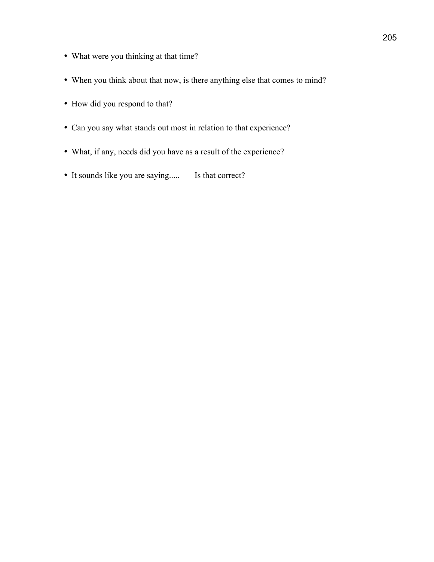- What were you thinking at that time?
- When you think about that now, is there anything else that comes to mind?
- How did you respond to that?
- Can you say what stands out most in relation to that experience?
- What, if any, needs did you have as a result of the experience?
- It sounds like you are saying..... Is that correct?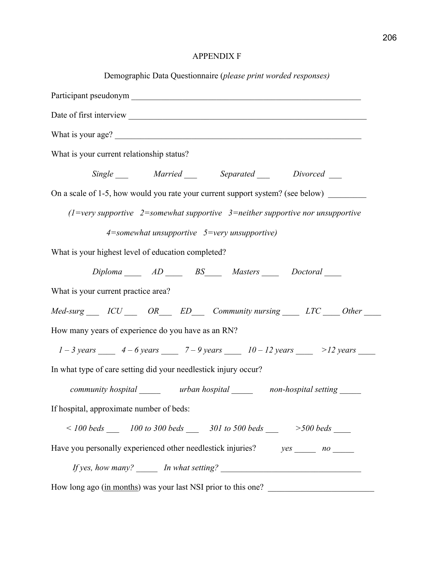### APPENDIX F

| Demographic Data Questionnaire (please print worded responses)                                                                  |  |  |  |  |  |  |  |
|---------------------------------------------------------------------------------------------------------------------------------|--|--|--|--|--|--|--|
|                                                                                                                                 |  |  |  |  |  |  |  |
|                                                                                                                                 |  |  |  |  |  |  |  |
| What is your age?                                                                                                               |  |  |  |  |  |  |  |
| What is your current relationship status?                                                                                       |  |  |  |  |  |  |  |
| Single ____ Married ____ Separated ____ Divorced ___                                                                            |  |  |  |  |  |  |  |
| On a scale of 1-5, how would you rate your current support system? (see below)                                                  |  |  |  |  |  |  |  |
| $(1=very \text{ supportive } 2=some what \text{ supportive } 3=neither \text{ supportive nor unsupportive }$                    |  |  |  |  |  |  |  |
| $4$ =somewhat unsupportive $5$ =very unsupportive)                                                                              |  |  |  |  |  |  |  |
| What is your highest level of education completed?                                                                              |  |  |  |  |  |  |  |
| Diploma ____ AD ____ BS____ Masters ____ Doctoral ____                                                                          |  |  |  |  |  |  |  |
| What is your current practice area?                                                                                             |  |  |  |  |  |  |  |
| Med-surg ICU OR ED Community nursing LTC Other                                                                                  |  |  |  |  |  |  |  |
| How many years of experience do you have as an RN?                                                                              |  |  |  |  |  |  |  |
| $1-3 \text{ years}$ 4 - 6 years 7 - 9 years 10 - 12 years 212 years 10                                                          |  |  |  |  |  |  |  |
| In what type of care setting did your needlestick injury occur?                                                                 |  |  |  |  |  |  |  |
| community hospital ___________ urban hospital ___________ non-hospital setting ______                                           |  |  |  |  |  |  |  |
| If hospital, approximate number of beds:                                                                                        |  |  |  |  |  |  |  |
| $\leq$ 100 beds ______ 100 to 300 beds _______ 301 to 500 beds _______ >500 beds _____                                          |  |  |  |  |  |  |  |
| Have you personally experienced other needlestick injuries? $yes \_\_$ no $\_\_$                                                |  |  |  |  |  |  |  |
| If yes, how many? $\frac{1}{\sqrt{1-\frac{1}{n}}}\ln \frac{1}{n}$ what setting? $\frac{1}{\sqrt{1-\frac{1}{n}}}\ln \frac{1}{n}$ |  |  |  |  |  |  |  |
| How long ago (in months) was your last NSI prior to this one?                                                                   |  |  |  |  |  |  |  |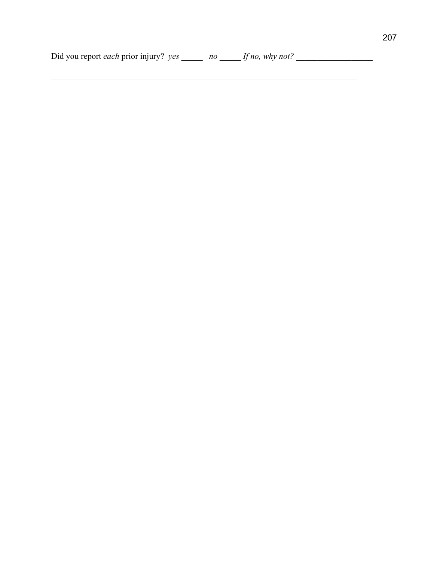\_\_\_\_\_\_\_\_\_\_\_\_\_\_\_\_\_\_\_\_\_\_\_\_\_\_\_\_\_\_\_\_\_\_\_\_\_\_\_\_\_\_\_\_\_\_\_\_\_\_\_\_\_\_\_\_\_\_\_\_\_\_\_\_\_\_\_\_\_\_\_\_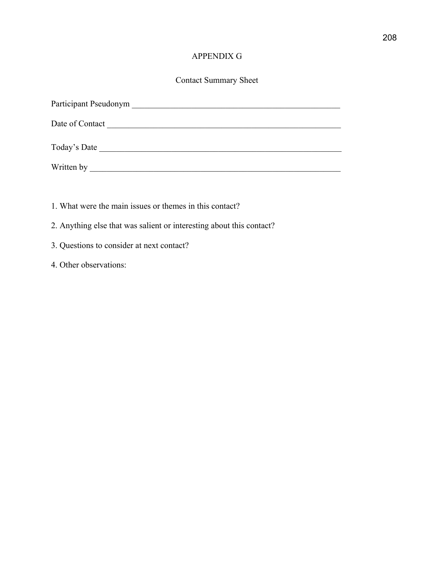## APPENDIX G

### Contact Summary Sheet

| Participant Pseudonym |
|-----------------------|
| Date of Contact       |
| Today's Date          |
| Written by            |

- 1. What were the main issues or themes in this contact?
- 2. Anything else that was salient or interesting about this contact?
- 3. Questions to consider at next contact?
- 4. Other observations: